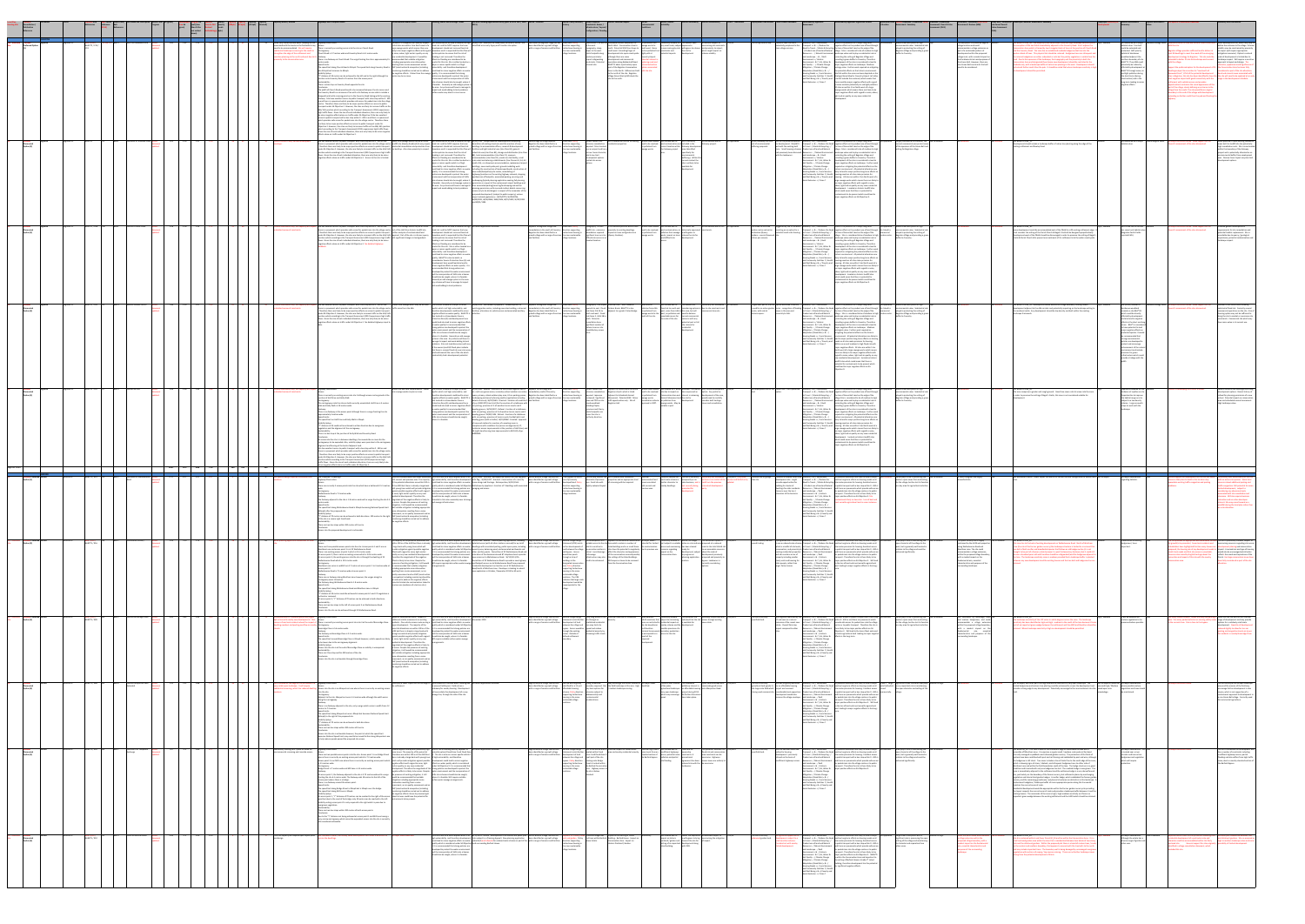| <b>Local Plan</b><br><b>Housing Site</b> | Consultation /<br>Publication                   | Settlement      | Parish             | vious Site<br>References             | Reference<br>014) | <b>Belt</b><br>References | w SHLAA Green Field / Site Name and Description SHLAA Form ha (gross) | <b>Progress</b>                                  |               | Area ha<br>(gross) | nal DA<br>(net) (less<br>than 0.5ha | ross to Net<br>evised<br>thodol | <b>Nearby</b><br><b>Density</b><br>Levels |           | 10 dph)   | Capacity<br>(50 dph) | Capacity<br>(Revised) | <b>Capacity Notes / Review</b>                                                                                                                                                                                                                                                                                                                             | <b>Highways and Transport Issues</b>                                                                                                                                                                                                                                                                                                                                                                                                                                                                                                                                                                                                                                                                                                                                                                                                                                                                                                                                                                                                                                                                                                                                                                                                                                                                                       |
|------------------------------------------|-------------------------------------------------|-----------------|--------------------|--------------------------------------|-------------------|---------------------------|-----------------------------------------------------------------------|--------------------------------------------------|---------------|--------------------|-------------------------------------|---------------------------------|-------------------------------------------|-----------|-----------|----------------------|-----------------------|------------------------------------------------------------------------------------------------------------------------------------------------------------------------------------------------------------------------------------------------------------------------------------------------------------------------------------------------------------|----------------------------------------------------------------------------------------------------------------------------------------------------------------------------------------------------------------------------------------------------------------------------------------------------------------------------------------------------------------------------------------------------------------------------------------------------------------------------------------------------------------------------------------------------------------------------------------------------------------------------------------------------------------------------------------------------------------------------------------------------------------------------------------------------------------------------------------------------------------------------------------------------------------------------------------------------------------------------------------------------------------------------------------------------------------------------------------------------------------------------------------------------------------------------------------------------------------------------------------------------------------------------------------------------------------------------|
|                                          | Reference                                       | <b>BAGINTON</b> |                    |                                      |                   |                           |                                                                       |                                                  |               |                    | not netted<br>down)                 |                                 | $ $ (dph)                                 |           |           |                      |                       |                                                                                                                                                                                                                                                                                                                                                            |                                                                                                                                                                                                                                                                                                                                                                                                                                                                                                                                                                                                                                                                                                                                                                                                                                                                                                                                                                                                                                                                                                                                                                                                                                                                                                                            |
| Yes - Allocated<br>Site                  | <b>HOSBC</b><br><b>Preferred Option</b>         | Baginton        | <b>Baginton PC</b> | 3AG 1 (DS7)<br>BAG1*O / C10 /<br>C19 | 10 and C19 BAG 4  |                           | North of Rosswood Farm                                                | SHLAA<br>document<br>updated.                    | 1.82          | 1.82               | 1.22                                | 1.55                            |                                           | 47        | 62        |                      | 35                    | Some very limited surface water flooding on site<br>associated with the levels on the field which may<br>need to be accommodated. Site will require<br>substantial landscape screening to the south to<br>strenghten the edge of the settlement and<br>sensitive planning to the north and west due to its Footway:<br>proximity to the conservation area. | Highway Observation:<br>Access:<br>There is currently an existing access into tl<br>Carriageway:<br>Church Road is 3.7 metres wide and Cover<br>There is no footway on Church Road. The<br>metres wide.<br>Speed Limits:<br>The speed limit along Church Road is 30m<br>also 30mph but increases to 60mph.<br><b>Visibility Splays:</b><br>"Y" distance of 43 metres can be achieved<br>junction onto Coventry Road is 25 metres<br>Sustainability:<br>There is a bus stop on Coventry Road oppo<br>Conclusion:<br>The width of Church Road would need to I<br>the Coventry Road to a minimum of 5m w<br>dropped kerb tactile crossing point on to t<br>footway. Site have excellent access to pul<br>m and there is a pavement which provides<br>centre. Therefore there are likely to be m<br>transport under SA Objective 2. However,<br>A46/A45 junction which according to the<br>high traffic flows . Given the size of each ir<br>be minor negative effects alone on traffic<br>access to public transport with a bus stop<br>which provides safe access for pedestrians<br>are likely to be major positive effects on a<br>Objective 2. However, the sites are likely t<br>which according to the Transport Assessm<br>Given the size of each individual allocation<br>effects alone on traffic under SA Objective |
|                                          | <b>HOSBC</b><br><b>Discounted</b><br>Option (2) | <b>Baginton</b> | <b>Baginton PC</b> | BAG3*O                               | C <sub>21</sub>   | BAG2                      | Land east of Andrews Close SHLAA                                      | document<br>updated.                             | 2.05          | 2.05               | 1.37                                | 1.54                            |                                           | 46        | 62        |                      | 30                    | Linear site with a very narrow development<br>envelope.                                                                                                                                                                                                                                                                                                    | Site has excellent access to public transpo<br>there is a pavement which provides safe a<br>Therefore there are likely to be major po<br>under SA Objective 2. However, the sites a<br>junction which according to the Transport<br>flows . Given the size of each individual all<br>negative effects alone on traffic under SA                                                                                                                                                                                                                                                                                                                                                                                                                                                                                                                                                                                                                                                                                                                                                                                                                                                                                                                                                                                            |
|                                          | <b>HOSBC</b><br><b>Discounted</b><br>Option (3) | <b>Baginton</b> | <b>Baginton PC</b> | BAG4*O / CO8                         | CO8               | BAG4                      | Land off Friends Close                                                | <b>SHLAA</b><br>document<br>updated.             | 2.28          | 2.28               | 1.53                                | 1.71                            |                                           | 51        | 68        |                      | 50                    | Outline assessment only. Site capacity will require Site has excellent access to public transpo<br>a detailed review of constraints.                                                                                                                                                                                                                       | there is a pavement which provides safe a<br>Therefore there are likely to be major po<br>under SA Objective 2. However, the sites a<br>junction which according to the Transport<br>flows . Given the size of each individual all<br>negative effects alone on traffic under SA<br>eedback.                                                                                                                                                                                                                                                                                                                                                                                                                                                                                                                                                                                                                                                                                                                                                                                                                                                                                                                                                                                                                               |
|                                          | <b>HOSBC</b><br><b>Discounted</b><br>Option (4) | <b>Baginton</b> | <b>Baginton PC</b> | BAG5*O / CO1 C01                     |                   | BAG 4                     | Russells Garden Centre                                                | <b>SHLAA</b><br>document<br>updated.             | 7.86          | 1.59               | 1.07                                | 1.35                            |                                           | 41        | 54        |                      | 40                    | Outline assessment only. Site capacity will require Site has excellent access to public transpo<br>a detailed review of constraints.                                                                                                                                                                                                                       | there is a pavement which provides safe a<br>Therefore there are likely to be major po<br>under SA Objective 2. However, the sites a<br>junction which according to the Transport<br>flows . Given the size of each individual all<br>negative effects alone on traffic under SA<br>date.                                                                                                                                                                                                                                                                                                                                                                                                                                                                                                                                                                                                                                                                                                                                                                                                                                                                                                                                                                                                                                  |
| <b>Baginton Totals</b>                   | HOSBC<br><b>Discounted</b><br>Option (5)        | <b>Baginton</b> | <b>Baginton PC</b> | BAG2*O.CO7                           | CO7               | BAG 4                     | Land at Mill Hill                                                     | SHLAA<br>document<br>updated.                    | 2.46<br>16.47 | 2.46<br>10.2       | 1.65<br>6.83                        | 1.85<br>7.99                    |                                           | 55<br>240 | 74<br>320 |                      | 50<br>205             | Outline assessment only. Site capacity will require<br>a detailed review of constraints.                                                                                                                                                                                                                                                                   | Highway Observation:<br>Access:<br>There is currently no existing access into s<br>junction of Hall Drive and Holly Walk.<br>Carriageway:<br>The carriageways into the site are both cu<br>wide and Holly Walk is 2.8 metres wide.<br>Footway:<br>There is no footway at the access point alt<br>approximately 3 metres wide.<br>Speed Limits:<br>The speed limit on Hall Drive and Holly Wa<br><b>Visibility Splays:</b><br>"Y" distance of 43 could not be achieved in<br>vegetation and the alignment of the carria<br>Sustainability:<br>There is a bus stop at the junction of Holly<br>Conclusion:<br>As access into the site is in between dwelli<br>carriageways to be expanded. Also, visibili<br>alignment and fencing at the back of adjac<br>Site has excellent access to public transpo<br>there is a pavement which provides safe a<br>. Therefore there are likely to be major po<br>under SA Objective 2. However, the sites a<br>junction which according to the Transport<br>traffic flows . Given the size of each individ<br>minor negative effects alone on traffic und                                                                                                                                                                                                                               |
|                                          | <b>HOSBC Preferred Barford</b><br>Option (1)    | <b>BARFORD</b>  | Barford JPC        | BAR1*O / R15                         | R <sub>15</sub>   | BAR <sub>2</sub>          | Land west of Wellesbourne SHLAA<br>Road                               | document<br>updated.                             | 0.17          | 0.17               | 0.17                                | 0.17                            |                                           | -5.       | 7         |                      | 5 <sub>5</sub>        | Site specific design required to evaluate final<br>umbers.                                                                                                                                                                                                                                                                                                 | The Proposals: 5 Dwellings<br>Highway Observation:<br>Access:<br>There are currently 2 access points into th<br>wide.<br>Carriageway:                                                                                                                                                                                                                                                                                                                                                                                                                                                                                                                                                                                                                                                                                                                                                                                                                                                                                                                                                                                                                                                                                                                                                                                      |
| Yes - Allocated                          | <b>VHOSBC Preferred Barford</b>                 |                 | Barford JPC        | <b>BAR 1 (DS7)</b>                   | R <sub>16</sub>   | BAR 1                     | Sherbourne Nursery                                                    | <b>SHLAA</b>                                     | 2.59          | 2.59               | 1.74                                | 1.94                            |                                           | 58        | 78        |                      | 60                    | 60 on planning application discussions for total                                                                                                                                                                                                                                                                                                           | Wellesbourne Road is 7.4 metres wide.<br>Footway:<br>The footway adjacent to the site is 1.8 met<br>metres wide.<br>Speed Limits:<br>The speed limit along Wellesbourne Road<br>(60mph) after the proposed site.<br>Visibility Splays:<br>"Y" distance of 70 metres can be achieved<br>of the site is a severe right hand bend.<br>Sustainability:<br>There are two bus stops within 200 metre<br>Conclusion:<br>Access into the proposed development is<br>Highway Observation:                                                                                                                                                                                                                                                                                                                                                                                                                                                                                                                                                                                                                                                                                                                                                                                                                                           |
| Site<br>Yes - Allocated                  | Option (2)<br><b>HOSBC Preferred Barford</b>    |                 | Barford JPC        | BAR2*O / R16<br>3AR 2 (DS7)          | <b>R84</b>        | BAR <sub>2</sub>          | Land off Bremridge Close                                              | document<br>updated.<br>SHLAA                    | 0.62          | 0.62               | 0.42                                | 0.53                            |                                           | 16        | 21        |                      | 12                    | site<br>Discussions with PC indicated potentially higher                                                                                                                                                                                                                                                                                                   | Access:<br>There are three possible access points into<br>Westham Lane and access point 3 is at 22<br>There is an existing access at point 1 which<br>At access point 2, there is also an existing<br>At access point 3, the existing access into t<br>Wellesbourne Road which is 19.5 metres v<br>Carriageway:<br>Westham Lane varies in width from 2.7 m<br>access point 2.<br>Wellesbourne Road is 7.5 metres wide at a<br>Footway:<br>There are no footways along Westham Lar<br>carriageway were 1.8 metres.<br>The footway along Wellesbourne Road is 1<br>Speed Limits:<br>The speed limit along Wellesbourne Road<br>Visibility Splays:<br>"Y" distance of 43 metres could be achieve<br>cut back or removed.<br>At access point 3, "Y" distance of 70 metre<br>Sustainability:<br>There are two bus stops to the left of acce<br>Conclusion:<br>Access into the site can be achieved throu<br>Highway Observation:                                                                                                                                                                                                                                                                                                                                                                                                |
| Site                                     | Option (3)<br><b>HOSBC</b><br><b>Discounted</b> | <b>Barford</b>  | Barford JPC        | BAR3*O / R89<br>BAR4*O / R88         | R83               | BAR <sub>6</sub>          | Land off Wasperton Lane<br>Extended                                   | document<br>ipdated.<br><b>SHLAA</b><br>document | 1.31          | 1.31               | 0.88                                | 1.11                            |                                           | 33        | 45        |                      | 25                    | dph in line with nearby new developments. Also<br>concerns from local residents about the impact of There is currently an existing access point<br>dwelling numbers and parking overflow on nearby Carriageway:<br>streets.<br>Site is located on the edge of the settlement in a Highway Observation:<br>very visible open landscape. It will require     | Access:<br>Bremridge Close is 5.6 metres wide.<br>Footway:<br>The footway on Bremridge Close is 2.5 me<br>Speed Limits:<br>The speed limit around Bremridge Close is<br>to be lower due to the carriageway alignm<br>Visibility Splays:<br>Access into the site is at the end of Bremri<br>Sustainability:<br>There are 2 bus stops within 300 metres o<br>Conclusion:<br>Access into the site is achievable through I<br>Access:                                                                                                                                                                                                                                                                                                                                                                                                                                                                                                                                                                                                                                                                                                                                                                                                                                                                                          |
|                                          | Option (4)                                      |                 |                    |                                      |                   |                           |                                                                       | updated.                                         |               |                    |                                     |                                 |                                           |           |           |                      |                       | substantial screening, which has reduced dwelling   Access into the site is on Wasperton Lane<br>umbers.                                                                                                                                                                                                                                                   | into the site.<br>Carriageway:<br>Adjacent to the site, Wasperton Lane is 5.3<br>along the carriageway.<br>Footway:<br>There is no footway adjacent to the site, o<br>metres to 7.3 metres.<br>Speed Limits:<br>The speed limit along Wasperton Lane is 3<br>(60mph) to the right of the proposed site.<br>Visibility Splays:<br>"Y" distance of 70 metres can be achieved<br>Sustainability:<br>There are two bus stops within 200 metre<br>Conclusion:<br>Access into the site is achievable however<br>becomes National Speed Limit may need t<br>to help reduce speeds passed the propose                                                                                                                                                                                                                                                                                                                                                                                                                                                                                                                                                                                                                                                                                                                              |
|                                          | <b>HOSBC</b><br><b>Discounted</b><br>Option (5) | <b>Barford</b>  | Barford JPC        | BAR5*O / R92                         | <b>R86</b>        | BAR 1                     | Land north of Telephone<br>Exchange                                   | SHLAA<br>document<br>updated.                    | 0.9           | 0.9                | 0.60                                | 0.77                            |                                           | 23        | 31        |                      | 15                    | Low density housing mix - space set aside for<br>environmental screening and riverside access.                                                                                                                                                                                                                                                             | Highway Observation:<br>Access:<br>There are two possible access points into t<br>where there is currently an existing access<br>Access point 2 is on Mill Lane where there<br>is 4.5 metres wide.<br>Carriageway:<br>Bridge Street is 7 metres wide and Mill Lar<br>Footway:<br>At access point 1, the footway adjacent to<br>fronting the site 6.1 metres wide. The foot<br>access point where there is a bridge.<br>There is no footway around the access poi<br>Speed Limits:<br>The speed limit along Bridge Street is 30m<br>The speed limit along Mill Lane is 30mph.<br>Visibility Splays:<br>At access point 1, "Y" distance of 70 metre<br>point but due to the crest of the bridge, or<br>Visibility exiting access point 2 is only requ<br>overgrown vegetation.<br>Sustainability:<br>There are two bus stops within 200 metre<br>Conclusion:<br>Due to the "Y" distance not being achiever<br>very narrow carriageway which cannot be<br>not considered achievable.                                                                                                                                                                                                                                                                                                                                          |
| Yes - Allocated                          | <b>HOSBC</b><br><b>Discounted</b><br>Option (6) | <b>Barford</b>  | Barford JPC        | <b>BAR 3 (DS7)</b><br>BAR6*O / R10   | R <sub>10</sub>   | BAR4                      | South of Barford House                                                | SHLAA<br>document<br>updated.                    | 0.83          | 0.3                | 0.30                                | 0.29                            |                                           | - 9       | 11        |                      | 8                     | Final site capacity will depend upon layout plans<br>and design.                                                                                                                                                                                                                                                                                           | Not reviewed in detail, but nearby flated o<br>ervice the dwellings.                                                                                                                                                                                                                                                                                                                                                                                                                                                                                                                                                                                                                                                                                                                                                                                                                                                                                                                                                                                                                                                                                                                                                                                                                                                       |

| <b>Capacity Notes / Review</b>                                                                                                                                                                                                                                                                                                                                     | <b>Highways and Transport Issues</b>                                                                                                                                                                                                                                                                                                                                                                                                                                                                                                                                                                                                                                                                                                                                                                                                                                                                                                                                                                                                                                                                                                                                                                                                                                                                                                                                                                                                                                                                                                                                                                                                                                                                                                                                                                                                                                                                                                                                                                                                                                                                                                                                                                                                                                                                          | <b>Environmental Health Issues</b>                                                                                                                                                                                                                                                                                                                                                                                                                                                                                                                                 | Flooding, Water and Drainage Issues<br>Site and Planning Application History (part or all of site / 1990- SHLAA - Location                                                                                                                                                                                                                                                                                                                                                                                                                                                                                                                                                                                                                                                                                                                                                                                                                                                                                                                                                                                                                                                                                                                                                                                                                                                                                                                                                                                                                                                                                                                                                                                                                                                                                                                                                                                                                                                                                                                                                                                                                                                                                                                                                                                                                                                                                                                                                                                                                                                                                                                                                                                                                                                                                                                        | SHLAA: Policy Context / SHLAA: Physical                                                                                                                                                                                                                                                   | <b>SHLAA: Potential Impact</b><br>Constraints: Access /<br>Environmental<br>rastructure / Layout<br><b>Conditions</b>                                                                                                                                                                                                                                                                                                                                                                                                                                                                                                                                                                                                                                                                                                                                                                   | <b>SHLAA: Overall</b>                                                                                                                                                                                                                                                                                                                                               | SHLAA: Availability SHLAA: Achievability SHLAA - Timeframes Employment Land Review Parish Council Feedback Sustainability Appraisal:                |                                                                                                                                                                                                                                    |                                                                                                                                                  |                                                                                                                                                                                                                                                                                                                                                                                                                                                     | <b>Sustainability Appraisal: Significant Effects</b><br>Evaluation                                                                                                                                                                                                                                                                                                                                                                                                                                                                                                                                                                                                                                                                                                                                                                                                                                                                                                                                                                                                                                                                                                                                                                                                                                                                                                                                                                                                                                                                                                                                                                                                                                                                                                                                                                        | Agricultural Land Overall Greenbelt / Greenfield Parcel Greenbelt / Greenfield<br><b>Assessment: Summary</b><br><b>Assessment (OVA)</b>                                                                 | <b>Greenbelt / Greenfield Sul</b><br>Assessment: Overall Value   Assessment: Review (MM)<br><b>Sub-Parcel Overall</b><br>alue Assessment                                                                                                                                                                                                                                       | Green Belt / Greenfield Landscape Character Assessment: Summary                                                                                                                                                                                                                                                                                                                                                                                                                                                                                                                                                                                                                                                                                                                                                                                                                                                                                                                                                                                                                                                                                                                                                                                                                                                                                                                                                                                                                                                                                                                                                                                               | <b>Habitat Assessment:</b><br><b>Habitat Assessment:</b>                                                                                                                                                                                                                                                                                                                                                                                                                                                                          |                                                                                                                                                                                                                                                                                                                                                                                                                                                                                                                                                                                                                                                                                                                                                                                                                                                                                                                                                                                                                                                                                        | <b>Summary and Conclusions</b>                                                                                                                                                                                                                                                                                                                                                                                                                                                                                            |
|--------------------------------------------------------------------------------------------------------------------------------------------------------------------------------------------------------------------------------------------------------------------------------------------------------------------------------------------------------------------|---------------------------------------------------------------------------------------------------------------------------------------------------------------------------------------------------------------------------------------------------------------------------------------------------------------------------------------------------------------------------------------------------------------------------------------------------------------------------------------------------------------------------------------------------------------------------------------------------------------------------------------------------------------------------------------------------------------------------------------------------------------------------------------------------------------------------------------------------------------------------------------------------------------------------------------------------------------------------------------------------------------------------------------------------------------------------------------------------------------------------------------------------------------------------------------------------------------------------------------------------------------------------------------------------------------------------------------------------------------------------------------------------------------------------------------------------------------------------------------------------------------------------------------------------------------------------------------------------------------------------------------------------------------------------------------------------------------------------------------------------------------------------------------------------------------------------------------------------------------------------------------------------------------------------------------------------------------------------------------------------------------------------------------------------------------------------------------------------------------------------------------------------------------------------------------------------------------------------------------------------------------------------------------------------------------|--------------------------------------------------------------------------------------------------------------------------------------------------------------------------------------------------------------------------------------------------------------------------------------------------------------------------------------------------------------------------------------------------------------------------------------------------------------------------------------------------------------------------------------------------------------------|---------------------------------------------------------------------------------------------------------------------------------------------------------------------------------------------------------------------------------------------------------------------------------------------------------------------------------------------------------------------------------------------------------------------------------------------------------------------------------------------------------------------------------------------------------------------------------------------------------------------------------------------------------------------------------------------------------------------------------------------------------------------------------------------------------------------------------------------------------------------------------------------------------------------------------------------------------------------------------------------------------------------------------------------------------------------------------------------------------------------------------------------------------------------------------------------------------------------------------------------------------------------------------------------------------------------------------------------------------------------------------------------------------------------------------------------------------------------------------------------------------------------------------------------------------------------------------------------------------------------------------------------------------------------------------------------------------------------------------------------------------------------------------------------------------------------------------------------------------------------------------------------------------------------------------------------------------------------------------------------------------------------------------------------------------------------------------------------------------------------------------------------------------------------------------------------------------------------------------------------------------------------------------------------------------------------------------------------------------------------------------------------------------------------------------------------------------------------------------------------------------------------------------------------------------------------------------------------------------------------------------------------------------------------------------------------------------------------------------------------------------------------------------------------------------------------------------------------------|-------------------------------------------------------------------------------------------------------------------------------------------------------------------------------------------------------------------------------------------------------------------------------------------|-----------------------------------------------------------------------------------------------------------------------------------------------------------------------------------------------------------------------------------------------------------------------------------------------------------------------------------------------------------------------------------------------------------------------------------------------------------------------------------------------------------------------------------------------------------------------------------------------------------------------------------------------------------------------------------------------------------------------------------------------------------------------------------------------------------------------------------------------------------------------------------------|---------------------------------------------------------------------------------------------------------------------------------------------------------------------------------------------------------------------------------------------------------------------------------------------------------------------------------------------------------------------|-----------------------------------------------------------------------------------------------------------------------------------------------------|------------------------------------------------------------------------------------------------------------------------------------------------------------------------------------------------------------------------------------|--------------------------------------------------------------------------------------------------------------------------------------------------|-----------------------------------------------------------------------------------------------------------------------------------------------------------------------------------------------------------------------------------------------------------------------------------------------------------------------------------------------------------------------------------------------------------------------------------------------------|-------------------------------------------------------------------------------------------------------------------------------------------------------------------------------------------------------------------------------------------------------------------------------------------------------------------------------------------------------------------------------------------------------------------------------------------------------------------------------------------------------------------------------------------------------------------------------------------------------------------------------------------------------------------------------------------------------------------------------------------------------------------------------------------------------------------------------------------------------------------------------------------------------------------------------------------------------------------------------------------------------------------------------------------------------------------------------------------------------------------------------------------------------------------------------------------------------------------------------------------------------------------------------------------------------------------------------------------------------------------------------------------------------------------------------------------------------------------------------------------------------------------------------------------------------------------------------------------------------------------------------------------------------------------------------------------------------------------------------------------------------------------------------------------------------------------------------------------|---------------------------------------------------------------------------------------------------------------------------------------------------------------------------------------------------------|--------------------------------------------------------------------------------------------------------------------------------------------------------------------------------------------------------------------------------------------------------------------------------------------------------------------------------------------------------------------------------|---------------------------------------------------------------------------------------------------------------------------------------------------------------------------------------------------------------------------------------------------------------------------------------------------------------------------------------------------------------------------------------------------------------------------------------------------------------------------------------------------------------------------------------------------------------------------------------------------------------------------------------------------------------------------------------------------------------------------------------------------------------------------------------------------------------------------------------------------------------------------------------------------------------------------------------------------------------------------------------------------------------------------------------------------------------------------------------------------------------------------------------------------------------------------------------------------------------------------------------------------------------------------------------------------------------------------------------------------------------------------------------------------------------------------------------------------------------------------------------------------------------------------------------------------------------------------------------------------------------------------------------------------------------|-----------------------------------------------------------------------------------------------------------------------------------------------------------------------------------------------------------------------------------------------------------------------------------------------------------------------------------------------------------------------------------------------------------------------------------------------------------------------------------------------------------------------------------|----------------------------------------------------------------------------------------------------------------------------------------------------------------------------------------------------------------------------------------------------------------------------------------------------------------------------------------------------------------------------------------------------------------------------------------------------------------------------------------------------------------------------------------------------------------------------------------------------------------------------------------------------------------------------------------------------------------------------------------------------------------------------------------------------------------------------------------------------------------------------------------------------------------------------------------------------------------------------------------------------------------------------------------------------------------------------------------|---------------------------------------------------------------------------------------------------------------------------------------------------------------------------------------------------------------------------------------------------------------------------------------------------------------------------------------------------------------------------------------------------------------------------------------------------------------------------------------------------------------------------|
| Some very limited surface water flooding on site Highway Observation:<br>associated with the levels on the field which may<br>need to be accommodated. Site will require<br>substantial landscape screening to the south to<br>strenghten the edge of the settlement and<br>sensitive planning to the north and west due to<br>proximity to the conservation area. | There is currently an existing access into the site on Church Road.<br>Carriageway:<br>Church Road is 3.7 metres wide and Coventry Road is 6.1 metres wide.<br>There is no footway on Church Road. The verge fronting the site is approximately 15 recommended that suitable mitigation<br>netres wide.<br>ineed Limits:<br>The speed limit along Church Road is 30mph. The speed limit along Coventry Road is [EMP (construction & occupation) including vulnerability and therefore development<br>Iso 30mph but increases to 60mph.<br>isibility Splays:<br>Y" distance of 43 metres can be achieved to the left and to the right although the works may be an issue.<br>unction onto Coventry Road is 25 metres from the access point.<br>here is a bus stop on Coventry Road opposite the site.<br>The width of Church Road would need to be increased between the site access and<br>he Coventry Road to a minimum of 5m with a 2m footway on one side to include a<br>Iropped kerb tactile crossing point on to the Coventry Road linking with the existing<br>ootway. Site have excellent access to public transport with a bus stop within 0 - 400<br>n and there is a pavement which provides safe access for pedestrians into the village<br>centre . Therefore there are likely to be major positive effects on access to public<br>ransport under SA Objective 2. However, the sites are likely to increase traffic on the<br>446/ A45 junction which according to the Transport Assessment (2012) experiences<br>igh traffic flows . Given the size of each individual allocation, there are only likely to<br>ie minor negative effects alone on traffic under SA Objective 2.Site has excellent<br>ccess to public transport with a bus stop within 0 - 400 m and there is a pavement<br>which provides safe access for pedestrians into the village centre . Therefore there<br>ire likely to be major positive effects on access to public transport under SA<br>Objective 2. However, the sites are likely to increase traffic on the A46/A45 junction<br>which according to the Transport Assessment (2012) experiences high traffic flows.<br>Given the size of each individual allocation, there are only likely to be minor negative<br>effects alone on traffic under SA Objective 2. | to noise, odour, light and air quality on any contain policies to ensure that the risk of<br>new residential development. It would be<br>including appropriate noise attenuation<br>esulting from a noise assessment and an<br>the negative effects. Odour from the sewage quality. It is recommended that strong                                                                                                                                                                                                                                                  | Site BAG1*O is adjacent to Coventry Airport Not located within an area of medium or high  W/90/1522 - erection of a stable block to house 3 horses. Site Land south of Baginton has loreen Belt. Policy Flood Zones 2, 3A and<br>and all sites are within 1 km North-west of a flood risk and the NPPF requires that new identified as an early Gypsy and Traveller site option.<br>been identified as a growth village direction supporting<br>large sewage works which means there are development should not increase flood risk<br>with a range of services and facilities. limited new housing in Topography, steep<br>likely to be major negative effects with regard elsewhere and it is expected that the Plan will<br>flooding is not increased. Therefore the<br>effects on flooding are considered to be<br>neutral for this site. Site is either located on a<br>major or minor aquifer which is of high<br>monitoring should be carried out to address could lead to minor negative effects on water<br>policies are developed to protect the water<br>wironment and the incorporation of SUDs<br>nto schemes should also be sought, where it<br>is feasible. Generally an old sewage system in<br>the area. Any scheme will have to manage its<br>impact and avoid adding to local problems.<br>Surface water may drain to river course.                                                                                                                                                                                                                                                                                                                                                                                                                                                                                                                                                                                                                                                                                                                                                                                                                                                                                                                                                                                                                                                                                                                                                                                                                                                                                                                                                                                                                                                                                            | the more sustainable<br>village locations.                                                                                                                                                                                                                                                | to the west.<br>North West. Conservation Area to sewage works to very small scale, subject expressed a<br>north. Potential SINC River Sowe to south west. Noise to overcoming physical willingness to release and proximity to airport,<br>south west. Extending finger of<br>slopes to the west.<br>Public footpath along<br>development into open countryside - flight path at<br>Ithough there are some<br>estern perimeter.<br>Coventry Airport.<br>\irport safeguarding<br>evelopment and commercial<br>ntial interest ir<br>erations along Bubbenhall Road.<br>pring sand and<br>onstraints. Potential<br>ninerals site.<br>*O abuts a particularly open<br>al extractio<br>t of the Baginton Conservation<br>ons associated<br>rea to the North. Millennium Field with the site.<br>o the north of the site. Baginton<br>Village Green West pLWS abuts the<br>site to the north. | and air pollution from constraints and the site for<br>potential impacts. development.                                                                                                                                                                                                                                                                              | overcoming site contraints<br>which might impact on<br>scheme viability.                                                                            | Current agricultural use. Concerns that the site is                                                                                                                                                                                | otentially peripheral to the<br>main village services.                                                                                           | Economy ? & = / Sustainable<br>nd Landscape - - & - / Built<br>nvironment + / Historic<br>nvironment - & ? / Air, Water &<br>oil Quality - - / Climate Change<br>Mitigation - / Climate Change<br>daptation (Flood Risk) = $8 -$<br>Social Exlcusion + / Crime ?                                                                                                                                                                                    | There is the potential for a major long-term Not evaluated Mixed Green Belt parcel of high Hi<br>ansport $\leftrightarrow$ & $\overline{\phantom{a}}$ - / Reduce the negative effect on the prudent use of land through<br>Need to Travel - / Waste & Recycling the loss of Green Belt Land on the edge of the<br>/ Prudent use of land and Natural village. Site is considered to be of medium to high<br>esources - - / Natural Environment llandscape value and to plays a substantial role in<br>protecting the setting of Baginton Village and<br>providing a green buffer to Coventry. Therefore<br>development of the sites is considered to lead to<br>major negative effects on landscape. Medium<br>ecology value. Further work required on mitigating<br>the potential effects on the historic environment.<br>Housing Needs ++ / Local Services   Site falls within the noise contours depicted on the<br>and Community Facilities ? / Health Strategic Noise Map for Coventry Airport (all other<br>and Well Being $+ 8 = /$ Poverty and sites fall outside the contours) which means that<br>there could be major negative effects with regard<br>o noise and also potentially air and light pollutior<br>All sites are within 1 km North-west of a large<br>sewage works which means there are likely to be<br>major negative effects with regard to noise, odour<br>light and air quality on any new residential                                                                                                                                                                                                                                                                                                                                                                                                          | environmental value. Substantial role<br>played in protecting the setting of<br>Baginton Village and providing a green<br>buffer to Coventry.                                                           | The Sub-parcel is a sensitive edge of Medium<br>village location and could<br>accommodate a village extension as<br>part of a sustainable pattern of<br>development within the proposed<br>village inset, with a modest impact o<br>the fundamental aim and purposes of<br>the Green Belt. However, there are<br>on-Green Belt constraints that will<br>need to be considered. | s within LCP BA_08. The majority of this Land Cover Parcel has high landscape sensitivity with High / Medium<br>exception of the two fields immediately adjacent to the Coventry Road. Site 1 adjoins the<br>servation Area which is framed by two triangular block of trees at the junction of Church<br>the Coventry Road. The zone has an established roadside hedgerow that ties into the<br>stern block of trees. This physical link should be retained. Hedgerow trees are infrequent<br>internal hedgelines are either redundant or relic but the patchy vegetation is visible from<br>road. Due to the openness of the landscape, the topography and the proximity to both the<br>onservation Area and designated Open Space new development should be restricted to the<br>adside only, with a landscape buffer of native tree planting to the west. Development should<br>ot extend further south than the pub. It should be noted that where landscape sensitivity is hi<br>development should be permitted.                                                                                                                                                                                                                                                                                                                                                                                                                                                                                                                                                                                                                                       | habitat value. Tree belt<br>could be extended and<br>protected. BAP priority<br>habitat of deciduous<br>voodland adjacent the<br>northern boundary of site<br>BAG1*O. The pLWS could<br>potentially be indirectly<br>affected by development a<br>BAG1*O through noise, air<br>and light pollution during<br>the short-term (during<br>nstruction) and in the<br>long-term leading to minor<br>negative effects.                                                                                                                  | Not identified as of major Medium ecology value Potential interest in sand and mineral issues association<br>with the site.<br>aginton Village provides sufficient land to deliver at<br>ast 90 dwellings to meet the needs of the emerging<br>velopment strategy for Baginton. This site could be<br>xtended to better fit into the landscape and connect<br>with the village.<br>oort the preferred option for the development of 3<br>vellings subject to correction to "Land north of<br>sswood Farm", Of all of the potential development<br>es in Baginton, this site has been identified to have the the site will need to be explored at an early<br>ast negative impact with good connectivity with the stage in the development schedule.<br>tlement with suitable access and provides<br>portunities to enhance the visual appearance of thi<br>rt of the village, clearly defining an entrance to the<br>illage from the south. The site would form a logical<br>undary to this end of the village with development<br>xtending no further south than the pub and fronting | Small development site, which may help re<br>efine the entrance to the village. Scheme<br>viability may be constrained by proximity<br>to airport (will require appropriate<br>mitigation measures). Option to exten-<br>scale of development is limited due to<br>landscape impact. Will require a sensitive<br>approach to layout and design. The<br>aracter, appearance and significance of<br>the Conservation Area has been fully<br>idered as part of the site allocation.<br>nd and mineral issues associated with |
| Linear site with a very narrow development<br>envelope.                                                                                                                                                                                                                                                                                                            | junction which according to the Transport Assessment (2012) experiences high traffic<br>flows . Given the size of each individual allocation, there are only likely to be minor<br>negative effects alone on traffic under SA Objective 2. Access to the site is limited.                                                                                                                                                                                                                                                                                                                                                                                                                                                                                                                                                                                                                                                                                                                                                                                                                                                                                                                                                                                                                                                                                                                                                                                                                                                                                                                                                                                                                                                                                                                                                                                                                                                                                                                                                                                                                                                                                                                                                                                                                                     |                                                                                                                                                                                                                                                                                                                                                                                                                                                                                                                                                                    | Site has excellent access to public transport with a bus stop within 0 - 400 m and Odour from sewage works may be an issue. Not located within an area of medium or high W/12/1522 - Comprehensive redevelopment comprising<br>Eastern edge of village location.<br>ere is a pavement which provides safe access for pedestrians into the village centre Landfill site (Rowley Road) which may require flood risk and the NPPF requires that new demolition of existing structures and the erectio<br>Baginton has been identified as a<br>Therefore there are likely to be major positive effects on access to public transport substantial remediation and protection from development should not increase flood risk buildings to accommodate offices, research & deve<br>under SA Objective 2. However, the sites are likely to increase traffic on the A46/ A45 gas build up. Also close proximity to airport.   elsewhere and it is expected that the Plan will facilities and light industrial uses<br>and facilities.<br>contain policies to ensure that the risk of industrial uses (Use Class B2), storage and distribution (Use Class<br>flooding is not increased. Therefore the B8), hotel accommodation (Use Class C1), museum<br>effects on flooding are considered to be accommodation (Use Class D1), model car club facility, small<br>neutral for this site. Site is either located on a scale retail and catering establishments (Use Classes A1, A3, A4<br>major or minor aquifer which is of high and/or A5), car showroom accommodation, replacement airport<br>vulnerability and therefore development buildings, new countryside park, ground modelling work<br>could lead to minor negative effects on water including the construction of landscaped bunds, construction of<br>quality. It is recommended that strong new roads/footpaths/cycle routes, remodelling of<br>policies are developed to protect the water   highways/junctions on the existing highway network, stopping<br>nvironment and the incorporation of SUDs   up/diversion of footpaths, associated parking, servicing and<br>into schemes should also be sought, where it landscaping (Hybrid planning application seeking full planning<br>is feasible. Generally an old sewage system in permission in respect of the replacement airport buildings and<br>area. Any scheme will have to manage its their associated parking/servicing/landscaping and outline<br>impact and avoid adding to local problems. planning permission, with reserved matters details concerning<br>access only to be discharged, in respect of the remainder of the<br>proposed development) (subject to public enquiry); various<br>airport related applications - W/05/0773, W/02/0786,<br>W/00/0021, W/96/0460, W95/0246, W/91/1492, W/91/1083<br>and W/91/1185. | Green Belt. Policy<br>direction supporting<br>village locations.                                                                                                                                                                                                                          | Former Landfill Site - Site is located to the rear of existing Landfill issues would Not suitable due to Site is currently Not achievable due to Not applicable.<br>extensive remediation<br>sidential properties.<br>the more sustainable near an airport and has a<br>sewage works.<br>narrow linear character,<br>which may limit<br>evelopment options.<br>imited site access                                                                                                                                                                                                                                                                                                                                                                                                                                                                                                       | need to be resolved. land contamination and included in the Gateway project.<br>Air pollution from current location within Gateway development<br>e Gateway project area (identified<br>specifically for<br>nvironmental<br>buffering). Within thi<br>current context the<br>site is unlikely to be<br>available for<br>development.                                |                                                                                                                                                     | Within Gateway site area - One of the preferred options Economy ? $\&$ = / Sustainable<br>part of environmental<br>buffering proposals.                                                                                            | or development. Would fit<br>with the landowner.                                                                                                 | and Landscape -- & - / Built<br>nvironment + / Historic<br>nvironment - & ? / Air, Water &<br>Soil Quality -- / Climate Change<br>Mitigation - / Climate Change<br>Adaptation (Flood Risk) = & -- /<br>Social Exlcusion + / Crime ?                                                                                                                                                                                                                 | There is the potential for a major long-term Not applicable Largely commercial in character, the Low to Medium<br>Transport $++$ & $-$ / Reduce the Need negative effect on the prudent use of land through<br>well with the existing built to Travel - / Waste & Recycling - / the loss of Green Belt Land on the edge of the<br>orm. Small housing schemes Prudent use of land and Natural village. Site is considered to be of medium to high<br>nad previously been discussed Resources -- / Natural Environment landscape value and to plays a substantial role in<br>protecting the setting of Baginton Village and<br>providing a green buffer to Coventry. Therefore<br>development of the sites is considered to lead to<br>major negative effects on landscape. Further work<br>required on mitigating the potential effects on the<br>historic environment. All potential allocations are<br>lousing Needs ++ / Local Services likely to lead to major positive long-term effects on<br>nd Community Facilities ? / Health   housing needs as all sites make provision for<br>and Well Being + & = / Poverty and housing. All sites are within 1 km North-west of a<br>large sewage works which means there are likely to<br>be major negative effects with regard to noise,<br>lour, light and air quality on any new residentia<br>development. Located on historic landfill sites<br>which could mean that there is potential for<br>ontaminants to be present which could lead to<br>major negative effects on SA Objective 9.                                                                                                                                                                                                                                                                                             | current commercial uses protect some<br>of the openness of the Green Belt and<br>setting for Baginton village.                                                                                          | ot assessed -                                                                                                                                                                                                                                                                                                                                                                  | Lies within LCP BA 11.<br>evelopment should include a landscape buffer of native tree planting along the edge of the<br>existing settlement and Rowley Road.                                                                                                                                                                                                                                                                                                                                                                                                                                                                                                                                                                                                                                                                                                                                                                                                                                                                                                                                                                                                                                                                                                                                                                                                                                                                                                                                                                                                                                                                                                  | Not identified as of major Low ecological value. No major comments raised. Some support for the<br>habitat value.                                                                                                                                                                                                                                                                                                                                                                                                                 | uncil's assessment of the sites discounted.                                                                                                                                                                                                                                                                                                                                                                                                                                                                                                                                                                                                                                                                                                                                                                                                                                                                                                                                                                                                                                            | Some potential fit with existing residential<br>areas but this landfill site has potentially<br>nigh remediation costs. Site is now located<br>within the boundary of the Gateway<br>project and is potentially allocated as an<br>environmental buffer from employment<br>uses. Narrow linear layout may also limit<br>development options.                                                                                                                                                                              |
| a detailed review of constraints.                                                                                                                                                                                                                                                                                                                                  | Outline assessment only. Site capacity will require Site has excellent access to public transport with a bus stop within 0 - 400 m and Odour from sewage works may be an issue. Not located within an area of medium or high N<br>there is a pavement which provides safe access for pedestrians into the village centre Part of the Hall Drive historic landfill site. flood risk and the NPPF requires that new<br>Therefore there are likely to be major positive effects on access to public transport Further analyisis of contaminated land<br>under SA Objective 2. However, the sites are likely to increase traffic on the A46/ A45 required. Part of the site is a former quarry elsewhere and it is expected that the Plan will<br>junction which according to the Transport Assessment (2012) experiences high traffic with significant changes in land gradient.<br>flows . Given the size of each individual allocation, there are only likely to be minor<br>negative effects alone on traffic under SA Objective 2. No detailed Highways                                                                                                                                                                                                                                                                                                                                                                                                                                                                                                                                                                                                                                                                                                                                                                                                                                                                                                                                                                                                                                                                                                                                                                                                                                                      |                                                                                                                                                                                                                                                                                                                                                                                                                                                                                                                                                                    | development should not increase flood risk<br>contain policies to ensure that the risk of<br>flooding is not increased. Therefore the<br>effects on flooding are considered to be<br>neutral for this site. Site is either located on a<br>major or minor aquifer which is of high<br>ulnerability and therefore development<br>ould lead to minor negative effects on water<br>quality. BAG4*O is also located in a<br>Groundwater Source Protection Zone (3) and<br>development here would lead also lead to<br>minor negative effects on water quality. It is<br>commended that strong policies are<br>developed to protect the water environment<br>nd the incorporation of SUDs into schemes<br>should also be sought, where it is feasible.<br>ienerally an old sewage system in the area.<br>Any scheme will have to manage its impact<br>and avoid adding to local problems.                                                                                                                                                                                                                                                                                                                                                                                                                                                                                                                                                                                                                                                                                                                                                                                                                                                                                                                                                                                                                                                                                                                                                                                                                                                                                                                                                                                                                                                                                                                                                                                                                                                                                                                                                                                                                                                                                                                                                              | village locations.                                                                                                                                                                                                                                                                        | Adjacent to Baginton village and Green Belt. Policy Topography. Former In an elevated position within close Landfill issues would Not suitable due to The owner has Not achievable due to site Not applicable.<br>mmediately to the south of Coventry. direction supporting landfill site - extensive proximity to exisiting dwellings.<br>Baginton has been identified as a limited new housing in remediation required. Impact on trees and garden area Air pollution from pollution from sewage a willingness to<br>growth village with a range of services the more sustainable Significant trees on site. (Quarry Gardens).<br>sewage works.<br>Difficult site access in an<br>evated location.                                                                                                                                                                                    | need to be resolved. land contamination, air historically expressed constraints.<br>works, impact on trees release the site for<br>amd difficult site development.                                                                                                                                                                                                  |                                                                                                                                                     | destination (Quarry<br>Gardens - several thousand site<br>visitors per annum).                                                                                                                                                     |                                                                                                                                                  | and Landscape -- & - / Built<br>Environment + / Historic<br>Mitigation - / Climate Change<br>daptation (Flood Risk) = $& -/$<br>ocial Exlcusion + / Crime ?                                                                                                                                                                                                                                                                                         | Site linked to an active Suggested by the PC as worth Economy ? & = / Sustainable There is the potential for a major long-term Not applicable Mixed Green Belt parcel of high<br>garden centre and visitor revisiting as an option for a Transport ++ & -- / Reduce the Need negative effect on the prudent use of land through site linked to environmental value. Substantial role<br>otential small scale housing to Travel - / Waste & Recycling - / the loss of Green Belt Land on the edge of the commercial played in protecting the setting of<br>Prudent use of land and Natural   village. Site is considered to be of medium to high garden centre.   Baginton Village and providing a green<br>esources -- / Natural Environment llandscape value and to plays a substantial role in<br>protecting the setting of Baginton Village and<br>providing a green buffer to Coventry. Therefore<br>nvironment - & ? / Air, Water & development of the sites is considered to lead to<br>Soil Quality -- / Climate Change   major negative effects on landscape. Further work<br>required on mitigating the potential effects on the<br>historic environment. All potential allocations are<br>Housing Needs ++ / Local Services likely to lead to major positive long-term effects on<br>nd Community Facilities ? / Health housing needs as all sites make provision for<br>and Well Being + & = / Poverty and housing. All sites are within 1 km North-west of a<br>large sewage works which means there are likely to<br>be major negative effects with regard to noise,<br>odour, light and air quality on any new residential<br>development. located on historic landfill sites<br>which could mean that there is potential for<br>ontaminants to be present which could lead to<br>major negative effects on SA Objective 9. | buffer to Coventry.                                                                                                                                                                                     | ot assessed.<br>ot assessed.                                                                                                                                                                                                                                                                                                                                                   | High / Medium<br>Lies within LCP BA_10.<br>ome development could be accommodated east of the PRoW to infill existing settlement edge. It<br>must consider the setting of the Parish Church & Bagot's Castle & be designed sympathetically.<br>Development west of the PRoW should be discouraged in order to preserve the setting of Bagot's<br>Castle & Parish Church & to prevent encroachment of thr settlement into the wider countryside.                                                                                                                                                                                                                                                                                                                                                                                                                                                                                                                                                                                                                                                                                                                                                                                                                                                                                                                                                                                                                                                                                                                                                                                                                | Part of the site to the east Medium<br>has some local habitat value<br>(Baginton Castle Fields -<br>rejected LWS).                                                                                                                                                                                                                                                                                                                                                                                                                | major comments raised. Some support for the<br>ouncil's assessment of the sites discounted.                                                                                                                                                                                                                                                                                                                                                                                                                                                                                                                                                                                                                                                                                                                                                                                                                                                                                                                                                                                            | Elevated garden landscape with<br>quirements for site remediation and<br>ootential habitat replacement. Site is<br>unsuitable due to quarry / geological<br>importance, potential contamination and<br>landscape impact.                                                                                                                                                                                                                                                                                                  |
| a detailed review of constraints.                                                                                                                                                                                                                                                                                                                                  | there is a pavement which provides safe access for pedestrians into the village centre Traffic noise from the A46.<br>. Therefore there are likely to be major positive effects on access to public transport<br>under SA Objective 2. However, the sites are likely to increase traffic on the A46/A45<br>junction which according to the Transport Assessment (2012) experiences high traffic<br>flows. Given the size of each individual allocation, there are only likely to be minor<br>negative effects alone on traffic under SA Objective 2. No detailed Highways input to                                                                                                                                                                                                                                                                                                                                                                                                                                                                                                                                                                                                                                                                                                                                                                                                                                                                                                                                                                                                                                                                                                                                                                                                                                                                                                                                                                                                                                                                                                                                                                                                                                                                                                                            |                                                                                                                                                                                                                                                                                                                                                                                                                                                                                                                                                                    | Outline assessment only. Site capacity will require Site has excellent access to public transport with a bus stop within 0 - 400 m and Odour from sewage works may be an issue. Site is either located on a major or minor W/0<br>aquifer which is of high vulnerability and exisiting garden centre, including new sales building, restaurant immediately to the south of Coventry. direction supporting upwards to east. Flood Finham Brook. BAGS*O is also<br>therefore development could lead to minor facilities, alterations to vehicle access and associated ancillary Baginton has been identified as limited new housing in Risk Zones 2 & 3A to adjacent to a grade II listed bridge.<br>negative effects on water quality. BAG5*O is activities.<br>growth village with a range of services the more sustainable south and west. Flood<br>also located in a Groundwater Source<br>and facilities.<br>Protection Zone (3) and development here<br>would lead also lead to minor negative effects<br>on water qualityIt is recommended that<br>trong policies are developed to protect the<br>ater environment and the incorporation of<br>SUDs into schemes should also be sought,<br>where it is feasible. Generally an old sewage<br>system in the area. Any scheme will have to<br>manage its impact and avoid adding to local<br>problems. Site visit (and discussions with one<br>of the owners) and GIS flood plans indicate<br>that there is a major flood risk near site access<br>oad and towards the rear of the site which<br>ubstantially limits development potential.                                                                                                                                                                                                                                                                                                                                                                                                                                                                                                                                                                                                                                                                                                                                                                                                                                                                                                                                                                                                                                                                                                                                                                                                                                                     | village locations.                                                                                                                                                                                                                                                                        | Risk Zones 2, 3A & 3B to<br>south of the site.<br>south. Minerals<br>Consultation Area.<br>Significant number of<br>mature trees on site.<br>Jnsatisfactory access                                                                                                                                                                                                                                                                                                                                                                                                                                                                                                                                                                                                                                                                                                                      | pollution from A46. flood risk to south and considering options in due to site constraints and<br>sewage works to the west, air pollution and need to balance<br>unsuitable access for current commercial<br>he scale of the site. concerns with any<br>otential part or full<br>ite release for<br>sidential<br>development.                                       |                                                                                                                                                     | centre, with sub-let issues in the area and<br>business space.                                                                                                                                                                     | proximity to A46.                                                                                                                                | esources -- / Natural Environme<br>nd Landscape -- & - / Built<br>nvironment + / Historic<br>nvironment - & ? / Air, Water &<br>oil Quality -- / Climate Change<br>Mitigation - / Climate Change<br>daptation (Flood Risk) = $& -/$<br>ocial Exlcusion + / Crime ?                                                                                                                                                                                  | A significant part of the site Option discussed in outline Economy ? & = / Sustainable There is the potential for a major long-term Not applicable Mixed Green Belt parcel of high H<br>is used for an active garden terms - recognition of flooding Transport ++ & -- / Reduce the Need negative effect on the prudent use of land through site linked to environmental value. Substantial role<br>to Travel - / Waste & Recycling - / the loss of Green Belt Land on the edge of the commercial played in protecting the setting of<br>Prudent use of land and Natural village. Site is considered to be of medium to high garden centre. Baginton Village and providing a green<br>nt landscape value and to plays a substantial role in<br>protecting the setting of Baginton Village and<br>providing a green buffer to Coventry. Therefore<br>development of the sites is considered to lead to<br>major negative effects on landscape. Medium<br>ecological value. Further work required on<br>mitigating the potential effects on the historic<br>Housing Needs ++ / Local Services environment. All potential allocations are likely to<br>and Community Facilities ? / Health lead to major positive long-term effects on housing<br>and Well Being $+$ & $=$ / Poverty and needs as all sites make provision for housing.<br>Within an area of medium to high flood risk with<br>major negative effects. All sites are within 1 km<br>North-west of a large sewage works which means<br>there are likely to be major negative effects with<br>regard to noise, odour, light and air quality on any<br>new residential development. located on historic<br>landfill sites which could mean that there is<br>otential for contaminants to be present which<br>could lead to major negative effects on SA                         | buffer to Coventry.                                                                                                                                                                                     | Not assessed<br>Not assessed                                                                                                                                                                                                                                                                                                                                                   | Lies within LCP BA_03. Development would extend the village boundary creating ribbon<br>High / medium<br>development adjacent to the A46 corridor and potentially impacting on the landscape setting to<br>the medieval castle. Any development should be low density and built within the existing<br>landscape framework.                                                                                                                                                                                                                                                                                                                                                                                                                                                                                                                                                                                                                                                                                                                                                                                                                                                                                                                                                                                                                                                                                                                                                                                                                                                                                                                                   | deciduous woodland<br>located on site BAG*O5<br>which could be directly<br>affected by development<br>and also lead to negative<br>effects in the short and long<br>terms. BAG*5 is considere<br>o have potential to lead<br>major negative effects on<br>protected species. It would<br>be recommended that<br>trong environmental<br>policies are developed to<br>protect and encourage<br>enhancement of the natura<br>nvironment and include<br>rovision for green<br>nfrastructure which could<br>provide a linkage with the | BAP priority habitat of Medium ecology value No major comments raised. Some support for the<br>Council's assessment of the sites discounted.                                                                                                                                                                                                                                                                                                                                                                                                                                                                                                                                                                                                                                                                                                                                                                                                                                                                                                                                           | Number of site constraints including<br>ubstantial flood risk. Currently several<br>commercial operations on the site. Size of<br>nousing option may not be sufficient to<br>bring the site to market or overcome site<br>constraints. Commercial site which may<br>have more value in its current use.                                                                                                                                                                                                                   |
| Outline assessment only. Site capacity will requi<br>a detailed review of constraints.                                                                                                                                                                                                                                                                             | re Highway Observation:<br>There is currently no existing access into site 2 although access can be gained at the<br>junction of Hall Drive and Holly Walk.<br>Carriageway:<br>he carriageways into the site are both currently unmetalled. Hall Drive is 3 metres<br>wide and Holly Walk is 2.8 metres wide.<br>There is no footway at the access point although there is a verge fronting the site<br>pproximately 3 metres wide.<br>peed Limits:<br>The speed limit on Hall Drive and Holly Walk is 30mph.<br>sibility Splays:<br>'Y" distance of 43 could not be achieved in either direction due to overgrown<br>egetation and the alignment of the carriageway.<br>iustainability:<br>There is a bus stop at the junction of Holly Walk and Coventry Road.<br>As access into the site is in between dwellings, there would be no room for the<br>arriageways to be expanded. Also, visibility splays were poor due to the carriageway<br>lignment and fencing at the back of adjacent land.<br>ite has excellent access to public transport with a bus stop within 0 - 400 m and<br>here is a pavement which provides safe access for pedestrians into the village centre<br>Therefore there are likely to be major positive effects on access to public transport<br>under SA Objective 2. However, the sites are likely to increase traffic on the A46/A45<br>unction which according to the Transport Assessment (2012) experiences high<br>traffic flows . Given the size of each individual allocation, there are only likely to be<br>nor negative effects alone on traffic under SA Objective 2.                                                                                                                                                                                                                                                                                                                                                                                                                                                                                                                                                                                                                                                                                                 | from sewage works may be an issue                                                                                                                                                                                                                                                                                                                                                                                                                                                                                                                                  | Landfill site and land contamination. Odour Site is either located on a major or minor W/13/0391 - Refusal - Erection of a free school together with 2 Adjacent to the village and<br>aquifer which is of high vulnerability and no. multi-use games areas; secondary school outdoor recreation immediately south of Coventry.<br>therefore development could lead to minor space; primary school outdoor play area; 24 car parking spaces; Baginton has been identified as a<br>negative effects on water quality. BAGS*O is landscaping and security fencing (outline application including growth village with a range of services the more sustainable knotweed. Significant Monument. Potential SINC. Mino<br>also located in a Groundwater Source details of access); W/01/1681 - Granted - Variation of condition 1 and facilities.<br>Protection Zone (3) and development here of p.p. W951297 (time limit) for the erection of a clubhouse with<br>would lead also lead to minor negative effects car parking; provision of 3 all-weather tennis courts and 2<br>on water qualitylt is recommended that bowling greens.; W/95/1297 - Refusal - Erection of a clubhouse<br>strong policies are developed to protect the with car parking; provision of 3 all-weather tennis courts and 4<br>water environment and the incorporation of bowling greens. W/92/1306 - Refusal - Erection of a clubhouse<br>SUDs into schemes should also be sought, with car parking; provision of tennis courts, football pitch and<br>where it is feasible.<br>bowling green (with a shelter). W/91/0068 - Granted - Approval<br>of reserved matters for erection of a meeting room in<br>compliance with conditions 1(c) (access arrangements) 17,<br>vehicular access improvements at the junction of Hall Drive) and<br>18 (right-hand turning lane improvements to Mill Hill) of pp.                                                                                                                                                                                                                                                                                                                                                                                                                                                                                                                                                                                                                                                                                                                                                                                                                                                                                                                                                                   | Green Belt. Policy<br>direction supporting<br>village locations.                                                                                                                                                                                                                          | Former Landfill Site - Adjacent to Conservation Area and Landfill issues would Not suitable as a whole Available - the owners Very limited development 2019/24<br>extensive remediation Baginton church which is listed.<br>limited new housing in required. Japanese Adjacent to Scheduled Ancient<br>trees and TPO on site - infill opportunities only. Site of Remediation scheme air pollution from development.<br>nixed woodland<br>inton Hall.<br>ncluding Poplar,<br>ycamore and Cherry.<br>Public footpath runs<br>across the site in<br>ortherly direction.                                                                                                                                                                                                                                                                                                                   | need to be resolved. site due to impact on have expressed an option. Any partial re-<br>Air pollution from Conservation Area and interest in releasing development of the area,<br>approved in 2007. sewage works. May be<br>itable in part.                                                                                                                        | would need to carefully<br>consider built heritage<br>issues and remediation.                                                                       | No employment use on the Landfill site - not a preferred Economy ? & $=$ / Sustainable                                                                                                                                             |                                                                                                                                                  | and Landscape -- & - / Built<br>Environment + / Historic<br>nvironment - & ? / Air, Water &<br>oil Quality -- / Climate Change<br>Mitigation - / Climate Change<br>daptation (Flood Risk) = $8 - /$<br>Social Exlcusion + / Crime ?                                                                                                                                                                                                                 | There is the potential for a major long-term<br>Transport ++ & -- / Reduce the Need negative effect on the prudent use of land through<br>o Travel - / Waste & Recycling - / the loss of Green Belt Land on the edge of the<br>Prudent use of land and Natural village. Site is considered to be of medium to high<br>Resources -- / Natural Environment llandscape value and to plays a substantial role in<br>protecting the setting of Baginton Village and<br>providing a green buffer to Coventry. Therefore<br>development of the sites is considered to lead to<br>major negative effects on landscape. Further work<br>required on mitigating the potential effects on the<br>historic environment. All potential allocations are<br>Housing Needs ++ / Local Services likely to lead to major positive long-term effects on<br>nd Community Facilities ? / Health housing needs as all sites make provision for<br>and Well Being + & = / Poverty and housing. All sites are within 1 km North-west of a<br>large sewage works which means there are likely to<br>e major negative effects with regard to noise,<br>odour, light and air quality on any new residential<br>development. located on historic landfill sites<br>which could mean that there is potential for<br>contaminants to be present which could lead to<br>major negative effects on SA Objective 9.                                                                                                                                                                                                                                                                                                                                                                                                                                                        | lot applicable Mixed Green Belt parcel of high<br>environmental value. Substantial role<br>played in protecting the setting of<br>Baginton Village and providing a green<br>buffer to Coventry.         | vot assessed<br>lot assessed                                                                                                                                                                                                                                                                                                                                                   | Lies within LCP BA_05.<br>The zone comprises a garden and rough ground. Good tree cover restricts views into the zone.<br>In order to preserve the setting of Bagot's Castle, this zone is not considered suitable for                                                                                                                                                                                                                                                                                                                                                                                                                                                                                                                                                                                                                                                                                                                                                                                                                                                                                                                                                                                                                                                                                                                                                                                                                                                                                                                                                                                                                                        | Japanese knotweed on site. Medium<br>Evidence of reptiles on site.<br>Opportunities to improve<br>the habitat range on site<br>subject to a low density<br>scheme. Large area with<br>scope to work with the                                                                                                                                                                                                                                                                                                                      | est in developing the site for a school.                                                                                                                                                                                                                                                                                                                                                                                                                                                                                                                                                                                                                                                                                                                                                                                                                                                                                                                                                                                                                                               | andfill site with tree coverage restricting.<br>development options. Recent history of<br>refusal for planning permission of a new<br>school. Potential impact on conservation<br>area and scheduled ancient monument.<br>High landscape value.                                                                                                                                                                                                                                                                           |
| Site specific design required to evaluate final<br>numbers.                                                                                                                                                                                                                                                                                                        | The Proposals: 5 Dwellings<br>lighway Observation:<br>arriageway:<br>Wellesbourne Road is 7.4 metres wide.<br>he footway adjacent to the site is 1.8 metres wide with a verge fronting the site 3.3 magnitude of the negative effects is likely to Potential to link into reasonably new drainage<br>netres wide.<br>peed Limits:<br>The speed limit along Wellesbourne Road is 30mph becoming National Speed Limit that suitable mitigation including appropriate<br>(60mph) after the proposed site.<br>sibility Splays:<br>Y" distance of 70 metres can be achieved in both directions. 100 metres to the right EMP (construction & occupation) including<br>of the site is a severe right hand bend.<br>here are two bus stops within 200 metres of the site.<br>Access into the proposed development is achievable.                                                                                                                                                                                                                                                                                                                                                                                                                                                                                                                                                                                                                                                                                                                                                                                                                                                                                                                                                                                                                                                                                                                                                                                                                                                                                                                                                                                                                                                                                      | residential development. Therefore the<br>be minor. Despite the presence of existing and sewage infrastructure.<br>mitigation, it still would be recommended<br>noise attenuation resulting from a noise<br>assessment, an air quality assessment and an<br>monitoring should be carried out to address<br>the negative effects.                                                                                                                                                                                                                                   | Potential contaminated land issues associated The site is also on a minor aquifer which is of W/11/0629 - Granted - Retrospective consent for one flag pole Within Barford Village. Barford has Priority given to the re- The<br>with current and previous uses. The majority high vulnerability and therefore development with flag.; W/09/1287 - Granted - Construction of a security been identified as a growth village use of previously reminants of prev<br>of the potential allocations are within 100 m could lead to minor negative effects on water fence along road frontage - Retrospective; W/01/1565 -<br>There are currently 2 access points into the site which have a bellmouth 15.5 metres of the A429 but there is already a large bank quality which is considered under SA Objective Withdrawn by Applicant - Erection of 7 dwell<br>with young trees which will provide mitigation 9. It is recommended that strong policies are garaging and access.<br>against possible negative effects with regard developed to protect the water environment<br>to noise, light and air quality on any new and the incorporation of SUDs into schemes<br>should also be sought, where it is feasible.                                                                                                                                                                                                                                                                                                                                                                                                                                                                                                                                                                                                                                                                                                                                                                                                                                                                                                                                                                                                                                                                                                                                                                                                                                                                                                                                                                                                                                                                                                                                                                                                                                 | direction supporting<br>limited new housing in<br>the more sustainable<br>village locations.                                                                                                                                                                                              | with a range of services and facilities. developed land. Policy uses. Small site with of screening with be required.<br>slightly awkward layout.<br>with current and<br>previous uses.                                                                                                                                                                                                                                                                                                                                                                                                                                                                                                                                                                                                                                                                                                  | issues associated similiar character to sales business, and is land from the previous<br>nearby dwellings.<br>currently being<br>moted for<br>elopment.                                                                                                                                                                                                             | s there is no control of the revision and SHLAA entry sales site.<br>erested development                                                            |                                                                                                                                                                                                                                    | provide opportunities for<br>puilding for cluster of<br>dwellings for older residents.<br>Concerns over the loss /<br>elocation of the business. | nd Landscape - / Built<br>Environment + & - / Historic<br>nvironment - & ? / Air, Water &<br>oil Quality - - / Climate Change<br>Mitigation - / Climate Change<br>Adaptation (Flood Risk) = & -/<br>Housing Needs ++ / Local Service:<br>nd Community Facilities ? / Health<br>and Well Being + & =/ Poverty and<br>ocial Exclusion + / Crime ?                                                                                                     | Potential suitable for The site is currently Potentially not achievable 2014/2019 - may need Potential loss of garage Potential a suitable small scale Economy = & ?/ Sustainable All potential allocations are likely to lead<br>development site - might Transport ++ & - - / Reduce the positive long-term effects on housing needs as all<br>Need to Travel - / Waste & Recycling sites make provision for housing. Excellent access<br>Prudent use of land and Natural to public transport with a bus stop within 0 - 400 m<br>Resources - / Natural Environment and there are pavements which provide safe access<br>for pedestrians into the village centre or to public<br>transport. Therefore the site is there likely to be<br>major positive effects on SA Objective 2. Site<br>aminants likely on two sites. Loss of best and<br>ost versatile agricultural land in some instances                                                                                                                                                                                                                                                                                                                                                                                                                                                                                                                                                                                                                                                                                                                                                                                                                                                                                                                                           | western open views from and setting<br>for the village, but has lost its function<br>s a key area for agricultural activities.                                                                          | A small triangular and largely<br>brownfield site.                                                                                                                                                                                                                                                                                                                             | Not discussed in detail. Lower impact site due to its current use and configuration of nearby land Not surveyed                                                                                                                                                                                                                                                                                                                                                                                                                                                                                                                                                                                                                                                                                                                                                                                                                                                                                                                                                                                                                                                                                                                                                                                                                                                                                                                                                                                                                                                                                                                                               | No major observations Low<br>regarding habitats.                                                                                                                                                                                                                                                                                                                                                                                                                                                                                  | eneral support for development of the site, but some Uncertainty over deliverability of the site<br>ncerns that plans to build in this location may<br>acerbate existing traffic congestion and parking                                                                                                                                                                                                                                                                                                                                                                                                                                                                                                                                                                                                                                                                                                                                                                                                                                                                                | h no active site sponsor. Some local<br>cerns about additional parking and<br>fic congestion. Still potential for some<br>ited development, subject to<br>nsidering any abnornmal costs<br>sociated with site remediation and<br>clearance. Will also require business<br>location and an active developer<br>nterest. Site may come forward as a<br>indfall during the local plan rather than<br>a site allocation.                                                                                                      |
| 60 on planning application discussions for total Highway Observation:                                                                                                                                                                                                                                                                                              | There are three possible access points into the site. Access points 1 and 2 are on<br>Vestham Lane and access point 3 is at 22 Wellesbourne Road.<br>here is an existing access at point 1 which is 9.5 metres wide.<br>At access point 2, there is also an existing access which is 3.05 metres wide.<br>At access point 3, the existing access into the site is through the dwelling of 22<br>Vellesbourne Road which is 19.5 metres wide.<br>arriageway:<br>Westham Lane varies in width from 2.7 metres at access point 1 to 3 metres wide at be recommended that suitable mitigation arrangemennts.<br>ccess point 2.<br>Vellesbourne Road is 7.5 metres wide at access point 3.<br>here are no footways along Westham Lane however; the verges along the<br>arriageway were 1.8 metres.<br>The footway along Wellesbourne Road is 1.8 metres wide<br>he speed limit along Wellesbourne Road and Westham Lane is 30mph.<br>sibility Splays:<br>Y" distance of 43 metres could be achieved at access points 1 and 2 if vegetation is<br>ut back or removed.<br>At access point 3, "Y" distance of 70 metres can be achieved in both directions.<br>here are two bus stops to the left of access point 3 on Wellesbourne Road.<br>Access into the site can be achieved through 22 Wellesbourne Road.                                                                                                                                                                                                                                                                                                                                                                                                                                                                                                                                                                                                                                                                                                                                                                                                                                                                                                                                                                                                       | including appropriate noise attenuation<br>resulting from a noise assessment, an air<br>quality assessment and an EMP (construction<br>& occupation) including monitoring should be<br>carried out to address the negative effects.<br>Potential limited site contamination linked to<br>previous use (evidence of a tank on site).                                                                                                                                                                                                                                | The majority of the potential allocations are The site is also on a minor aquifer which is of W/12/1083 - Refusal - Outline planning application, including Edge of Barford Village Barford Village Design The development of<br>within 100 m of the A429 but there is already high vulnerability and therefore development detailed access (with all other matters reserved) for up to 60 been identified as a growth village Statement (VDS) resists suitable<br>a large bank with young trees which will could lead to minor negative effects on water  dwellings with associated parking, public open space, including with a range of services and facilities.  further development of which<br>provide mitigation against possible negative quality which is considered under SA Objective amenity area, balancing pond, and associated earthworks and<br>effects with regard to noise, light and air 9. It is recommended that strong policies are other ancillary works. Demolition of 22 Wellesbourne Road and<br>quality on any new residential development. developed to protect the water environment relocation of the decommissioned BT telephone box to provide<br>Therefore the magnitude of the negative and the incorporation of SUDs into schemes new access on to Wellesbourne Road. W/12/1113/CA -<br>effects is likely to be minor. Despite the should also be sought, where it is feasible. Demolition of 22 Wellesbourne Road to provide a new highway<br>presence of existing mitigation, it still would Will require appropriate surface water sewage and footpath access on to Wellesbourne Road from proposed<br>residential development on land to rear of 22 Wellesbourne<br>Road/north of Westham Lane. Developer is looking to submit<br>new application in October / November 2013 for 60 units.                                                                                                                                                                                                                                                                                                                                                                                                                                                                                                                                                                                                                                                                                                                                                                                                                                                                                                                                                                                                                 | would also punch<br>through a strip of<br>buildings in the<br>designated conservatio<br>area. Policy direction<br>supporting limited new<br>housing in the more<br>ustainable village<br>locations. The VDS<br>ndicates that large scale<br>development would be<br>inappropriate for the | land between the village conservation matters is sites have the potential to negatively due to previous use. concerns regarding ready for<br>and bypass. Access critical. Local drainage effect the character and appearance<br>of the conservation area and possibly<br>and sewage<br>infrastructure may also the settings of the listed buildings.<br>need to be enhanced.<br>Will require a house to be removed<br>from the Conservation Area.                                                                                                                                                                                                                                                                                                                                                                                                                                       | impact on the development, subject about the scale of<br>Conservation Area. to progress on                                                                                                                                                                                                                                                                          | to accommodate concerns<br>development previously<br>lanning application proposed and proximity to<br>bypass. Landowner is<br>currently considering | Previous nursery use has If progressed the PC would like Economy = & ?/ Sustainable<br>ceased trading.                                                                                                                             | and also contains a mix of<br>property including smaller<br>amily units and housing for<br>older people, rather than<br>larger family homes.     | and Landscape - / Built<br>Environment + & - / Historic<br>nvironment - & ? / Air, Water &<br>Soil Quality -- / Climate Change<br>Mitigation - / Climate Change<br>Adaptation (Flood Risk) = & -/<br>ousing Needs ++ / Local Services<br>d Community Facilities ? / Health<br>nd Well Being + & =/ Poverty an<br>Social Exclusion + / Crime ?                                                                                                       | All potential allocations are likely to lead to major Not assessed<br>to see a reduced scale scheme, Transport $**$ & $-$ / Reduce the Need positive long-term effects on housing needs as all<br>which is mindful of site levels, to Travel - / Waste & Recycling - / sites make provision for housing. Excellent access<br>conservation, and proximity to Prudent use of land and Natural to public transport with a bus stop within 0 - 400 m<br>existing residential properties Resources - / Natural Environment and there are pavements which provide safe access<br>for pedestrians into the village centre or to public<br>transport. Therefore the site is there likely to be<br>major positive effects on SA Objective 2. Will lead<br>to the loss of best and most versatile agricultural<br>land leading to major negative effects in the long-                                                                                                                                                                                                                                                                                                                                                                                                                                                                                                                                                                                                                                                                                                                                                                                                                                                                                                                                                                               | Area plays a role in maintaining the Low to Medium<br>open character of the village to the<br>west, but is generally well located in<br>relation to the village and could be<br>enhanced significantly. | Low to Medium<br>he plant nursery site is largely<br>contained by the A429 and propertie<br>along Wellesbourne Road and<br>Westham Lane. The site could<br>accommodate a village extension,<br>within the proposed village boundary<br>vith a modest impact on the<br>undamental aim, essential<br>naracteristics and purposes of the<br>urrounding landscape.                 | Lies within LCP BF_05.<br>zone lies to the back of existing development on Wellesbourne Road. North of Westham<br>e (the site of the former garden nursery) the landscape structure is limited to a remnant th<br>e belt of both conifer and broadleafed species that follows an old hedgerow line (it is not<br>ought to be part of a former estate because it is post Parliamentary Enclosure but it could s<br>wer a hundred years old and therefore should be safeguarded) and the hedgerow adjace<br>le lane. The landscape sensitivity score is medium provided that a landscape buffer is plante<br>etween any new development and the existing houses and the tree belt and hedgerow line a                                                                                                                                                                                                                                                                                                                                                                                                                                                                                                                                                                                                                                                                                                                                                                                                                                                                                                                                                           | Preservation of existing<br>hedgerows / trees                                                                                                                                                                                                                                                                                                                                                                                                                                                                                     | e site provides an appropriate and sustainable location The site is potentially suitable, subject to<br>growth (site promotor). Some local residents and<br>keholders have highlighted that too many houses a<br>oposed, the housing mix of any development nee<br>atch local needs and that site access is unsuitable.<br>ncerns also raised by English Heritage about the<br>nnection and impact of this site with the nearby<br>onservation area.                                                                                                                                                                                                                                                                                                                                                                                                                                                                                                                                                                                                                                   | overcoming concerns regarding site access,<br>elopment phasing and conservation<br>o impact. A revised mix and type of housing<br>would also be encouraged which better<br>reflects the needs and aspirations of the<br>Parish. Heritage conservation issues have<br>een fully considered as part of the site                                                                                                                                                                                                             |
| Discussions with PC indicated potentially higher Highway Observation:<br>dph in line with nearby new developments. Also<br>concerns from local residents about the impact<br>dwelling numbers and parking overflow on nea<br>streets.<br>Site is located on the edge of the settlement in a Highway Observation:                                                   | Access:<br>There is currently an existing access point into site 3 at the end of Bremridge Close. residents. One vehicle access route serving a could lead to minor negative effects on water<br>y Carriageway:<br>Bremridge Close is 5.6 metres wide.<br>The footway on Bremridge Close is 2.5 metres wide.<br>he speed limit around Bremridge Close is 30mph however; vehicle speeds are likely to noise, light and air quality on any new Will require suitable surface water sewage<br>o be lower due to the carriageway alignment.<br>isibility Splays:<br>Access into the site is at the end of Bremridge Close so visibility is unimpaired.<br>here are 2 bus stops within 300 metres of the site.<br>Access into the site is achievable through Bremridge Close.                                                                                                                                                                                                                                                                                                                                                                                                                                                                                                                                                                                                                                                                                                                                                                                                                                                                                                                                                                                                                                                                                                                                                                                                                                                                                                                                                                                                                                                                                                                                      | against possible negative effects with regard should also be sought, where it is feasible.<br>residential development. Therefore the arrangements.<br>magnitude of the negative effects is likely to<br>be minor. Despite the presence of existing<br>mitigation, it still would be recommended<br>that suitable mitigation including appropriate<br>noise attenuation resulting from a noise<br>assessment, an air quality assessment and an<br>EMP (construction & occupation) including<br>monitoring should be carried out to address<br>the negative effects. | Impact of construction traffic. Impact of The site is also on a minor aquifer which is of Permission for adjacent site for 64 dwellings (W/00/1196)<br>additional vehicle movements on existing high vulnerability and therefore development November 2009.<br>been identified as a growth village Statement resists further site through an<br>with a range of services and facilities. development of land established residential<br>larger development. The majority of the quality which is considered under SA Objective<br>potential allocations are within 100 m of the 9. It is recommended that strong policies are<br>A429 but there is already a large bank with developed to protect the water environment<br>young trees which will provide mitigation and the incorporation of SUDs into schemes<br>otentially a lower impact site on the edge of Some evidence of surface water flooding due No recent applications detailed.                                                                                                                                                                                                                                                                                                                                                                                                                                                                                                                                                                                                                                                                                                                                                                                                                                                                                                                                                                                                                                                                                                                                                                                                                                                                                                                                                                                                                                                                                                                                                                                                                                                                                                                                                                                                                                                                                                     | through the existing<br>estate. Outside of<br>defined settlement                                                                                                                                                                                                                          | Edge of Barford Village. Barford has Barford Village Design Fairly long access to the Potential reduction in residential None detailed Potentially suitable The promoter has Generally a level field with 2014/2019<br>between the village and area may limit site<br>and therefore<br>bypass. Access would be appeal and reduce<br>residential amenity by<br>ncreasing traffic levels<br>be anticipated as a access to the site.<br>result of the<br>proposed<br>evelopment.<br>Edge of Barford Village. Barford has The site was originally Strong re-defined May encourage the further erosion of Not major issues                                                                                                                                                                                                                                                                   | SHLAA mentions that subject to minimising indicated that the site access through existing<br>trees are restricted to residential impact on is available for<br>the site boundaries nearby scheme and the development.<br>ible provision of<br>minimial losses would secondary pedestrian<br>Concerns over erosion The landowner Open field landscape with 2019/2024 | new estate.                                                                                                                                         | The site is currently<br>greenfield land.                                                                                                                                                                                          | C and seen as a natural<br>tension of the recent new<br>estate. Overall fairly low<br>impact compared to other                                   | Site originally identified by the Economy = $& ?/$ Sustainable<br>esources - / Natural Environment<br>nd Landscape - / Built<br>Environment + & - / Historic<br>nvironment - & ? / Air, Water &<br>Soil Quality -- / Climate Change<br>Mitigation - / Climate Change<br>daptation (Flood Risk) = $8 - /$<br>Housing Needs ++ / Local Service:<br>Community Facilities ? / Healt<br>and Well Being + & =/ Poverty and<br>ocial Exclusion + / Crime ? | Excellent access to public transport with a bus stop Not assessed<br>Transport ++ & -- / Reduce the Need within 0 - 400 m and there are pavements which<br>Travel - / Waste & Recycling - / provide safe access for pedestrians into the village<br>Prudent use of land and Natural centre or to public transport. Therefore the site is<br>there likely to be major positive effects on SA<br>Objective 2. Will lead to the loss of best and most<br>versatile agricultural land leading to major negative<br>effects in the long-term.<br>The site is currently Site was originally identified Economy = & ?/ Sustainable All potential allocations are likely to lead to major Grade 2. Large Significant Green Field area that plays Medium to High                                                                                                                                                                                                                                                                                                                                                                                                                                                                                                                                                                                                                                                                                                                                                                                                                                                                                                                                                                                                                                                                                   | Parcel plays a role in preserving the Low to Medium<br>western open views from and setting<br>for the village, but has lost its function<br>as a key area for agricultural activities.                  | te contained by Bremridge Close Low<br>and mature hedgerows, and could<br>accommodate a village extension<br>within the proposed village boundary,<br>with a modest impact on th<br>fundamental aim, essential<br>characteristics and purposes of th<br>urrounding landscape.<br>Not assessed                                                                                  | High / Medium<br>Lies within LCP BF_05.<br>e landscape sensitivity of the LCP varies in subtle degrees across the zone. The landscape<br>isitivity has been identified as high and high - medium to the south of the lane because it t<br>art of an important green wedge between the settlement and the A429 and therefore should b<br>retained. Where landscape sensitivity is high no development should be permitted.<br>Not surveyed, but forms part of a large commercial field and is a very open landscape. The Not surveyed in detail but No major observations -                                                                                                                                                                                                                                                                                                                                                                                                                                                                                                                                                                                                                                                                                                                                                                                                                                                                                                                                                                                                                                                                                    | It will be essential for<br>mature vegetation to be<br>reserved where possible.                                                                                                                                                                                                                                                                                                                                                                                                                                                   | o many houses already . Roads are busy ar<br>oor. Too many parked vehicles are causing sa<br>the current close. Site is close to the bypass<br>major comments noted.                                                                                                                                                                                                                                                                                                                                                                                                                                                                                                                                                                                                                                                                                                                                                                                                                                                                                                                   | Looks like the site was left for a further<br>stage of development and may provide<br>options for a relatively small scale<br>development. Quantity of development<br>duced slightly to allow for less car<br>arking and congestion knock-on issues<br>or residents in nearby Bremridge Close.<br>he site forms part of an open landscape                                                                                                                                                                                 |
| very visible open landscape. It will require<br>substantial screening, which has reduced dw<br>numbers.<br>Low density housing mix - space set aside for                                                                                                                                                                                                           | Recess into the site is on Wasperton Lane where there is currently no existing access<br>nto the site.<br>Adjacent to the site, Wasperton Lane is 5.3 metres wide although the width varies<br>long the carriageway.<br>There is no footway adjacent to the site, only a verge which varies in width from 4.2<br>etres to 7.3 metres.<br>Speed Limits:<br>The speed limit along Wasperton Lane is 30mph but becomes National Speed Limit<br>60mph) to the right of the proposed site.<br>Visibility Splays:<br>Y" distance of 70 metres can be achieved in both directions.<br>here are two bus stops within 200 metres of the site.<br>Access into the site is achievable however, the point at which the speed limit<br>ecomes National Speed Limit may need to be moved further along Wasperton Lane<br>o help reduce speeds passed the proposed site access.<br><b>Highway Observation:</b>                                                                                                                                                                                                                                                                                                                                                                                                                                                                                                                                                                                                                                                                                                                                                                                                                                                                                                                                                                                                                                                                                                                                                                                                                                                                                                                                                                                                               | the settlement.                                                                                                                                                                                                                                                                                                                                                                                                                                                                                                                                                    | o uneven field layout. Field acts as a<br>akaway for nearby housing. Development<br>vill necessitate the development of a new<br>sewage line, through the side of the site.<br>Elevated bypass nearby with potentially high Area at risk of flooding directly adjacent to No recent applications detailed.                                                                                                                                                                                                                                                                                                                                                                                                                                                                                                                                                                                                                                                                                                                                                                                                                                                                                                                                                                                                                                                                                                                                                                                                                                                                                                                                                                                                                                                                                                                                                                                                                                                                                                                                                                                                                                                                                                                                                                                                                                                                                                                                                                                                                                                                                                                                                                                                                                                                                                                                        | upporting limited new<br>ousing in the more<br>sustainable village                                                                                                                                                                                                                        | been identified as a growth village identified for a 11 unit boundary required. Site the field landscape in this area. High identified.<br>with a range of services and facilities. affordable housing may have options for / medium landscape scoring.<br>scheme. Policy direction extension subject to<br>landownership and<br>environmental<br>considerations.<br>Edge of Barford Village. Barford has Barford Village Design Part of the SHLAA area is Potential impact on conservation Potential high traffic Not suitable due to There are no The promoter believes that 2014/2019                                                                                                                                                                                                                                                                                                | of the wider<br>agricultural landscape. an affordable housing onto Wasperton Road.<br>Very open landscape project during 2012.<br>which may encourage   No further discussion<br>ave taken place.                                                                                                                                                                   | withdrew interest in reasonably good access                                                                                                         | agricultural land (grade 2). for an affordable housing<br>Also large scale field which project and received<br>is being used commercially. considerable local opposition. Prudent use of land and Natural<br>The site is currently | velopment would also<br>ncrease the village envelope. and Landscape - / Built<br>The site has been identified                                    | nvironment + & - / Historic<br>Adaptation (Flood Risk) = & - /<br>Housing Needs ++ / Local Services<br>d Community Facilities ? / Health<br>and Well Being + & =/ Poverty and<br>ocial Exclusion + / Crime ?                                                                                                                                                                                                                                        | Transport ++ & -- / Reduce the Need positive long-term effects on housing needs as all scale field which a very important role in maintaining<br>to Travel - / Waste & Recycling - / sites make provision for housing. Excellent access is used<br>to public transport with a bus stop within 0 - 400 m commercially. village.<br>Resources - / Natural Environment and there are pavements which provide safe access<br>for pedestrians into the village centre or to public<br>transport. Therefore the site is there likely to be<br>nvironment - & ? / Air, Water & major positive effects on SA Objective 2. Will lead<br>Soil Quality -- / Climate Change to the loss of best and most versatile agricultural<br>Aitigation - / Climate Change   land leading to major negative effects in the long-<br>Economy = & ?/ Sustainable All potential allocations are likely to lead to major Not assessed. Area plays a role in maintaining the Low to Medium                                                                                                                                                                                                                                                                                                                                                                                                                                                                                                                                                                                                                                                                                                                                                                                                                                                                           | the open character and setting of the                                                                                                                                                                   | lot assessed                                                                                                                                                                                                                                                                                                                                                                   | limited hedgrerow and mature tree planting could be enhanced to screen the development and assessed High / Medium where possible mature<br>provide a strong edge to any development. Potentially encourage further encroachment into the based upon area<br>Lies within BF_05 - This zone is west of the settlement edge on Wellesbourne Road and is                                                                                                                                                                                                                                                                                                                                                                                                                                                                                                                                                                                                                                                                                                                                                                                                                                                                                                                                                                                                                                                                                                                                                                                                                                                                                                          | vegetation and trees should<br>e maintained.<br>No major observations - site Low                                                                                                                                                                                                                                                                                                                                                                                                                                                  | o major comments noted.                                                                                                                                                                                                                                                                                                                                                                                                                                                                                                                                                                                                                                                                                                                                                                                                                                                                                                                                                                                                                                                                | view and the erosion of the field may<br>encourage further development in due<br>course, which is not supportive of a<br>containment approach to development in<br>a non-Green Belt village. Currently used<br>for commercial agriculture.<br>The site is unsuitable for development and                                                                                                                                                                                                                                  |
| environmental screening and riverside access.                                                                                                                                                                                                                                                                                                                      | here are two possible access points into the site. Access point 1 is on Bridge Street allocations are within 100 m of the A429 but 3). The site is also on a minor aquifer which is<br>where there is currently an existing access point which is 7.3 metres wide.<br>Access point 2 is on Mill Lane where there is currently an existing access point which which will provide mitigation against possible development could lead to minor negative<br>s 4.5 metres wide.<br>Carriageway:<br>Bridge Street is 7 metres wide and Mill Lane is 4.5 metres wide.<br>At access point 1, the footway adjacent to the site is 2.75 metres wide with a verge the presence of existing mitigation, it still SUDs into schemes should also be sought,<br>ronting the site 6.1 metres wide. The footway ends 18 metres to the left of the would be recommended that suitable<br>access point where there is a bridge.<br>here is no footway around the access point.<br>peed Limits:<br>he speed limit along Bridge Street is 30mph but is 50mph over the bridge.<br>he speed limit along Mill Lane is 30mph.<br>Visibility Splays:<br>kt access point 1, "Y" distance of 70 metres can be reached to the right of the access  industrial uses could have the potential for<br>ooint but due to the crest of the bridge, only 30 metres can be reached to the left. contaminants to be present.<br>Visibility exiting access point 2 is only required to the right which is poor due to<br>overgrown vegetation.<br>Sustainability:<br>here are two bus stops within 200 metres of both access points.<br>Due to the "Y" distance not being achieved at access point 1 and Mill Lane having a<br>ery narrow carriageway which cannot be expanded, access into the site is currently<br>not considered achievable.                                                                                                                                                                                                                                                                                                                                                                                                                                                                                                      | there is already a large bank with young trees of high vulnerability and therefore<br>mitigation including appropriate noise<br>attenuation resulting from a noise<br>assessment, an air quality assessment and an<br>EMP (construction & occupation) including<br>monitoring should be carried out to address<br>the negative effects. Given its previous light                                                                                                                                                                                                   | noise issues. The majority of the potential potential option (Flood Zone 2 and Flood Zone<br>with a range of services and facilities. development of land Zone 2 and Flood Zone 3.<br>negative effects with regard to noise, light effects on water quality which is considered<br>and air quality on any new residential under SA Objective 9. It is recommended that<br>development. Therefore the magnitude of the strong policies are developed to protect the<br>negative effects is likely to be minor. Despite water environment and the incorporation of<br>where it is feasible. Will require suitable<br>surface water sewage arrangements.                                                                                                                                                                                                                                                                                                                                                                                                                                                                                                                                                                                                                                                                                                                                                                                                                                                                                                                                                                                                                                                                                                                                                                                                                                                                                                                                                                                                                                                                                                                                                                                                                                                                                                                                                                                                                                                                                                                                                                                                                                                                                                                                                                                             |                                                                                                                                                                                                                                                                                           | been identified as a growth village Statement resists further located within Flood area and nearby residential amenity. noise levels from an insufficient highways ownership<br>between the village and Small part of the site<br>bypass. Policy direction fronting onto Bridge<br>supporting limited new Street is located within<br>housing in the more the Barford Conservation<br>sustainable village Area. Highway access to<br>the site is below                                                                                                                                                                                                                                                                                                                                                                                                                                  | elevated section of access, potential noise constraints. A<br>the Barford bypass. pollution and partial promotional<br>site flooding.<br>entered into with the be overcome.                                                                                                                                                                                         | flood risk and conservation<br>area constraints can be<br>overcome. Highways<br>agreement has been access issues are unlikely to                    | greenfield land.                                                                                                                                                                                                                   | efore for housing<br>development - previously<br>efused on the basis of<br>insufficient highways access.                                         | nd Landscape - / Built<br>Environment + & - / Historic<br>Environment - & ? / Air, Water &<br>Soil Quality -- / Climate Change<br>Mitigation - / Climate Change<br>daptation (Flood Risk) = $8 - /$<br>Housing Needs ++ / Local Services<br>nd Community Facilities ? / Health<br>and Well Being + & =/ Poverty and<br>Social Exclusion + / Crime ?                                                                                                 | Transport ++ & -- / Reduce the Need positive long-term effects on housing needs as all<br>to Travel - / Waste & Recycling - / sites make provision for housing. Excellent access<br>Prudent use of land and Natural to public transport with a bus stop within 0 - 400 m<br>Resources - / Natural Environment and there are pavements which provide safe access<br>for pedestrians into the village centre or to public<br>transport. Therefore the site is there likely to be<br>major positive effects on SA Objective 2.                                                                                                                                                                                                                                                                                                                                                                                                                                                                                                                                                                                                                                                                                                                                                                                                                                                                                                                                                                                                                                                                                                                                                                                                                                                                                                               | open character of the village to the<br>west, but is generally well located in<br>relation to the village and could be<br>enhanced significantly.                                                       |                                                                                                                                                                                                                                                                                                                                                                                | accessible off Westham Lane. It comprises a regular small / medium scale pastoral farmland<br>currently managed as paddocks and a disused garden nursery. The perimeters of the fields of<br>pasture have been redefined with post and rail fencing and subdivided by post and wire, although<br>the hedgerow is still intact. Tree cover includes a line of Scots Pine to the north edge of the zone,<br>which is showing signs of stress / dieback, and infrequent hedgerow trees to either side of<br>Westham Lane and within the field boundaries south of the lane. The hedge structure is in good<br>condition and trimmed with only one hedgerow line lost. The roadside hedge is overgrown. The<br>zone is immediately adjacent to the settlement and the settlement edge is a very abrupt fenced<br>line, particularly on the boundary of the former nursery, but softened in places by overhanging<br>vegetation and intermittent garden hedges. A conifer hedge, which subdivided the former garden<br>nursery, and the remaining greenhouse / polytunnel structures are detractors in this landscape. A<br>replacement hedgeline / landscape buffer of more appropriate species along this line would<br>maintain the current sense of scale.<br>Residential development would be appropriate within the former garden nursery site providing<br>the layout respects the current sense of scale and provides a landscape buffer between it and the<br>existing houses. The remainder of the zone is high / high-medium sensitivity as it forms an<br>important green wedge between the existing settlement and the A429 which should be retained. | is located near a river<br>corridor and has certain<br>hedgerows and vegetation<br>which will require<br>protection.                                                                                                                                                                                                                                                                                                                                                                                                              |                                                                                                                                                                                                                                                                                                                                                                                                                                                                                                                                                                                                                                                                                                                                                                                                                                                                                                                                                                                                                                                                                        | has a number of constraints including<br>insufficent highways access, partial<br>flooding and also suffers from high traffic<br>noise, due to a nearby elevated section of<br>the Barford Bypass.                                                                                                                                                                                                                                                                                                                         |
| Final site capacity will depend upon layout plans<br>and design.                                                                                                                                                                                                                                                                                                   | reviewed in detail, but nearby flated development has a small scale access to No major issues identified.<br>rvice the dwellings.                                                                                                                                                                                                                                                                                                                                                                                                                                                                                                                                                                                                                                                                                                                                                                                                                                                                                                                                                                                                                                                                                                                                                                                                                                                                                                                                                                                                                                                                                                                                                                                                                                                                                                                                                                                                                                                                                                                                                                                                                                                                                                                                                                             |                                                                                                                                                                                                                                                                                                                                                                                                                                                                                                                                                                    | he site is also on a minor aquifer which is of w/11/1533 - refusal - development of 58 houses and public park Within Barford Village. Barford has<br>high vulnerability and therefore development (also subject to a Planning Appeal). New planning application been identified as a growth village park and garden. Policy and trees within Barford Building - Barford House. Impa<br>uld lead to minor negative effects on water submitted (and refused) for reduced scale scheme on part of the with a range of services and facilities. direction supporting House Estate.<br>quality which is considered under SA Objective land surrounding Barford House.<br>It is recommended that strong policies are<br>veloped to protect the water environment<br>and the incorporation of SUDs into schemes<br>should also be sought, where it is feasible.                                                                                                                                                                                                                                                                                                                                                                                                                                                                                                                                                                                                                                                                                                                                                                                                                                                                                                                                                                                                                                                                                                                                                                                                                                                                                                                                                                                                                                                                                                                                                                                                                                                                                                                                                                                                                                                                                                                                                                                          | limited new housing in<br>the more sustainable<br>village locations.                                                                                                                                                                                                                      | ed Protected hedgerows Impact on the setting of Listed Sat<br>Conservation Area. Impact on<br>Historic Parkland / Garden.                                                                                                                                                                                                                                                                                                                                                                                                                                                                                                                                                                                                                                                                                                                                                               | Not suitable due to Owner has expressed Achieveable subject to 2014/19<br>impact on historic a willingness to bring overcoming the mitigation<br>parkland / garden and forward the site for of impact.<br>setting of an important development along<br>listed building.<br>with RO9.                                                                                |                                                                                                                                                     | The site is currently<br>underused garden land. development, subject to a                                                                                                                                                          | nificant opposition to<br>all sensitive scheme.<br>Precident set with nearby<br>atted development.                                               | nd Landscape - / Built<br>nvironment + & - / Historic<br>nvironment - & ? / Air, Water &<br>oil Quality -- / Climate Change<br>Mitigation - / Climate Change<br>daptation (Flood Risk) = & - /<br>Housing Needs ++ / Local Services for significant negative effects.<br>nd Community Facilities ? / Health<br>and Well Being + & =/ Poverty and<br>Social Exclusion + / Crime ?                                                                    | Economy = & ?/ Sustainable All potential allocations are likely to lead to major Not applicable Large Green Field parcel with a Medium to High<br>Transport ++ & -- / Reduce the Need positive long-term effects on housing needs as all<br>Travel - / Waste & Recycling - / sites make provision for housing. Excellent access<br>rudent use of land and Natural to public transport with a bus stop within 0 - 400 m<br>Resources - / Natural Environment and there are pavements which provide safe access<br>for pedestrians into the village centre or to public<br>transport. Therefore the site is there likely to be<br>major positive effects on SA Objective 2. BAR6*O<br>is within the Conservation Area and important to<br>the setting of Barford House a Grade II* Listed<br>Building; therefore development has the potential                                                                                                                                                                                                                                                                                                                                                                                                                                                                                                                                                                                                                                                                                                                                                                                                                                                                                                                                                                                              | significant role in preserving the open<br>setting of the village and maintaining<br>its character and separation from<br>other areas.                                                                  | site which could accommoda<br>Low to Medium<br>village extension within the<br>oposed village boundary, with a<br>odest impact on the fundamental<br>m, essential characteristics and<br>ourposes of the surrounding<br>ndscape.                                                                                                                                               | Lies within LCP BF_04.<br>5 is contained within Land Cover Parcel BF_04 and lies within the Conservation Area. It is a<br>all enclosed garden area within the zone that is sandwiched between two blocks of two store<br>ats and the allotment gardens. Within the proposed plot there is a band of mature trees / scru<br>in the eastern and southern boundary, that appears to connect with the tree belts to the nort<br>nd may include important trees. The boundary wall is being damaged by unmanaged overgro<br>vegetation with sections of coping / top courses missing. There are no further landscape issues<br>rising from the potential development of Site 6.                                                                                                                                                                                                                                                                                                                                                                                                                                                                                                                                                                                                                                                                                                                                                                                                                                                                                                                                                                                    | igh / Medium<br>No major observations. Low to Medium<br>Although the estate has a<br>diverse range of garden and<br>other uses.                                                                                                                                                                                                                                                                                                                                                                                                   | entations from the site promotor indicating that Finc<br>sidential development of a particular scale and<br>aracter could be accommodated within this fairly<br>enclosed site. General support for sites originally po<br>dentified in village consultation document, which<br>xcluded this site.                                                                                                                                                                                                                                                                                                                                                                                                                                                                                                                                                                                                                                                                                                                                                                                      | losed plot sandwiched between flats<br>allotment gardens. Site re-assessed as<br>to medium landscape value and some<br>sibility of limited development.                                                                                                                                                                                                                                                                                                                                                                   |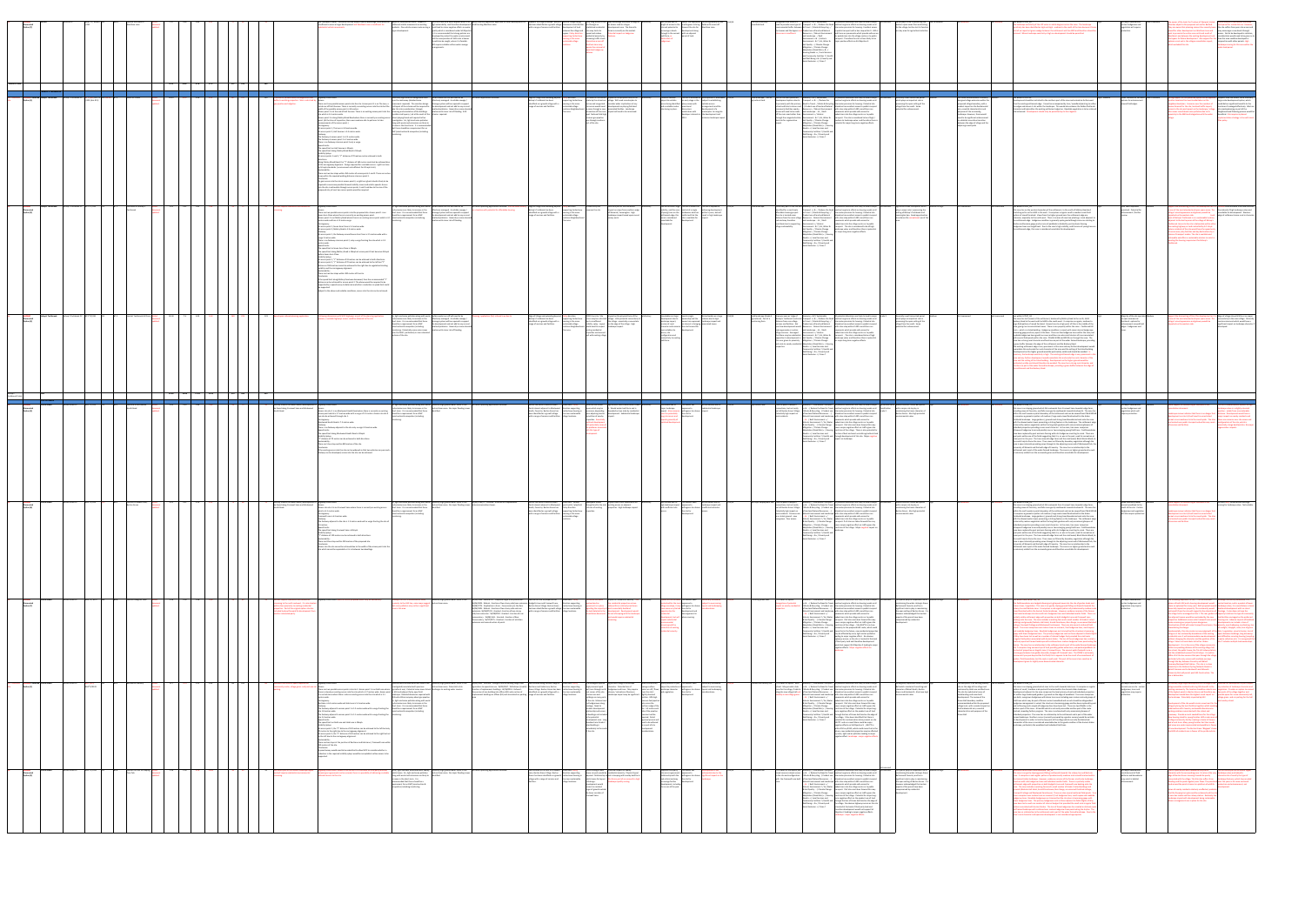| 145 - 145 - 146 - 1474 - 148 - 149 - 149 - 149 - 149 - 149 - 149 - 149 - 149 - 149 - 149 - 149 - 149 - 149 - 1<br>Barford Totals                                                        | /estham Lane                             |                                     | insufficent to serve a larger development and Westham Lane is insufficent for additional vehicle movements on existing high vulnerability and therefore development land fronting Westham Lane.<br>bstantial vehicle movements.                                                                                                                                                                                                                                                                                                                                                                                                                                                                                                                                                                                                                                                                                                                                                                                                                                                                                                                                                                                                                                                                                                                                                                                                                                                                                                                                                                                                                                                                                                                                                                                                                                                                                                                                                                                                                                                                                                                                                                                                                                                                                                                                                                                                                                                                                                                                                                                     | residents. One vehicle access route serving a could lead to minor negative effects on water<br>quality which is considered under SA Objective<br>larger development.<br>and the incorporation of SUDs into schemes<br>should also be sought, where it is feasible.<br>Will require suitable surface water sewage<br>arrangements.                                                                                                                                                                                                                                     | . It is recommended that strong policies are<br>developed to protect the water environment                                                                                                                                                                                               | Not reviewed in detail - concerns that the access road off Bremridge Close would be   Impact of construction traffic. Impact of The site is also on a minor aquifer which is of Recent outline application approved for small<br>has been identified as a growth village Statement resists further site through an state an access road to a larger<br>with a range of services and facilities. development of land established residential development area. The Granville<br>between the village and area may limit site Arms is currently on the market.<br>bypass. Policy direction appeal and reduce Potential impact on hedgerow<br>supporting limited new residential amenity by features.<br>housing in the more increasing traffic levels.<br>sustainable village<br>Iternative access off<br>estham Lane may<br>ocations.<br>guire the removal of<br>portant hedgerow                                                                                                                                                                                                                                                                                                                                                                                                                                                                                                                                                                                      |                                                                                                                                                                                                                                                                                                                                                                   | Not suitable due to Owner has expressed Consists generally of two 2014/19<br>length of access to the a willingness to bring fields with access off<br>site and potential to forward the site for Westham Lane.<br>encourage a knock development along<br>through in the current with an adjacent<br>built form, or parcel of land.<br>destruction of<br>hedgerows.<br>the contract of the contract of the                          | greenfield land. | The site is currently Recognised that there is a Economy = & ?/ Sustainable All potential allocations are likely to lead to major Not assessed Parcel plays a role in preserving the Low to Medium<br>need to provide some type of Transport ++ & -- / Reduce the Need positive long-term effects on housing needs as all<br>environmental buffer between to Travel - / Waste & Recycling - / sites make provision for housing. Excellent access<br>the houses and the bypass and Prudent use of land and Natural to public transport with a bus stop within $0 - 400$ m<br>te access is insufficent. Resources - / Natural Environment and there are pavements which provide safe access<br>and Landscape - / Built for pedestrians into the village centre or to public<br>Environment + $\&$ - / Historic transport. Therefore the site is there likely to be<br>Environment - & ? / Air, Water & major positive effects on SA Objective 2.<br>Soil Quality -- / Climate Change<br>Mitigation - / Climate Change<br>Adaptation (Flood Risk) = & - /<br>Housing Needs ++ / Local Services<br>and Community Facilities ? / Health<br>and Well Being + $& =/$ Poverty and<br>Social Exclusion + / Crime ?                                                                                                                                                                                                                                                                                                                                                                                                                                                                                                                                                                                                                                                                                                                                                                         | western open views from and setting<br>for the village, but has lost its function<br>as a key area for agricultural activities.                                                                                                                                                     |                                                                                                                                                                                                                                                                                                                                                                                                                                                         | e landscape sensitivity of the LCP varies in subtle degrees across the zone. The landscape<br>sensitivity has been identified as high and high - medium to the south of the lane because it for<br>art of an important green wedge between the settlement and the A429 and therefore should<br>tained. Where landscape sensitivity is high no development should be permitted.                                                                                                                                                                                                                                                                                                                                                                                                                                                                                                                                                                                                                                                                                                                                                                                                                                                                                                                                                                                                                                                                                                                                                                                                                                                                                                                                                                                                                                                                                                                                                                                                                                                                                                                                                                                                   | No major observations - Low to Medium<br>certain hedgerows and<br>vegetation will require<br>protection.                                                              | The owner of the land, the Trustees of Warwick United Partial erosion of land within the broad<br>land parcel for residential use. However, land parcel for residential use. However,<br>hey are aware that planning consent has recently been the site suffers from poor site access and<br>ssued for other development on Westham Lane and may encourage a new knock through<br>vish to promote the entire area north and south of access. Not to be developed in isolation,<br>Westham Lane between the existing development ar<br>consideration would need to be given as to<br>the bypass for future development. Also support for the how this area could be developed in<br>options as set out in the villages consultation report, conjunction with other parcels. High<br>landscape scoring for this area within the<br>which excluded this site.<br>ider land parcel.                                                                                                                                                                                                                                                                                                                                                                                                                                                                                                                                                                                                                                                                                                                                                                                                                                                                                                                                                                                                                                                                                                                                                                                                                                                                                                                                                                                                                                                                   |
|-----------------------------------------------------------------------------------------------------------------------------------------------------------------------------------------|------------------------------------------|-------------------------------------|---------------------------------------------------------------------------------------------------------------------------------------------------------------------------------------------------------------------------------------------------------------------------------------------------------------------------------------------------------------------------------------------------------------------------------------------------------------------------------------------------------------------------------------------------------------------------------------------------------------------------------------------------------------------------------------------------------------------------------------------------------------------------------------------------------------------------------------------------------------------------------------------------------------------------------------------------------------------------------------------------------------------------------------------------------------------------------------------------------------------------------------------------------------------------------------------------------------------------------------------------------------------------------------------------------------------------------------------------------------------------------------------------------------------------------------------------------------------------------------------------------------------------------------------------------------------------------------------------------------------------------------------------------------------------------------------------------------------------------------------------------------------------------------------------------------------------------------------------------------------------------------------------------------------------------------------------------------------------------------------------------------------------------------------------------------------------------------------------------------------------------------------------------------------------------------------------------------------------------------------------------------------------------------------------------------------------------------------------------------------------------------------------------------------------------------------------------------------------------------------------------------------------------------------------------------------------------------------------------------------|-----------------------------------------------------------------------------------------------------------------------------------------------------------------------------------------------------------------------------------------------------------------------------------------------------------------------------------------------------------------------------------------------------------------------------------------------------------------------------------------------------------------------------------------------------------------------|------------------------------------------------------------------------------------------------------------------------------------------------------------------------------------------------------------------------------------------------------------------------------------------|----------------------------------------------------------------------------------------------------------------------------------------------------------------------------------------------------------------------------------------------------------------------------------------------------------------------------------------------------------------------------------------------------------------------------------------------------------------------------------------------------------------------------------------------------------------------------------------------------------------------------------------------------------------------------------------------------------------------------------------------------------------------------------------------------------------------------------------------------------------------------------------------------------------------------------------------------------------------------------------------------------------------------------------------------------------------------------------------------------------------------------------------------------------------------------------------------------------------------------------------------------------------------------------------------------------------------------------------------------------------------------------------------------------------------------------------------------------------|-------------------------------------------------------------------------------------------------------------------------------------------------------------------------------------------------------------------------------------------------------------------------------------------------------------------------------------------------------------------|------------------------------------------------------------------------------------------------------------------------------------------------------------------------------------------------------------------------------------------------------------------------------------------------------------------------------------------------------------------------------------------------------------------------------------|------------------|-----------------------------------------------------------------------------------------------------------------------------------------------------------------------------------------------------------------------------------------------------------------------------------------------------------------------------------------------------------------------------------------------------------------------------------------------------------------------------------------------------------------------------------------------------------------------------------------------------------------------------------------------------------------------------------------------------------------------------------------------------------------------------------------------------------------------------------------------------------------------------------------------------------------------------------------------------------------------------------------------------------------------------------------------------------------------------------------------------------------------------------------------------------------------------------------------------------------------------------------------------------------------------------------------------------------------------------------------------------------------------------------------------------------------------------------------------------------------------------------------------------------------------------------------------------------------------------------------------------------------------------------------------------------------------------------------------------------------------------------------------------------------------------------------------------------------------------------------------------------------------------------------------------------------------------------------------------------------------------|-------------------------------------------------------------------------------------------------------------------------------------------------------------------------------------------------------------------------------------------------------------------------------------|---------------------------------------------------------------------------------------------------------------------------------------------------------------------------------------------------------------------------------------------------------------------------------------------------------------------------------------------------------------------------------------------------------------------------------------------------------|----------------------------------------------------------------------------------------------------------------------------------------------------------------------------------------------------------------------------------------------------------------------------------------------------------------------------------------------------------------------------------------------------------------------------------------------------------------------------------------------------------------------------------------------------------------------------------------------------------------------------------------------------------------------------------------------------------------------------------------------------------------------------------------------------------------------------------------------------------------------------------------------------------------------------------------------------------------------------------------------------------------------------------------------------------------------------------------------------------------------------------------------------------------------------------------------------------------------------------------------------------------------------------------------------------------------------------------------------------------------------------------------------------------------------------------------------------------------------------------------------------------------------------------------------------------------------------------------------------------------------------------------------------------------------------------------------------------------------------------------------------------------------------------------------------------------------------------------------------------------------------------------------------------------------------------------------------------------------------------------------------------------------------------------------------------------------------------------------------------------------------------------------------------------------------|-----------------------------------------------------------------------------------------------------------------------------------------------------------------------|---------------------------------------------------------------------------------------------------------------------------------------------------------------------------------------------------------------------------------------------------------------------------------------------------------------------------------------------------------------------------------------------------------------------------------------------------------------------------------------------------------------------------------------------------------------------------------------------------------------------------------------------------------------------------------------------------------------------------------------------------------------------------------------------------------------------------------------------------------------------------------------------------------------------------------------------------------------------------------------------------------------------------------------------------------------------------------------------------------------------------------------------------------------------------------------------------------------------------------------------------------------------------------------------------------------------------------------------------------------------------------------------------------------------------------------------------------------------------------------------------------------------------------------------------------------------------------------------------------------------------------------------------------------------------------------------------------------------------------------------------------------------------------------------------------------------------------------------------------------------------------------------------------------------------------------------------------------------------------------------------------------------------------------------------------------------------------------------------------------------------------------------------------------------------------------------------------------------------------------------------------------------------------------------------------------------------------------------------|
| VHOSBC Preferred Bishop's Tachbrook Bishop's Tachbrook PC BT1 (DS7) BT1*O R02 and R11 BT4 South of School SHLAA 18.54 6.55 4.39<br>/ R02 (also R11)                                     |                                          |                                     | Highway Observation:<br>Provision of suitable access arrangements an<br>buffer to exisiting properties. Site is restricte<br>as pipeline and ridgeline.<br>There are three possible access points into the site. Access point 1 is on The Lees, a assessment required). The sensitive design drainage system will be required to support<br>cul-de-sac off Holt Avenue. There is currently no existing access into the site but the and layout of the scheme will be required to the development and not add to any current<br>width of the possible access point is 4.8 metres.<br>Access point 2 is at the end of Holt Avenue. There is an existing access point into the screening and orientation of the buildings. Ilocation with minor risk of flooding. SUD<br>site which is 5.4 metres wide.<br>Access point 3 is along Oakley Wood Road where there is currently no existing access school playing fiends will require further<br>point. (At the time of inspection, there was nowhere safe to pull over to take investigation. Air, light and noise pollution<br>measurements of the access point.)<br>Carriageway:<br>At access point 1, The Lees is 4.8 metres wide.<br>At access point 2, Holt Avenue is 5.4 metres wide.<br>Footway: The contract of the contract of the contract of the contract of the contract of the contract of the contract of the contract of the contract of the contract of the contract of the contract of the contract of the c<br>The footway at access point 1 is 2.2 metres wide.<br>he footway at access point 2 is 2 metres wide.<br>There is no footway at access point 3 only a verge.<br>Speed Limits:<br>The speed limit on Holt Avenue is 30mph.<br>The speed limit along Oakley Wood Road is 50mph.<br>Visibility Splays:<br>At access points 1 and 2, "Y" distance of 70 metres can be achieved in both<br>Along Oakley Wood Road, the "Y" distance of 160 metres could not be achieved du-<br>to the carriageway alignment. Design required for a suitable access - right turn lane<br>to 50 mph standards. (environment not sufficient for 30 mph limit).<br>There are two bus stops within 450 metres of access points 1 and 2. There are no bus<br>stops within the required walking distance at access point 3.<br>To gain access into the site at access point 3, a right turn ghost island is likely to be<br>required to overcome possible forward visibility issues and vehicle speeds. Access<br>into the site is achievable through access points 1 and 2 and due to the size of the<br>proposed site, at least two access points would be required | -Otentially high levels of background noise Surface water run-off will need to be No recent applications detailed.<br>from the motorway (detailed noise effectively managed. A suitable sewage /<br>take this into consideration, through localised problems. Generally a more elevated<br>Possible small quarry / pit at the south of the scheme required.<br>along with waste and emissions are likely to<br>incresse in the short-term. It is recommended<br>that there should be a requirement for an<br>EMP (construction & occupation) including<br>monitoring. |                                                                                                                                                                                                                                                                                          | Edge of village and extending beyond. Policy direction The roads in the current Impact on the physical form of the Satisfactory. Potential suitable The site is available at Development is achievable 2014/19<br>Bishop's Tachbrook has been supporting limited new estate by the school are village. Will need a masterplan to<br>identified as a growth village with a housing in the more narrow and congested. consider wider implications of any<br>range of services and facilities. Sustainable village Site access would need development on playing field and<br>locations. Neighbourhood to come through a new associated facilites. Landscape<br>Plan area.<br>oad. National Grid high<br>pressure gas pipeline<br>runs through southern<br>part of the site.                                                                                                                                                                                                                                                                                                                                                                                                                                                                                                                                                                                                                                                                                            | connection off the main impact will need to be minimised.                                                                                                                                                                                                                                                                                                         | subject to suitable an early stage in the subject to establishing<br>access being identified plan process with suitable access<br>and a suitable master provisional provisional arrangements and the<br>plan being in place. discussions development of a<br>undertaken with masterplan to integrate<br>developer interests in the development and<br>minimise landscape impact.                                                   |                  | Field landscape. - loss of  One of the more preferred Economy = & ?/ Sustainable   All potential allocations are likely to lead to major   Not assessed.   Generally a well connected parcel   Medium<br>agricultural land. $\qquad \qquad$ development options due to Transport ++ & - - / Reduce the positive long-term effects on housing needs as all<br>its proximity with the primary Need to Travel - / Waste & Recycling sites make provision for housing. Potential site<br>school and links to leisure and   - / Prudent use of land and Natural   allocation has excellent access to public transport<br>community facilities nearby. Resources - / Natural Environment with a bus stop within 0-400 m and there are<br>Access will need to be made and Landscape - - & - / Built pavements which provide safe access for<br>off the main road rather than Environment + / Historic pedestrians into the village centre or to public<br>through the congested estate. Environment - & ? / Air, Water & transport. The site is considered to be of high /<br>Best site for regenerative Soil Quality - / Climate Change medium to landscape value and therefore there is<br>Mitigation - / Climate Change potential for major long-term negative effects.<br>Adaptation (Flood Risk) = / Housing  <br>Needs ++ / Local Services and<br>Community Facilities ? / Health and<br>Well Being + $&=$ / Poverty and<br>Social Exclusion + / Crime ?                                                                                                                                                                                                                                                                                                                                                                                                                                                                                                                           | which plays an important role in<br>preserving the open setting of the<br>village from the south. Some<br>potential for enhancement.                                                                                                                                                | Site could accommodate a carefully Medium<br>designed village extension within the<br>proposed village boundary, with a<br>modest impact on the fundamental<br>aim, essential characteristics and<br>purposes of the surroundig<br>landscape. However, there would<br>need to be significant enhancement<br>to establish a sensitive transition<br>between the edge of village and the<br>adjoining countryside                                         | ies within LCP BT-05.<br>Development should be restricted to the northern part of the zone and extend no further west<br>han the existing settlement edge. It must be accompanied by tree / woodland planting to soften<br>the edges and ensure it sits within the landscape. This would also enhance the Feldon Parklands<br>character and help soften the existing settlement edge too. Roadside vegetation is to be retained  <br>and enhanced. Development should only be permitted up to the ridgeline.                                                                                                                                                                                                                                                                                                                                                                                                                                                                                                                                                                                                                                                                                                                                                                                                                                                                                                                                                                                                                                                                                                                                                                                                                                                                                                                                                                                                                                                                                                                                                                                                                                                                     | High / medium   Open commercial farmland - Low to medium   Strong support for the preferred option site as opposity<br>options for enhancement<br>around field edges. | ed Requires new site access, but a relatively<br>large scale development option, which<br>other locations from work undertaken on the<br>eighbourhood plan. Concerns over the numbers of could deliver significant benefits to the<br>local area if managed effectively. Work on<br>access to the site and impact on the landscape / village. site masterplanning as part of the<br>so issues raised about noise pollution due to its Neighbourhood Planning process would be<br>proximity to the M40 and integration with the wider beneficial. Site requires a phased<br>lementation strategy in line with Local                                                                                                                                                                                                                                                                                                                                                                                                                                                                                                                                                                                                                                                                                                                                                                                                                                                                                                                                                                                                                                                                                                                                                                                                                                                                                                                                                                                                                                                                                                                                                                                                                                                                                                                                |
| No VHOSBC Bishop's Tachbrook Bishop's Tachbrook PC BT2*O/R22 R22 BT1 Land west of Bishop's SHLAA 2.41 2.41 1.61 1.81 54 72 50 Site                                                      | Tachbrook                                |                                     | Highway Observation:<br>There are two possible access points into the proposed site. Access point 1 is on short-term. It is recommended that there drainage system will be required to support<br>Seven Acre Close where there is currently no existing access point.<br>Access point 2 is on Mallory Road where there is an existing access point which is 4.1 (construction & occupation) includinng<br>metres wide and has a 1.9 metre verge.<br>arriageway:<br>At access point 1, Seven Acre Close is 5.3 metres wide.<br>t access point 2, Mallory Road is 4.9 metres wide<br>At access point 1, the footway around Seven Acre Close is 2.5 metres wide with a<br>verge 2 metres wide.<br>There is no footway at access point 2, only a verge fronting the site which is 1.9<br>Speed Limits:<br>The speed limit in Seven Acre Close is 30mph.<br>The speed limit along Mallory Road is 50mph at access point 2 but becomes 30mph<br>before Seven Acre Close.<br>Visibility Splays:<br>At access point 1, "Y" distance of 43 metres can be achieved in both directions.<br>At access point 2, "Y" distance of 70 metres can be achieved to the left but "Y"<br>distance of 160 metres cannot be achieved to the right due to vegetation blocking<br>visibility and the carriageway alignment.<br>There are two bus stops within 300 metres of the site.<br>If the speed limit along Mallory Road was decreased, then the recommended "Y"<br>distance can be achieved for access point 2. The above would be required to be<br>supported by a speed survey to determine whether a reduction in speed limit could<br>supported.<br>Subject to the above and suitable conditions, access into the site can be achieved.                                                                                                                                                                                                                                                                                                                                                                                                                                                                                                                                                                                                                                                                                                                                                                                                                                                                                           | Air, light and noise pollution along with waste Surface water run-off will need to be<br>and emissions are likely to increase in the effectively managed. A suitable sewage / as<br>should be a requirement for an EMP<br>the development and not add to any current<br>location with minor risk of flooding.<br>monitoring.                                                                                                                                                                                                                                          | No recent planning applications detailed. Site has some his<br>ation with potential for affordable housing.<br>localised problems. Generally a more elevated                                                                                                                             | Edge of village and extending beyond. Policy direction An electricity line Northern part of the site would Satisfactory<br>Bishop's Tachbrook has been supporting limited new traverses the site impact on views from southern edge<br>identified as a growth village with a housing in the more<br>ange of services and facilities. sustainable village<br>cations.Neighbourhoo<br>lan area.                                                                                                                                                                                                                                                                                                                                                                                                                                                                                                                                                                                                                                                                                                                                                                                                                                                                                                                                                                                                                                                                        | of Warwick / Leamington. High<br>landscape impact based upon recent<br>survey work.                                                                                                                                                                                                                                                                               | Due to the zone's high The site is under the The site is capable of 2014/19<br>visibility, and the area control of a single achieving development<br>of young trees on the landowner who has within 5 years, but will<br>settlement edge, this confirmed that the result in high landscape<br>zone is considered site is available for impact.<br>unsuitable for<br>development.<br>development.                                   |                  | Historically part of the site was Economy = & ?/ Sustainable All potential allocations are likely to lead to major Not assessed Significant Green Field parcel which Medium to High Not reassessed Not reassessed Not reassess<br>identified for a small scale Transport ++ $\& -/$ Reduce the Need positive long-term effects on housing needs as all<br>affordable housing project. to Travel - / Waste & Recycling - / sites make provision for housing. Potential site<br>The site is located some Prudent use of land and Natural allocation has excellent access to public transport<br>distance from the main village Resources - Natural Environment with a bus stop within 0-400 m and there are<br>hub and may therefore and Landscape - - & - / Built pavements which provide safe access for<br>contribute less to supporting Environment + / Historic pedestrians into the village centre or to public<br>village sustainability. Environment - & ? / Air, Water & transport. The site is considered to be of high<br>Soil Quality - / Climate Change   landscape value and therefore there is potential<br>Mitigation - / Climate Change for major long-term negative effects.<br>Adaptation (Flood Risk) = / Housing<br>Needs ++ / Local Services and<br>Community Facilities ? / Health and<br>Well Being + $&=$ / Poverty and<br>Social Exclusion + / Crime ?                                                                                                                                                                                                                                                                                                                                                                                                                                                                                                                                                                                                    | plays a major role in preserving the<br>setting of Bishop's Tachbrook and<br>Leamington Spa. Good opportunities<br>to enhance the recreational use of the                                                                                                                           |                                                                                                                                                                                                                                                                                                                                                                                                                                                         | Lies within LCP BT 03.<br>s zone lies on the western boundary of the settlement, to the north of Mallory Road and<br>retching as far as the A452 in the west. It comprises a regular small to medium scale field<br>pattern of mixed farmland. Views from the higher ground near the settlement edge are<br>extensive, especially to the north-west. There is an area of new tree planting / scrub adjacent to<br>the settlement edge. Hedgerow condition is generally quite good although some are starting to<br>decline and become gappy and an area of paddocks is divided by post and wire fencing.<br>ledgerow trees are insignificant. Due to the zone's high visibility, and the area of young trees on<br>the settlement edge, this zone is considered unsuitable for development.                                                                                                                                                                                                                                                                                                                                                                                                                                                                                                                                                                                                                                                                                                                                                                                                                                                                                                                                                                                                                                                                                                                                                                                                                                                                                                                                                                                      | Poor semi-improved<br>grassland. Potential for<br>enhancement / further                                                                                               | port the discounting of Site 2 for development<br>it is Located some distance from local services.<br>n one of the most elevated and open space areas. The Considered of high landscape value and<br>illage's visual appearance and gateway would be visual unsuitable for development. Western<br>Land edge of settlement more rural in character.<br>pacted on the western side.<br>est of Bishop's Tachbrook is in a sustainable location<br>ljacent to the built up area of the village of Bishop's<br>chbrook. Access to the site is deliverable within eit<br>he existing highway or land controlled by A.C.Lloyd<br>ure residents of the site would have the opportu<br>o access every day facilities and key destinations b<br>oice of transport modes. The site is available and<br>hievable and offers a sustainable solution to ass<br>neeting the housing requirement for Bishop's<br>achbrook. <b>Tha a</b>                                                                                                                                                                                                                                                                                                                                                                                                                                                                                                                                                                                                                                                                                                                                                                                                                                                                                                                                                                                                                                                                                                                                                                                                                                                                                                                                                                                                                          |
| <b>Tachbrook Totals</b>                                                                                                                                                                 |                                          | 39.38 16.46 11.03 12.35 370 494 323 | Bishop's Tachbrook Bishop's Tachbrook PC 8T3 *O/R31 R31 R31 874 Land at Tachbrook Hill Farm SHLAA 18.43 7.5 5.03 5.63 5.63 7.5 1.9 123 Based upon refused planning application. Following discussions with WCC Highways as par<br>ocess, a suitable highways access could be obtained to the site.                                                                                                                                                                                                                                                                                                                                                                                                                                                                                                                                                                                                                                                                                                                                                                                                                                                                                                                                                                                                                                                                                                                                                                                                                                                                                                                                                                                                                                                                                                                                                                                                                                                                                                                                                                                                                                                                                                                                                                                                                                                                                                                                                                                                                                                                                                                  | and emissions are likely to increase in the effectively managed. A suitable sewage /<br>short-term. It is recommended that there drainage system will be required to support<br>should be a requirement for an EMP the development and not add to any current<br>construction & occupation) including localised problems. Generally a more elevated<br>monitoring. Potentially some noise issues   location with minor risk of flooding.<br>from the M40 - particularly in more elevated<br>sections of the site.                                                     |                                                                                                                                                                                                                                                                                          | Edge of Village and extending beyond. Policy direction TPO113 on site. Site Impact on the physical form of the Satisfactory<br>Bishop's Tachbrook has been supporting limited new access may be restricted village. Little potential connectivity to<br>identified as a growth village with a housing in the more due to insufficient the village - essentially a new estate<br>range of services and facilities. Sustainable village visibility splay. Layout on the edge of the village. High<br>ocations.Neighbourhood would need to respect landscape impact.<br>existing residential<br>roperties and connect<br>well with existing village.                                                                                                                                                                                                                                                                                                                                                                                                                                                                                                                                                                                                                                                                                                                                                                                                                    |                                                                                                                                                                                                                                                                                                                                                                   | Unsuitable as a large Land in single Not achieable as a large 2014/19<br>development due to ownership and the scheme due to high<br>landscape impact, owner has expressed landscape impact and<br>erosion of rural an interest in bringing associated issues.<br>character and concerns the site forward for<br>over suitable site<br>development.<br>access, site<br>configuration and<br>connectivity to existing<br>ouilt form. |                  | Field landscape (Grade 3 Area was seen as 'edge of Economy = & ?/ Sustainable All potential allocations are likely to lead to major Grade 3<br>agricultural). Part of a sall is each brook' and some Transport ++ & -- / Reduce the Need positive long-term effects on housing needs as all<br>functioning farm. distance from core village to Travel - / Waste & Recycling - / sites make provision for housing. Potential site<br>ervices and facilities. Not Prudent use of land and Natural allocation has excellent access to public transport<br>ure how development would Resources - Natural Environment with a bus stop within 0-400 m and there are<br>help regenerate or sustain and Landscape - - & - / Built pavements which provide safe access for<br>village services. Envisaged Environment + / Historic pedestrians into the village centre or to public<br>that there may be substantial Environment - & ? / Air, Water & transport. , The site is considered to be of high<br>opposition to development in Soil Quality - / Climate Change and and scape value and therefore there is potential<br>this area, given its proximity Mitigation - / Climate Change for major long-term negative effects.<br>and scale to nearby residential Adaptation (Flood Risk) = / Housing<br>Needs ++ / Local Services and<br>properties.<br>Community Facilities ? / Health and<br>Well Being + $&=$ / Poverty and<br>Social Exclusion + / Crime ?                                                                                                                                                                                                                                                                                                                                                                                                                                                                                                                        | Generally a well connected parcel Medium<br>which plays an important role in<br>preserving the open setting of the<br>village from the south. Some<br>potential for enhancement.                                                                                                    | Not reassessed                                                                                                                                                                                                                                                                                                                                                                                                                                          | Lies within LCP BT 04.<br>This zone lies to the west of the settlement, bordered by Mallory Road to the north, A452<br>Banbury Road to the west and the M40 to the south-west. It comprises a regular, medium to<br>large field pattern of mixed farmland. Ground rises to a high point of 91m in the middle of the<br>cone, giving rise to some distant views. There is one property within the zone - Tachbrook Hill<br>Farm - which is a listed building. Hedgerow condition is mixed, with some internal hedgerows<br>becoming gappy and very open at the base. There are few hedgerow trees within the zone, but<br>oadside hedgerows have good tree cover and there are also small clusters of trees associated<br>with several field ponds within the zone. PRoWs W106 and W109 run through the zone. The<br>one has a strong rural character and functions as part of the wider farmed landscape, providing<br>a green buffer between the edge of the settlement and the Banbury Road.<br>The existing settlement edge is very prominent in this zone and any further development would<br>exacerbate this and erode the rural character of the zone and the setting of the listed building.<br>Development on the higher ground would be particularly visible and should be avoided. In<br>summary, the landscape sensitivity is high. The existing settlement edge is very prominent in tl<br>cone and any further development would exacerbate this and erode the rural character of th<br>zone and the setting of the listed building. Development on the higher ground would be<br>isible and should therefore be avoided. The zone has a strong rural character<br>ions as part of the wider farmed landscape, providing a green buffer between the edge o<br>settlement and the Banbury Road.                                                                                                                                                                                                                                                                                                                                                                     | Majority of the site operates Medium<br>as open commercial<br>farmland - options for<br>enhancement around field<br>edges - hedgerows and                             | pport the discounting of Site 3 for development as<br>it is Edge of village site with little or no major<br>he connectivity to the main village. Distinctly<br>one of the most elevated and open space areas. Tl<br>lage's visual appearance and gateway would be<br>rural environment which would have a<br>impacted on the western side.<br>significant impact on landscape character if                                                                                                                                                                                                                                                                                                                                                                                                                                                                                                                                                                                                                                                                                                                                                                                                                                                                                                                                                                                                                                                                                                                                                                                                                                                                                                                                                                                                                                                                                                                                                                                                                                                                                                                                                                                                                                                                                                                                                        |
| <b>BURTON GREEN</b><br>on Green PC                                                                                                                                                      | Land SW of Westwood<br><b>Heath Road</b> | $2.44$ $2.44$ $1.54$ $1.53$         | Density reflects the lower density developn<br>be found along Cromwell Lane and Westwood Access:<br>Access into site 1 is on Westwood Heath Road where there is currently an existing short-term. It is recommended that there identified.<br>access point which is 2.7 metres wide with a verge of 1.2 metres. Access into site 4 should be a requirement for an EMP<br>can also be achieved through site 1.<br>Carriageway:<br>Westwood Heath Road is 7.2 metres wide.<br>There is no footway adjacent to the site only a verge 2.8 metres wide.<br>The speed limit along Westwood Heath Road is 30mph.<br>sibility Splays:<br>"Y" distance of 70 metres can be achieved in both directions.<br>There are 5 bus stops within 800 metres of the site.                                                                                                                                                                                                                                                                                                                                                                                                                                                                                                                                                                                                                                                                                                                                                                                                                                                                                                                                                                                                                                                                                                                                                                                                                                                                                                                                                                                                                                                                                                                                                                                                                                                                                                                                                                                                                                                              | , light and noise pollution along with waste Generally high ground water levels in the No recent planning applications detailed.<br>and emissions are likely to increase in the Burton Green area. No major flooding issues<br>(construction & occupation) including<br>monitoring.                                                                                                                                                                                                                                                                                   |                                                                                                                                                                                                                                                                                          | in the north of Burton Green   Green Belt . Policy   Potential site access   Agricultural Land Classification Grade<br>arish almost adjacent to Westwood direction supporting issues which may be 2. Would widen built form and is<br>leath, Coventry. Burton Green has limited new housing in overcome, depending bounded on two sides by residential<br>been identified as a growth village the more sustainable upon adjoining land or development. Substantial landscape<br>vith a range of services and facilities. village locations. demolition of nearby impact.<br>properties. Essentially<br>dand development<br>potentially some of<br>roblems associated<br>h this type of<br>velopment.                                                                                                                                                                                                                                                                                                                                                                                                                                                                                                                                                                                                                                                                                                                                                                 |                                                                                                                                                                                                                                                                                                                                                                   | Unsuitable due to The owner has Not achievable due to 2014/19<br>major landscape expressed a substantial landscape<br>impact. Also concerns willingness to release impact.<br>over the potentially the site for<br>ong site access and development.<br>pacts generally of<br>dand developp                                                                                                                                         |                  | In Section Sections (Scond Let parcel All potential allocations are likely to lead to major   Agricultural Land   Mixed character Green Belt parcel<br>connections, but not really ++ & - - / Reduce the Need to Travel -positive long-term effects on housing needs as all Classification with a major role to play in<br>part of Burton Green Village. / Waste & Recycling - / Prudent use sites make provision for housing. Potential site Grade 2.<br>Potentially high impact on of land and Natural Resources -- / allocation has excellent access to public transport<br>Natural Environment and Landscape with a bus stop within 0-400 m and there are<br>local residents.<br>$\frac{1}{2}$ / Built Environment + / pavements which provide safe access for<br>istoric Environment ? / Air, Water pedestrians into the village centre or to public<br>& Soil Quality - - / Climate Change transport. If all sites are taken forward this may<br>Mitigation - / Climate Change have a major negative effect on traffic given the<br>Adaptation (Flood Risk) = $/$ Housing small size of the village. There is also potential for<br>Needs ++ / Local Services and the loss of best and most versatile agricultural land<br>Community Facilities ? / Health and through development of this site. Major negative<br>Well Being + $\&$ = / Poverty and impact on landscape.<br>Social Exclusion + / Crime ?                                                                                                                                                                                                                                                                                                                                                                                                                                                                                                                                                                   | maintaining the linear character of<br>Burton Green. Also high potential<br>environmental value.                                                                                                                                                                                    |                                                                                                                                                                                                                                                                                                                                                                                                                                                         | rithin LCP BG_01.<br>nis zone is on sloping ground which falls eastwards from Cromwell Lane towards Lodge Farm,<br>In providing views of Coventry, and falls more gently southwards towards Kenilworth. The zone lies<br>within the north western parish boundary of the settlement and can be viewed from PRoW W168.<br>t comprises a geometric pattern of medium / large scale mixed farmland within the Arden<br>arklands landscape. Large gardens / grounds and strong treed boundaries back onto the zone<br>with the disused water tower presenting a striking feature in the landscape. The settlement edge<br>s blurred by mature vegetation within the long back gardens with only occasional glimpses of<br>ndividual properties providing a semi-rural character. In the main, tree cover comprises<br>nfrequent hedgerow trees and possibly one or two emerging young field trees. Field boundaries<br>have been replaced by post and wire fencing with relic hedgerow reverting to scrub. There are<br>goal posts within one of the fields suggesting that it is, or was in the past, used for recreation at<br>some point in the year. The trees around Lodge Farm and the small wood, Black Waste Wood, to<br>the south help to frame the zone. Thus views are filtered by boundary vegetation although the                                                                                                                                                                                                                                                                                                                                                                                                                                                                                                                                                                                                                                                                                                                                                                                                                                                       | Io major observations -<br>certain hedgerows and<br>vegetation which will<br>require protection.                                                                      | sultation document.<br>dscape value in a slightly elevated<br>sition - visible from a considerable<br>dscape review indicates that there is no danger that distance. Development would have a<br>evelopment on sites 5/6 will result in unrestricted major impact on nearby residents and<br>prawl or encroachment into the countryside. The sites there are concerns over site access and<br>located near public transport and within easy reach configuratioin of the site, which is<br>ssentially a large backland site. No major<br>services and facilities.<br>enerative impacts.                                                                                                                                                                                                                                                                                                                                                                                                                                                                                                                                                                                                                                                                                                                                                                                                                                                                                                                                                                                                                                                                                                                                                                                                                                                                                                                                                                                                                                                                                                                                                                                                                                                                                                                                                            |
|                                                                                                                                                                                         |                                          |                                     | If the existing access into the site can be widened so that two vehicles can pass and a<br>footway can be developed, access into the site can be achieved.                                                                                                                                                                                                                                                                                                                                                                                                                                                                                                                                                                                                                                                                                                                                                                                                                                                                                                                                                                                                                                                                                                                                                                                                                                                                                                                                                                                                                                                                                                                                                                                                                                                                                                                                                                                                                                                                                                                                                                                                                                                                                                                                                                                                                                                                                                                                                                                                                                                          |                                                                                                                                                                                                                                                                                                                                                                                                                                                                                                                                                                       |                                                                                                                                                                                                                                                                                          |                                                                                                                                                                                                                                                                                                                                                                                                                                                                                                                                                                                                                                                                                                                                                                                                                                                                                                                                                                                                                                                                                                                                                                                                                                                                                                                                                                                                                                                                      |                                                                                                                                                                                                                                                                                                                                                                   |                                                                                                                                                                                                                                                                                                                                                                                                                                    |                  |                                                                                                                                                                                                                                                                                                                                                                                                                                                                                                                                                                                                                                                                                                                                                                                                                                                                                                                                                                                                                                                                                                                                                                                                                                                                                                                                                                                                                                                                                                                                                                                                                                                                                                                                                                                                                                                                                                                                                                                   |                                                                                                                                                                                                                                                                                     |                                                                                                                                                                                                                                                                                                                                                                                                                                                         | cone is open internally providing views through to the adjoining zones and of Westwood Park, the<br>Jniversity of Warwick and the built edge of Coventry. The zone has no relationship to the<br>settlement and is part of the wider farmed landscape. The zone is on higher ground and as such<br>s extremely visible from the surrounding area and therefore unsuitable for development.                                                                                                                                                                                                                                                                                                                                                                                                                                                                                                                                                                                                                                                                                                                                                                                                                                                                                                                                                                                                                                                                                                                                                                                                                                                                                                                                                                                                                                                                                                                                                                                                                                                                                                                                                                                       |                                                                                                                                                                       |                                                                                                                                                                                                                                                                                                                                                                                                                                                                                                                                                                                                                                                                                                                                                                                                                                                                                                                                                                                                                                                                                                                                                                                                                                                                                                                                                                                                                                                                                                                                                                                                                                                                                                                                                                                                                                                                                                                                                                                                                                                                                                                                                                                                                                                                                                                                                   |
| VHOSBC Burton Green Burton Green PC BG2*0/CO5 CO2 BG1 Land off Cromwell Lane, SHLAA 3.21 3.21 2.15 2.41 72 96 70 Density reflects the lower density development to Highway Observation: |                                          |                                     | be found along Cromwell Lane and Westwood Access:<br>Access into site 4 is on Cromwell Lane where there is currently an existing access short-term. It is recommended that there identified.<br>which is 4.1 metres wide.<br>Carriageway:<br>Cromwell Lane is 6.3 metres wide.<br>he footway adjacent to the site is 1.2 metres wide with a verge fronting the site of<br>The speed limit along Cromwell Lane is 40mph.<br>Visibility Splays:<br>"Y" distance of 120 metres can be achieved in both directions.<br>There are 8 bus stops within 200 metres of the proposed site.<br>Access into the site cannot be achieved due to the width of the access point into the<br>site which cannot be expanded as it is in between two dwellings.                                                                                                                                                                                                                                                                                                                                                                                                                                                                                                                                                                                                                                                                                                                                                                                                                                                                                                                                                                                                                                                                                                                                                                                                                                                                                                                                                                                                                                                                                                                                                                                                                                                                                                                                                                                                                                                                       | and emissions are likely to increase in the Burton Green area. No major flooding issues telecommunications tower.<br>should be a requirement for an EMP<br>construction & occupation) including<br>monitoring.                                                                                                                                                                                                                                                                                                                                                        | Air, light and noise pollution along with waste Generally high ground water levels in the W/93/0783/TC - Granted - Erection of a replacement                                                                                                                                             | Within the north of Burton Green Green Belt. Former linadequate access Impact from traffic movements on Satisfactory<br>arish almost adjacent to Westwood sports pitch / playfield. through land to the side existing access on adjacent<br>leath, Coventry. Burton Green has Policy direction and rear of existing properties. High landscape impact.<br>been identified as a growth village supporting limited new properties.<br>with a range of services and facilities. housing in the more<br>sustainable village                                                                                                                                                                                                                                                                                                                                                                                                                                                                                                                                                                                                                                                                                                                                                                                                                                                                                                                                              |                                                                                                                                                                                                                                                                                                                                                                   | Not suitable due to The owners have Not achieable due to 20<br>high landscape impact expressed a landscape impact and<br>and insufficient site willingness to release insufficient vehicular<br>the site for<br>access.<br>development.                                                                                                                                                                                            |                  | No major employment use. Close to public transport Economy ? / Sustainable Transport All potential allocations are likely to lead to major Not assessed. Mixed character Green Belt parcel<br>connections, but not really $++\&--/$ Reduce the Need to Travel - positive long-term effects on housing needs as all<br>part of Burton Green Village. / Waste & Recycling - / Prudent use sites make provision for housing. Potential site<br>Potentially high impact on of land and Natural Resources -- / allocation has excellent access to public transport<br>local residents. Previous use Natural Environment and Landscape with a bus stop within 0-400 m and there are<br>as a cricket ground - now $\cdot$ - & - / Built Environment + / pavements which provide safe access for<br>overgrown. Poor access. Historic Environment ? / Air, Water pedestrians into the village centre or to public<br>& Soil Quality - - / Climate Change transport. If all sites are taken forward this may<br>Mitigation - / Climate Change have a major negative effect on traffic given the<br>Adaptation (Flood Risk) = / Housing small size of the village. Major negative impact on<br>Needs ++ / Local Services and landscape.<br>Community Facilities ? / Health and<br>Well Being + $&=$ / Poverty and<br>Social Exclusion + / Crime ?                                                                                                                                                                                                                                                                                                                                                                                                                                                                                                                                                                                                                                            | with a major role to play in<br>maintaining the linear character of<br>Burton Green. Also high potential<br>environmental value.                                                                                                                                                    |                                                                                                                                                                                                                                                                                                                                                                                                                                                         | s within LCP BG 01.<br>This zone is on sloping ground which falls eastwards from Cromwell Lane towards Lodge Farm,<br>In providing views of Coventry, and falls more gently southwards towards Kenilworth. The zone lies<br>within the north western parish boundary of the settlement and can be viewed from PRoW W168.<br>t comprises a geometric pattern of medium / large scale mixed farmland within the Arden<br>Parklands landscape. Large gardens / grounds and strong treed boundaries back onto the zone<br>with the disused water tower presenting a striking feature in the landscape. The settlement edge<br>s blurred by mature vegetation within the long back gardens with only occasional glimpses of<br>ndividual properties providing a semi-rural character. In the main, tree cover comprises<br>nfrequent hedgerow trees and possibly one or two emerging young field trees. Field boundaries<br>have been replaced by post and wire fencing with relic hedgerow reverting to scrub. There are<br>goal posts within one of the fields suggesting that it is, or was in the past, used for recreation at<br>some point in the year. The trees around Lodge Farm and the small wood, Black Waste Wood, to<br>the south help to frame the zone. Thus views are filtered by boundary vegetation although the<br>one is open internally providing views through to the adjoining zones and of Westwood Park, the<br>niversity of Warwick and the built edge of Coventry. The zone has no relationship to the<br>settlement and is part of the wider farmed landscape. The zone is on higher ground and as such<br>s extremely visible from the surrounding area and therefore unsuitable for development.                                                                                                                                                                                                                                                                                                                                                                                                                                                       | ome sensitivity about<br>ancient woodland to the<br>south of the site. Certain<br>hedgerows and vegetation<br>will also require protection.                           | ne support for discounting as indicated in the<br>sultation document.<br>dscape review indicates that there is no danger tl<br>levelopment on sites 5/6 will result in unrestricted<br>awl or encroachment into the countryside. The<br>located near public transport and within easy rea<br>ervices and facilities.                                                                                                                                                                                                                                                                                                                                                                                                                                                                                                                                                                                                                                                                                                                                                                                                                                                                                                                                                                                                                                                                                                                                                                                                                                                                                                                                                                                                                                                                                                                                                                                                                                                                                                                                                                                                                                                                                                                                                                                                                              |
| No VHOSBC Burton Green Burton Green PC BG3*O/R137 R89 BG6 Land off Hodgetts Lane SHLAA 2.18 2.18 1.46 1.64 49 65 35 Site will require substantial environmental                         |                                          |                                     | Highway Observation: New site access proposed which may be satisfactory.<br>screening to the north and west. It is also lo<br>ithin close proximity to existing residential<br>properties. Part of the original option site alse<br>cluded land put forward for development<br>another interested party.                                                                                                                                                                                                                                                                                                                                                                                                                                                                                                                                                                                                                                                                                                                                                                                                                                                                                                                                                                                                                                                                                                                                                                                                                                                                                                                                                                                                                                                                                                                                                                                                                                                                                                                                                                                                                                                                                                                                                                                                                                                                                                                                                                                                                                                                                                            | dimity to the HS2 line, noise maps suggest Burton Green area.<br>at noise pollution may not be a significant<br>ssue in this area.                                                                                                                                                                                                                                                                                                                                                                                                                                    | extension. W/06/07/02 - Granted - Erection of two storey<br>side/rear extension . W/08/0782 - Granted - Erection of rear<br>conservatory . W/08/1461 - Granted - Erection of Rear<br>Conservatory. W/97/0775 - Granted - Erection of a kitchen<br>extension and reconstruction of porch. | Although the site is located within close Generally high ground water levels in the W/13/1409 - General PD - Proposed single storey extension. Land to the rear of properties off Green Belt. Policy Site access has been Impa<br>W/06/0003 - Refusal - Erection of two storey side/rear extension. Hodgetts Lane and Cromwell Lane, direction supporting resolved and an has residential properties on two<br>W/08/0773 - Duplication in Error - Conservatory to the Rear. Burton Green Village. Burton Green limited new housing in agreement is in place sides within a relatively small area<br>W/06/0305 - Refusal - Erection of two storey side and rear has been identified as a growth village the more sustainable regarding the majority of and is essentially backland<br>with a range of services and facilities. village locations. The land detailed in the development. Development would                                                                                                                                                                                                                                                                                                                                                                                                                                                                                                                                                             | onsultation document. be out of keeping with the landscap<br>and would require substantial<br>screening.                                                                                                                                                                                                                                                          | ated within the inset expressed a subject to overcoming<br>llage envelope, it may willingness to release layout and landscaping<br>ave some very limited the site for considerations.<br>opportunities for development and<br>residential have agrement in<br>development, but will place covering<br>equire substantial<br>nvironmental<br>reening and the<br>rotection of existing<br>sidential amenity.                         |                  | Primarily garden uses. PC is aware of option. Economy ? / Sustainable Transport All potential allocations are likely to lead to major Not assessed. This parcel plays an important role in Medium to High<br>cognition of potential ++ & - - / Reduce the Need to Travel - positive long-term effects on housing needs as all<br>npact on nearby residential<br>/ Waste & Recycling - / Prudent use sites make provision for housing. Potential site<br>of land and Natural Resources - - / allocation has excellent access to public transport<br>properties.<br>Natural Environment and Landscape with a bus stop within 0-400 m and there are<br>- & - / Built Environment + / pavements which provide safe access for<br>Historic Environment ? / Air, Water pedestrians into the village centre or to public<br>& Soil Quality - - / Climate Change   transport. If all sites are taken forward this may<br>Mitigation - / Climate Change have a major negative effect on traffic given the<br>Adaptation (Flood Risk) = / Housing small size of the village. , Site BG3*O is in close<br>Needs ++ / Local Services and proximity to the proposed HS2 route, which could<br>Community Facilities ? / Health and mean that in the future, new residential properties<br>Well Being $+ 8 = /$ Poverty and may be affected by noise, light and air pollution<br>Social Exclusion + / Crime ?   leading to major negative effect. No obvious<br>highways access, as the site is located at the back<br>of third party land and therefore development<br>would not support SA Objective 2 leading to majo<br>negative effects. Major negative effects on<br>landscape.                                                                                                                                                                                                                                                                                                            | maintaining the wider strategic Green<br>Belt around Coventry and has a<br>significant role to play in maintaining<br>the open setting of Burton Green. It is<br>however acknowledged that certain<br>aspects of the parcel have been<br>compromised by residential<br>development. | Not assessed                                                                                                                                                                                                                                                                                                                                                                                                                                            | s within Land Parcel - BG 10<br>e field boundaries are hedged allowing only glimpsed views into the site of garden sheds and<br>ature trees / vegetation. This zone is on gently sloping ground falling northwards towards the<br>railway line and Nailcote Lane. It comprises a sub-regular pattern of predominantly medium sc<br>mixed farmland within the Ancient Arden landscape. However, evidence remains of the former<br>nall scale landscape structure with relic hedgerow trees and individual smaller fields. There is a<br>artially visible settlement edge with properties on both Hodgetts Lane and Cromwell Lane<br>backing onto the zone. The zone includes a working farm and a small number of Grade II Listed<br>puildings and grounds (Nailcote Hall Hotel, Arnold Farmhouse, Barn Range, an unnamed thatch<br>cottage, Cromwell Cottage and Westwood Farmhouse). There are also several scattered field<br>onds. Tree cover comprises over mature trees on remnant / lost hedgerow lines, small copses<br>nd roadside hedgerow trees. Roadside hedgerows are trimmed but the structure is becomi<br>gappy with fewer hedgerow trees. The primary hedgerows such as those adjacent to Public Righ<br>of Way have been lost as well as a number of internal hedges that provided the small scale<br>rregular field pattern associated with Ancient Arden. The loss of these hedgerows has created<br>relatively open but framed landscape with scattered over mature hedgerow trees punctuatir<br>cyline. The zone has no relationship to the settlement and is part of the wider farmed landsc<br>Site 7 comprises long narrow strips of land, possibly garden extensions, and pasture/paddocl<br>the back of properties on Hogetts Lane / Cromwell Lane. The nearest public footpath is via a<br>narrow gap between two garden boundary hedges off Cromwell Lane. The PROW is extremely<br>arrow until you pass beyond the first field, this is appears to be the result of encroachmen<br>garden / field boundaries, but the route is well used. This part of the zone is less sensitive to<br>development given its slightly more domesticated character. | No major observations -<br>certain hedgerows and<br>vegetation may require<br>protection.                                                                             | Site with very limited access and high<br>scoring for landscape value. Not suitable.<br>hough technically deliverable, in a<br>Ilowing objections to site 7: The construction<br>ases of both HS2 and a housing development would<br>ntral location, and in a pocket of lower<br>use an upheaval for many years. Both proposals would landscape value, it is nevertheless a classic<br>financially impact our property. The community would backland development with no street<br>oot benefit from the site with regard to the relocation of frontage. It also does not have the<br>he village hall as envisaged on Site 1. The rear gardens of capacity to deliver the type of community<br>he adjacent houses would be overlooked by the new hub facilities envisaged on the preferred<br>properties. Additional access onto Cromwell Lane would housing site. Adverse impacts of backland<br>developments can include: a loss of<br>nake accessing our property more dangerous.<br>Distruction of HS2 will make Cromwell Lane busier, thus amenity, overshadowing, overlooking, loss<br>of sunlight / daylight, noise, loss of green<br>acerbating the danger.<br>undamentally, this site creates no new outgrowth of the links / vegetation, visual intrusion, loss of<br>lage as it lies enclosed by boundaries of the existing space between buildings, long driveways<br>esidential area. It will accommodate new development and difficulties servicing housing (recycling<br>ithout changing the character and the qualities of the / waste collection etc). It is recognised that<br>village. It does not contribute to further ribbon<br>e 7 includes multiple land ownerships.<br>development. It is in the core of the village communit<br>within easy walking distance of the existing village ha<br>the school, the public house, the Tile Hill railway stat<br>ind the established nearest Tile Hill shops. It is withi<br>200m of all the bus services that pass through the v<br>particularly the only service with multiple journeys<br>through the day between Coventry and Balsall<br>Common/Berkswell Rail Station. This site is in close<br>oximity to the National Cycling Network Route to<br>alsall Common and to Kenilworth and Warwick<br>University that will persist post HS2 Construction. T<br>e is deliverable. |
| VHOSBC Burton Green Burton Green PC BG5*0/R151 R91 BG6 Land at the rear of Peeping SHLAA 1.18 1.18 0.79 1.003 1.003 1.00 40 20 Site fo                                                  |                                          |                                     | Highway Observation:<br>ibers restricted to space required for<br>ommunity centre, village green and joint-use car Access:<br>There are two possible access points into site 2. Access point 1 is on Red Lane where agricultural use). Potential noise issues linked discharges to existing water courses.<br>there is already an existing access into the site which is 5.7 metres wide. Access point to HS2 and adjacent fairly open field<br>is on Hob Lane where there is also an existing access into the site which is 3.1 andscape. Detailed discussion required with<br>Red Lane is 6.4 metres wide and Hob Lane is 5.3 metres wide.<br>The footway adjacent to access point 1 is 1.2 metres wide with a verge fronting the should be a requirement for an EMP<br>e 1.8 metres wide.<br>The footway adjacent to access point 2 is 1.1 metres wide with a verge fronting the monitoring.<br>ite 2.4 metres wide.<br>Speed Limits:<br>The speed limit on Red Lane and Hob Lane is 40mph.<br>Visibility Splays:<br>At access point 1, the "Y" distance of 120 metres can be achieved to the left but only<br>0 metres to the right due to the carriageway alignment.<br>t access point 2, the "Y" distance of 120 metres can be achieved to the right but not<br>to the left due to the carriageway alignment.<br>Sustainability:<br>There are bus stops at the junction of Red Lane and Hob Lane / Cromwell Lane within<br>0 metres of the site.<br>A speed survey would need to be submitted to allow WCC to consider whether a<br>reduction in the required visibility splays would be acceptable to allow access to be                                                                                                                                                                                                                                                                                                                                                                                                                                                                                                                                                                                                                                                                                                                                                                                                                                                                                                                                                                                     | investigated (associated with previous Burton Green area. Potential to link<br>HSE and utilities company about gas pipeline.<br>Air, light and noise pollution along with waste<br>and emissions are likely to increase in the<br>short-term. It is recommended that there<br>(construction & occupation) including<br>Noise, light and odor associated with nearby Generally high ground water levels in the No recent planning applications detailed.                                                                                                               |                                                                                                                                                                                                                                                                                          | Potential land contamination will need to be Generally high ground water levels in the W/05/0304 - Granted - Change of use of building range from Land located along northern edge of Green Belt. Policy BPA Managed Pipeline<br>agriculture to equestrian use. W/05/2067 - Withdrawn (invalid) - Red Lane and Hobb Lane, Burton direction supporting (high pressure liquid character. Potential loss of manage surface subject to protection of expressed a su<br>Erection of replacement buildings. W/06/0053 - Refused - Green Village. Burton Green has been  limited new housing in  fuel) runs through north  hedgerows and trees. May require   water run off / flows,  landscape characte<br>Conversion of one building into offices (B1) and erection of identified as a growth village with a the more sustainable east corner of the site. closure / relocation of business. given the site's and vegetation. the site f<br>replacement buildings as offices (B1) and associated car parking range of services and facilities. village locations.<br>buildings on many parts<br>of the site. Mature trees<br>nd hedgrerows along<br>frontage. Need to<br>consider development<br>dwellings not included<br>n the potential<br>development area. Long<br>Meadow Farm Grade 2<br>listed building is<br>immediately to the south<br>of the site.<br>Land located to the rear of Cromwell Green Belt. Policy Access through Public Potential impact on nearby | Previous use and Landscape impact may be significant. slightly elevated<br>position. BPA high<br>pressure fuel pipeline<br>cuts across the<br>northern edge of the<br>site. A 3 metre each<br>side of the pipeline<br>easement will be<br>required. Detail<br>approval process will<br>need to be adhered<br>to as part of site<br>development<br>considerations. | development.<br>Satisfactory Requires third party The owner has Development is not 2014/19 Agricultural use.                                                                                                                                                                                                                                                                                                                       |                  | Commercial nursery site. PC is aware of option. Near Economy ? / Sustainable Transport All potential allocations are likely to lead to major<br>school. May provide a hub $++$ & - - / Reduce the Need to Travel - positive long-term effects on housing needs as all<br>focus for the village, if able to / Waste & Recycling - / Prudent use sites make provision for housing. Potential site<br>integrate new village hall and $\overline{\phantom{a}}$ of land and Natural Resources -- / allocation has excellent access to public transport<br>ossibly a new village green. Natural Environment and Landscape with a bus stop within 0-400 m and there are<br>$-8$ - / Built Environment + / pavements which provide safe access for<br>Historic Environment ? / Air, Water pedestrians into the village centre or to public<br>& Soil Quality - - / Climate Change transport. If all sites are taken forward this may<br>Mitigation - / Climate Change have a major negative effect on traffic given the<br>Adaptation (Flood Risk) = $/$ Housing small size of the village. Potential for major long-<br>ds ++ / Local Services and term negative effect on the prudent use of land<br>ommunity Facilities ? / Health and through the loss of Green belt land on the edge of<br>Well Being $+ 8 = /$ Poverty and the village. It has been identified that there is<br>Social Exclusion + / Crime ? potential for contamination to be present on site<br>BG4*O and as a result there could be major<br>negative effects on SA Objective 9. , BG4*O is<br>within 250 m pf HS2, which could mean that in the<br>future, new residential properties may be affected<br>by noise, light and air pollution leading to major<br>negative effect. Landscape - major negative effect<br>PC is aware of the option, but Economy ? / Sustainable Transport All potential allocations are likely to lead to major Not assessed. This parcel plays an important role in Medium to High | Strategically important areas of Green Hi<br>Belt which maintains the setting and<br>character of Balsall Heath, Burton<br>Green and Kenilworth. Also have high<br>environmental value.                                                                                             | The Sub-parcel is an existing nursery Low to Medium<br>site on the edge of the village and<br>contained by Hob Lane and Red Lane.<br>The site has substantial areas of<br>hardstanding and some built<br>development. The review of the<br>Green Belt boundary could be<br>accommodated within the proposed<br>village inset, with a modest impact on<br>the fundamental aim, essential<br>iaracteristics and purposes of<br>Green Belt<br>Not assessed | Lies within LCP BG 09.<br>  This zone is on sloping ground which rises to the north towards Hob Lane. It comprises a regular<br>attern of small / medium scale pastoral farmland within the Ancient Arden landscape.<br>evelopment adjacent to the zone comprises the local primary school and individual properties<br>et within large landscaped gardens / grounds on the edge of woodland. Tree cover comprises<br>ee belts, overgrown hedgerows with dense tree cover including over mature oak and groups of<br>eld trees which may be part of former ancient woodland and as such should be safeguarded.<br>edgerow management is varied, the structure is becoming gappy and has been replaced by post<br>nd rail fencing and a couple of hedgerow lines have been lost. There are two PRoWs in the<br>western part of the zone - K4 and K6 which is not easily accessible and has part of the route<br>plocked, impeding further progress. The zone is enclosed with only occasional glimpses o<br>ndividual properties. The zone has no relationship to the settlement and is part of the wider<br>armed landscape. Northern corner (currently occupied by a garden nursery) would be suitable<br>or development in order to link the two parts of the village which currently feel detached.<br>Remainder of the zone is considered unsuitable due to the good condition of the Ancient Arden<br>andscape, particularly the woodland and individual field trees.<br>ditional Land Cover Parcel surveyed - BG 10                                                                                                                                                                                                                                                                                                                                                                                                                                                                                                                                                                                                                                                        | No major observations -<br>current use on site - certain<br>hedgerows, trees and<br>vegetation may require<br>rotection.<br>No major observations -                   | atively large single development on the edge of t<br>illage would be isolated and bring little benefit to the<br>p protection of landscape character and<br>isting community. The location should be noted is one vegetation. Provides an option to connect<br>of the highest points in Burton Green and therefore any ltwo parts of the village together and<br>elopment would have the highest visual impact on provide space for a new community hall,<br>the landscape. Potentially impacted by HS2.<br>village green and car parking for the hall<br>nd nearby school.<br>relopment of the site would create a new heart fo<br>illage by bring the local facilities together whilst avo<br>irbanisation with Coventry and would alleviate some<br>enway. Provide a much needed focus for the v<br>w housing stock for young families. Will create mo<br>village community feel by creating a cluster of hor<br>ind a local store. Many young families feel their nee<br>ind views are under-represented and would be in<br>of new development. The Burton Green 'Blogspot' sh<br>that 84% of residents are in favour of the preferred s<br>ess and it would be very out of                                                                                                                                                                                                                                                                                                                                                                                                                                                                                                                                                                                                                                                                                                                                                                                                                                                                                                                                                                                                                                                                                                                                                                   |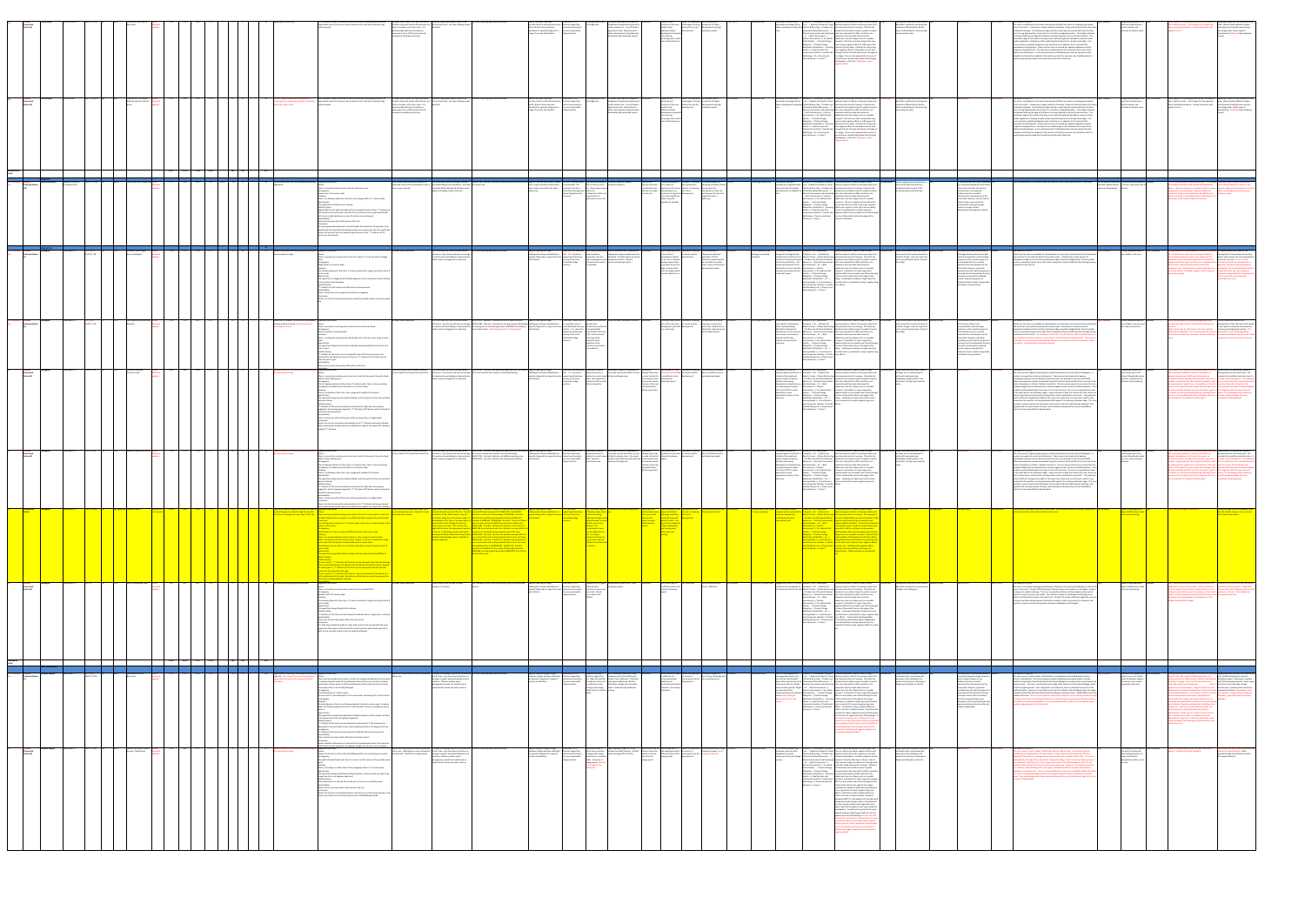| VHOSBC Hampton Magna Budbrooke PC HM2*O/R99 R98 HM1 Land to the east of Clinton SHLAA 5.62 5.62 3.77 4.22 13.73 1.26 169 110 Requires sufficient                                                                                                                                                                                                                                                                                                                                                                                                                                                                                                                                                                                                                                                                                                                                                                                                                                                                                                                                                                                                                                                                                                                                                                                                                                                                                                                                                                                                                                                                                                                                                                                                                                                                                                                                                                                                                                                                                                                                                                                                                                                                                                                                                            | d VHOSBC Hampton Magna Budbrooke PC HM 1 (DS7) R74                                                                                                                                                                                                                                                                                                                                                                                                                                                                                                                                                                                                                                                                                                                                                                                                                                                                                                                                                                                                                                                                                                                                                                                                                                                                                                                                                                                                                                                                                                                                                                                                                                                                                                                                                                                                                                                                                                                                                                                                                      | NET TRESS Cubbington Cubbington PC CU7*0 LS3 CU3 North of Bungalow Farm SHLAA 0.37 0.37 0.37 0.37 0.35 11 14 14<br><b>Cubbington Cubbington</b>                                                                                                                                                                                                                                                                                                                                                                                                                                                                                                                                                                                                                                                                                                                                                                                                                                                                                                                                                                                                                                                                                                                                                                                                                                                                                                                                                                                                                              |                                                                                                                                                                                                                                                                                                                                                                                                                                                                                                                                                                                                                                                                                                                                                                                                                                                                                                                                                                                                                                                                                                                                                                                                                                                                                                                                                                                                                                                                                                                                                                                                                                                                                                                                                   | and the contract of the contract of the contract of the contract of the contract of the contract of the contract of the contract of the contract of the contract of the contract of the contract of the contract of the contra<br>Cubbington PC CU6 <sup>*</sup> O/R130 L49                                                                                                                                                                                                                                                                                                                                                                                                                                                                                                                                                                                                                                                                                                                                                                                                                                                                                                                                                                                                                                                                                                                                                                                                                      |                                                                                                                                                                                                                                                                                                                                                                                                                                                                                                                                                                                                                                                                                                                                                                                                                                                                                                                                                                                                                                                                                                                                                                                                                                                                                                                                                                                                                                                                   | Cubbington PC CU 2 (DS7) L19                                                                                                                                                                                                                                                                                                                                                                                                                                                                                                                                                                                                                                                                                                                                                                                                                                                                                                                                                                                                                                                                                                                                                                                                                                                                                                                                                                                                          | 1*O / L18                                                                                                                                                                                                                                                                                                                                                                                                                                                                                                                                                                                                                                                                                                                                                                                                                                                                                                                                                                                                                                                                                                                                                                                                                                                                                                                                                                                                                                                                                                                               | <b>ted VHOSBC</b> Finham (Coventry) Baginton PC (part) /<br>Stoneleigh (Part)<br><b>Preferred Option</b>                                                                                                                                                                                                                                                                                                                                                                                                                                                                                                                                                                                                                                                                                                                                                                                                                                                                                                                                                                                                                                                                                                                                                                                                                                                                             | the control of the control of the control of<br><b>Burton Green</b><br><b>Burton Green</b><br><b>Discounted</b><br><b>Burton Green</b>                                                                                                                                                                                                                                                                                                                                                                                                                                                                                                                                                                                                                                                                                                                                                                                                                                                                                                                                                                                                                                                                                                                                                                                                                                                                        |                                                                                                                                                                                                                                                                                                                                                                                                                                                                                                                                                                                                                                                                                                                                                                                                                                                                                                                                                                                                                                                                                                                                                                                                                                                                                                                                                                                                    |
|-------------------------------------------------------------------------------------------------------------------------------------------------------------------------------------------------------------------------------------------------------------------------------------------------------------------------------------------------------------------------------------------------------------------------------------------------------------------------------------------------------------------------------------------------------------------------------------------------------------------------------------------------------------------------------------------------------------------------------------------------------------------------------------------------------------------------------------------------------------------------------------------------------------------------------------------------------------------------------------------------------------------------------------------------------------------------------------------------------------------------------------------------------------------------------------------------------------------------------------------------------------------------------------------------------------------------------------------------------------------------------------------------------------------------------------------------------------------------------------------------------------------------------------------------------------------------------------------------------------------------------------------------------------------------------------------------------------------------------------------------------------------------------------------------------------------------------------------------------------------------------------------------------------------------------------------------------------------------------------------------------------------------------------------------------------------------------------------------------------------------------------------------------------------------------------------------------------------------------------------------------------------------------------------------------------|-------------------------------------------------------------------------------------------------------------------------------------------------------------------------------------------------------------------------------------------------------------------------------------------------------------------------------------------------------------------------------------------------------------------------------------------------------------------------------------------------------------------------------------------------------------------------------------------------------------------------------------------------------------------------------------------------------------------------------------------------------------------------------------------------------------------------------------------------------------------------------------------------------------------------------------------------------------------------------------------------------------------------------------------------------------------------------------------------------------------------------------------------------------------------------------------------------------------------------------------------------------------------------------------------------------------------------------------------------------------------------------------------------------------------------------------------------------------------------------------------------------------------------------------------------------------------------------------------------------------------------------------------------------------------------------------------------------------------------------------------------------------------------------------------------------------------------------------------------------------------------------------------------------------------------------------------------------------------------------------------------------------------------------------------------------------------|------------------------------------------------------------------------------------------------------------------------------------------------------------------------------------------------------------------------------------------------------------------------------------------------------------------------------------------------------------------------------------------------------------------------------------------------------------------------------------------------------------------------------------------------------------------------------------------------------------------------------------------------------------------------------------------------------------------------------------------------------------------------------------------------------------------------------------------------------------------------------------------------------------------------------------------------------------------------------------------------------------------------------------------------------------------------------------------------------------------------------------------------------------------------------------------------------------------------------------------------------------------------------------------------------------------------------------------------------------------------------------------------------------------------------------------------------------------------------------------------------------------------------------------------------------------------------|---------------------------------------------------------------------------------------------------------------------------------------------------------------------------------------------------------------------------------------------------------------------------------------------------------------------------------------------------------------------------------------------------------------------------------------------------------------------------------------------------------------------------------------------------------------------------------------------------------------------------------------------------------------------------------------------------------------------------------------------------------------------------------------------------------------------------------------------------------------------------------------------------------------------------------------------------------------------------------------------------------------------------------------------------------------------------------------------------------------------------------------------------------------------------------------------------------------------------------------------------------------------------------------------------------------------------------------------------------------------------------------------------------------------------------------------------------------------------------------------------------------------------------------------------------------------------------------------------------------------------------------------------------------------------------------------------------------------------------------------------|--------------------------------------------------------------------------------------------------------------------------------------------------------------------------------------------------------------------------------------------------------------------------------------------------------------------------------------------------------------------------------------------------------------------------------------------------------------------------------------------------------------------------------------------------------------------------------------------------------------------------------------------------------------------------------------------------------------------------------------------------------------------------------------------------------------------------------------------------------------------------------------------------------------------------------------------------------------------------------------------------------------------------------------------------------------------------------------------------------------------------------------------------------------------------------------------------------------------------------------------------------------------------------------------------------------------------------------------------------------------------------------------------------------------------------------------------------------------------------------------------|-------------------------------------------------------------------------------------------------------------------------------------------------------------------------------------------------------------------------------------------------------------------------------------------------------------------------------------------------------------------------------------------------------------------------------------------------------------------------------------------------------------------------------------------------------------------------------------------------------------------------------------------------------------------------------------------------------------------------------------------------------------------------------------------------------------------------------------------------------------------------------------------------------------------------------------------------------------------------------------------------------------------------------------------------------------------------------------------------------------------------------------------------------------------------------------------------------------------------------------------------------------------------------------------------------------------------------------------------------------------------------------------------------------------------------------------------------------------|---------------------------------------------------------------------------------------------------------------------------------------------------------------------------------------------------------------------------------------------------------------------------------------------------------------------------------------------------------------------------------------------------------------------------------------------------------------------------------------------------------------------------------------------------------------------------------------------------------------------------------------------------------------------------------------------------------------------------------------------------------------------------------------------------------------------------------------------------------------------------------------------------------------------------------------------------------------------------------------------------------------------------------------------------------------------------------------------------------------------------------------------------------------------------------------------------------------------------------------------------------------------------------------------------------------------------------------------------------------------------------------------------------------------------------------|-----------------------------------------------------------------------------------------------------------------------------------------------------------------------------------------------------------------------------------------------------------------------------------------------------------------------------------------------------------------------------------------------------------------------------------------------------------------------------------------------------------------------------------------------------------------------------------------------------------------------------------------------------------------------------------------------------------------------------------------------------------------------------------------------------------------------------------------------------------------------------------------------------------------------------------------------------------------------------------------------------------------------------------------------------------------------------------------------------------------------------------------------------------------------------------------------------------------------------------------------------------------------------------------------------------------------------------------------------------------------------------------------------------------------------------------------------------------------------------------------------------------------------------------|--------------------------------------------------------------------------------------------------------------------------------------------------------------------------------------------------------------------------------------------------------------------------------------------------------------------------------------------------------------------------------------------------------------------------------------------------------------------------------------------------------------------------------------------------------------------------------------------------------------------------------------------------------------------------------------------------------------------------------------------------------------------------------------------------------------------------------------------------------------------------------------------------------------------------------------------------------------------------------------------------------------------------------------------------------------------------------------------------------------------------------------------------------------------------------------------------------------------------------------------------------------------------------------------------------------------------------------------------------------------------------------|---------------------------------------------------------------------------------------------------------------------------------------------------------------------------------------------------------------------------------------------------------------------------------------------------------------------------------------------------------------------------------------------------------------------------------------------------------------------------------------------------------------------------------------------------------------------------------------------------------------------------------------------------------------------------------------------------------------------------------------------------------------------------------------------------------------------------------------------------------------------------------------------------------------------------------------------------------------------------------------------------------------------------------------------------------------------------------------------------------------------------------------------------------------------------------------------------------------------------------------------------------------------------------------------------------------------------------------------------------------------------------------------------------------|----------------------------------------------------------------------------------------------------------------------------------------------------------------------------------------------------------------------------------------------------------------------------------------------------------------------------------------------------------------------------------------------------------------------------------------------------------------------------------------------------------------------------------------------------------------------------------------------------------------------------------------------------------------------------------------------------------------------------------------------------------------------------------------------------------------------------------------------------------------------------------------------------------------------------------------------------------------------------------------------------------------------------------------------------------------------------------------------------------------------------------------------------------------------------------------------------------------------------------------------------------------------------------------------------------------------------------------------------------------------------------------------------|
| Avenue / Gould Road                                                                                                                                                                                                                                                                                                                                                                                                                                                                                                                                                                                                                                                                                                                                                                                                                                                                                                                                                                                                                                                                                                                                                                                                                                                                                                                                                                                                                                                                                                                                                                                                                                                                                                                                                                                                                                                                                                                                                                                                                                                                                                                                                                                                                                                                                         | Boulevard                                                                                                                                                                                                                                                                                                                                                                                                                                                                                                                                                                                                                                                                                                                                                                                                                                                                                                                                                                                                                                                                                                                                                                                                                                                                                                                                                                                                                                                                                                                                                                                                                                                                                                                                                                                                                                                                                                                                                                                                                                                               |                                                                                                                                                                                                                                                                                                                                                                                                                                                                                                                                                                                                                                                                                                                                                                                                                                                                                                                                                                                                                                                                                                                                                                                                                                                                                                                                                                                                                                                                                                                                                                              |                                                                                                                                                                                                                                                                                                                                                                                                                                                                                                                                                                                                                                                                                                                                                                                                                                                                                                                                                                                                                                                                                                                                                                                                                                                                                                                                                                                                                                                                                                                                                                                                                                                                                                                                                   |                                                                                                                                                                                                                                                                                                                                                                                                                                                                                                                                                                                                                                                                                                                                                                                                                                                                                                                                                                                                                                                                                                                                                                                                                                                                                                                                                                                                                                                                                                  | <u>La dividuale de la cuasta de la cua</u> de la dividuale de la dividuale de la cua<br>La cuasta de la cuasta de la cuasta de la dividuale de la cuasta de la cuasta de la cuasta de la cuasta de la<br>Coventry Road                                                                                                                                                                                                                                                                                                                                                                                                                                                                                                                                                                                                                                                                                                                                                                                                                                                                                                                                                                                                                                                                                                                                                                                                                                            |                                                                                                                                                                                                                                                                                                                                                                                                                                                                                                                                                                                                                                                                                                                                                                                                                                                                                                                                                                                                                                                                                                                                                                                                                                                                                                                                                                                                                                       | Allotment Land, Rugby<br>Road, Cubbington                                                                                                                                                                                                                                                                                                                                                                                                                                                                                                                                                                                                                                                                                                                                                                                                                                                                                                                                                                                                                                                                                                                                                                                                                                                                                                                                                                                                                                                                                               | Land at Oak Lea, Howes Lane SHLAA                                                                                                                                                                                                                                                                                                                                                                                                                                                                                                                                                                                                                                                                                                                                                                                                                                                                                                                                                                                                                                                                                                                                                                                                                                                                                                                                                    | BG3 Land North of The Small<br>BG7*O / R106 R88<br>Holding, Red Lane, Burton do                                                                                                                                                                                                                                                                                                                                                                                                                                                                                                                                                                                                                                                                                                                                                                                                                                                                                                                                                                                                                                                                                                                                                                                                                                                                                                                               |                                                                                                                                                                                                                                                                                                                                                                                                                                                                                                                                                                                                                                                                                                                                                                                                                                                                                                                                                                                                                                                                                                                                                                                                                                                                                                                                                                                                    |
|                                                                                                                                                                                                                                                                                                                                                                                                                                                                                                                                                                                                                                                                                                                                                                                                                                                                                                                                                                                                                                                                                                                                                                                                                                                                                                                                                                                                                                                                                                                                                                                                                                                                                                                                                                                                                                                                                                                                                                                                                                                                                                                                                                                                                                                                                                             | HM 1 Land south of Arras SHLAA   6.16   6.16   4.13   4.62                                                                                                                                                                                                                                                                                                                                                                                                                                                                                                                                                                                                                                                                                                                                                                                                                                                                                                                                                                                                                                                                                                                                                                                                                                                                                                                                                                                                                                                                                                                                                                                                                                                                                                                                                                                                                                                                                                                                                                                                              | 19.53 14.32 9.72 11.32 340 453 250                                                                                                                                                                                                                                                                                                                                                                                                                                                                                                                                                                                                                                                                                                                                                                                                                                                                                                                                                                                                                                                                                                                                                                                                                                                                                                                                                                                                                                                                                                                                           |                                                                                                                                                                                                                                                                                                                                                                                                                                                                                                                                                                                                                                                                                                                                                                                                                                                                                                                                                                                                                                                                                                                                                                                                                                                                                                                                                                                                                                                                                                                                                                                                                                                                                                                                                   |                                                                                                                                                                                                                                                                                                                                                                                                                                                                                                                                                                                                                                                                                                                                                                                                                                                                                                                                                                                                                                                                                                                                                                                                                                                                                                                                                                                                                                                                                                  |                                                                                                                                                                                                                                                                                                                                                                                                                                                                                                                                                                                                                                                                                                                                                                                                                                                                                                                                                                                                                                                                                                                                                                                                                                                                                                                                                                                                                                                                   | CU1 Land opposite Willow Sheet SHLAA 3.68 3.69 2.47 2.77 83 111 65 Reduction in numbers to reflect small affordable Highway Observation:                                                                                                                                                                                                                                                                                                                                                                                                                                                                                                                                                                                                                                                                                                                                                                                                                                                                                                                                                                                                                                                                                                                                                                                                                                                                                              |                                                                                                                                                                                                                                                                                                                                                                                                                                                                                                                                                                                                                                                                                                                                                                                                                                                                                                                                                                                                                                                                                                                                                                                                                                                                                                                                                                                                                                                                                                                                         |                                                                                                                                                                                                                                                                                                                                                                                                                                                                                                                                                                                                                                                                                                                                                                                                                                                                                                                                                                                                                                                                                                                                                                                                                                                                                                                                                                                      |                                                                                                                                                                                                                                                                                                                                                                                                                                                                                                                                                                                                                                                                                                                                                                                                                                                                                                                                                                                                                                                                                                                                                                                                                                                                                                                                                                                                               |                                                                                                                                                                                                                                                                                                                                                                                                                                                                                                                                                                                                                                                                                                                                                                                                                                                                                                                                                                                                                                                                                                                                                                                                                                                                                                                                                                                                    |
|                                                                                                                                                                                                                                                                                                                                                                                                                                                                                                                                                                                                                                                                                                                                                                                                                                                                                                                                                                                                                                                                                                                                                                                                                                                                                                                                                                                                                                                                                                                                                                                                                                                                                                                                                                                                                                                                                                                                                                                                                                                                                                                                                                                                                                                                                                             |                                                                                                                                                                                                                                                                                                                                                                                                                                                                                                                                                                                                                                                                                                                                                                                                                                                                                                                                                                                                                                                                                                                                                                                                                                                                                                                                                                                                                                                                                                                                                                                                                                                                                                                                                                                                                                                                                                                                                                                                                                                                         |                                                                                                                                                                                                                                                                                                                                                                                                                                                                                                                                                                                                                                                                                                                                                                                                                                                                                                                                                                                                                                                                                                                                                                                                                                                                                                                                                                                                                                                                                                                                                                              |                                                                                                                                                                                                                                                                                                                                                                                                                                                                                                                                                                                                                                                                                                                                                                                                                                                                                                                                                                                                                                                                                                                                                                                                                                                                                                                                                                                                                                                                                                                                                                                                                                                                                                                                                   |                                                                                                                                                                                                                                                                                                                                                                                                                                                                                                                                                                                                                                                                                                                                                                                                                                                                                                                                                                                                                                                                                                                                                                                                                                                                                                                                                                                                                                                                                                  |                                                                                                                                                                                                                                                                                                                                                                                                                                                                                                                                                                                                                                                                                                                                                                                                                                                                                                                                                                                                                                                                                                                                                                                                                                                                                                                                                                                                                                                                   |                                                                                                                                                                                                                                                                                                                                                                                                                                                                                                                                                                                                                                                                                                                                                                                                                                                                                                                                                                                                                                                                                                                                                                                                                                                                                                                                                                                                                                       |                                                                                                                                                                                                                                                                                                                                                                                                                                                                                                                                                                                                                                                                                                                                                                                                                                                                                                                                                                                                                                                                                                                                                                                                                                                                                                                                                                                                                                                                                                                                         |                                                                                                                                                                                                                                                                                                                                                                                                                                                                                                                                                                                                                                                                                                                                                                                                                                                                                                                                                                                                                                                                                                                                                                                                                                                                                                                                                                                      | <u>25.17 17.21 11.54 13.03 391 509 12.55 12.55 12.56 12.56 12.56 12.56 12.56 12.56 12.56 12.56 12.56 12.56 12.56 1</u>                                                                                                                                                                                                                                                                                                                                                                                                                                                                                                                                                                                                                                                                                                                                                                                                                                                                                                                                                                                                                                                                                                                                                                                                                                                                                        |                                                                                                                                                                                                                                                                                                                                                                                                                                                                                                                                                                                                                                                                                                                                                                                                                                                                                                                                                                                                                                                                                                                                                                                                                                                                                                                                                                                                    |
|                                                                                                                                                                                                                                                                                                                                                                                                                                                                                                                                                                                                                                                                                                                                                                                                                                                                                                                                                                                                                                                                                                                                                                                                                                                                                                                                                                                                                                                                                                                                                                                                                                                                                                                                                                                                                                                                                                                                                                                                                                                                                                                                                                                                                                                                                                             |                                                                                                                                                                                                                                                                                                                                                                                                                                                                                                                                                                                                                                                                                                                                                                                                                                                                                                                                                                                                                                                                                                                                                                                                                                                                                                                                                                                                                                                                                                                                                                                                                                                                                                                                                                                                                                                                                                                                                                                                                                                                         |                                                                                                                                                                                                                                                                                                                                                                                                                                                                                                                                                                                                                                                                                                                                                                                                                                                                                                                                                                                                                                                                                                                                                                                                                                                                                                                                                                                                                                                                                                                                                                              |                                                                                                                                                                                                                                                                                                                                                                                                                                                                                                                                                                                                                                                                                                                                                                                                                                                                                                                                                                                                                                                                                                                                                                                                                                                                                                                                                                                                                                                                                                                                                                                                                                                                                                                                                   |                                                                                                                                                                                                                                                                                                                                                                                                                                                                                                                                                                                                                                                                                                                                                                                                                                                                                                                                                                                                                                                                                                                                                                                                                                                                                                                                                                                                                                                                                                  |                                                                                                                                                                                                                                                                                                                                                                                                                                                                                                                                                                                                                                                                                                                                                                                                                                                                                                                                                                                                                                                                                                                                                                                                                                                                                                                                                                                                                                                                   |                                                                                                                                                                                                                                                                                                                                                                                                                                                                                                                                                                                                                                                                                                                                                                                                                                                                                                                                                                                                                                                                                                                                                                                                                                                                                                                                                                                                                                       |                                                                                                                                                                                                                                                                                                                                                                                                                                                                                                                                                                                                                                                                                                                                                                                                                                                                                                                                                                                                                                                                                                                                                                                                                                                                                                                                                                                                                                                                                                                                         |                                                                                                                                                                                                                                                                                                                                                                                                                                                                                                                                                                                                                                                                                                                                                                                                                                                                                                                                                                                                                                                                                                                                                                                                                                                                                                                                                                                      |                                                                                                                                                                                                                                                                                                                                                                                                                                                                                                                                                                                                                                                                                                                                                                                                                                                                                                                                                                                                                                                                                                                                                                                                                                                                                                                                                                                                               |                                                                                                                                                                                                                                                                                                                                                                                                                                                                                                                                                                                                                                                                                                                                                                                                                                                                                                                                                                                                                                                                                                                                                                                                                                                                                                                                                                                                    |
| the development edge.                                                                                                                                                                                                                                                                                                                                                                                                                                                                                                                                                                                                                                                                                                                                                                                                                                                                                                                                                                                                                                                                                                                                                                                                                                                                                                                                                                                                                                                                                                                                                                                                                                                                                                                                                                                                                                                                                                                                                                                                                                                                                                                                                                                                                                                                                       | High levels of screening / environmental buffering Highway Observation:<br>required. This reduces the overall housing level. Access:<br>ome potential options for community facility                                                                                                                                                                                                                                                                                                                                                                                                                                                                                                                                                                                                                                                                                                                                                                                                                                                                                                                                                                                                                                                                                                                                                                                                                                                                                                                                                                                                                                                                                                                                                                                                                                                                                                                                                                                                                                                                                    | No recent planning applications detailed.                                                                                                                                                                                                                                                                                                                                                                                                                                                                                                                                                                                                                                                                                                                                                                                                                                                                                                                                                                                                                                                                                                                                                                                                                                                                                                                                                                                                                                                                                                                                    | a potential green corridor through the site and Access:                                                                                                                                                                                                                                                                                                                                                                                                                                                                                                                                                                                                                                                                                                                                                                                                                                                                                                                                                                                                                                                                                                                                                                                                                                                                                                                                                                                                                                                                                                                                                                                                                                                                                           | development edge.<br>Signicantly reduced capacity to reflect the need for Highway Observation:                                                                                                                                                                                                                                                                                                                                                                                                                                                                                                                                                                                                                                                                                                                                                                                                                                                                                                                                                                                                                                                                                                                                                                                                                                                                                                                                                                                                   | the development edge.                                                                                                                                                                                                                                                                                                                                                                                                                                                                                                                                                                                                                                                                                                                                                                                                                                                                                                                                                                                                                                                                                                                                                                                                                                                                                                                                                                                                                                             | housing scheme (7 units) and environmental Access:<br>eening to the site.                                                                                                                                                                                                                                                                                                                                                                                                                                                                                                                                                                                                                                                                                                                                                                                                                                                                                                                                                                                                                                                                                                                                                                                                                                                                                                                                                             | Requires sufficient site screening and softening of Highway Observation:<br>the development edge.                                                                                                                                                                                                                                                                                                                                                                                                                                                                                                                                                                                                                                                                                                                                                                                                                                                                                                                                                                                                                                                                                                                                                                                                                                                                                                                                                                                                                                       | 20 units with areas left for screening and existing Highway Observation:                                                                                                                                                                                                                                                                                                                                                                                                                                                                                                                                                                                                                                                                                                                                                                                                                                                                                                                                                                                                                                                                                                                                                                                                                                                                                                             | 40 Site will require substantial environmental<br>screening to the west and protection of<br>planting in other areas.                                                                                                                                                                                                                                                                                                                                                                                                                                                                                                                                                                                                                                                                                                                                                                                                                                                                                                                                                                                                                                                                                                                                                                                                                                                                                         |                                                                                                                                                                                                                                                                                                                                                                                                                                                                                                                                                                                                                                                                                                                                                                                                                                                                                                                                                                                                                                                                                                                                                                                                                                                                                                                                                                                                    |
| Access into the site is at the end of Gould Road which has no existing access point. be addressed. Proximity to sewage works. manage its impact and avoid adding to local<br>The width of Gould Road varies from 7.5 metres to 20.3 metres at the possible acces<br>There is a footway on either side of the carriageway which is 1.7 metres wide.<br>The speed limit along Gould Road is 30mph however; vehicle speeds are likely to be<br>slower due to the carriageway alignment.<br>Visibility Splays:<br>The access point is at the end of a cul-de-sac so there are no visibility issues.<br>There are four bus stops within 550 metres of the site.<br>Access into the site is achievable however, due to the size of the proposed site, a new<br>access may need to be created joining the site to Old Budbrooke Road.                                                                                                                                                                                                                                                                                                                                                                                                                                                                                                                                                                                                                                                                                                                                                                                                                                                                                                                                                                                                                                                                                                                                                                                                                                                                                                                                                                                                                                                                              | There are two possible access points into the site along Arras Boulevard. Access point<br>1 could go along the south of Arras Boulevard where there is currently no existing<br>access point. Access point 2 is off Arras Boulevard, south of the junction to Curlieu<br>Close where there is an existing field gate.<br>arriageway:<br>Arras Boulevard is 6.7 metres wide.<br>at access point 2, the bellmouth is 11.4 metres wide, narrowing to 4.5 metres at the<br>On Arras Boulevard there is no footway adjacent to the site only a verge 1.2 metres<br>wide. The footway opposite the site is 2 metres wide. There is no footway at access<br>The speed limit around Arras Boulevard is 30mph however; vehicle speeds are likely<br>o be slower due to the carriageway alignment.<br>isibility Splavs:<br>"Y" distance of 43 metres can be achieved at access point 1 if the access point is<br>developed in the south-east corner of Arras Boulevard due to the alignment of the<br>Y" distance of 43 metres can be achieved in both directions at access point 2.<br>ustainability:<br>There are four bus stops within 400 metres of access point 2.<br>Access could be achieved prior to the bend of Arras Boulevard south of the junction<br>ith Clinton Avenue taking the carriageway straight into the site, so the required                                                                                                                                                                                                                                                                                                                                                                                                                                                                                                                                                                                                                                                                                                                               | <u>ictoinability: a component and contact the component of the contact of the contact of the contact of the conta<br/>The contact of the contact of the contact of the contact of the contact of the contact of the contact of the c</u><br>Highway Observation:<br>There is currently no existing access into the site on Windmill Hill.<br>Windmill Hill is 8.2 metres wide.<br>The footway adjacent to the site is 1.2 metres wide with a verge fronting the site 8.2<br>metres wide.<br>Speed Limits:<br>The speed limit along Windmill Hill is 30mph.<br>sibility Splays:<br>"Y" distance of 70 metres can be achieved in both directions if vegetation is cut back.<br>stainability:<br>There are two bus stops within 200 metres of the site.<br>It is likely there would be gradient issues with access to the site and with the close<br>proximity of the access to the Social Club and the junction with Stonehouse Close,<br>WCC do not consider access to the site could be achieved.                                                                                                                                                                                                                                                                                                                                                                                                                                                                                                                                                                            | lusion of employment uses in part of the site. There are three possible existing access points into site 3. Access points 1 and 2 are flood allevation scheme.<br>on Welsh Road and access point 3 is on Offchurch Road, opposite the junction with<br>The existing access at point 1 is 7.3 metres wide; at point 2 is 4.2 metres wide; and at<br>point 3 is 8.7 metres.<br>Velsh Road is 6.1 metres wide and Offchurch Road is 5.8 metres wide.<br>re is no existing footway at access point 1, only a verge 6.3 r<br>here is footway to the left of access point 2 which is 1.6 metres wide with a verge<br>either side of the footway 2.4 metres wide and 5.1 metres wide.<br>he footway at access point 3 is 1.6 metres wide with a verge fronting the site 3.4<br>The speed limit along Welsh Road is 50mph and the speed limit along Offchurch<br>Road is 30mph.<br><b>Visibility Splays:</b><br>it access point 1, "Y" distance of 70 metres can be achieved to the left and although<br>he recommended distance of 160 cannot be achieved, 120 metres can be achieved.<br>At access point 2, "Y" distance of 70 metres can be achieved to the left and 160<br>metres can be achieved to the right.<br>At access point 3, "Y" distance of 70 metres cannot be achieved to the left due to a<br>left hand bend and to the right, the distance of 160 metres cannot be achieved but<br>120 metres could possibly be achieved.                                                                                                                                                                                                                                                                                                               | Highway Observation:<br>There is currently an existing access into sites 2 and 4 to the east of Coventry Road<br>before Cotton Mill Spinney.<br>Carriageway:<br>The carriageway adjacent to the sites is 3.2 metres wide. There is also an existing<br>rriageway in between the sites which is 2.4 metres wide.<br>There is no footway at the sites, only a verge with a width of 1.8 metres.<br>he speed limit along Coventry Road is 60mph until the junction of the sites and then<br>comes 30mph.<br>Visibility Splays:<br>"Y" distance of 215 metres cannot be achieved to the right due to overgrown<br>vegetation and carriageway alignment. "Y" distance of 70 metres can be achieved to<br>the left of the access point.<br>There is a bus stop within 400 metres of the proposed site, on Rugby Road.<br>Access into the site cannot be achieved due to the "Y" distance not being achieved<br>d a speed survey would need to be submitted to support any request to consider a                                                                                                                                                                                                                                                                                                                                                                                                                                                                                                        | Conclusion:<br><b>Orient</b> Highway Observation:<br>There is currently an existing access into sites 2 and 4 to the east of Coventry Road<br>before Cotton Mill Spinney.<br>The carriageway adjacent to the sites is 3.2 metres wide. There is also an existing<br>arriageway in between the sites which is 2.4 metres wide.<br>There is no footway at the sites, only a verge with a width of 1.8 metres.<br>The speed limit along Coventry Road is 60mph until the junction of the sites and then<br>ecomes 30mph.<br>Visibility Splays:<br>"Y" distance of 215 metres cannot be achieved to the right due to overgrown<br>vegetation and carriageway alignment. "Y" distance of 70 metres can be achieved to<br>the left of the access point.<br>ustainability:<br>There is a bus stop within 400 metres of the proposed site, on Rugby Road.<br>Access into the site cannot be achieved due to the "Y" distance not being achieved<br>and a speed survey would need to be submitted to support any request to consider a<br>reduced "Y" distance.                                                                                                                                                                                                                                                                                                                                                                                                            | There is currently no existing access into the site on Coventry Road.<br>Carriageway:<br>Coventry Road is 5.8 metres wide.<br>There is no footway along Coventry Road adjacent to the site, only a verge 1 metre<br>The speed limit along Coventry Road is 60mph becoming 30mph at the access into<br>es 2 and 4.<br>isibility Splays:<br>"Y" distance of 215 metres can be achieved to the left if the access point was<br>positioned to the South-East corner of the site. "Y" distance of 70 metres can be<br>achieved to the right.<br>There are three bus stops within 300 metres of the site.                                                                                                                                                                                                                                                                                                                                                                                                                                                                                                                                                                                                                                                                                                                                                                                                                                   | here is currently an existing access into site 1 which is 2.7 metres wide on Rugby<br>Rugby Road is 6.2 metres wide.<br>The footway adjacent to the site is 1.4 metres wide with a verge fronting the site 4.5<br>Speed Limits:<br>The speed limit on Rugby Road is 50mph adjacent to the site but decreases to 30mpl<br>at the junction with Broadway.<br>isibility Splays:<br>Y" distances of 120 metres and 160 metres can be achieved.<br>There is a bus stop on the opposite side of the carriageway.<br>Access into the site can be achieved and could also provide access into nearby option                                                                                                                                                                                                                                                                                                                                                                                                                                                                                                                                                                                                                                                                                                                                                                                                                                                                                                                                     | There is currently limited access to the site off Howes Lane.<br>Howes Lane is 5.6 metres wide.<br>There is no footway adjacent to the site, only a verge which is 1.7 metres wide.<br>The speed limit on Howes Lane is 40mph.<br>Measuring from the right hand side of the site opposite Jacklin Drive, "Y" distance of<br>120 metres can be achieved to the left of the site but not to the right towards Mill<br>Hill, due to a right hand bend, so only 30 metres can be achieved.<br>There are bus stops within 200 metres of the site.<br>or the proposed development to be achievable, the speed limit along Howes Lane<br>would need to be decreased to 30mph and the access point into the site would need<br>to be as far south of the site, towards Leigh Avenue so that "Y" distances of 70<br>netres can be achieved.                                                                                                                                                                                                                                                                                                                                                                                                                                                                                                                                                   | Not reviewed in detail, but much of Red Lane has very limited opportunities for No major issues raised. Air, light and noise Generally high ground water levels in the No recent planning applications detailed.<br>appropriate levels of site access, due to bends in the road and reasonably high<br>vehicle speeds.                                                                                                                                                                                                                                                                                                                                                                                                                                                                                                                                                                                                                                                                                                                                                                                                                                                                                                                                                                                                                                                                                        | reviewed in detail, but much of Red Lane has very limited opportunities for Nomajor issues raised. Air, light and noise Generally high ground water levels in the No recent planning applications detaile<br>appropriate levels of site access, due to bends in the road and reasonably high pollution along with waste and emissions are Burton Green area. No major flooding issues<br>ehicle speeds.                                                                                                                                                                                                                                                                                                                                                                                                                                                                                                                                                                                                                                                                                                                                                                                                                                                                                                                                                                                            |
| military use. A46 highways noise will need to of their time. Any new scheme will have to                                                                                                                                                                                                                                                                                                                                                                                                                                                                                                                                                                                                                                                                                                                                                                                                                                                                                                                                                                                                                                                                                                                                                                                                                                                                                                                                                                                                                                                                                                                                                                                                                                                                                                                                                                                                                                                                                                                                                                                                                                                                                                                                                                                                                    |                                                                                                                                                                                                                                                                                                                                                                                                                                                                                                                                                                                                                                                                                                                                                                                                                                                                                                                                                                                                                                                                                                                                                                                                                                                                                                                                                                                                                                                                                                                                                                                                                                                                                                                                                                                                                                                                                                                                                                                                                                                                         | No major issues identified.                                                                                                                                                                                                                                                                                                                                                                                                                                                                                                                                                                                                                                                                                                                                                                                                                                                                                                                                                                                                                                                                                                                                                                                                                                                                                                                                                                                                                                                                                                                                                  |                                                                                                                                                                                                                                                                                                                                                                                                                                                                                                                                                                                                                                                                                                                                                                                                                                                                                                                                                                                                                                                                                                                                                                                                                                                                                                                                                                                                                                                                                                                                                                                                                                                                                                                                                   |                                                                                                                                                                                                                                                                                                                                                                                                                                                                                                                                                                                                                                                                                                                                                                                                                                                                                                                                                                                                                                                                                                                                                                                                                                                                                                                                                                                                                                                                                                  |                                                                                                                                                                                                                                                                                                                                                                                                                                                                                                                                                                                                                                                                                                                                                                                                                                                                                                                                                                                                                                                                                                                                                                                                                                                                                                                                                                                                                                                                   | No major issues identified.                                                                                                                                                                                                                                                                                                                                                                                                                                                                                                                                                                                                                                                                                                                                                                                                                                                                                                                                                                                                                                                                                                                                                                                                                                                                                                                                                                                                           | No major issues identified.                                                                                                                                                                                                                                                                                                                                                                                                                                                                                                                                                                                                                                                                                                                                                                                                                                                                                                                                                                                                                                                                                                                                                                                                                                                                                                                                                                                                                                                                                                             | noise survey required.                                                                                                                                                                                                                                                                                                                                                                                                                                                                                                                                                                                                                                                                                                                                                                                                                                                                                                                                                                                                                                                                                                                                                                                                                                                                                                                                                               | pollution along with waste and emissions are Burton Green area. No major flooding issues<br>ikely to increase in the short-term. It is identified.<br>commended that there should be a<br>quirement for an EMP (construction &<br>ccupation) including monitoring.                                                                                                                                                                                                                                                                                                                                                                                                                                                                                                                                                                                                                                                                                                                                                                                                                                                                                                                                                                                                                                                                                                                                            | ikely to increase in the short-term. It is identified.<br>commended that there should be a<br>requirement for an EMP (construction &<br>occupation) including monitoring.                                                                                                                                                                                                                                                                                                                                                                                                                                                                                                                                                                                                                                                                                                                                                                                                                                                                                                                                                                                                                                                                                                                                                                                                                          |
| e site contamination linked to previous Drainage and sewage systems are limited and No recent planning applications detailed<br>problems. Effective surface water<br>management essential to avoid knock on<br>impacts further down the water courses.                                                                                                                                                                                                                                                                                                                                                                                                                                                                                                                                                                                                                                                                                                                                                                                                                                                                                                                                                                                                                                                                                                                                                                                                                                                                                                                                                                                                                                                                                                                                                                                                                                                                                                                                                                                                                                                                                                                                                                                                                                                      | May be site contamination linked to previous Drainage and sewage systems are limited and No recent planning applications detailed.<br>of their time. Any new scheme will have to<br>manage its impact and avoid adding to local<br>problems. Effective surface water<br>management essential to avoid knock on<br>impacts further down the water courses.                                                                                                                                                                                                                                                                                                                                                                                                                                                                                                                                                                                                                                                                                                                                                                                                                                                                                                                                                                                                                                                                                                                                                                                                                                                                                                                                                                                                                                                                                                                                                                                                                                                                                                               | problems in the area.                                                                                                                                                                                                                                                                                                                                                                                                                                                                                                                                                                                                                                                                                                                                                                                                                                                                                                                                                                                                                                                                                                                                                                                                                                                                                                                                                                                                                                                                                                                                                        | separate appendix.                                                                                                                                                                                                                                                                                                                                                                                                                                                                                                                                                                                                                                                                                                                                                                                                                                                                                                                                                                                                                                                                                                                                                                                                                                                                                                                                                                                                                                                                                                                                                                                                                                                                                                                                |                                                                                                                                                                                                                                                                                                                                                                                                                                                                                                                                                                                                                                                                                                                                                                                                                                                                                                                                                                                                                                                                                                                                                                                                                                                                                                                                                                                                                                                                                                  | its impact and avoid adding to local problems.<br>Surface water management is important.                                                                                                                                                                                                                                                                                                                                                                                                                                                                                                                                                                                                                                                                                                                                                                                                                                                                                                                                                                                                                                                                                                                                                                                                                                                                                                                                                                          |                                                                                                                                                                                                                                                                                                                                                                                                                                                                                                                                                                                                                                                                                                                                                                                                                                                                                                                                                                                                                                                                                                                                                                                                                                                                                                                                                                                                                                       | rt of the land falls into a northern water No recent planning applications detailed.<br>catchment. Any scheme will have to manage<br>its impact and avoid adding to local problems.<br>Surface water management is important.                                                                                                                                                                                                                                                                                                                                                                                                                                                                                                                                                                                                                                                                                                                                                                                                                                                                                                                                                                                                                                                                                                                                                                                                                                                                                                           | addressed as part of the development with a and avoid adding to local problems. No major to Howes Lane.<br>issues identified although SA indicates some<br>degree of flooding in part of the site.                                                                                                                                                                                                                                                                                                                                                                                                                                                                                                                                                                                                                                                                                                                                                                                                                                                                                                                                                                                                                                                                                                                                                                                   |                                                                                                                                                                                                                                                                                                                                                                                                                                                                                                                                                                                                                                                                                                                                                                                                                                                                                                                                                                                                                                                                                                                                                                                                                                                                                                                                                                                                               |                                                                                                                                                                                                                                                                                                                                                                                                                                                                                                                                                                                                                                                                                                                                                                                                                                                                                                                                                                                                                                                                                                                                                                                                                                                                                                                                                                                                    |
|                                                                                                                                                                                                                                                                                                                                                                                                                                                                                                                                                                                                                                                                                                                                                                                                                                                                                                                                                                                                                                                                                                                                                                                                                                                                                                                                                                                                                                                                                                                                                                                                                                                                                                                                                                                                                                                                                                                                                                                                                                                                                                                                                                                                                                                                                                             |                                                                                                                                                                                                                                                                                                                                                                                                                                                                                                                                                                                                                                                                                                                                                                                                                                                                                                                                                                                                                                                                                                                                                                                                                                                                                                                                                                                                                                                                                                                                                                                                                                                                                                                                                                                                                                                                                                                                                                                                                                                                         |                                                                                                                                                                                                                                                                                                                                                                                                                                                                                                                                                                                                                                                                                                                                                                                                                                                                                                                                                                                                                                                                                                                                                                                                                                                                                                                                                                                                                                                                                                                                                                              | current and previous uses. Subject to major issues locally and on part of the site. This will (each 54,000 sqft) (renewal of PP W850201). W/91/1008 - Cubbington has been identified as a supporting limited new to flooding i<br>not address all the flood issues on the site - Granted - Erection of 2 link buildings. W/94/1289 - Granted - growth village with a range of services housing in the more of which are being<br>particularly along the north western edge. If Erection of a workshop and warehouse (each 54,000 sq ft) and facilities.<br>developing the site, there is an opportunity to renewal of W900444. W/98/0359 - Granted - Provision of liquid<br>open up the culvert through the site and site and starting as tank and erection of eight flues and one air intake stack.<br>create a green corridor. This corridor may $\frac{W}{99/1486}$ - Granted - Variation of condition 1 (time limit) of<br>significantly reduce the development capacity W941289 to extend permission for a further 5 year period for t<br>of the site. A hydrology model needs to be erection of a workshop and warehouse (each 5017 sqm).<br>developed to better understand issues locally. W/00/0419 - Granted - Erection of a wooden viewing shelter for<br>letailed initial drainage reports available as luse in association with existing demonstration area / test track<br>W/00/1565 - Granted - Erection of a wooden viewing shelter fo<br>use in association with existing demonstration area / test trac<br>(amended position to W20000419). W/04/1770 - Granted -<br>Variation of Condition 1 (Time Limit) of Planning Permission<br>W991486 to renew original permission (W900444) for a furthe<br><b>period of five years.</b> | Potential contamination linked to nearby Part of the land falls into a northern water W/01/0231- Granted - Retrospective application for the removal Edge of Cubbington village. Green Belt land. Policy Insufficient visabili<br>previous Sawmill Use (wood contaminants). catchment. Any scheme will have to manage of an earth mound and creation if new hardstanding.<br>its impact and avoid adding to local problems. W/97/0725- Granted - Retention of additional parking area. growth village with a range of services  limited new housing in relation to current speed of high landscape value. S<br>Surface water management is important. W/04/0042 - Granted - Erection of a replacement dwelling. and facilities.                                                                                                                                                                                                                                                                                                                                                                                                                                                                                                                                                                                                                                                                                                                                                                  | Potential contamination linked to nearby Part of the land falls into a northern water W/01/0231 - Granted - Retrospective application for the removal Edge of Cubbington village. Green Belt and allotment Insufficient visabi<br>previous Sawmill Use (wood contaminants). catchment. Any scheme will have to manage of an earth mound and creation of new hardstanding.                                                                                                                                                                                                                                                                                                                                                                                                                                                                                                                                                                                                                                                                                                                                                                                                                                                                                                                                                                                                                                                                                         | art of the land falls into a northern water W/97/0072 - Refused - Construction of a 15 space car park. Edge of Cubbington village. Green Belt. Some history Suitable site access and Impact on open landscape character. Satis<br>catchment. Any scheme will have to manage W/07/1086 - Refused - Construction of a grasscrete hardstanding Cubbington has been identified as a passible site for a internal road<br>its impact and avoid adding to local problems. for parking of cars (revised application of W970072) including a growth village with a range of services small affordable housing connections would need<br>Surface water management is important. The w vehicle access. Planning approval for 7 units (xxxxxx) and facilities.                                                                                                                                                                                                                                                                                                                                                                                                                                                                                                                                                                                                                                                                                   |                                                                                                                                                                                                                                                                                                                                                                                                                                                                                                                                                                                                                                                                                                                                                                                                                                                                                                                                                                                                                                                                                                                                                                                                                                                                                                                                                                                                                                                                                                                                         | oise issues from the A46 will need to be Any scheme will have to manage its impact W/94/1282 - Refused - Residential development with access road Edge of Coventry urban area. Finham The site is located within Large domesti                                                                                                                                                                                                                                                                                                                                                                                                                                                                                                                                                                                                                                                                                                                                                                                                                                                                                                                                                                                                                                                                                                                                                       |                                                                                                                                                                                                                                                                                                                                                                                                                                                                                                                                                                                                                                                                                                                                                                                                                                                                                                                                                                                                                                                                                                                                                                                                                                                                                                                                                                                                               |                                                                                                                                                                                                                                                                                                                                                                                                                                                                                                                                                                                                                                                                                                                                                                                                                                                                                                                                                                                                                                                                                                                                                                                                                                                                                                                                                                                                    |
| services and facilities.                                                                                                                                                                                                                                                                                                                                                                                                                                                                                                                                                                                                                                                                                                                                                                                                                                                                                                                                                                                                                                                                                                                                                                                                                                                                                                                                                                                                                                                                                                                                                                                                                                                                                                                                                                                                                                                                                                                                                                                                                                                                                                                                                                                                                                                                                    | services and facilities.                                                                                                                                                                                                                                                                                                                                                                                                                                                                                                                                                                                                                                                                                                                                                                                                                                                                                                                                                                                                                                                                                                                                                                                                                                                                                                                                                                                                                                                                                                                                                                                                                                                                                                                                                                                                                                                                                                                                                                                                                                                | growth village with a range of services limited new housing in Proximity to sports and<br>village locations.                                                                                                                                                                                                                                                                                                                                                                                                                                                                                                                                                                                                                                                                                                                                                                                                                                                                                                                                                                                                                                                                                                                                                                                                                                                                                                                                                                                                                                                                 |                                                                                                                                                                                                                                                                                                                                                                                                                                                                                                                                                                                                                                                                                                                                                                                                                                                                                                                                                                                                                                                                                                                                                                                                                                                                                                                                                                                                                                                                                                                                                                                                                                                                                                                                                   |                                                                                                                                                                                                                                                                                                                                                                                                                                                                                                                                                                                                                                                                                                                                                                                                                                                                                                                                                                                                                                                                                                                                                                                                                                                                                                                                                                                                                                                                                                  | nd facilities.<br>locations.                                                                                                                                                                                                                                                                                                                                                                                                                                                                                                                                                                                                                                                                                                                                                                                                                                                                                                                                                                                                                                                                                                                                                                                                                                                                                                                                                                                                                                      | sustainable village                                                                                                                                                                                                                                                                                                                                                                                                                                                                                                                                                                                                                                                                                                                                                                                                                                                                                                                                                                                                                                                                                                                                                                                                                                                                                                                                                                                                                   | dge of Cubbington village.<br>locations.                                                                                                                                                                                                                                                                                                                                                                                                                                                                                                                                                                                                                                                                                                                                                                                                                                                                                                                                                                                                                                                                                                                                                                                                                                                                                                                                                                                                                                                                                                | and is well connected to the wider majority of the site is site. Steep slope rising to<br>Plan Area.                                                                                                                                                                                                                                                                                                                                                                                                                                                                                                                                                                                                                                                                                                                                                                                                                                                                                                                                                                                                                                                                                                                                                                                                                                                                                 | Vithin the linear, Red Lane<br>Parish. Burton Green has been limited new housing in<br>identified as a growth village with a the more sustainable<br>range of services and facilities. village locations.                                                                                                                                                                                                                                                                                                                                                                                                                                                                                                                                                                                                                                                                                                                                                                                                                                                                                                                                                                                                                                                                                                                                                                                                     | hin the linear, Red Lane<br>corridor, which is within Burton Green direction supporting and hedgerows.<br>Parish. Burton Green has been limited new housing in<br>identified as a growth village with a the more sustainable<br>range of services and facilities. village locations.                                                                                                                                                                                                                                                                                                                                                                                                                                                                                                                                                                                                                                                                                                                                                                                                                                                                                                                                                                                                                                                                                                               |
| dge of Hampton Magna village. Green Belt. Policy A46 road corridor is High landscape impact in a very Noise issues from the Not suitable due to Owner has expressed Not achievable due to high 2014/2019<br>Hampton Magna has been identified direction supporting within close proximity. visable Green Belt location. Surface A46 will need to be high landscape impact an interest in landscape impact on the<br>as a growth village with a range of limited new housing in Drainage and sewage water drainage off from field. tackled as will any and proximity to A46 / releasing the site for majority of the site.<br>the more sustainable infrastructure is limited<br>village locations. locally. Proximity to<br>sewage works. Located<br>n the edge of the<br>ettlement.                                                                                                                                                                                                                                                                                                                                                                                                                                                                                                                                                                                                                                                                                                                                                                                                                                                                                                                                                                                                                                                                                                                                                                                                                                                                                                                                                                                                                                                                                                                         | Hampton Magna has been identified direction supporting southern edge of the landscape with intervisibility with<br>as a growth village with a range of limited new housing in site. HBA Local wildlife historic core of Warwick. Site levels<br>the more sustainable site adjacent to the site will require addressing. Need to<br>village locations. in south west corner. effectively manage on-site surface<br>Drainage and sewage water. Relatively high landscape<br>infrastructure is limited scoring.                                                                                                                                                                                                                                                                                                                                                                                                                                                                                                                                                                                                                                                                                                                                                                                                                                                                                                                                                                                                                                                                                                                                                                                                                                                                                                                                                                                                                                                                                                                                                            | Cubbington has been identified as a direction supporting visible location. Inndscape impact.<br>the more sustainable social club. Vehcile<br>access likely to be                                                                                                                                                                                                                                                                                                                                                                                                                                                                                                                                                                                                                                                                                                                                                                                                                                                                                                                                                                                                                                                                                                                                                                                                                                                                                                                                                                                                             | sustainable village and addressed through a new<br>flood alleviation scheme)<br>- further work is also<br>required. Site<br>site. Currently a<br>on site, which may be<br>difficult to accommodate<br>or relocate.                                                                                                                                                                                                                                                                                                                                                                                                                                                                                                                                                                                                                                                                                                                                                                                                                                                                                                                                                                                                                                                                                                                                                                                                                                                                                                                                                                                                                                                                                                                                | Cubbington has been identified as a direction supporting splays particularly in into open countryside within an area although there may insufficient access and to release land for due to insufficient access<br>the more sustainable levels. Minerals need to come forward jointly with the contamination from limpact.<br>village locations. consultation area. allotment frontage site.                                                                                                                                                                                                                                                                                                                                                                                                                                                                                                                                                                                                                                                                                                                                                                                                                                                                                                                                                                                                                                                                                                      | Cubbington has been identified as a land. Policy direction splays particularly in into open countryside within an area although there may scale development due to release land for due to insufficient access<br>growth village with a range of services supporting limited new relation to current speed of high landscape value.<br>housing in the more levels. Will require the<br>sustainable village relocation of the current<br>allotment gardens.                                                                                                                                                                                                                                                                                                                                                                                                                                                                                                                                                                                                                                                                                                                                                                                                                                                                                                                                                                                                        | scheme. Policy direction to be agreed that<br>supporting limited new services both CU01 and<br>housing in the more    CU02. Environmental<br>screening will be<br>required and the<br>relocation of the<br>allotments will need to<br>be considered.                                                                                                                                                                                                                                                                                                                                                                                                                                                                                                                                                                                                                                                                                                                                                                                                                                                                                                                                                                                                                                                                                                                                                                                  | Green Belt and allotment Access issues would need Loss of allotment land - appropriate Satisfactory<br>Cubbington has been identified as a land. Policy direction to be resolved in replacement space would need to be<br>growth village with a range of services supporting limited new conjunction with the identified. Possible impact on nearby<br>housing in the more wider development area. residential amenity. Need to<br>sustainable village Allotments will need to minimise landscape impact.<br>be relocated.                                                                                                                                                                                                                                                                                                                                                                                                                                                                                                                                                                                                                                                                                                                                                                                                                                                                                                                                                                                                              | has a range of services and facilities the Green Belt. The (Oak Lea Farm) on the residential amenity.<br>within the Stoneleigh and south-east.<br>Ashow Neighbourhood Configuration of the site.<br>Large number of<br>significant trees on site.                                                                                                                                                                                                                                                                                                                                                                                                                                                                                                                                                                                                                                                                                                                                                                                                                                                                                                                                                                                                                                                                                                                                    | Green Belt. Policy Some significant trees Flat open landscape, with significat Satisfactory<br>corridor, which is within Burton Green direction supporting and hedgerows. hedgerow frontage planting and and                                                                                                                                                                                                                                                                                                                                                                                                                                                                                                                                                                                                                                                                                                                                                                                                                                                                                                                                                                                                                                                                                                                                                                                                  |                                                                                                                                                                                                                                                                                                                                                                                                                                                                                                                                                                                                                                                                                                                                                                                                                                                                                                                                                                                                                                                                                                                                                                                                                                                                                                                                                                                                    |
| sewage works.                                                                                                                                                                                                                                                                                                                                                                                                                                                                                                                                                                                                                                                                                                                                                                                                                                                                                                                                                                                                                                                                                                                                                                                                                                                                                                                                                                                                                                                                                                                                                                                                                                                                                                                                                                                                                                                                                                                                                                                                                                                                                                                                                                                                                                                                                               |                                                                                                                                                                                                                                                                                                                                                                                                                                                                                                                                                                                                                                                                                                                                                                                                                                                                                                                                                                                                                                                                                                                                                                                                                                                                                                                                                                                                                                                                                                                                                                                                                                                                                                                                                                                                                                                                                                                                                                                                                                                                         |                                                                                                                                                                                                                                                                                                                                                                                                                                                                                                                                                                                                                                                                                                                                                                                                                                                                                                                                                                                                                                                                                                                                                                                                                                                                                                                                                                                                                                                                                                                                                                              | ubject to major viability studies. Site                                                                                                                                                                                                                                                                                                                                                                                                                                                                                                                                                                                                                                                                                                                                                                                                                                                                                                                                                                                                                                                                                                                                                                                                                                                                                                                                                                                                                                                                                                                                                                                                                                                                                                           | the previous nearby<br>land use on the now<br>developed Cotton<br>Mill Spinney Estate.                                                                                                                                                                                                                                                                                                                                                                                                                                                                                                                                                                                                                                                                                                                                                                                                                                                                                                                                                                                                                                                                                                                                                                                                                                                                                                                                                                                                           | contamination from and potential<br>the previous nearby landscape impact.<br>land use on the now<br>developed Cotton<br>Mill Spinney Estate.                                                                                                                                                                                                                                                                                                                                                                                                                                                                                                                                                                                                                                                                                                                                                                                                                                                                                                                                                                                                                                                                                                                                                                                                                                                                                                                      |                                                                                                                                                                                                                                                                                                                                                                                                                                                                                                                                                                                                                                                                                                                                                                                                                                                                                                                                                                                                                                                                                                                                                                                                                                                                                                                                                                                                                                       |                                                                                                                                                                                                                                                                                                                                                                                                                                                                                                                                                                                                                                                                                                                                                                                                                                                                                                                                                                                                                                                                                                                                                                                                                                                                                                                                                                                                                                                                                                                                         |                                                                                                                                                                                                                                                                                                                                                                                                                                                                                                                                                                                                                                                                                                                                                                                                                                                                                                                                                                                                                                                                                                                                                                                                                                                                                                                                                                                      | some mature trees. Loss of Grade 2<br>Agricultural Land. Would result in<br>ribbon development along Red Lan<br>Reasonably high landscape impact.                                                                                                                                                                                                                                                                                                                                                                                                                                                                                                                                                                                                                                                                                                                                                                                                                                                                                                                                                                                                                                                                                                                                                                                                                                                             | Flat open landscape, with significat<br>hedgerow frontage planting and and<br>some mature trees. Loss of Grade 2<br>Agricultural Land. Would result in<br>ribbon development along Red Lane<br>Reasonably high landscape impact.                                                                                                                                                                                                                                                                                                                                                                                                                                                                                                                                                                                                                                                                                                                                                                                                                                                                                                                                                                                                                                                                                                                                                                   |
| odor from the sewage works. development.                                                                                                                                                                                                                                                                                                                                                                                                                                                                                                                                                                                                                                                                                                                                                                                                                                                                                                                                                                                                                                                                                                                                                                                                                                                                                                                                                                                                                                                                                                                                                                                                                                                                                                                                                                                                                                                                                                                                                                                                                                                                                                                                                                                                                                                                    | to sufficient site an interest in by overcoming landscape and<br>screening and high releasing the site for site screening issues.<br>quality layout development.<br>sensitively positioned in<br>relation to the existing<br>settlement.                                                                                                                                                                                                                                                                                                                                                                                                                                                                                                                                                                                                                                                                                                                                                                                                                                                                                                                                                                                                                                                                                                                                                                                                                                                                                                                                                                                                                                                                                                                                                                                                                                                                                                                                                                                                                                | insufficient access and<br>potential landscape                                                                                                                                                                                                                                                                                                                                                                                                                                                                                                                                                                                                                                                                                                                                                                                                                                                                                                                                                                                                                                                                                                                                                                                                                                                                                                                                                                                                                                                                                                                               | from current and   hydrology modelling,   the site for<br>previous uses. More imasterplanning and development.                                                                                                                                                                                                                                                                                                                                                                                                                                                                                                                                                                                                                                                                                                                                                                                                                                                                                                                                                                                                                                                                                                                                                                                                                                                                                                                                                                                                                                                                                                                                                                                                                                    |                                                                                                                                                                                                                                                                                                                                                                                                                                                                                                                                                                                                                                                                                                                                                                                                                                                                                                                                                                                                                                                                                                                                                                                                                                                                                                                                                                                                                                                                                                  | be some limited site to insufficient access development. and landscape impact.                                                                                                                                                                                                                                                                                                                                                                                                                                                                                                                                                                                                                                                                                                                                                                                                                                                                                                                                                                                                                                                                                                                                                                                                                                                                                                                                                                                    | Extremely large SHLAA Landowner is willing Comprehensive scheme 2014/2019<br>area, which may have to release land for required in conjunction<br>development potential development. With CU01. Relocation of<br>at a small scale.                                                                                                                                                                                                                                                                                                                                                                                                                                                                                                                                                                                                                                                                                                                                                                                                                                                                                                                                                                                                                                                                                                                                                                                                     | Site configuration and Landowner is willing Only deliverable in 2014/2019<br>access restricts to release land for conjunction with land<br>development options development. outlined in CU2*O.<br>for this site in isolation.<br>However opportunity<br>to consider as part of a<br>larger scheme which<br>turns the Rugby Road /<br>Coventry Road corner.                                                                                                                                                                                                                                                                                                                                                                                                                                                                                                                                                                                                                                                                                                                                                                                                                                                                                                                                                                                                                                                                                                                                                                              | Noise and air <b>Potentially suitable in</b> Available - the owner Achievable subject to 2014/19<br>pollution from A46. part, subject to has expressed an designing a suitable scheme<br>Considerable noise alteration of the Green interest in releasing to overcome the<br>pollution is notable Belt boundary, the the site for configuration of the site<br>from the site. protection of important development.<br>trees and a significant<br>buffer along the<br>boundary of the A46.                                                                                                                                                                                                                                                                                                                                                                                                                                                                                                                                                                                                                                                                                                                                                                                                                                                                                            | Impact on the Cowner has expressed Not suitable due to Not assessed<br>landscape and a willingness to bring promotion of ribbon<br>character of the area. forward the site for development and high<br>Would create development. and scape impact.<br>additional ribbon<br>development along Red<br>Lane and may<br>encourage other similar<br>types of development.                                                                                                                                                                                                                                                                                                                                                                                                                                                                                                                                                                                                                                                                                                                                                                                                                                                                                                                                                                                                                                          | ner has expressed INot suitable due to<br>character of the area. a willingness to bring promotion of ribbon<br>Would create forward the site for development and high<br>additional ribbon development. Iandscape impact.<br>development along Red<br>Lane and may<br>encourage other similar<br>types of development.                                                                                                                                                                                                                                                                                                                                                                                                                                                                                                                                                                                                                                                                                                                                                                                                                                                                                                                                                                                                                                                                             |
|                                                                                                                                                                                                                                                                                                                                                                                                                                                                                                                                                                                                                                                                                                                                                                                                                                                                                                                                                                                                                                                                                                                                                                                                                                                                                                                                                                                                                                                                                                                                                                                                                                                                                                                                                                                                                                                                                                                                                                                                                                                                                                                                                                                                                                                                                                             |                                                                                                                                                                                                                                                                                                                                                                                                                                                                                                                                                                                                                                                                                                                                                                                                                                                                                                                                                                                                                                                                                                                                                                                                                                                                                                                                                                                                                                                                                                                                                                                                                                                                                                                                                                                                                                                                                                                                                                                                                                                                         | access difficulties.                                                                                                                                                                                                                                                                                                                                                                                                                                                                                                                                                                                                                                                                                                                                                                                                                                                                                                                                                                                                                                                                                                                                                                                                                                                                                                                                                                                                                                                                                                                                                         |                                                                                                                                                                                                                                                                                                                                                                                                                                                                                                                                                                                                                                                                                                                                                                                                                                                                                                                                                                                                                                                                                                                                                                                                                                                                                                                                                                                                                                                                                                                                                                                                                                                                                                                                                   |                                                                                                                                                                                                                                                                                                                                                                                                                                                                                                                                                                                                                                                                                                                                                                                                                                                                                                                                                                                                                                                                                                                                                                                                                                                                                                                                                                                                                                                                                                  |                                                                                                                                                                                                                                                                                                                                                                                                                                                                                                                                                                                                                                                                                                                                                                                                                                                                                                                                                                                                                                                                                                                                                                                                                                                                                                                                                                                                                                                                   | allotments required as par<br>of the wider scheme.                                                                                                                                                                                                                                                                                                                                                                                                                                                                                                                                                                                                                                                                                                                                                                                                                                                                                                                                                                                                                                                                                                                                                                                                                                                                                                                                                                                    | Allotments would need to<br>be relocated to another<br>area, as part of the overall<br>development option.                                                                                                                                                                                                                                                                                                                                                                                                                                                                                                                                                                                                                                                                                                                                                                                                                                                                                                                                                                                                                                                                                                                                                                                                                                                                                                                                                                                                                              | and appropriate tree and<br>vegetation cover /                                                                                                                                                                                                                                                                                                                                                                                                                                                                                                                                                                                                                                                                                                                                                                                                                                                                                                                                                                                                                                                                                                                                                                                                                                                                                                                                       |                                                                                                                                                                                                                                                                                                                                                                                                                                                                                                                                                                                                                                                                                                                                                                                                                                                                                                                                                                                                                                                                                                                                                                                                                                                                                                                                                                                                               |                                                                                                                                                                                                                                                                                                                                                                                                                                                                                                                                                                                                                                                                                                                                                                                                                                                                                                                                                                                                                                                                                                                                                                                                                                                                                                                                                                                                    |
| Agricultural land.<br>services.                                                                                                                                                                                                                                                                                                                                                                                                                                                                                                                                                                                                                                                                                                                                                                                                                                                                                                                                                                                                                                                                                                                                                                                                                                                                                                                                                                                                                                                                                                                                                                                                                                                                                                                                                                                                                                                                                                                                                                                                                                                                                                                                                                                                                                                                             |                                                                                                                                                                                                                                                                                                                                                                                                                                                                                                                                                                                                                                                                                                                                                                                                                                                                                                                                                                                                                                                                                                                                                                                                                                                                                                                                                                                                                                                                                                                                                                                                                                                                                                                                                                                                                                                                                                                                                                                                                                                                         |                                                                                                                                                                                                                                                                                                                                                                                                                                                                                                                                                                                                                                                                                                                                                                                                                                                                                                                                                                                                                                                                                                                                                                                                                                                                                                                                                                                                                                                                                                                                                                              |                                                                                                                                                                                                                                                                                                                                                                                                                                                                                                                                                                                                                                                                                                                                                                                                                                                                                                                                                                                                                                                                                                                                                                                                                                                                                                                                                                                                                                                                                                                                                                                                                                                                                                                                                   | local area.                                                                                                                                                                                                                                                                                                                                                                                                                                                                                                                                                                                                                                                                                                                                                                                                                                                                                                                                                                                                                                                                                                                                                                                                                                                                                                                                                                                                                                                                                      | Allotment land<br>local area.                                                                                                                                                                                                                                                                                                                                                                                                                                                                                                                                                                                                                                                                                                                                                                                                                                                                                                                                                                                                                                                                                                                                                                                                                                                                                                                                                                                                                                     |                                                                                                                                                                                                                                                                                                                                                                                                                                                                                                                                                                                                                                                                                                                                                                                                                                                                                                                                                                                                                                                                                                                                                                                                                                                                                                                                                                                                                                       | relocated)                                                                                                                                                                                                                                                                                                                                                                                                                                                                                                                                                                                                                                                                                                                                                                                                                                                                                                                                                                                                                                                                                                                                                                                                                                                                                                                                                                                                                                                                                                                              |                                                                                                                                                                                                                                                                                                                                                                                                                                                                                                                                                                                                                                                                                                                                                                                                                                                                                                                                                                                                                                                                                                                                                                                                                                                                                                                                                                                      | Agricultural use.                                                                                                                                                                                                                                                                                                                                                                                                                                                                                                                                                                                                                                                                                                                                                                                                                                                                                                                                                                                                                                                                                                                                                                                                                                                                                                                                                                                             |                                                                                                                                                                                                                                                                                                                                                                                                                                                                                                                                                                                                                                                                                                                                                                                                                                                                                                                                                                                                                                                                                                                                                                                                                                                                                                                                                                                                    |
| PC is concerned about high Economy ? / Sustainable Transport Potential allocation adjacent to A46 means that Not assessed Large Green Belt area which provides<br>landscape impact and the<br>++ & - -/ Reduce the Need to Travel - there are likely to be major negative effects with<br>development is quite / Waste & Recycling - / Prudent use regard to noise, light and air quality on any new<br>peripheral to the main village of land and Natural Resources - - / residential developent. Suitable mitigation will be<br>Natural Environment and Landscape required. Potential allocation is likely to lead to<br>- & - / Built Environment + / major positive long-term effects on housing needs<br>Historic Environment ? / Air, Water as all sites make provision for housing. Potential<br>& Soil Quality - - / Climate Change site allocation has excellent access to public<br>Mitigation - / Climate Change transport with a bus stop within 0-400 m and there<br>Adaptation (Flood Risk) = $/$ Housing are pavements which provide safe access for<br>Needs ++ / Local Services and pedestrians into the village centre or to public<br>Community Facilities ?/ Health and transport. Potential for a major long-term negative<br>Well Being $+$ +/ Poverty and Social effect on the prudent use of land through the loss<br>Exclusion + / Crime ?<br>of Green Belt Land on the edge of the village.<br>Landscape of medium to high value and therefore<br>there is potential for major negative long term<br>effects. Potential for major negative effects on<br>traffic is all sites are taken forward. Potential<br>allocation HM2*O is also adjacent to the A46 and a<br>sewage works which means there is the potential<br>for major negative effects with regard to noise,<br>odour, light and air quality on any new residential<br>development. Could have the potential for major<br>negative transport effects given that the site has<br>capacity for over 100 dwellings. All sites have tl<br>potential for contaminants to be present as a<br>of previous military use (possible major negative<br>ffects) and as a result it would be recommend<br>that a land quality assessment is carried out to<br>identify and suggest mitigation for any potentia<br>negative effects. | dge of Hampton Magna village. Green Belt. Policy Footpath traverses Site is relatively prominent in the Satisfactory Some suitability subject   Dome Mericultural land   Apricultural land The PC is not supportive of Economy<br>housing growth locally, but ++ & - -/ Reduce the Need to Travel - positive long-term effects on housing needs as all<br>this site has some benefits / Waste & Recycling - / Prudent use sites make provision for housing. Potential site<br>above other options due to its of land and Natural Resources -- / allocation has excellent access to public transport<br>proximity to the local school Natural Environment and Landscape with a bus stop within 0-400 m and there are<br>and recreation ground. Might - - & - / Built Environment + / pavements which provide safe access for<br>be some options for Historic Environment ? / Air, Water pedestrians into the village centre or to public<br>enhancing community facilities & Soil Quality - - / Climate Change transport. Potential for a major long-term negative<br>locally and providing an Mitigation - / Climate Change effect on the prudent use of land through the loss<br>alternative access to the $\blacksquare$ Adaptation (Flood Risk) = / Housing of Green Belt Land on the edge of the village.<br>Needs ++ / Local Services and Landscape of medium to high value and therefore<br>Community Facilities ?/ Health and there is potential for major negative long term<br>Well Being + +/ Poverty and Social effects. Potential for major negative effects on<br>Exclusion + / Crime ? traffic is all sites are taken forward. Could have the<br>potential for major negative transport effects given<br>that the site has capacity for over 100 dwellings. A<br>es have the potential for contaminants to b<br>resent as a result of previous military use (pos<br>ajor negative effects) and as a result it would<br>recommended that a land quality assessment<br>carried out to identify and suggest mitigation fo<br>any potential negative effects. | Surface water drain off may increase Mot reviewed in detail due to potentially significant landscape Edge of Cubbington village. Green Belt. Policy Elevated site in a highly Surface water flow off site. High Satisfactory N<br>evaluation but recognition of Transport ++ $\&$ - $\frac{1}{2}$ Reduce the positive long-term effects on housing needs as all<br>the elevated nature of the site. Need to Travel - / Waste & Recycling sites make provision for housing. Potential site<br>- / Prudent use of land and Natural allocation has excellent access to public transport<br>Resources - - / Natural Environment with a bus stop within 0-400 m and there are<br>and Landscape - - & - / Built pavements which provide safe access for<br>Environment + / Historic pedestrians into the village centre or to public<br>invironment ? / Air, Water & Soil transport. Potential for a major long-terms<br>Quality - - / Climate Change legative effect on the prudent use of land through<br>Mitigation - / Climate Change the loss of Green Belt Land on the edge of the<br>Adaptation (Flood Risk) - - & = / village. Landscape of medium to high value and<br>Housing Needs ++ / Local Services therefore there is potential for major negative long<br>and Community Facilities ? / Health term effects. Surface Water Drinking Water<br>and Well Being $+$ & $=$ / Poverty and Protected Area and Surface Water Safeguarded<br>Social Exclusion + / Crime ? Zone and therefore any development has the<br>potential to lead to major negative effects on water | mixed use devlopment Need to Travel - / Waste & Recycling sites make provision for housing. The majority of<br>including housing and <b>Figure 1</b> - / Prudent use of land and Natural the site is located within an area of medium or high<br>employment uses. <b>Example 2</b> Resources - / Natural Environment flood risk and therefore there could be major<br>and Landscape - - & - / Built Regative effects identified. Potential site allocation<br>Environment + / Historic $\frac{1}{2}$ has excellent access to public transport with a bus<br><b>Environment ? / Air, Water &amp; Soil</b> stop within 0-400 m and there are pavements<br>Quality - - / Climate Change   which provide safe access for pedestrians into the<br>Mitigation - / Climate Change <b>Millage Centre or to public transport.</b> Surface Water<br>Adaptation (Flood Risk) - - & = / Drinking Water Protected Area and Surface \<br>Housing Needs ++ / Local Services   Safeguarded Zone and therefore any developmer<br>and Community Facilities ? / Health has the potential to lead to major negative effec<br>$\frac{1}{2}$ and Well Being + & = / Poverty and $\frac{1}{2}$ on water use. Flooding major negative effect<br>Social Exclusion + / Crime ? $ $ Potential site contamination and impact of<br>industrial uses. Major positives as a brownfie                                                                                                                                                                                                                                                                                                                                                                                             | Equestrian Centre Considered initially as a Economy = & ?/ Sustainable Potential allocation is likely to lead to major Equestrian Centre Large Green Belt parcel with major /<br>potential option, but the PC is Transport ++ & - -/ Reduce the positive long-term effects on housing needs as all<br>mindful of the combined Need to Travel - / Waste & Recycling sites make provision for housing. Potential site<br>impact along the Coventry - / Prudent use of land and Natural allocation has excellent access to public transport<br>Road of new housing Resources -- / Natural Environment with a bus stop within 0-400 m and there are<br>development and preference and Landscape - - & - / Built pavements which provide safe access for<br>is for development options Environment + / Historic pedestrians into the village centre or to public<br>CU1*O and CU2*O, which Environment ? / Air, Water & Soil transport. Potential for a major long-terms<br>would have a more <b>Quality --</b> / Climate Change <b>negative effect on the prudent use of land through</b><br>regenerative impact on the Mitigation - / Climate Change the loss of Green Belt Land on the edge of the<br>Adaptation (Flood Risk) - - & = / village. Landscape of high value and therefore<br>Housing Needs ++ / Local Services there is potential for major negative long term<br>and Community Facilities ? / Health effects.<br>and Well Being + $&=$ / Poverty and<br>Social Exclusion + / Crime ? | Considered initially as a Economy = & ?/ Sustainable Potential allocation is likely to lead to major Allotment land Large Green Belt parcel with major /<br>potential option, but the PC is Transport ++ & - -/ Reduce the positive long-term effects on housing needs as all<br>mindful of the combined Need to Travel - / Waste & Recycling sites make provision for housing. Potential site<br>impact along the Coventry -/ Prudent use of land and Natural allocation has excellent access to public transport<br>Road of new housing Resources -- / Natural Environment with a bus stop within 0-400 m and there are<br>development and preference and Landscape - - & - / Built pavements which provide safe access for<br>is for development options Environment + / Historic pedestrians into the village centre or to public<br>CU1*O and CU2*O, which Environment ? / Air, Water & Soil transport. Potential for a major long-terms<br>would have a more <b>Quality - / Climate Change negative effect on the prudent use of land through</b><br>regenerative impact on the Mitigation - / Climate Change the loss of Green Belt Land on the edge of the<br>Adaptation (Flood Risk) - - & = / village. Landscape of high value and therefore<br>Housing Needs ++ / Local Services there is potential for major negative long term<br>and Community Facilities ? / Health effects.<br>and Well Being + & = / Poverty and<br>Social Exclusion + / Crime ? | Loss of agricultural land. A small section of the site has Economy = & ?/ Sustainable Potential allocation is likely to lead to major No<br>been subject to discussions $\overline{r}$ Transport ++ & - -/ Reduce the positive long-term effects on housing needs as all<br>about accommodating Need to Travel - / Waste & Recycling sites make provision for housing. Potential site<br>affordable housing units.   - / Prudent use of land and Natural   allocation has excellent access to public transport<br>Development in this area will Resources -- / Natural Environment with a bus stop within 0-400 m and there are<br>have a major visual impact and Landscape - - & - / Built pavements which provide safe access for<br>and will need to have <b>Environment + / Historic</b> pedestrians into the village centre or to public<br>sufficient environmental Environment ? / Air, Water & Soil transport. Potential for a major long-terms<br>Quality - - / Climate Change negative effect on the prudent use of land through<br>Mitigation - / Climate Change the loss of Green Belt Land on the edge of the<br>Adaptation (Flood Risk) - - & = / village. Landscape of medium to high value and<br>Housing Needs ++ / Local Services therefore there is potential for major negative long<br>and Community Facilities ? / Health term effects.<br>and Well Being $+ 8 = /$ Poverty and<br>Social Exclusion + / Crime ? | Loss of allotment land PC recognise opportunities to Economy = & ?/ Sustainable Potential allocation is likely to lead to major Allotment land Highly visible open Green Belt parcel Medium to High<br>(although it would be strengthen the Rugby Road Transport ++ & - -/ Reduce the positive long-term effects on housing needs as all<br>frontage and consider the site Need to Travel - / Waste & Recycling sites make provision for housing. Potential site<br>of lower environmental impact - / Prudent use of land and Natural allocation has excellent access to public transport<br>than other possibilities. The Resources - -/ Natural Environment with a bus stop within 0-400 m and there are<br>timing and relocation of the and Landscape - - & - / Built pavements which provide safe access for<br>allotments is crucial. Need to Environment + / Historic pedestrians into the village centre or to public<br>minimise environmental and Environment ? / Air, Water & Soil transport. Potential for a major long-terms<br>residential impact. Quality - / Climate Change negative effect on the prudent use of land through<br>Mitigation - / Climate Change the loss of Green Belt Land on the edge of the<br>Adaptation (Flood Risk) - - & = / village. Landscape of medium to high value and<br>Housing Needs ++ / Local Services therefore there is potential for major negative long<br>and Community Facilities ? / Health term effects.<br>and Well Being + $&=$ / Poverty and<br>Social Exclusion + / Crime ? | Former agricultural use. Information has been Economy = / Sustainable Transport Potential allocation is likely to lead to major Not applicable Small triangular parcel which plays a<br>provided to a neighbourhood ++ & - / Reduce the Need to Travel - positive long-term effects on housing needs as all<br>plan contact for Stoneleigh / Waste & Recycling - / Prudent use sites make provision for housing. Potential site<br>and Ashow but no feedback to of land and Natural Resources --/ allocation has excellent access to public transport<br>Natural Environment and Landscape with a bus stop within 0-400 m and there are<br>/ Built Environment + / Historic pavements which provide safe access for<br>Environment ? / Air, Water & Soil pedestrians into the village centre or to public<br>Quality - - / Climate Change   transport. The site is adjacent to the A46 which<br>Mitigation - / Climate Change means that there are likely to be major negative<br>Adaptation (Flood Risk) ? / Housing effects with regard to noise, light and air quality.<br>Needs ++ / Local Services and There is the potential for a major long-term<br>Community Facilities ? / Health and negatove effect on the prudent use of land through<br>Well Being + / Poverty and Social the loss of Green Belt land on the edge of the<br>Exclusion + / Crime ? Coventry settlement. | Discussed in outline terms - Economy ? / Sustainable Transport All potential allocations are likely to lead to major<br>but would encourage further $++$ & -- / Reduce the Need to Travel - positive long-term effects on housing needs as all<br>ribbon development along Red / Waste & Recycling - / Prudent use sites make provision for housing. Potential site<br>of land and Natural Resources - - / allocation has excellent access to public transport<br>Natural Environment and Landscape with a bus stop within 0-400 m and there are<br>/ Built Environment + / Historic pavements which provide safe access for<br>Environment ? / Air, Water & Soil pedestrians into the village centre or to public<br>Quality - - / Climate Change   transport. If all sites are taken forward this ma<br>Mitigation - / Climate Change have a major negative effect on traffic given the<br>Adaptation (Flood Risk) = / Housing small size of the village. Potential for major long-<br>Needs ++ / Local Services and term negative effect on the prudent use of land<br>Community Facilities ? / Health and through the loss of Green belt land on the edge of<br>Well Being $+ 8 = /$ Poverty and the village. There is also potential for the loss of<br>Social Exclusion + / Crime ? best and most versatile agricultural land through<br>development of this site. Landscape - major<br>gative effects. | Economy ? / Sustainable Transport   All potential allocations are likely to lead to major<br>ut would encourage further $++$ & $--/$ Reduce the Need to Travel -positive long-term effects on housing needs as all<br>ribbon development along Red / Waste & Recycling - / Prudent use sites make provision for housing. Potential site<br>of land and Natural Resources - - / allocation has excellent access to public transport<br>Natural Environment and Landscape with a bus stop within 0-400 m and there are<br>$\frac{8}{10}$ - / Built Environment + / pavements which provide safe access for<br>Historic Environment ? / Air, Water pedestrians into the village centre or to public<br>& Soil Quality -- / Climate Change transport. If all sites are taken forward this may<br>Mitigation - / Climate Change have a major negative effect on traffic given the<br>Adaptation (Flood Risk) = / Housing small size of the village. Potential for major long-<br>Needs ++ / Local Services and term negative effect on the prudent use of land<br>Community Facilities ? / Health and through the loss of Green belt land on the edge of<br>Well Being + $\&$ = / Poverty and the village. There is also potential for the loss of<br>Social Exclusion + / Crime ? best and most versatile agricultural land through<br>development of this site. Landscape - major<br>egative effects. |
|                                                                                                                                                                                                                                                                                                                                                                                                                                                                                                                                                                                                                                                                                                                                                                                                                                                                                                                                                                                                                                                                                                                                                                                                                                                                                                                                                                                                                                                                                                                                                                                                                                                                                                                                                                                                                                                                                                                                                                                                                                                                                                                                                                                                                                                                                                             |                                                                                                                                                                                                                                                                                                                                                                                                                                                                                                                                                                                                                                                                                                                                                                                                                                                                                                                                                                                                                                                                                                                                                                                                                                                                                                                                                                                                                                                                                                                                                                                                                                                                                                                                                                                                                                                                                                                                                                                                                                                                         | <u> The Communication of the Communication of the Communication of the Communication of the Communication of the Co</u>                                                                                                                                                                                                                                                                                                                                                                                                                                                                                                                                                                                                                                                                                                                                                                                                                                                                                                                                                                                                                                                                                                                                                                                                                                                                                                                                                                                                                                                      |                                                                                                                                                                                                                                                                                                                                                                                                                                                                                                                                                                                                                                                                                                                                                                                                                                                                                                                                                                                                                                                                                                                                                                                                                                                                                                                                                                                                                                                                                                                                                                                                                                                                                                                                                   |                                                                                                                                                                                                                                                                                                                                                                                                                                                                                                                                                                                                                                                                                                                                                                                                                                                                                                                                                                                                                                                                                                                                                                                                                                                                                                                                                                                                                                                                                                  |                                                                                                                                                                                                                                                                                                                                                                                                                                                                                                                                                                                                                                                                                                                                                                                                                                                                                                                                                                                                                                                                                                                                                                                                                                                                                                                                                                                                                                                                   | the village.                                                                                                                                                                                                                                                                                                                                                                                                                                                                                                                                                                                                                                                                                                                                                                                                                                                                                                                                                                                                                                                                                                                                                                                                                                                                                                                                                                                                                          | the village.                                                                                                                                                                                                                                                                                                                                                                                                                                                                                                                                                                                                                                                                                                                                                                                                                                                                                                                                                                                                                                                                                                                                                                                                                                                                                                                                                                                                                                                                                                                            |                                                                                                                                                                                                                                                                                                                                                                                                                                                                                                                                                                                                                                                                                                                                                                                                                                                                                                                                                                                                                                                                                                                                                                                                                                                                                                                                                                                      | environmental value.                                                                                                                                                                                                                                                                                                                                                                                                                                                                                                                                                                                                                                                                                                                                                                                                                                                                                                                                                                                                                                                                                                                                                                                                                                                                                                                                                                                          | environmental value.                                                                                                                                                                                                                                                                                                                                                                                                                                                                                                                                                                                                                                                                                                                                                                                                                                                                                                                                                                                                                                                                                                                                                                                                                                                                                                                                                                               |
| a valuable role in maintaining the<br>openness of the landscape and<br>protects the character of Hampton<br>Magna and Hampton on the Hill.                                                                                                                                                                                                                                                                                                                                                                                                                                                                                                                                                                                                                                                                                                                                                                                                                                                                                                                                                                                                                                                                                                                                                                                                                                                                                                                                                                                                                                                                                                                                                                                                                                                                                                                                                                                                                                                                                                                                                                                                                                                                                                                                                                  | a valuable role in maintaining the<br>openness of the landscape and<br>protects the character of Hampton<br>Magna and Hampton on the Hill.                                                                                                                                                                                                                                                                                                                                                                                                                                                                                                                                                                                                                                                                                                                                                                                                                                                                                                                                                                                                                                                                                                                                                                                                                                                                                                                                                                                                                                                                                                                                                                                                                                                                                                                                                                                                                                                                                                                              | Belt which maintains the separation of<br>Lillington and Cubbington.                                                                                                                                                                                                                                                                                                                                                                                                                                                                                                                                                                                                                                                                                                                                                                                                                                                                                                                                                                                                                                                                                                                                                                                                                                                                                                                                                                                                                                                                                                         |                                                                                                                                                                                                                                                                                                                                                                                                                                                                                                                                                                                                                                                                                                                                                                                                                                                                                                                                                                                                                                                                                                                                                                                                                                                                                                                                                                                                                                                                                                                                                                                                                                                                                                                                                   | strategic role in maintaining the<br>setting of Leamington Spa,<br>Cubbington village and the rural<br>hinterland. Strong environmental                                                                                                                                                                                                                                                                                                                                                                                                                                                                                                                                                                                                                                                                                                                                                                                                                                                                                                                                                                                                                                                                                                                                                                                                                                                                                                                                                          | strategic role in maintaining the<br>setting of Leamington Spa,<br>Cubbington village and the rural<br>hinterland. Strong environmental                                                                                                                                                                                                                                                                                                                                                                                                                                                                                                                                                                                                                                                                                                                                                                                                                                                                                                                                                                                                                                                                                                                                                                                                                                                                                                                           | t assessed Highly visible open Green Belt parcel Medium to High<br>with some historic erosion around its<br>southern fringes. Plays an important<br>role in preserving the open setting of                                                                                                                                                                                                                                                                                                                                                                                                                                                                                                                                                                                                                                                                                                                                                                                                                                                                                                                                                                                                                                                                                                                                                                                                                                            | with some historic erosion around its<br>southern fringes. Plays an important<br>role in preserving the open setting of                                                                                                                                                                                                                                                                                                                                                                                                                                                                                                                                                                                                                                                                                                                                                                                                                                                                                                                                                                                                                                                                                                                                                                                                                                                                                                                                                                                                                 | minor Green Belt role and has a<br>stronger function as part of the<br>surrounding built-up landscape.                                                                                                                                                                                                                                                                                                                                                                                                                                                                                                                                                                                                                                                                                                                                                                                                                                                                                                                                                                                                                                                                                                                                                                                                                                                                               | Strategically important area of Green<br>Belt which maintains the setting and<br>character of Balsall Heath, Burton<br>Green and Kenilworth. Also has high                                                                                                                                                                                                                                                                                                                                                                                                                                                                                                                                                                                                                                                                                                                                                                                                                                                                                                                                                                                                                                                                                                                                                                                                                                                    | rategically important area of Gr<br>Belt which maintains the setting and<br>character of Balsall Heath, Burton<br>Green and Kenilworth. Also has high                                                                                                                                                                                                                                                                                                                                                                                                                                                                                                                                                                                                                                                                                                                                                                                                                                                                                                                                                                                                                                                                                                                                                                                                                                              |
|                                                                                                                                                                                                                                                                                                                                                                                                                                                                                                                                                                                                                                                                                                                                                                                                                                                                                                                                                                                                                                                                                                                                                                                                                                                                                                                                                                                                                                                                                                                                                                                                                                                                                                                                                                                                                                                                                                                                                                                                                                                                                                                                                                                                                                                                                                             | The Sub-parcel could accommodate a Medium<br>sensitively designed village extension,<br>with a modest impact on the<br>fundamental aim, essential<br>characteristics and purposes of the<br>Green Belt. However, particular<br>consideration will need to be given to<br>ensuring that the boundary fronting<br>the open countryside is consistent<br>with the proposed village inset<br>boundary, and is clearly defined using<br>permanent physical features that are<br>readily recognisable.                                                                                                                                                                                                                                                                                                                                                                                                                                                                                                                                                                                                                                                                                                                                                                                                                                                                                                                                                                                                                                                                                                                                                                                                                                                                                                                                                                                                                                                                                                                                                                        | Not assessed<br>Not assessed                                                                                                                                                                                                                                                                                                                                                                                                                                                                                                                                                                                                                                                                                                                                                                                                                                                                                                                                                                                                                                                                                                                                                                                                                                                                                                                                                                                                                                                                                                                                                 |                                                                                                                                                                                                                                                                                                                                                                                                                                                                                                                                                                                                                                                                                                                                                                                                                                                                                                                                                                                                                                                                                                                                                                                                                                                                                                                                                                                                                                                                                                                                                                                                                                                                                                                                                   | and the state of the con-                                                                                                                                                                                                                                                                                                                                                                                                                                                                                                                                                                                                                                                                                                                                                                                                                                                                                                                                                                                                                                                                                                                                                                                                                                                                                                                                                                                                                                                                        | Not accord<br>Not assessed                                                                                                                                                                                                                                                                                                                                                                                                                                                                                                                                                                                                                                                                                                                                                                                                                                                                                                                                                                                                                                                                                                                                                                                                                                                                                                                                                                                                                                        | The Sub-parcel partly contained by<br>the Coventry Road, could<br>accommodate a limited village<br>extension, with a modest impact on<br>the fundamental aim, essential<br>characteristics and purposes of the<br>Green Belt. However, particular<br>consideration will need to be given to<br>ensuring that the boundaries fronting<br>the open countryside are defined<br>clearly, using existing physical<br>features that are readily recognisable<br>and likely to be permanent.                                                                                                                                                                                                                                                                                                                                                                                                                                                                                                                                                                                                                                                                                                                                                                                                                                                                                                                                                 | The Sub-parcel partly contained by Mediur<br>the Rugby Road and Coventry Road,<br>could accommodate a limited village<br>extension, with a modest impact on<br>the fundamental aim, essential<br>characteristics and purposes of the<br>Green Belt. However, particular<br>consideration will need to be given to<br>ensuring that the boundaries fronting<br>the open countryside are defined<br>clearly, using existing physical<br>features that are readily recognisable<br>and likely to be permanent.                                                                                                                                                                                                                                                                                                                                                                                                                                                                                                                                                                                                                                                                                                                                                                                                                                                                                                                                                                                                                             | A relatively small site tightly contained Low<br>by residential development off Howes<br>Lane and by the A46. The site has<br>limited value in meeting the<br>fundamental aim, essential<br>haracteristics and purposes of the<br>Green Belt. However, the site and its<br>natural assets may need to be<br>protected for other greenspace<br>reasons, through normal<br>development management policies.                                                                                                                                                                                                                                                                                                                                                                                                                                                                                                                                                                                                                                                                                                                                                                                                                                                                                                                                                                            | it assessed                                                                                                                                                                                                                                                                                                                                                                                                                                                                                                                                                                                                                                                                                                                                                                                                                                                                                                                                                                                                                                                                                                                                                                                                                                                                                                                                                                                                   |                                                                                                                                                                                                                                                                                                                                                                                                                                                                                                                                                                                                                                                                                                                                                                                                                                                                                                                                                                                                                                                                                                                                                                                                                                                                                                                                                                                                    |
| Lies within LCP HM 05.<br>zone covers a small number of fields that abut the A46 corridor. It comprises a gently<br>dulating sub-regular pattern of open medium / large scale mixed farmland with the farm<br>buildings of Stanks Farm, a sewage works and a service area accessible off the A46. The zone is<br>overlooked by the edge of the settlement of Hampton Magna, which is built on higher ground.<br>has retained its rural character; there is good tree cover to the field boundaries and the road<br>corridor and a tree belt that helps to screen the service area. However it is possible to pick out<br>he rooflines of the buildings within the rugby / football club off the Hampton Road and the<br>buildings to Leasowes Farm. There are three PRoWs that cross the zone (WB12, WB13 and W79).<br>This zone is considered inappropriate for housing development because of potential visibility<br>issues. Any new development should not extend beyond the current settlement edge to the east<br>or south of PRoW WB12.                                                                                                                                                                                                                                                                                                                                                                                                                                                                                                                                                                                                                                                                                                                                                                                                                                                                                                                                                                                                                                                                                                                                                                                                                                                              | Lies within LCP HM_06.<br>This zone covers a small number of fields that lie immediately south of Budbrooke Primary<br>chool's playing field. The zone comprises a gently undulating sub-regular pattern of open<br>nedium / large scale mixed farmland with the farm buildings to Leasowes Farm a small copse and<br>stream course. The zone is overlooked by the edge of the settlement of Hampton Magna, which  <br>is built on higher ground. It has retained its rural character; there is scattered tree cover to the<br>field boundaries. However it is possible to pick out the rooflines of the buildings within the rugby<br>/ football club off the Hampton Road and the buildings to Leasowes Farm. PRoW W84 crosses the<br>middle of the zone. There is some scope for development adjacent to the existing settlement<br>viding views from the existing settlement are respected and an appropriate landscape bu<br>vided to the school playing fields. A strong landscape buffer needs to be extended along t<br>outhern edge (adjacent to the footpath).                                                                                                                                                                                                                                                                                                                                                                                                                                                                                                                                                                                                                                                                                                                                                                                                                                                                                                                                                                                                | Lies within LCP CB_08.<br>his zone is on steeply sloping ground between Lillington to the west and Cubbington to the north-<br>west / north-east. It is part of the Dunsmore Plateau Fringe and comprises a sub-regular medium<br>to large scale arable landscape. There are no woodland blocks and few hedgerow trees which<br>makes the zone very open and visible. The settlement edges of Cubbington and Lillington are<br>visible in all directions except to the south-east. Despite the visible settlement edges the zone has<br>a strong rural feel and development should be avoided in order to preserve this character and<br>maintain a physical and visual separation between Cubbington and Lillington.                                                                                                                                                                                                                                                                                                                                                                                                                                                                                                                                                                                                                                                                                                                                                                                                                                                        |                                                                                                                                                                                                                                                                                                                                                                                                                                                                                                                                                                                                                                                                                                                                                                                                                                                                                                                                                                                                                                                                                                                                                                                                                                                                                                                                                                                                                                                                                                                                                                                                                                                                                                                                                   | Lies within LCP CB 03.<br>This zone consists of gently sloping mainly arable farmland on the north side of Cubbington. It<br>contains an equestrian centre and allotments. There may be small pockets of pasture<br>immediately adjacent to the allotments but these were not possible to see from the PRoW.<br>Ribbon development extends northwards along the Coventry Road and abuts the zone and on the<br>eastern boundary is a timber / builders merchants. There is only occasional tree cover within the<br>roadside hedgerows and scattered over mature hedgerow oaks to internal field boundaries. Local<br>landform and woodland belts limit views to the north and east. There are no long distance views<br>to the south due to the settlement edge. Large units were visible from within the zone, which are<br>likely to have been connected with the equestrian centre and builders merchants. The proposed<br>route of HS2 cuts through the middle of the zone, from south-east to north-west, and this may<br>necessitate the need for a strong landscape buffer against the existing settlement edge. This zon<br>provides a rural context to the settlement and connects with the wider farmed landscape. This,<br>together with the open nature of views, rural landscape and proximity to ancient woodland<br>makes this zone unsuitable for development.                                                                                                                  | Lies within LCP CB 03<br>This zone consists of gently sloping mainly arable farmland on the north side of Cubbington. It<br>contains an equestrian centre and allotments. There may be small pockets of pasture<br>immediately adjacent to the allotments but these were not possible to see from the PRoW.<br>Ribbon development extends northwards along the Coventry Road and abuts the zone and on the<br>eastern boundary is a timber / builders merchants. There is only occasional tree cover within the<br>roadside hedgerows and scattered over mature hedgerow oaks to internal field boundaries. Local<br>landform and woodland belts limit views to the north and east. There are no long distance views<br>to the south due to the settlement edge. Large units were visible from within the zone, which are<br>likely to have been connected with the equestrian centre and builders merchants. The proposed<br>route of HS2 cuts through the middle of the zone, from south-east to north-west, and this may<br>necessitate the need for a strong landscape buffer against the existing settlement edge. This zone<br>provides a rural context to the settlement and connects with the wider farmed landscape. This,<br>together with the open nature of views, rural landscape and proximity to ancient woodland<br>makes this zone unsuitable for development.                                                                                   | within LCP CB_02.<br>Majority of the zone is unsuitable for development as it provides a rural context to the settlement<br>d connects to the wide farmland and has open views. Potential for a small amount of<br>evelopment adjacent to the existing settlement edge around the Rugby Road / Coventry Road<br>junction, providing it doesn't encroach further along the Coventry Road than the existing housing<br>as defined in Zone CB_03. The landscape sensitivity for CB_02 indicates that the field in question<br>as a medium sensitivity and there is potential for a small amount of development. There are n<br>ndscape issues arising from taking the development line up to the northern and western fie<br>oundaries. Field boundaries should be retained.                                                                                                                                                                                                                                                                                                                                                                                                                                                                                                                                                                                                                                                             | ies within LCP CB_02.<br>Aajority of the zone is unsuitable for development as it provides a rural context to the settlement<br>d connects to the wide farmland and has open views Potential for a small amount of<br>development adjacent to the existing settlement edge around the Rugby Road / Coventry Road<br>junction, providing it doesn't encroach further along the Coventry Road than the existing housing<br>as defined in Zone CB 03.                                                                                                                                                                                                                                                                                                                                                                                                                                                                                                                                                                                                                                                                                                                                                                                                                                                                                                                                                                                                                                                                                      | ell screened parcel of land which plays an important role in defining the urban / rural edge. Not surveyed in detail but Full habitat survey required Medium                                                                                                                                                                                                                                                                                                                                                                                                                                                                                                                                                                                                                                                                                                                                                                                                                                                                                                                                                                                                                                                                                                                                                                                                                         | ies within LCP BG 07.<br>This zone is immediately to the west of properties off Red Lane and is on sloping ground which<br>rises to the north. It comprises a regular pattern of medium / large scale pasture within the Arden<br>Parklands landscape. The settlement edge includes a small play area (accessible from the farm<br>track to Long Meadow Barn Farm) which is set within a hedged boundary. This hedge continues<br>northwards defining the edge of settlement and contributing to the local rural character. The<br>settlement edge to the south of the play area is defined by garden boundaries, where mature<br>garden vegetation is helping to soften what would otherwise be an abrupt urban edge. Tree<br>cover comprises roadside hedgerow trees and those on or adjacent to the internal field<br>boundaries and field ponds. Views into the zone are limited by roadside vegetation and the<br>roperties along Red Lane. The zone has no relationship to the settlement and is part of the<br>wider farmed landscape. A very small amount of infill development may be appropriate but<br>should be limited to the roadside at the northern end of the zone but care should be taken to<br>avoid joining up with properties around the junction with Hob Lane                                                                                                                         | his zone is immediately to the west of properties off Red Lane and is on sloping ground which<br>rises to the north. It comprises a regular pattern of medium / large scale pasture within the Arden<br>Parklands landscape. The settlement edge includes a small play area (accessible from the farm<br>track to Long Meadow Barn Farm) which is set within a hedged boundary. This hedge continues<br>northwards defining the edge of settlement and contributing to the local rural character. The<br>settlement edge to the south of the play area is defined by garden boundaries, where mature<br>garden vegetation is helping to soften what would otherwise be an abrupt urban edge. Tree<br>cover comprises roadside hedgerow trees and those on or adjacent to the internal field<br>boundaries and field ponds. Views into the zone are limited by roadside vegetation and the<br>roperties along Red Lane. The zone has no relationship to the settlement and is part of the<br>rider farmed landscape. A very small amount of infill development may be appropriate but<br>should be limited to the roadside at the northern end of the zone but care should be taken to<br>avoid joining up with properties around the junction with Hob Lane.                                                                                                                                       |
| The majority of the fields in Low to Medium<br>the area are arable and<br>improved grasslands. No<br>major local habitat<br>designations within or near                                                                                                                                                                                                                                                                                                                                                                                                                                                                                                                                                                                                                                                                                                                                                                                                                                                                                                                                                                                                                                                                                                                                                                                                                                                                                                                                                                                                                                                                                                                                                                                                                                                                                                                                                                                                                                                                                                                                                                                                                                                                                                                                                     | zh / medium<br>within a corner of a field<br>south of Hampton Magna.<br>Consists of semi-natural<br>grasslands and marsh.                                                                                                                                                                                                                                                                                                                                                                                                                                                                                                                                                                                                                                                                                                                                                                                                                                                                                                                                                                                                                                                                                                                                                                                                                                                                                                                                                                                                                                                                                                                                                                                                                                                                                                                                                                                                                                                                                                                                               | Some strong hedgerow / Medium<br>edge of field features what<br>are worth protecting.                                                                                                                                                                                                                                                                                                                                                                                                                                                                                                                                                                                                                                                                                                                                                                                                                                                                                                                                                                                                                                                                                                                                                                                                                                                                                                                                                                                                                                                                                        | are worth protecting.                                                                                                                                                                                                                                                                                                                                                                                                                                                                                                                                                                                                                                                                                                                                                                                                                                                                                                                                                                                                                                                                                                                                                                                                                                                                                                                                                                                                                                                                                                                                                                                                                                                                                                                             | Hedgerow connections - Medium<br>some break-up in form.<br>Ancient Woodlands nearby  <br>are very important local                                                                                                                                                                                                                                                                                                                                                                                                                                                                                                                                                                                                                                                                                                                                                                                                                                                                                                                                                                                                                                                                                                                                                                                                                                                                                                                                                                                | Hedgrerow connections - Mediur<br>some break-up in form.<br>Ancient Woodlands nearby<br>and very important local<br>features. Some buffering.                                                                                                                                                                                                                                                                                                                                                                                                                                                                                                                                                                                                                                                                                                                                                                                                                                                                                                                                                                                                                                                                                                                                                                                                                                                                                                                     | Strong hedgerow features Mediu<br>are notable in this area and<br>will require protection.                                                                                                                                                                                                                                                                                                                                                                                                                                                                                                                                                                                                                                                                                                                                                                                                                                                                                                                                                                                                                                                                                                                                                                                                                                                                                                                                            | Strong hedgerow features Low to Medium<br>are notable in this area.                                                                                                                                                                                                                                                                                                                                                                                                                                                                                                                                                                                                                                                                                                                                                                                                                                                                                                                                                                                                                                                                                                                                                                                                                                                                                                                                                                                                                                                                     | assessed medium based in shrub / overcrown area of<br>upon area knowledege. the site.                                                                                                                                                                                                                                                                                                                                                                                                                                                                                                                                                                                                                                                                                                                                                                                                                                                                                                                                                                                                                                                                                                                                                                                                                                                                                                | Hedgerow boundaries are Low to medium<br>zh / medium<br>important local features -<br>need to protect and<br>enhance for habitat value.                                                                                                                                                                                                                                                                                                                                                                                                                                                                                                                                                                                                                                                                                                                                                                                                                                                                                                                                                                                                                                                                                                                                                                                                                                                                       | important local features<br>need to protect and<br>enhance for habitat value.                                                                                                                                                                                                                                                                                                                                                                                                                                                                                                                                                                                                                                                                                                                                                                                                                                                                                                                                                                                                                                                                                                                                                                                                                                                                                                                      |
| act of discounted sites has not been considered<br>equally. Limited site specific feedback.                                                                                                                                                                                                                                                                                                                                                                                                                                                                                                                                                                                                                                                                                                                                                                                                                                                                                                                                                                                                                                                                                                                                                                                                                                                                                                                                                                                                                                                                                                                                                                                                                                                                                                                                                                                                                                                                                                                                                                                                                                                                                                                                                                                                                 | Potential Local Wildlife Site Low to Medium Strong opposition to development of the site as there are Large greenfield site which will need to be<br>onnected to the village, with good vehicular access; pathway.<br>ysically well located to the primary schoo<br>al facilities; Physically set back from the A46 and tl<br>railway line - sources of visual and noise impact; N<br>nown physical or environmental constraints to<br>is available now, offers a suitable location for<br>velopment now, and is viable and achievable, wit<br>ealistic prospect that housing will be delivered on s<br>ithin five years.                                                                                                                                                                                                                                                                                                                                                                                                                                                                                                                                                                                                                                                                                                                                                                                                                                                                                                                                                                                                                                                                                                                                                                                                                                                                                                                                                                                                                                               | Bungalow Farm be allocated for development in the<br><b>Village Housing Options paper.</b>                                                                                                                                                                                                                                                                                                                                                                                                                                                                                                                                                                                                                                                                                                                                                                                                                                                                                                                                                                                                                                                                                                                                                                                                                                                                                                                                                                                                                                                                                   |                                                                                                                                                                                                                                                                                                                                                                                                                                                                                                                                                                                                                                                                                                                                                                                                                                                                                                                                                                                                                                                                                                                                                                                                                                                                                                                                                                                                                                                                                                                                                                                                                                                                                                                                                   | es 3 and 4: Are mostly previously develo<br>do not obstruct the required visibility splays.<br><b>Example 20 Not included in villages consultation.</b>                                                                                                                                                                                                                                                                                                                                                                                                                                                                                                                                                                                                                                                                                                                                                                                                                                                                                                                                                                                                                                                                                                                                                                                                                                                                                                                                          | 3 and 4: Are mostly previously developed la                                                                                                                                                                                                                                                                                                                                                                                                                                                                                                                                                                                                                                                                                                                                                                                                                                                                                                                                                                                                                                                                                                                                                                                                                                                                                                                                                                                                                       | ready been approved for residential developme                                                                                                                                                                                                                                                                                                                                                                                                                                                                                                                                                                                                                                                                                                                                                                                                                                                                                                                                                                                                                                                                                                                                                                                                                                                                                                                                                                                         | e. Would lose an important and unique facility for<br>elocation package.                                                                                                                                                                                                                                                                                                                                                                                                                                                                                                                                                                                                                                                                                                                                                                                                                                                                                                                                                                                                                                                                                                                                                                                                                                                                                                                                                                                                                                                                | irement living as it is located near the A46 for easy pollution issues.<br>cess and has the associated services and facilit<br>orms part of the Finham suburb of Coventry.                                                                                                                                                                                                                                                                                                                                                                                                                                                                                                                                                                                                                                                                                                                                                                                                                                                                                                                                                                                                                                                                                                                                                                                                           | regard to site 4.                                                                                                                                                                                                                                                                                                                                                                                                                                                                                                                                                                                                                                                                                                                                                                                                                                                                                                                                                                                                                                                                                                                                                                                                                                                                                                                                                                                             | ie support for spreading growth acri<br>ten and preferred option. Limited comments with<br>regard to site 3.                                                                                                                                                                                                                                                                                                                                                                                                                                                                                                                                                                                                                                                                                                                                                                                                                                                                                                                                                                                                                                                                                                                                                                                                                                                                                       |
| ensitivity to development. More<br>peripheral edge of settlement location.<br>Not supported by PC.                                                                                                                                                                                                                                                                                                                                                                                                                                                                                                                                                                                                                                                                                                                                                                                                                                                                                                                                                                                                                                                                                                                                                                                                                                                                                                                                                                                                                                                                                                                                                                                                                                                                                                                                                                                                                                                                                                                                                                                                                                                                                                                                                                                                          | oncerns over the impact of additional traffic, site very carefully designed to minimise<br>cess, pressure on local services / facilities and existing   landscape impact. Masterplan required<br>drainag e / sewage. Concerns also about the loss of with full landscape proposals. Some scope<br>views and impact on the landscape. Also in to link the site to the wider village<br>support from the developer: a logical location for new environment, including local school and<br>evelopment at Hampton Magna but the best site based community facilities. Development plot<br>n the following factors: Least impact on the Green Belt;   will require a strong southern landscape<br>ast landscape and visual impact; Physically well boundary, generally along the existing                                                                                                                                                                                                                                                                                                                                                                                                                                                                                                                                                                                                                                                                                                                                                                                                                                                                                                                                                                                                                                                                                                                                                                                                                                                                                    | te 5 has been discounted for development due to its [Sevated site in an area of high landscape]<br>alleged poor access and elevation. Land around Site 5 sensitivity to development. Substantial<br>bes not appear to have been considered either in the concerns from WCC Highways about access<br>Village Housing Options report or properly in the SHLAA. problems to the site. Not suitable for<br>bject to these exclusions and request that land around housing development.                                                                                                                                                                                                                                                                                                                                                                                                                                                                                                                                                                                                                                                                                                                                                                                                                                                                                                                                                                                                                                                                                           | site should remain in its current use.                                                                                                                                                                                                                                                                                                                                                                                                                                                                                                                                                                                                                                                                                                                                                                                                                                                                                                                                                                                                                                                                                                                                                                                                                                                                                                                                                                                                                                                                                                                                                                                                                                                                                                            | re Would result in a substantial ribbon of<br>ell screened; Would be a natural continuation of development into the Green Belt. Site<br>adjacent development; Will have little impact on currently has insufficent vehicle access for<br>esidential amenity through loss of privacy. If too low a a larger scale development. The landscape<br>number is proposed then their long-term viability could zone in which the site is situated provides a<br>compromised. Good access- no accidents in the local rural context to the settlement and<br>cinity in the latest five year period; the existing private connects with the wider farmed landscape.<br>riveway could be utilised; access to the south is good- it This, together with the open nature of<br>unlikely cars will be exceeding 30mph; Although there views, rural landscape and proximity to<br>are trees in the visibility splay at the northern end, they ancient woodland makes this zone<br>unsuitable for development.<br>Strong message from the landowner that                                                                                                                                                                                                                                                                                                                                                                                                                                                          | Are Would result in a substantial ribbon of<br>ell screened; Would be a natural continuation of development into the Green Belt. Site<br>adjacent development; Will have little impact on currently has insufficent vehicle access for<br>esidential amenity through loss of privacy. If too low a harger scale development. The landscape<br>number is proposed then their long-term viability could zone in which the site is situated provides a<br>compromised. Good access- no accidents in the local rural context to the settlement and<br>cinity in the latest five year period; the existing private connects with the wider farmed landscape.<br>driveway could be utilised; access to the south is good- it This, together with the open nature of<br>unlikely cars will be exceeding 30mph; Although there views, rural landscape and proximity to<br>are trees in the visibility splay at the northern end, they ancient woodland makes this zone<br>do not obstruct the required visibility splays. The product unsuitable for development.                                                                                                                                                                                                                                                                                                                                                                                                         | me limited support as a planning application has The site would be linked to the<br>development of the allotment land nearby.<br>It will require substantial environmental<br>Object to the plan for 40 houses on the site opposite screening and high quality design. Site<br>Willow Sheets Meadow. The Coventry Road has a history extended to natural field edge which<br>of accidents at both end crossroads. Destroy landscape increases development capacity but retains<br>a high level of environmental screening.                                                                                                                                                                                                                                                                                                                                                                                                                                                                                                                                                                                                                                                                                                                                                                                                                                                                                                            | nt Site would need to be linked to the<br>development of land along the Coventry<br>cultural and leisure users in our village and the Road. May improve the visual appearance<br>of part of the area. There is a clear<br>ngagement that brings community (i.e. neighbourhood commitment from the landowner for a<br>ttachment), health and environmental benefits.<br>generous relocation and compensation<br>Landowner has confirmed that a nearby allotment user package for the current allotment holders.<br>location option is available, together with a financial A new allotment site, with enhanced<br>features is proposed within close proximity<br>to the current site and with good<br>essibility for users.                                                                                                                                                                                                                                                                                                                                                                                                                                                                                                                                                                                                                                                                                                                                                                                                              | is a location which could be developed - it is trapped Potentially lower impact development -<br>land between Warwick Lane and the A46 Kenilworth site is closely aligned to Coventry. Will<br>Bypass. Have no objections in principle to these houses require a high qualitu development, which<br>eing built on the Green Belt. May be suitable for takes into consideration nearby noise                                                                                                                                                                                                                                                                                                                                                                                                                                                                                                                                                                                                                                                                                                                                                                                                                                                                                                                                                                                          | Some support for spreading growth across a number of Significant impact on the character of the<br>sites in Burton Green. Also support for the approach area. Would create additional ribbon<br>taken and preferred option. Limited comments with development along Red Lane and may<br>encourage other similar types of<br>development. Relatively high landscape                                                                                                                                                                                                                                                                                                                                                                                                                                                                                                                                                                                                                                                                                                                                                                                                                                                                                                                                                                                                                                            | f Significant impact on the character of the<br>es in Burton Green. Also support for the approach area. Would create additional ribbon<br>development along Red Lane and may<br>encourage other similar types of<br>development. Relatively high landscape                                                                                                                                                                                                                                                                                                                                                                                                                                                                                                                                                                                                                                                                                                                                                                                                                                                                                                                                                                                                                                                                                                                                         |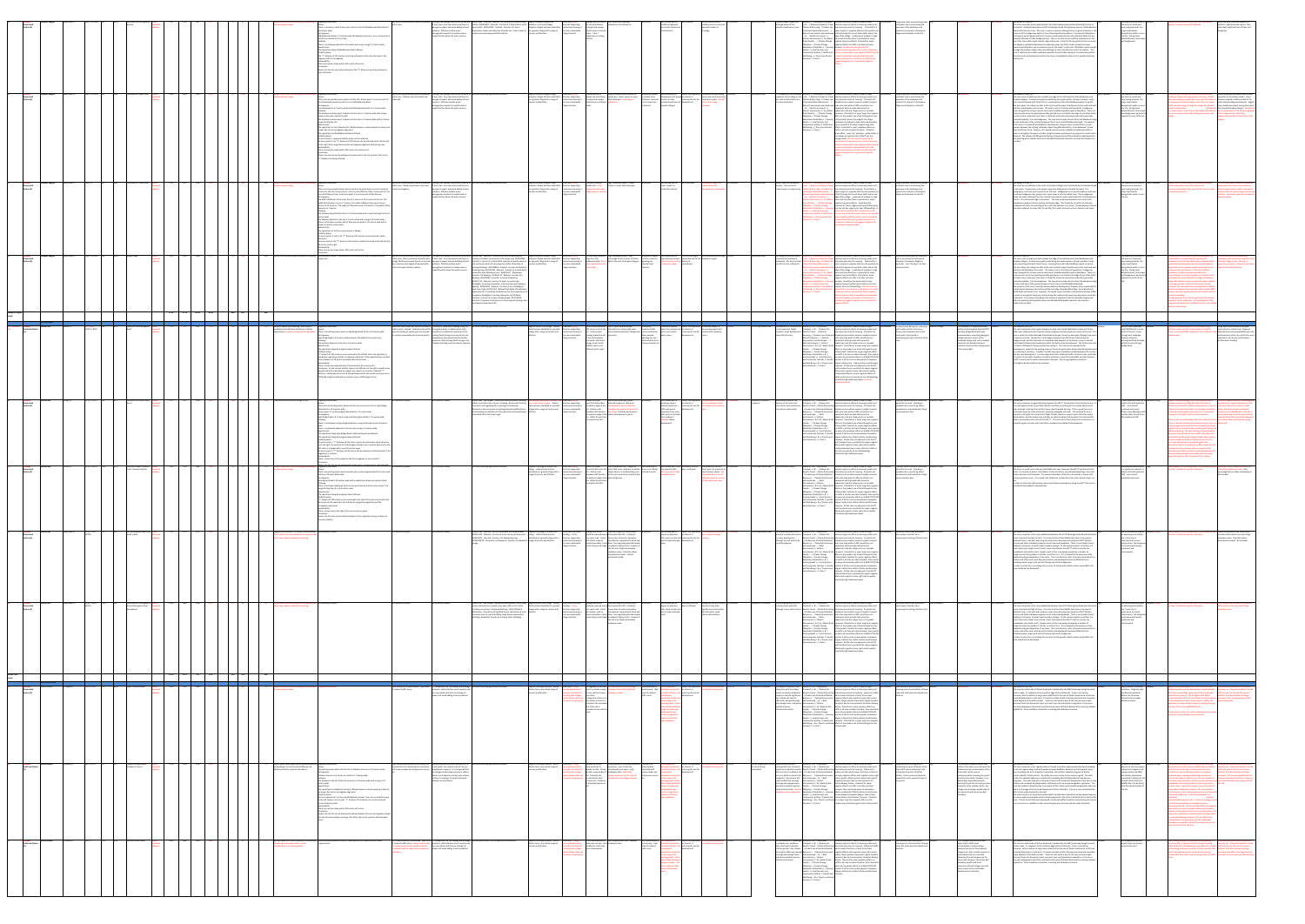|                           |                                                                                                                                                                                                                                                                                                                                                                                                                 | Highway Observation:                                                                                                                                                                                                                                                                                                                                                                             |                                                                                                                                                                                                                                                                                                                                                                                                                                                                                                                                                                                                                                                                                                                                                                                                                                                                                                                                                                                                  | May be site contamination linked to previous  Drainage and sewage systems are limited and  W/99/0960 - Granted - Erection of a stable and a haybarn/field  Edge of Hampton Magna and Green Belt. Policy Appropriate site acces                                                                                                                                                                                                                                                                                                                                                                                                                                                                                                                                                                                                                                                                                                                                                                                                                                                                                                                                                                                                                                                                                                                                                                                                                                                                                                                                                                                                                                                                                                                                                                                                                                                       |                                                                                                                                                                                                                                                                                                                                                                                                                                                                                                                                                                                                                                                                                                                                                                                                                                                                                                                       | Not achievable due to Not assessed.<br>Not suitable due to Not assessed                                                                                                                                                                                                                                                                                                                                                                                                                                                                                                |                                 | Potential lower impact site Economy ? / Sustainable Transport Potential allocation is likely to lead to major Not assessed Large Green Belt area which provides                                                                                                                                                                                                                                                                                                                                                                                                                                                                                                                                                                                                                                                                                                                                                                                                                                                                                                                                                                                                                                                                                                                                                                                                                                                                                                                                                                                                                                                                                                                                                                                                                                                                     |                                                                                                                                                                                                           |                                                                                                                                                                                                                                                                                                                                                                                                                                                     | ies within LCP HM_01.                                                                                                                                                                                                                                                                                                                                                                                                                                                                                                                                                                                                                                                                                                                                                                                                                                                                                                                                                                                                                                                                                                                                                                                                                                                                                                                                                                                                                                                                                                                                                                                                                                   | The majority of the fields in Mediu                                                                                                                                                                                                                                                  | bact of discounted sites has not been considered Small site with insufficient access for                                                                                                                                                                                                                                                                                                                                                                                                                                                                                                                                                                                                                                                                                                                                                                                                                                                                                                                                                                                                                                                                                                                                                                                                                                                                                                                                                                                                                                                                                   |
|---------------------------|-----------------------------------------------------------------------------------------------------------------------------------------------------------------------------------------------------------------------------------------------------------------------------------------------------------------------------------------------------------------------------------------------------------------|--------------------------------------------------------------------------------------------------------------------------------------------------------------------------------------------------------------------------------------------------------------------------------------------------------------------------------------------------------------------------------------------------|--------------------------------------------------------------------------------------------------------------------------------------------------------------------------------------------------------------------------------------------------------------------------------------------------------------------------------------------------------------------------------------------------------------------------------------------------------------------------------------------------------------------------------------------------------------------------------------------------------------------------------------------------------------------------------------------------------------------------------------------------------------------------------------------------------------------------------------------------------------------------------------------------------------------------------------------------------------------------------------------------|--------------------------------------------------------------------------------------------------------------------------------------------------------------------------------------------------------------------------------------------------------------------------------------------------------------------------------------------------------------------------------------------------------------------------------------------------------------------------------------------------------------------------------------------------------------------------------------------------------------------------------------------------------------------------------------------------------------------------------------------------------------------------------------------------------------------------------------------------------------------------------------------------------------------------------------------------------------------------------------------------------------------------------------------------------------------------------------------------------------------------------------------------------------------------------------------------------------------------------------------------------------------------------------------------------------------------------------------------------------------------------------------------------------------------------------------------------------------------------------------------------------------------------------------------------------------------------------------------------------------------------------------------------------------------------------------------------------------------------------------------------------------------------------------------------------------------------------------------------------------------------------|-----------------------------------------------------------------------------------------------------------------------------------------------------------------------------------------------------------------------------------------------------------------------------------------------------------------------------------------------------------------------------------------------------------------------------------------------------------------------------------------------------------------------------------------------------------------------------------------------------------------------------------------------------------------------------------------------------------------------------------------------------------------------------------------------------------------------------------------------------------------------------------------------------------------------|------------------------------------------------------------------------------------------------------------------------------------------------------------------------------------------------------------------------------------------------------------------------------------------------------------------------------------------------------------------------------------------------------------------------------------------------------------------------------------------------------------------------------------------------------------------------|---------------------------------|-------------------------------------------------------------------------------------------------------------------------------------------------------------------------------------------------------------------------------------------------------------------------------------------------------------------------------------------------------------------------------------------------------------------------------------------------------------------------------------------------------------------------------------------------------------------------------------------------------------------------------------------------------------------------------------------------------------------------------------------------------------------------------------------------------------------------------------------------------------------------------------------------------------------------------------------------------------------------------------------------------------------------------------------------------------------------------------------------------------------------------------------------------------------------------------------------------------------------------------------------------------------------------------------------------------------------------------------------------------------------------------------------------------------------------------------------------------------------------------------------------------------------------------------------------------------------------------------------------------------------------------------------------------------------------------------------------------------------------------------------------------------------------------------------------------------------------------|-----------------------------------------------------------------------------------------------------------------------------------------------------------------------------------------------------------|-----------------------------------------------------------------------------------------------------------------------------------------------------------------------------------------------------------------------------------------------------------------------------------------------------------------------------------------------------------------------------------------------------------------------------------------------------|---------------------------------------------------------------------------------------------------------------------------------------------------------------------------------------------------------------------------------------------------------------------------------------------------------------------------------------------------------------------------------------------------------------------------------------------------------------------------------------------------------------------------------------------------------------------------------------------------------------------------------------------------------------------------------------------------------------------------------------------------------------------------------------------------------------------------------------------------------------------------------------------------------------------------------------------------------------------------------------------------------------------------------------------------------------------------------------------------------------------------------------------------------------------------------------------------------------------------------------------------------------------------------------------------------------------------------------------------------------------------------------------------------------------------------------------------------------------------------------------------------------------------------------------------------------------------------------------------------------------------------------------------------|--------------------------------------------------------------------------------------------------------------------------------------------------------------------------------------------------------------------------------------------------------------------------------------|----------------------------------------------------------------------------------------------------------------------------------------------------------------------------------------------------------------------------------------------------------------------------------------------------------------------------------------------------------------------------------------------------------------------------------------------------------------------------------------------------------------------------------------------------------------------------------------------------------------------------------------------------------------------------------------------------------------------------------------------------------------------------------------------------------------------------------------------------------------------------------------------------------------------------------------------------------------------------------------------------------------------------------------------------------------------------------------------------------------------------------------------------------------------------------------------------------------------------------------------------------------------------------------------------------------------------------------------------------------------------------------------------------------------------------------------------------------------------------------------------------------------------------------------------------------------------|
|                           |                                                                                                                                                                                                                                                                                                                                                                                                                 | e development edge.<br>metres wide.<br>Carriageway:<br>only fit one vehicle on it at a time.<br>The speed limit along Old Budbrooke Road is 40mph.<br>/isibility Splays:<br>alignment of the carriageway.<br>There are two bus stops within 250 metres of the site.<br>Conclusion:<br>ther direction.                                                                                            | There is currently a small access point into the site on Old Budbrooke Road which is<br>Old Budbrooke Road is 7.2 metres wide. Montgomery Avenue is very narrow and can<br>There is no footway adjacent to the access point only a verge 1.7 metres wide.<br>The "Y" distance of 120 metres cannot be achieved in either direction due to the<br>Access into the site cannot be achieved as the "Y" distance cannot be achieved in                                                                                                                                                                                                                                                                                                                                                                                                                                                                                                                                                               | of their time. Any new scheme will have to shelter. W/00/0601 - Granted - Erection of 2 field shelters and 2 Hampton on the Hill villages. direction supporting can not be achieved. coalescence of settlements<br>manage its impact and avoid adding to local new stables. W/04/0910 - Granted - Erection of a horse Hampton Magna has been identified limited new housing in Drainage and sewage<br>problems. Effective surface water<br>box/tractor shelter and retention of stable nos. 4 and 5 (built to as a growth village with a range of the more sustainable infrastructure is limited<br>management essential to avoid knock on replace previously approved field shelter).<br>impacts further down the water courses.                                                                                                                                                                                                                                                                                                                                                                                                                                                                                                                                                                                                                                                                                                                                                                                                                                                                                                                                                                                                                                                                                                                                                    | services and facilities. The same village locations. The locally. Trees /<br>hedgerows are strong                                                                                                                                                                                                                                                                                                                                                                                                                                                                                                                                                                                                                                                                                                                                                                                                                     | insufficent highways<br>insufficient site access and<br>access and coalescence<br>potential impact on<br>of settlements<br>frontage.                                                                                                                                                                                                                                                                                                                                                                                                                                   |                                 | although aware of the $++$ & $-$ / Reduce the Need to Travel positive long-term effects on housing needs as all<br>potential coalescence issue. / Waste & Recycling - / Prudent use sites make provision for housing. Potential for a<br>of land and Natural Resources - - / major long-term negative effect on the prudent use<br>Natural Environment and Landscape of land through the loss of Green Belt Land on the<br>$-8 - 8$ - / Built Environment + / edge of the village. Landscape of medium to high<br>Historic Environment ? / Air, Water value and therefore there is potential for major<br>& Soil Quality - - / Climate Change negative long term effects. Potential for major<br>Mitigation - / Climate Change   negative effects on traffic is all sites are taken<br>Adaptation (Flood Risk) = / Housing   forward. All sites have the potential for<br>Needs ++ / Local Services and contaminants to be present as a result of previous<br>Community Facilities ?/ Health and military use (possible major negative effects) and<br>Well Being + +/ Poverty and Social a result it would be recommended that a land<br>suggest mitigation for any potential negative                                                                                                                                                                                                                                                                                                                                                                                                                                                                                                                                                                                                                                             | a valuable role in maintaining the<br>openness of the landscape and<br>protects the character of Hampton<br>Magna and Hampton on the Hill.                                                                |                                                                                                                                                                                                                                                                                                                                                                                                                                                     | This zone comprises a sub-regular pattern of small/medium scale pastoral farmland that lies to<br>he back of residential development off the Hampton Road, Montgomery Avenue, Old Budbrooke<br>Road and Chichester Lane. The zone is rural in character although there is a general decline in the<br>structure of the hedgerows with the rise of fenced garden boundaries. The internal field pattern<br>has become quite fragmented but its remnant wind swept sections and individual field trees are<br>oossibly indicative of older hedgerow lines. There is a series of non-uniform mounds across the<br>[op of the zone which might indicate ridge and furrow. From this hill top position there are views<br>into adjacent residential development, adjoining zones, the A46 corridor and distant views<br>owards Leek Wootton and an extensive area to the south / south-east. PRoW 85 crosses straight<br>through the southern edge of the zone although its route has become unclear to walkers. This<br>cone is indicative of an older landscape, possibly Ancient Arden, owing to its small scale pastoral<br>character and any development within the zone or immediately adjacent to it would completely                                                                                                                                                                                                                                                                                                                                                                                                                                 | the area are arable and<br>improved grasslands. No<br>major local habitat<br>designations within or near<br>the site. Strong linear<br>habitat features (treescapes<br>and hedgerows).                                                                                               | equally. Limited site specific feedback.<br>vehicles. High landscape impact. Also<br>potentially significant loss of trees and                                                                                                                                                                                                                                                                                                                                                                                                                                                                                                                                                                                                                                                                                                                                                                                                                                                                                                                                                                                                                                                                                                                                                                                                                                                                                                                                                                                                                                             |
|                           | VHOSBC Hampton Magna Budbrooke PC HM4*O/R144 R94 HM1 Land west of Stanks Farm SHLAA 3.88 3.88 2.60 2.91 87 116 87 116 80 Requires sufficient site screening and                                                                                                                                                                                                                                                 | Highway Observation:<br>the development edge.<br>Carriageway:<br>erge on the other side of the wall.<br>verge fronting the site.<br>Speed Limits:<br>slower due to the carriageway alignment.<br>The speed limit on Old Budbrooke Road is 40mph.<br>visibility Splays:<br>At access point 1, required visibility splays can be achieved.<br>ıstainability:<br>" distance not being attained.     | There are two possible access points into the site. Access point 1 is on the north of addressed.<br>Arras Boulevard and access point 2 is on Old Budbrooke Road.<br>Arras Boulevard is 6.7 metres wide and Old Budbrooke Road is 5.7 metres wide.<br>The footway at access point 1 adjacent to the site is 2.1 metres wide with a large<br>ne footway at access point 2 adjacent to the site is 2.6 metres wide with a 2 metre<br>The speed limit on Arras Boulevard is 30mph however; vehicle speeds are likely to b<br>At access point 2, the "Y" distance of 120 metres can be achieved to the left but not<br>to the right due to vegetation and the carriageway alignment obstructing view.<br>There are two bus stops within 200 metres of access point 1.<br>Access into the site can be achieved at access point 1 but not at point 2 due to the                                                                                                                                         | Aay be site contamination linked to previous Drainage and sewage systems are limited and No recent planning applications detailed.<br>military use. Railway noise will need to be of their time. Any new scheme will have to<br>manage its impact and avoid adding to local<br>problems. Effective surface water<br>services and facilities.<br>management essential to avoid knock on<br>impacts further down the water courses.                                                                                                                                                                                                                                                                                                                                                                                                                                                                                                                                                                                                                                                                                                                                                                                                                                                                                                                                                                                                                                                                                                                                                                                                                                                                                                                                                                                                                                                    | Hampton Magna has been identified direction supporting railway line and station. Settlement. Major impact on open to suitable noise development but would an interest in noise issues and minimising<br>as a growth village with a range of limited new housing in Drainage and sewage field landscape on the edge of alleviation conected result in a major releasing the site for landscape impact. Not par<br>the more sustainable infrastructure is limited settlement.<br>village locations. Jocally.                                                                                                                                                                                                                                                                                                                                                                                                            | Edge of Hampton Magna village. Green Belt. Policy Close proximity to Major eastwards extension of the Satisfactory subject Some potential for Owner has expressed Achievable to overcoming 2014/2019<br>to the railway line eastwards extension of development. of the inset village<br>and station. Hampton Magna<br>envelope.                                                                                                                                                                                                                                        | Agricultural land.              | PC is opposed to an eastwards Economy ? / Sustainable Transport Potential allocation is likely to lead to major Not assessed<br>expansion of the village as this ++ & - -/ Reduce the Need to Travel - positive long-term effects on housing needs as all<br>was seen as disconnected to / Waste & Recycling - / Prudent use sites make provision for housing. Potential site<br>the main settlement. of land and Natural Resources -- / allocation has excellent access to public transport<br>Natural Environment and Landscape with a bus stop within 0-400 m and there are<br>- & - / Built Environment + / pavements which provide safe access for<br>Historic Environment ? / Air, Water pedestrians into the village centre or to public<br>& Soil Quality - - / Climate Change   transport. Potential for a major long-term negative<br>Mitigation - / Climate Change effect on the prudent use of land through the loss<br>Adaptation (Flood Risk) = $/$ Housing of Green Belt Land on the edge of the village.<br>Needs ++ / Local Services and Landscape of medium to high value and therefore<br>Community Facilities ?/ Health and there is potential for major negative long term<br>Well Being + +/ Poverty and Social effects. Potential for major negatove effects on<br>traffic is all sites are taken forward. Potential<br>Exclusion + / Crime ?<br>major effect - noise / air pollution - within 100m of<br>he railway line and less than 200m from the<br>sewage works. All sites have the potential for<br>contaminants to be present as a result of prev<br>nilitary use (possible major negative effects) a<br>a result it would be recommended that a land<br>juality assessment is carried out to identify ar<br>suggest mitigation for any potential negative                                           | Large Green Belt area which provides<br>a valuable role in maintaining the<br>openness of the landscape and<br>protects the character of Hampton<br>Magna and Hampton on the Hill.                        |                                                                                                                                                                                                                                                                                                                                                                                                                                                     | es within LCP HM 04.<br>igh / Medium<br>This zone covers a wide area and includes the edge of the settlements of both Budbrooke and<br>Hampton Magna. It comprises a gently undulating sub-regular pattern of open medium / large<br>scale mixed farmland with Church Farm, a working farm and Listed Building towards its centre.<br>The zone abuts the railway corridor to the north and the edge of settlement to the south and east<br>and the road Woodway to the west. The land is rural in character with good tree / hedgerow<br>cover alongside the stream courses and a small roadside wooded copse on Woodway. There is a<br>small area of recent tree planting (possibly planted as an orchard) to the edge of one of the fields<br>on Church Lane, otherwise tree cover is limited to scattered overmature oaks within generally<br>rimmed roadside / internal hedgerows. The zone also includes the site of the old Medieval village:<br>to the north-east of the junction between Church Lane and Old Budbrooke Road). The majority<br>of this zone is considered unsuitable for development, however there is potential for a small<br>amount between the existing settlement edge along Blandford Way / Arras Boulevard / Gould<br>Road and Stanks Farm. However, this would need to include a substantial landscape buffer in<br>order to strengthen the green corridor along the railway and prevent any physical or visual link to<br>Warwick. The railway and A46 give the feeling of separation and this should be heightened with<br>ree planting which would enhance the Wooded Estatelands character and maintain biodiversity | The majority of the fields in Medi<br>the area are arable and<br>improved grasslands. No<br>major local habitat<br>designations within or near<br>the site. Strong linear<br>habitat features (treescapes<br>and hedgerows), particularly<br>towards the rear of the site.           | lose to the main settlement and would have low Some sustainability benefits due to close<br>landscape impact with appropriate screening. Would proximity to the railway station. Site is<br>ces. however viewed as disconnected to the<br>ave low ecological impact due to previous dist<br>A natural permanent boundary exists. Close to railway.   main Hampton Magna settlement. Slightly<br>Traffic would not pass through the village. Residential   lower landscape impact scoring than many<br>impact would be low. The same would lead sites around Hampton Magna. Would lead<br>to a major eastern extension to the village and urbanise to an urbanisation of the northern gateway<br>the current open countryside landscape setting to the to the village and provides little<br>nerative benefits to the centre of the                                                                                                                                                                                                                                                                                                                                                                                                                                                                                                                                                                                                                                                                                                                                         |
|                           | VHOSBC Hampton Magna Budbrooke PC HMS*O R97 HM1 Land south of Lloyd Close SHLAA 5.32 5.32 3.56 3.99 160 160 160 Requires sufficient site screening and softening                                                                                                                                                                                                                                                | ng of Highway Observation<br>:velopment edge.<br>Avenue is 6.7 metres.<br>erge 1.6 metres to the south.<br>beed Limits:<br>The speed limit at all three access points is 30mph.<br>/isibility Splays:<br>metres to the right.<br>Sustainability:<br>There are two bus stops within 200 metres of the site.                                                                                       | There are three possible access points into the site which have no current existing further investigation.<br>access into the site. Access point 1 is at the end of Minster Close; access point 2 is at<br>the end of Mayne Close; and access point 3 is on the south of Daly Avenue.<br>The width of Minster Close varies from 4.7 metres to 12.1 metres at the site. The<br>width of Chichester Lane is 5.7 metres. The width of Mayne Close varies from 5<br>metres to 15.5 metres. The width of Chichester Lane is 5.8 metres. The width of Daly<br>The footway along Minster Close is 1.8 metres wide with a verge fronting the site 4.<br>The footway adjacent to the site is 1 metre wide with a verge 2.3 metres wide.<br>There is a footway on either side of Daly Avenue which is 1.8 metres wide with a<br>At access points 1 and 2, the "Y" distance of 43 metres can be achieved in both<br>At access point 3, the "Y" distance of 43 metres could be achieved to the left but only | May be site contamination linked to previous Drainage and sewage systems are limited and No recent planning applications detailed.<br>military use. Nearby watertower may need of their time. Any new scheme will have to<br>manage its impact and avoid adding to local<br>problems. Effective surface water<br>services and facilities.<br>management essential to avoid knock on<br>npacts further down the water courses.                                                                                                                                                                                                                                                                                                                                                                                                                                                                                                                                                                                                                                                                                                                                                                                                                                                                                                                                                                                                                                                                                                                                                                                                                                                                                                                                                                                                                                                        | Hampton Magna has been identified direction supporting problematic. Little impact on open field landscape.<br>as a growth village with a range of limited new housing in relationship with main<br>the more sustainable village services / facilities<br>village locations.                                                                                                                                                                                                                                                                                                                                                                                                                                                                                                                                                                                                                                           | major impact on<br>indicated that the<br>residential amenity.<br>velopment in achievabl                                                                                                                                                                                                                                                                                                                                                                                                                                                                                |                                 | Edge of Hampton Magna village. Green Belt. Policy Site levels could be High residential impact. Major Satisfactory Not suitable due to Not confirmed Landowner's agent has Not assessed. Agricultural land. Major impact on re<br>amenity. The site levels $++\&-$ / Reduce the Need to Travel - positive long-term effects on housing needs as all<br>require major re-engineering. / Waste & Recycling - / Prudent use sites make provision for housing. Potential for a<br>and and Natural Resources -- / major long-term negative effect on the prudent use<br>scape of land through the loss of Green Belt Land on the<br>tural Environment and Lands<br>$-8 -$ / Built Environment + / edge of the village. Landscape of medium to high<br>toric Environment ? / Air, Water value and therefore there is potential for major<br>Soil Quality - - / Climate Change   negative long term effects. Could have the<br>Mitigation - / Climate Change   potential for major negative transport effects given<br>daptation (Flood Risk) = / Housing that the site has capacity for over 100 dwellings. All<br>eeds ++ / Local Services and sites have the potential for contaminants to be<br>ommunity Facilities ?/ Health and present as a result of previous military use (possib<br>/ell Being + +/ Poverty and Social major negative effects) and as a result it would be<br>cclusion + / Crime ?<br>recommended that a land quality assessment is<br>rried out to identify and suggest mitigation f<br>any potential negative effects.                                                                                                                                                                                                                                                                                         | a valuable role in maintaining the<br>openness of the landscape and<br>protects the character of Hampton<br>Magna and Hampton on the Hill.                                                                | Not assessed                                                                                                                                                                                                                                                                                                                                                                                                                                        | Lies within LCP HM 07.<br>zone lies immediately to the south of Hampton Magna and is bordered by the Hampton Road<br>to the south. It comprises a sub-regular large scale field pattern of arable farmland. The<br>opography rises from east to west across the zone. Hedgerows are in mixed condition, with only<br>ccasional hedgerow oaks, giving rise to open views across the whole zone. These hedgerows<br>rame the views, although there are limited more distant views towards Warwick and Sherbourne<br>Church. The settlement edge is prominent. The zone could accommodate some small scale<br>development adjacent to the existing settlement edge. This should be set within a landscape<br>ramework of native tree planting to tie in with the adjacent rural zones. No development should<br>cake place adjacent to zones HM_01 and HM_02 in order to preserve their character and views.                                                                                                                                                                                                                                                                                                                                                                                                                                                                                                                                                                                                                                                                                                                                               | High / Medium<br>the area are arable and<br>improved grasslands. No<br>major local habitat<br>designations within or near                                                                                                                                                            | The majority of the fields in Low to Medium<br>The majority of the fields in Low to Medium<br>The majority of the fields in Low to Medium<br>cess and would round of the settlement.<br>access points but does not provide any<br>Concerns raised about the impact of the site on nearby physical regenerative impact, being quite<br>residential properties.<br>eparate from the main village services and<br>facilities. Potentially significant residential<br>menity impact.                                                                                                                                                                                                                                                                                                                                                                                                                                                                                                                                                                                                                                                                                                                                                                                                                                                                                                                                                                                                                                                                                           |
|                           | 27.81 27.74 18.59 20.94 628 837 565                                                                                                                                                                                                                                                                                                                                                                             |                                                                                                                                                                                                                                                                                                                                                                                                  |                                                                                                                                                                                                                                                                                                                                                                                                                                                                                                                                                                                                                                                                                                                                                                                                                                                                                                                                                                                                  | PHONORG Hampton Magna Budbrooke PC HMA Maple Lodge SHLAA 5.53 5.46 3.66 4.10 123 164 4.10 123 164 1.10 123 164 1.10 123 164 1.10 123 164 1.10 123 164 1.10 199/1465- Refused in Review SHLAA 1.10 123 164 1.10 169/199/1<br>military use. Due to particular activitites and of their time. Any new scheme will have to erection of stables, construction of dressage area. W/00/0946 Hampton Magna has been identified direction supporting away from Old<br>storage facilities previously found on the land manage its impact and avoid adding to local Granted - Erection of a stable block, location of mobile home on as a growth village with a range of limited new housing in Budbro<br>there may be some degree of lead pollution, problems. Effective surface water site and construction of a dressage area (after demolition of services and facilities.<br>which will require further analysis.<br>management essential to avoid knock on existing buildings). W/01/0893 - Granted - Erection of detached<br>impacts fuurther down the water courses. double garage. W/03/0332 - Refused - Erection of a stable block<br>and access onto Woodway Lane. W/03/0477 - Withdrawn -<br>Erection of a dwelling. W/03/1212 - Refused - Erection of a<br>dwelling. W/04/0099 - Granted - Erection of dwelling.<br>W/04/1511 - Refused - Erection of eight, six metre high<br>floodlights to existing all weather arena and low level walkwa<br>lighting. W/06/0025 - Refused - Erection of no. 6 floodlights,<br>each 4mtrs high. W/07/1967 - Refused Certificate of Lawfulness<br>Application for a certificate of lawfulness for the proposed us<br>temporary floodlights in existing riding area. W/12/0661 -<br>Granted - erection of a single storage garage. W/12/0626 -<br>Granted - Extension to the house to create separate dining roor<br>and separate downstairs WC. | the more sustainable quite seperate from the<br>village locations. main village.                                                                                                                                                                                                                                                                                                                                                                                                                                                                                                                                                                                                                                                                                                                                                                                                                                      | potential lead to the main village. immediately.                                                                                                                                                                                                                                                                                                                                                                                                                                                                                                                       | Agricultural land.              | Not supportive of any option Economy ? / Sustainable Trans<br>rt Potential allocation is likely to lead to major Not assessed<br>to expand the settlement $++\&-$ / Reduce the Need to Travel - positive long-term effects on housing needs as all<br>westwards. Site does not feel / Waste & Recycling - / Prudent use sites make provision for housing. Potential for a<br>part of the main settlement. of land and Natural Resources -- / major long-term negative effect on the prudent use<br>tural Environment and Landscape of land through the loss of Green Belt Land on the<br>$-8 -$ / Built Environment + / edge of the village. Landscape of medium to high<br>istoric Environment ? / Air, Water value and therefore there is potential for major<br>Soil Quality - - / Climate Change   negative long term effects. Potential for major<br>litigation - / Climate Change negative effects on traffic is all sites are taken<br>aptation (Flood Risk) = / Housing forward. Could have the potential for major<br>eeds ++ / Local Services and negative transport effects given that the site has<br>ommunity Facilities ?/ Health and capacity for over 100 dwellings. All sites have the<br>/ell Being + +/ Poverty and Social potential for contaminants to be present as a<br>cclusion + / Crime ?<br>of previous military use (possible major negative<br>fects) and as a result it would be recommend<br>at a land quality assessment is carried out to<br>identify and suggest mitigation for any potentia<br>egative effects.                                                                                                                                                                                                                                                                                  | Green Belt parcel plays an important   P<br>role in preserving the setting and<br>character of Hampton Magna in<br>particular. Less 'strategic' role than<br>eastern parcels.                             |                                                                                                                                                                                                                                                                                                                                                                                                                                                     | Part of LCP HM 04.<br>This zone covers a wide area and includes the edge of the settlements of both Budbrooke and<br>Hampton Magna. It comprises a gently undulating sub-regular pattern of open medium / large<br>scale mixed farmland with Church Farm, a working farm and Listed Building towards its centre.<br>The zone abuts the railway corridor to the north and the edge of settlement to the south and east<br>and the road Woodway to the west. The land is rural in character with good tree / hedgerow<br>cover alongside the stream courses and a small roadside wooded copse on Woodway. There is a<br>nall area of recent tree planting (possibly planted as an orchard) to the edge of one of the fields<br>on Church Lane, otherwise tree cover is limited to scattered overmature oaks within generally<br>rimmed roadside / internal hedgerows. The zone also includes the site of the old Medieval village:<br>to the north-east of the junction between Church Lane and Old Budbrooke Road).<br>The majority of this zone is considered unsuitable for development, however there is potential for<br>small amount between the existing settlement edge along Blandford Way / Arras Boulevard /<br>ould Road and Stanks Farm. However, this would need to include a substantial landscape buff<br>in order to strengthen the green corridor along the railway and prevent any physical or visual link<br>to Warwick. The railway and A46 give the feeling of separation and this should be heightened<br>with tree planting which would enhance the Wooded Estatelands character and maintain<br>piodiversity corridors.          | The majority of the fields in Mediun<br>the area are arable and<br>mproved grasslands. No<br>major local habitat<br>designations within or near<br>the site. Strong linear<br>habitat features (treescapes<br>and hedgerows), particularly<br>towards the south of the               | mprises of land which is partially developed. The<br>s site falls within an area of high<br>land could be removed without impacting the<br>landscape value and is quite separate from<br>undamental aim of Green Belt policy. It would protect the main village centre. The area is<br>pricultural land elsewhere and remove the highway generally very open in character and scores<br>depot which has a negative visual impact and creates high for Green Belt function.<br>numerous lorry movements. It has clear defined<br>boundaries. Traffic movements would not be<br>concentrated in one area. Hampton-on-the-Hill could<br>potentially be connected with the village of Hampto<br>Magna. Would have minimal residential impact. Natur<br>screening is present. Good and safe access can be<br>achieved. The site conforms to existing policies (LDF,<br>ural Area policies) Low landscape impact despite WI<br>primarily discounting the option for its location with<br>sensitive landscape.<br>Strong opposition from the PC opposed to the weste<br>expansion of the settlement. Site would deliver little<br>egenerative impact and is isolated from the main \<br>acilities and services.                                                                                                                                                                                                                                                                                                                                                                   |
|                           | Land north of Birmingham SHLAA                                                                                                                                                                                                                                                                                                                                                                                  | Requires substantial buffering from ancient Highway Observation:<br>woodland and sufficicent attention to habitat<br>eplacement, as well as strong eastern boun<br>The footway adjacent to the site is 2.5 metres wide.<br>The speed limit along Birmingham Road is 40mph<br>isibility Splays:<br>en a distance of 70 metres could possibly be achieved.                                         | There is an existing access point on Ugly Bridge Road which is 24 metres wide.<br>Ugly Bridge Road is 6.5 metres wide however, the width of the road varies.<br>"Y" distance of 120 metres can be achieved to the left but not to the right due to<br>overgrown vegetation and the carriageway alignment. If the vegetation was cut back<br>There is a bus stop approximately 10 metres from the access point<br>Conclusion: As the current visibility splay is not sufficient to the right a speed surve<br>would need to be submitted to support any request to consider a reduced "Y"<br>distance. Ideally due to the size of the development the site needs a primary acces<br>off the Birmingham Road and a secondary access off Ebrington Drive.                                                                                                                                                                                                                                           | oderate traffic levels but not on the scale of Potential for substantial flooding along the No recent planning applications detailed.<br>A46 for noise / volume. Desktop study will be Birmingham Road. Problems potentially<br>required relating to nearby previous hospital caused by the ineffective operation of the<br>use (mainly associated with chemical waste). exisiting flood storage area next to this site.<br>Development may necessitate the further<br>expansion of the existing flood storage area.<br>Detailed hydrology and site analysis required.                                                                                                                                                                                                                                                                                                                                                                                                                                                                                                                                                                                                                                                                                                                                                                                                                                                                                                                                                                                                                                                                                                                                                                                                                                                                                                               | dge of Hatton Park village. Hatton Green Belt. Policy Smiths Covert potential Loss of open field landscape. Satisfactory Potentially suitable Owner has expressed Achievable subject to 2014/19<br>Park has been identified as a growth direction supporting LWS to the north of the Potential loss of some high value moderate traffic subject to resolving site an interest in overcoming access and<br>village with a range of services and limited new housing in site. Surface water linear landscape features (hedgerows levels and desk top access and surface releasing the site for surface water flooding<br>the more sustainable flooding towards south primarily).<br>village locations. of the site boundary<br>associated with flood<br>storage issues locally.<br>Visibility splay is not<br>sufficient to the right.                                                                                  | study required water issues. More development. Issues.<br>regarding any site<br>contamination from<br>previous hospital use.                                                                                                                                                                                                                                                                                                                                                                                                                                           |                                 | Loss of agricultural land. Development of the whole site Economy = & ? / Sustainable Potential allocation is likely to lead to major Not assessed A mixed Green Belt parcel in keeping Medium to High<br>is not supported. Might $\blacksquare$ Transport ++ & - - / Reduce the positive long-term effects on housing needs as all<br>consider a small development Need to Travel - - / Waste & sites make provision for housing. Potential site<br>option (20-30 units). Recycling - / Prudent use of land and allocation has excellent access to public transport<br>Natural Resources - - / Natural with a bus stop within 0-400 m and there are<br>nvironment and Landscape - - / pavements which provide safe access for<br>Built Environment + / Historic pedestrians into the village centre or to public<br>Environment - &? / Air, Water & Soil transport. Potential for a major long-term negative<br>Quality - - / Climate Change effect on the prudent use of land through the loss<br>Mitigation - / Climate Change of Green Belt. Potential for major negative effects<br>Adaptation (Flood Risk) = $\&$ - / on traffic if all sites are taken forward. Also need to<br>Housing Needs ++ / Local Services be aware of cumulative effects on A46/A4177/A425<br>mmunity Facilities ? / Health junction if all the sites are developed in Hampton<br>and Well Being + & =/ Poverty and Magna, Hatton Park, Hatton Station and Shrewley<br>Social Exclusion + / Crime ? Common. All the sites are adjacent to the A4177<br>and therefore there is potential for major negative<br>effects with regard to noise, light and air quality.<br>Could potentially be a major negative effects on<br>traffic as the site has capacity for over 90 dwellings<br>Potentially high landscape impact. Potential<br>ontaminated site. | with similar parcels in the area -<br>strong environmental value to the<br>north with a role played in<br>maintaining the open character of the                                                           | The sub-parcel is largely contained Me<br>within the Birmingham Road (A4177)<br>and Ugly Bridge Road and could<br>accommodate a sensitively designed<br>village extension as part of the<br>proposed village inset, with a modest<br>impact on the fundamental aim,<br>essential characteristics and purposes<br>of the Green Belt.                                                                                                                 | vithin LCP HP 03.<br>is zone comprises a sub-regular medium to large scale mixed field pattern and is part of the<br>ider open landscape with its gently rolling topography allowing extensive views to the east. The<br>ne is within the Arden Wooded Estatelands landscape, formerly a deer park although tree cover<br>s now very limited. The decline in the hedgerow pattern has left thinly scattered mature<br>edgerow oaks and the remnants of a wooded copse adjacent to the former access to the old<br>ing Edward VII Memorial Sanatorium within the Hatton Park development. This former drive has<br>a number of diseased / dying chestnut trees along it. This site may be appropriate for<br>development, subject to the existing avenue of trees along this drive being retained and enhanced<br>y replanting if necessary. A buffer of public open space should be retained between this avenue<br>and any new development. It is also imperative that a landscape buffer of native trees, preferably<br>the extent of one field, should be created to maintain a visual link and wildlife corridor between<br>mith's Covert and the wider countryside to the east. The strong vegetation along the<br>Birmingham Road should also be retained.                                                                                                                                                                                                                                                                                                                                                                                        | hs Covert potential Medium<br>ocal Wildlife Site is to the<br>north of the site. Some<br>strong linear landscape<br>features along the<br>Birmingham Road frontage,<br>within the site and Ugly<br>Bridge Road.                                                                      | osition to development of the site due to light Large open field site which has good<br>pollution, water run-off, close proximity to Smith's connectivity to Hatton Park. Requires<br>Covert, increased traffic congestion, and insufficient<br>ocal substantial environmental buffering to the<br>north and east of the site and further work<br>infrastructure.<br>required on site access and localised<br>urface water flooding.                                                                                                                                                                                                                                                                                                                                                                                                                                                                                                                                                                                                                                                                                                                                                                                                                                                                                                                                                                                                                                                                                                                                       |
| <b>VHOSRC</b> Hatton Park | Hatton PC HP1*O/R117 R99 HP1 Land north of Grand Union SHLAA 4.72 4.72 3.16 3.54 106 142 100 Indicative block structures design on file.                                                                                                                                                                                                                                                                        | Highway Observation:<br>Road which is 13.4 metres wide.<br>The speed limit along Birmingham Road is 40mph.<br>ibility Splays:<br>eft, there is a bridge with a crest 20 metres away.<br>regetation is cut back.<br>Sustainability:                                                                                                                                                               | There are two existing access points into the site. Access point 1is on Ugly Bridge<br>Access point 2 is on Birmingham Road which is 17 metres wide.<br>Jgly Bridge Road is 4.7 metres wide and Birmingham Road is 7.4 metres wide.<br>There is no footway on Ugly Bridge Road only a verge fronting the site 3.9 metres<br>There is no footway adjacent to the site only a verge 2.2 metres wide.<br>The speed limit along Ugly Bridge Road is National Speed Limit 60mph.<br>At access point 1, "Y" distance of 215 metres cannot be achieved in either direction<br>as to the right, the junction on to Birmingham Road is only 5 metres away and to the<br>At access point 2, "Y" distance of 120 metres can be achieved in both directions if th<br>There is a bus stop on the opposite side of carriageway to access point 2.                                                                                                                                                              | lot assessed in detail.<br>Not assessed in detail.<br>and workshops to lettable units for pub/restaurant/workshops/ facilities.<br>associated office and retail usage.                                                                                                                                                                                                                                                                                                                                                                                                                                                                                                                                                                                                                                                                                                                                                                                                                                                                                                                                                                                                                                                                                                                                                                                                                                                                                                                                                                                                                                                                                                                                                                                                                                                                                                               | W/92/0365 - Withdrawn - Conversion and extension of existing Not directly connected to Hatton Park, Green Belt. Policy Hatton Hill Fields Substantial landscape impact.<br>offices to provide visitor centre, including refreshment facilities; on a south western edge. Hatton direction supporting potential LWS borders Potential impact on LWS areas.<br>relocation and upgrading of car parking and landscape. Park has been identified as a growth limited new housing in the eastern edge of the Development site is not directly<br>Restoration and conversion of existing laboratory/office/stores village with a range of services and the more sustainable site. Hatton Locks related to the main built up area o<br>village locations. Meadows LWS borders the village. Could be perceived as<br>the southern edge of the ribbon development in parts.<br>site. Wider Grand Union<br>Canal potential LWS. | Not suitable due to Owner has expressed Not considered achievable Not accessed.<br>landscape impact, an interest in due to landscape impact<br>potential impact on releasing the site for and<br>ionship to Hatto<br>LWS's and partial development.<br>seperation from main<br>built up form of Hatton<br>Park, leading to<br>potential ribbon<br>development.                                                                                                                                                                                                         | scrubland.                      | Woodland / pasture / Some benefits due to the Economy = & ? / Sustainable Potential allocation is likely to lead to major Mot assessed Typically mixed character Green Belt Medium to High<br>distance of the site to the Transport ++ $\& -$ / Reduce the positive long-term effects on housing needs as all<br>main Hatton park settlement. Need to Travel - / Waste & Recycling sites make provision for housing. Potential site<br>Proximity to canal noted. Prudent use of land and Natural allocation has excellent access to public transport<br>Resources - - / Natural Environment with a bus stop within 0-400 m and there are<br>and Landscape - - / Built pavements which provide safe access for<br>Environment + / Historic pedestrians into the village centre or to public<br>Environment - &? / Air, Water & Soil transport. Potential for a major long-term negative<br>Quality - - / Climate Change effect on the prudent use of land through the loss<br>Mitigation - / Climate Change of Green Belt. Potential for major negative effects<br>Adaptation (Flood Risk) = $\&$ - / on traffic is all sites are taken forward. Also need to<br>Housing Needs ++ / Local Services be aware of cumulative effects on A46/A4177/A425<br>and Community Facilities ? / Health junction if all the sites are developed in Hampton<br>and Well Being + & =/ Poverty and Magna, Hatton Park, Hatton Station and Shrewley<br>Social Exclusion + / Crime ? Common. All the sites are adjacent to the A4177<br>and therefore there is potential for major negative<br>effects with regard to noise, light and air quality.<br>Could potentially have a major effect on traffic as<br>the site has capacity for over 90 dwellings.<br>Potentially high landscape impact.                                                       | parcel for this area. Providing a<br>valuable role in restricting ribbon<br>development and potentially of high<br>environmental value.                                                                   |                                                                                                                                                                                                                                                                                                                                                                                                                                                     | [his zone comprises a single field lying between the A4177, Grand Union Canal and Canal Lane. It<br>arrently appears to be a grass field used for overflow car parking for the nearby Hatton Arms<br>oub, although in the past the land has been used for arable farming. There is good tree cover<br>around the majority of the perimeter, especially alongside the canal. This tree belt forms an<br>mportant setting for the canal and its flight of locks, which is a major tourist attraction within<br>Warwickshire, and the whole zone provides an important green link between the canal and the<br>wider countryside to the north of the A4177. This zone forms the setting to the canal and is an<br>mportant green corridor and is therefore considered unsuitable for development.                                                                                                                                                                                                                                                                                                                                                                                                                                                                                                                                                                                                                                                                                                                                                                                                                                                          | ose proximity of the site to Medium to High<br>Hatton Hill Fields potential<br>WS - semi-natural<br>grassland and marsh;<br>Hatton Locks Meadows LWS<br>and the wider Grand Union<br>Canal potential LWS.                                                                            | oort the discounting of Site 2 as it would create a<br>site is highly sensitive to development<br>separate community divide by Hatton Park and its and will have a significant impact on the<br>cilities by the A4177. Children would need to cross the character of this area and the nearby<br>ad to access the school buses. It has higher landscape canal. Also likely to have a potential<br>ensitivity and ecological value than Site 1 and would impact on Local Wildlife Sites. The site is<br>impinge on the highly-rated canal environment. also located away from the main built up<br>ea of Hatton Park, potentially leading to<br>Option 2 has more advantages than the preferred choice. an isolated ribbon development along<br>2 is naturally shield by the existing tree line. The site Hatton Hill.<br>s big enough to house the 90 homes needed. It will g<br>upport to the canal and locks providing safer access<br>dditional parking. The new road layout (new island b<br>Brownley Green Road) will ease traffic and reduce th<br>peed of the traffic on Birmingham Road. Bloor Hon<br>lo not consider the Preferred Option represents th<br>nost appropriate when considered against the<br>alternative, Option 2. Furthermore, Bloor Homes do<br>consider that there are any adverse impacts of the<br>Jevelopment of Option 2 which would significantly<br>lemonstrably outweigh the benefits when assesse<br>against the policies of the Framework as a whole.                                                                                  |
|                           | BC Hatton Park Hatton PC HP2*O/R124 R101 HP1 Land north-west of Severn SHLA<br>$\frac{1}{1.24}$ $\frac{1}{1.24}$ $\frac{1}{1.24}$ $\frac{1}{1.24}$ $\frac{1}{1.24}$ $\frac{1}{1.24}$ $\frac{1}{1.24}$ $\frac{1}{1.24}$ $\frac{1}{1.24}$ $\frac{1}{1.24}$ $\frac{1}{1.24}$ $\frac{1}{1.24}$ $\frac{1}{1.24}$ $\frac{1}{1.24}$ $\frac{1}{1.24}$ $\frac{1}{1.24}$ $\frac{1}{1.24}$<br><b>Trent Treatment Works</b> | Accors into the site can be ashi<br>equires sufficient site screening and se<br>the development edge.<br>and has a 49 metre bellmouth.<br>verge fronting the site is 6.4 metres wide.<br>The speed limit along Birmingham Road is 40mph<br>visibility Splays:<br>carriageway alignment.<br>ustainability:<br>There is a bus stop to the right of the current access point.<br>crease visibility. | There is an existing access point into both sites on Birmingham Road 5.3 metres wide<br>Birmingham Road is 9.9 metres wide with a pedestrian refuge and a ghost island.<br>There is a footway leading up to the access point but ends at the access point. The<br>" distance of 120 metres can be achieved to the right of the access point but o<br>50 metres can be reached to the left due to overgrown vegetation and the<br>Access into the sites can be achieved subject to the vegetation being cut down to                                                                                                                                                                                                                                                                                                                                                                                                                                                                               | assessed in detail.<br>lot assessed in detail.<br>No recent planning applications detailed.<br>range of services and facilities.                                                                                                                                                                                                                                                                                                                                                                                                                                                                                                                                                                                                                                                                                                                                                                                                                                                                                                                                                                                                                                                                                                                                                                                                                                                                                                                                                                                                                                                                                                                                                                                                                                                                                                                                                     | village. Hatton Park has been direction supporting potential LWS covers the other LWS areas. Adjacent to Hatton Severn Trent Water of a potential LWS. been confirmed. factor given its proximity to<br>identified as a growth village with a limited new housing in site. Hatton Locks House which is a listed building, part Treatment works. Also in an area of high<br>the more sustainable Meadows LWS borders of the site may also be a locally listed<br>village locations. The southern edge of the park and garden.<br>ite. Wider Grand Union<br>Canal potential LWS.                                                                                                                                                                                                                                                                                                                                        | pposite the edge of Hatton Park Green Belt. Policy Hatton Hill Fields Loss of potential LWS. Impact on Close proximity to Not suitable due to loss Availability has not Marketability may be a Not assessed.<br>the treatment works. Not<br>landscape value.<br>hievable due to loss of<br>and impact on an are<br>f high landscape value.                                                                                                                                                                                                                             |                                 | Loss of agricultural land. Not discussed in detail. Economy = & ? / Sustainable Potential allocation is likely to lead to major Not assessed<br>Transport $\leftrightarrow$ & $\leftarrow$ / Reduce the positive long-term effects on housing needs as all<br>Need to Travel - / Waste & Recycling sites make provision for housing. Potential site<br>Prudent use of land and Natural allocation has excellent access to public transport<br>Resources - - / Natural Environment with a bus stop within 0-400 m and there are<br>and Landscape - - / Built pavements which provide safe access for<br>Environment + / Historic pedestrians into the village centre or to public<br>Environment - &? / Air, Water & Soil transport. Potential for a major long-term negative<br>Quality - - / Climate Change effect on the prudent use of land through the loss<br>Mitigation - / Climate Change of Green Belt. Potential for major negative effects<br>Adaptation (Flood Risk) = $\&$ - / on traffic is all sites are taken forward. Also need to<br>Housing Needs ++ / Local Services be aware of cumulative effects on A46/A4177/A425<br>and Community Facilities ? / Health   junction if all the sites are developed in Hampton<br>and Well Being + & =/ Poverty and Magna, Hatton Park, Hatton Station and Shrewley<br>Social Exclusion + / Crime ? Common. All the sites are adjacent to the A4177<br>and therefore there is potential for major negative<br>effects with regard to noise, light and air quality.<br>Potentially high landscape impact.                                                                                                                                                                                                                                                                      | Typically mixed character Green Belt Medium to High<br>parcel for this area. Providing a<br>valuable role in restricting ribbon<br>development and potentially of high<br>environmental value.            | Not reassessed                                                                                                                                                                                                                                                                                                                                                                                                                                      | ies within LCP HP_05.<br>This zone is a small area to the west of Middle Lock Lane, between the A4177 and Grand Union<br>Canal. It comprises a Severn Trent Water Treatment Works, two individual dwellings, two small<br>ields and some small tree belts. The western boundary of the site is formed by a stream with<br>strong vegetation cover. It is a small scale landscape, enclosed by trees, with limited views in or<br>n order to retain the canal setting and to avoid ribbon development along the A4177 this zone is<br>considered unsuitable for development.                                                                                                                                                                                                                                                                                                                                                                                                                                                                                                                                                                                                                                                                                                                                                                                                                                                                                                                                                                                                                                                                             | evelopment would resu<br>in a significant reduction in<br>Hatton Hill Fields potential<br>LWS - semi-natural<br>trassland and marsh.                                                                                                                                                 | me support for the discounting of sites along the<br>corridor. Limited site specific comments.<br>ea of high landscape value. May<br>encourage further ribbon development.                                                                                                                                                                                                                                                                                                                                                                                                                                                                                                                                                                                                                                                                                                                                                                                                                                                                                                                                                                                                                                                                                                                                                                                                                                                                                                                                                                                                 |
|                           | VHOSBC Hatton Park Budbrooke PC HPO1/R75/ R75 HP2 407 Birmingham Road and SHLAA 1.15 1.15 0.77 0.98 99 39 39 39 35 Suggested use options for senior citizen housing. Not asset                                                                                                                                                                                                                                  | e is within very close proximity to canal corrid<br>which may require substantial screening.                                                                                                                                                                                                                                                                                                     |                                                                                                                                                                                                                                                                                                                                                                                                                                                                                                                                                                                                                                                                                                                                                                                                                                                                                                                                                                                                  | W/92/1296- Granted - Use of livery stable as a riding school. Opposite the edge of Hatton Park Green Belt and listed Appropriate access Potential impact on Grand Union Satisfactory Not assessed Mot considered achievable No<br>W/06/909/LB - Permission not Required - Erection of a detached range of services and facilities.                                                                                                                                                                                                                                                                                                                                                                                                                                                                                                                                                                                                                                                                                                                                                                                                                                                                                                                                                                                                                                                                                                                                                                                                                                                                                                                                                                                                                                                                                                                                                   | W/03/1603 - Refused - Erection of a two storey side extension. village. Hatton Park has been buildings . Policy would be required onto a Canal potential LWS. Listed lock<br>W/06/0875 - Granted - Erection of a detached garage.  identified as a growth village with a direction supporting busy main road. Listed house close to western boundary.<br>limited new housing in Lock House, close to Consultation required with Canal and<br>the more sustainable western boundary. Canal River Trust regarding potential impact<br>village locations. border along south edge. on adjacent Hatton Locks. Aspects of<br>the site are of high and medium<br>landscape value. Potential ribbon<br>development impact. Historic<br>earthworks noted.                                                                                                                                                                     | impact on potential an interest in due to high landscape<br>LWS, canal corridor and releasing the site for impact.<br>area of high landscape development.                                                                                                                                                                                                                                                                                                                                                                                                              |                                 | generally a preferred location Transport ++ & --/ Reduce the positive long-term effects on housing needs as all<br>for some development Need to Travel - / Waste & Recycling sites make provision for housing. Potential site<br>although this will need to be   - / Prudent use of land and Natural   allocation has excellent access to public transport<br>Resources - - / Natural Environment with a bus stop within 0-400 m and there are<br>arefully designed.<br>nd Landscape - - / Built pavements which provide safe access for<br>nvironment + / Historic pedestrians into the village centre or to public<br>Environment - &? / Air, Water & Soil transport. Potential for a major long-term negative<br>Quality - - / Climate Change effect on the prudent use of land through the loss<br>Mitigation - / Climate Change of Green Belt. Potential for major negative effects<br>Adaptation (Flood Risk) = $\&$ - / on traffic is all sites are taken forward. Also need to<br>Housing Needs ++ / Local Services be aware of cumulative effects on A46/A4177/A425<br>and Community Facilities ? / Health junction if all the sites are developed in Hampton<br>and Well Being + & =/ Poverty and Magna, Hatton Park, Hatton Station and Shrewley<br>Social Exclusion + / Crime ? Common. All the sites are adjacent to the A4177<br>and therefore there is potential for major negative<br>effects with regard to noise, light and air quality.<br>Potentially high landscape impact.                                                                                                                                                                                                                                                                                                                                    | which plays a limited role in<br>preserving the setting of Hatton Park.                                                                                                                                   |                                                                                                                                                                                                                                                                                                                                                                                                                                                     | Lies within LCP HP_04.<br>This zone comprises a thin strip sandwiched between the A4177 Birmingham Road and the Grand<br>Union Canal with its flight of locks. The zone stretches from Middle Lock Lane in the west to<br>Daklands Farm in the east and comprises some linear development along the A4177 (Hatton<br>Ferrace and other individual properties) and a few small paddocks. There is one Grade II listed<br>puilding, Lock House, a typical Canal Company cottage. At the extreme western end there is a<br>small copse and a larger area of scrub / trees lies between the A4177 and the canal by the<br>oundabout onto Hatton Park. Despite much of the zone being occupied by a number of<br>properties and their gardens it still has a rural feel to it. This is helped by the presence of the<br>baddocks and good vegetation / tree cover. This rural feel only starts to become lessened at the<br>eastern end of the zone, with the petrol station and development around Oaklands Farm,<br>ncluding mown verges, post and rail fencing and conifer hedgerows.<br>In order to retain the rural setting of the canal, for the benefit of both visitors and wildlife, this<br>one should not be developed                                                                                                                                                                                                                                                                                                                                                                                                                            | on adjoining local wildlife<br>site / local site of<br>importance for nature<br>conservation. The hedgerow<br>and trees would require<br>protection and<br>enhancement.                                                                                                              | Site has a potential impact Medium to High Some support for the discounting of sites along the<br>corridor. Limited site specific comments.<br>corridor and located in an area of high<br>landscape value. Potential ribbon<br>development impact. Not suitable.                                                                                                                                                                                                                                                                                                                                                                                                                                                                                                                                                                                                                                                                                                                                                                                                                                                                                                                                                                                                                                                                                                                                                                                                                                                                                                           |
|                           | and south of Charingworth SHLAA (1996) 0.86 (1996) 0.88 (1997) 0.73 (1998) 2.2 (1998)<br>Budbrooke PC HP02 / R125 / R100 HP2<br>Drive/Birmingham Road<br>Roundabout                                                                                                                                                                                                                                             | Site is within very close proximity to canal cor<br>idor Not assessed in detail.<br>which may require substantial screening.                                                                                                                                                                                                                                                                     |                                                                                                                                                                                                                                                                                                                                                                                                                                                                                                                                                                                                                                                                                                                                                                                                                                                                                                                                                                                                  | t assessed in detail.<br>lot assessed in detail.<br>Withdrawn - Demolition of Highfield House; demolition of parts facilities.<br>and conversion of central building, Leigh House and ancillary<br>buildings; demolition of walls at entrance (and rebuilding).                                                                                                                                                                                                                                                                                                                                                                                                                                                                                                                                                                                                                                                                                                                                                                                                                                                                                                                                                                                                                                                                                                                                                                                                                                                                                                                                                                                                                                                                                                                                                                                                                      | W/95/0142 - Withdrawn - Residential development, spine road, Edge of Hatton Park village. Hatton Green Belt and listed Appropriate access Potential impact on Grand Union Satisfactory<br>access and provision of public open space (84 acres in total) Park has been identified as a growth buildings . Policy would be required onto a Canal potential LWS. Listed lock<br>including conversion of retained buildings. W/95/0143/LB - village with a range of services and direction supporting busy main road. Listed house close to eastern boundary.<br>limited new housing in Lock House, close to Consultation required with Canal and<br>the more sustainable eastern boundary. Canal River Trust regarding potential impact<br>village locations. border along south edge. on adjacent Hatton Locks. Aspects of<br>the site are of high and medium<br>landscape value.                                       | Not suitable due to Availability has not Hedgerow and tree fronted Not assessed.<br>impact on potential been confirmed. site which may hold<br>LWS, canal corridor and<br>significant environmental<br>benefits which could<br>area of high landscape<br>reduce deliverability.                                                                                                                                                                                                                                                                                        |                                 | Woodland / scrubland. Initially highlighted by the PC Economy = & ? / Sustainable Potential allocation is likely to lead to major Not assessed Relatively small Green belt parcel Low to Medium<br>as having some potential, Transport ++ $\& -1$ Reduce the positive long-term effects on housing needs as all<br>although in very outline terms. Need to Travel - / Waste & Recycling sites make provision for housing. Potential site<br>Prudent use of land and Natural allocation has excellent access to public transport<br>Resources - - / Natural Environment with a bus stop within 0-400 m and there are<br>and Landscape - - / Built pavements which provide safe access for<br>nvironment + / Historic pedestrians into the village centre or to public<br>vironment - &? / Air, Water & Soil transport. Potential for a major long-term negative<br>Quality - - / Climate Change effect on the prudent use of land through the loss<br>Mitigation - / Climate Change of Green Belt. Potential for major negative effects<br>Adaptation (Flood Risk) = $\&$ -/ on traffic is all sites are taken forward. Also need to<br>Housing Needs ++ / Local Services be aware of cumulative effects on A46/A4177/A425<br>and Community Facilities ? / Health junction if all the sites are developed in Hampton<br>and Well Being + & =/ Poverty and Magna, Hatton Park, Hatton Station and Shrewley<br>Social Exclusion + / Crime ? Common. All the sites are adjacent to the A4177<br>and therefore there is potential for major negative<br>effects with regard to noise, light and air quality.<br>Potentially high landscape impact.                                                                                                                                                                                       | which plays a limited role in<br>preserving the setting of Hatton Park.                                                                                                                                   | Not reassessed<br>Not reassessed                                                                                                                                                                                                                                                                                                                                                                                                                    | Lies within LCP HP 04.<br>This zone comprises a thin strip sandwiched between the A4177 Birmingham Road and the Grand<br>Jnion Canal with its flight of locks. The zone stretches from Middle Lock Lane in the west to<br>Daklands Farm in the east and comprises some linear development along the A4177 (Hatton<br>Ferrace and other individual properties) and a few small paddocks. There is one Grade II listed<br>puilding, Lock House, a typical Canal Company cottage. At the extreme western end there is a<br>small copse and a larger area of scrub / trees lies between the A4177 and the canal by the<br>oundabout onto Hatton Park. Despite much of the zone being occupied by a number of<br>properties and their gardens it still has a rural feel to it. This is helped by the presence of the<br>baddocks and good vegetation / tree cover. This rural feel only starts to become lessened at the<br>eastern end of the zone, with the petrol station and development around Oaklands Farm,<br>ncluding mown verges, post and rail fencing and conifer hedgerows.<br>n order to retain the rural setting of the canal, for the benefit of both visitors and wildlife, this<br>cone should not be developed                                                                                                                                                                                                                                                                                                                                                                                                                            | Site has a potential impact Medium to High<br>on adjoining local wildlife<br>site / local site of<br>importance for nature<br>conservation. The hedgerow<br>and trees would require<br>protection and<br>enhancement.                                                                | Some support for the discounting of sites along the<br>anal Not suitable due to impact on potential<br>corridor. Limited site specific comments.<br>LWS, canal corridor and area of high                                                                                                                                                                                                                                                                                                                                                                                                                                                                                                                                                                                                                                                                                                                                                                                                                                                                                                                                                                                                                                                                                                                                                                                                                                                                                                                                                                                   |
| <b>HATTON STATION</b>     |                                                                                                                                                                                                                                                                                                                                                                                                                 | Highway Observation:<br>he development edge.                                                                                                                                                                                                                                                                                                                                                     |                                                                                                                                                                                                                                                                                                                                                                                                                                                                                                                                                                                                                                                                                                                                                                                                                                                                                                                                                                                                  | se proximity to road network. High levels It is recognised that the sewage and drainage No recent planning applications detailed.<br>f ambient traffic noise.<br>tems in Hatton Station are at capacity and<br>ny new scheme will have to manage its<br>ervices and facilities.<br>mpact and avoid adding to local problems.                                                                                                                                                                                                                                                                                                                                                                                                                                                                                                                                                                                                                                                                                                                                                                                                                                                                                                                                                                                                                                                                                                                                                                                                                                                                                                                                                                                                                                                                                                                                                         | Station has a very limited range of housing development<br>sed in the district's for two vehicles to pass landscape impact.<br>each other.                                                                                                                                                                                                                                                                                                                                                                                                                                                                                                                                                                                                                                                                                                                                                                            | dge of the village location. Hatton Green Belt. Village Carriageway on the side Site lies outside the main village Close proximity to Not suitable as a Owner has expressed Not a suitable location for 2014/19<br>road is not wide enough envelope. Potentially significant road network. High allocated housing site an interest in<br>allocated housing site.<br>levels of ambient as Hatton Station is not releasing the site for<br>traffic noise. considered a<br>development.                                                                                   |                                 | Woodland / scrubland. Site designs show very little Economy = & ? / Sustainable Potential allocation is likely to lead to major Not assessed. Well defined Green Belt parcel Mediu<br>ntegration with the village. Transport ++ & - - / Reduce the positive long-term effects on housing needs as all<br>Impact on nearby residential Need to Travel - / Waste & Recycling sites make provision for housing. Adjacent to M40<br>properties may be significant.  - / Prudent use of land and Natural   which means that there is likely to be major                                                                                                                                                                                                                                                                                                                                                                                                                                                                                                                                                                                                                                                                                                                                                                                                                                                                                                                                                                                                                                                                                                                                                                                                                                                                                  | showing some characteristics of lower<br>value, but with important biodiversity                                                                                                                           |                                                                                                                                                                                                                                                                                                                                                                                                                                                     | within LCP HS 06.<br>his zone lies either side of Station Road and is bordered by the M40 motorway along the south-<br>eastern edge. It is adjacent to the southern edge of the settlement. It has a contrasting<br>character, with a medium to large scale arable field to the east of Station Road and a small scale                                                                                                                                                                                                                                                                                                                                                                                                                                                                                                                                                                                                                                                                                                                                                                                                                                                                                                                                                                                                                                                                                                                                                                                                                                                                                                                                  | et grassland - potential Mediun<br>limitation. Originally high<br>bio-diversity potential<br>before site clearance.                                                                                                                                                                  | t the discounting of Site 3 as it lies out of the<br>age boundary and any development would radically housing site. Village allocated for limited<br>er the current village, quite apart from the already infill only, due to the lack of services /<br>noted access concerns. The PC agrees with WDCs and facilities. Site falls outside the village                                                                                                                                                                                                                                                                                                                                                                                                                                                                                                                                                                                                                                                                                                                                                                                                                                                                                                                                                                                                                                                                                                                                                                                                                      |
|                           |                                                                                                                                                                                                                                                                                                                                                                                                                 |                                                                                                                                                                                                                                                                                                                                                                                                  |                                                                                                                                                                                                                                                                                                                                                                                                                                                                                                                                                                                                                                                                                                                                                                                                                                                                                                                                                                                                  |                                                                                                                                                                                                                                                                                                                                                                                                                                                                                                                                                                                                                                                                                                                                                                                                                                                                                                                                                                                                                                                                                                                                                                                                                                                                                                                                                                                                                                                                                                                                                                                                                                                                                                                                                                                                                                                                                      | Configuration of the site<br>particularly at northern<br>end where the narrowest<br>irt of the site is<br>bounded on two sides b                                                                                                                                                                                                                                                                                                                                                                                                                                                                                                                                                                                                                                                                                                                                                                                      | rther large scale<br>ousing growth. Site is<br>velopment may<br>result in a significant<br>impact on the fairly<br>open landscape.                                                                                                                                                                                                                                                                                                                                                                                                                                     |                                 | Any scheme will need to Resources - / Natural Environment negative effects with regard to noise, light and air<br>effectively manage drainage and Landscape - - & - / Built quality. Major positive impact with regard to public<br>and sewage issues, and where Environment + / Historic transport, due to close proximity to Hatton Railway<br>possible improve Environment ? / Air, Water & Soil Station. Potential for major negative effects on<br>Quality - - / Climate Change traffic is all sites are taken forward. Also need to be<br>nfrastructure locally.<br>Mitigation - / Climate Change aware of cumulative effects on A46/A4177/A425<br>Adaptation (Flood Risk) = / Housing  junction if all the sites are developed in Hampton<br>Needs ++ / Local Services and Magna, Hatton Park, Hatton Station and Shrewley<br>Community Facilities ? / Health and Common. Potential for a major long-term negative<br>Well Being + $\&$ =/ Poverty and Social effect on the prudent use of land through the loss<br>Exclusion + / Crime ? of Green Belt.                                                                                                                                                                                                                                                                                                                                                                                                                                                                                                                                                                                                                                                                                                                                                                     |                                                                                                                                                                                                           |                                                                                                                                                                                                                                                                                                                                                                                                                                                     | nclosed field pattern to the west. The latter includes a field of marshy grassland and a wooded<br>opse adjacent to the M40 corridor. Views into the eastern part of the zone are more open,<br>whereas those into the western part are much more restricted due to vegetation / tree cover.<br>Any new development should be restricted to the west of Station Road and the existing roadside<br>vegetation / trees should be retained for screening and landscape structure                                                                                                                                                                                                                                                                                                                                                                                                                                                                                                                                                                                                                                                                                                                                                                                                                                                                                                                                                                                                                                                                                                                                                                           | otential links to wider<br>abitat corridors.                                                                                                                                                                                                                                         | ommendation that this site should not be considered envelope and is considered part of the<br>r development for both reasons given in WDCs site open countryside.<br>appraisal, on access and the impact on existing housir<br>nity. This is also a GREENFIELD site<br>elopment on this site can be obtained by c<br>ite access and landscape impact concerns.                                                                                                                                                                                                                                                                                                                                                                                                                                                                                                                                                                                                                                                                                                                                                                                                                                                                                                                                                                                                                                                                                                                                                                                                             |
|                           | VHOSBC Hatton Station Shrewley PC HS1*O/R77 R77 HS7 Former Storage Depot, SHLAA 1.16 1.16 0.78 0.99 1 30 39 1 15 Layout plans show higher density development (30-Highway Observation<br>Oakdene Crescent                                                                                                                                                                                                       | 35 dwellings). Environmental bufffering and Access:<br>habitat protection reduces site options.<br>Oakdene Crescent is a cul-de-sac which is 6.7 metres wide.<br>sneed Limits:<br>be slower due to the carriageway alignment.<br>isibility Splays:<br>cross third party land.<br>Sustainability:<br>There are two bus stops within 250 metres of the site.                                       | The footway to the left of the access point is 1.9 metres wide with a verge 1.35<br>The speed limit on Oakdene Crescent is 30mph however vehicle speeds are likely to<br>As the proposed site is at the end of Oakdene Crescent, there are no visibility issues<br>to the left however to the right, "Y" distance of 43 metres can only be achieved<br>Access into the site can be achieved by taking Oakdene Crescent carriageway straight<br>nto the site and possibly erecting a 'Give Way' sign on the junction with Antrobus                                                                                                                                                                                                                                                                                                                                                                                                                                                                | se issues associated with the railway line Appropriate green corridor required for the No recent planning applications detailed.<br>nd potential site contamination associated brook, which may reduce some of the site<br>The existing access point into the site on Oakdene Crescent is 5.4 metres wide. With nearby railway use and previous use on development capacity. It is recognised that<br>services and facilities.<br>the sewage and drainage systems in Hatton<br>Station are at capacity and any new scheme<br>will have to manage its impact and avoid<br>adding to local problems.                                                                                                                                                                                                                                                                                                                                                                                                                                                                                                                                                                                                                                                                                                                                                                                                                                                                                                                                                                                                                                                                                                                                                                                                                                                                                   | Station has a very limited range of housing development Close proximity to properties. Loss of informal contamination allocated housing site an interest in an allocated housing site.<br>ocused in the district's railway corridor. Brook recreational open space. High associated with as Hatton Station is not releasing the site for<br>top 10 growth villages - corridor around edge of landscape value. Potentially hearby railway use considered a development.<br>latton Station does not site. Potential site protected species on site. Site lies and previous use on sustainable location for<br>all within this grouping. contamination from outside the main village envelope. site.<br>previous use. Evidence<br>of protected species on                                                                                                                                                                | Edge of the village location. Hatton Green Belt. Village Narrow site access. Close proximity to existing residential Potential site Not suitable as a Owner has expressed Not a suitable location for 2014/19<br>further large scale<br>busing growth. Site is<br>Iso located outside th<br>village envelope and<br>levelopment may<br>result in a significant<br>impact on the fairly<br>open landscape.                                                                                                                                                              | the site and now<br>demolished. | Former employment use on Good connections with Economy = & ? / Sustainable Potential allocation is likely to lead to major Brownfield use Large parcel with strong role in<br>existing built form. Potential Transport ++ & - - / Reduce the positive long-term effects on housing needs as all<br>impact on residential amenity. Need to Travel - / Waste & Recycling sites make provision for housing. Adjacent to<br>Not sure there is sufficient site - / Prudent use of land and Natural railway corridor which means that there is likely to<br>access or ability to service the Resources - - / Natural Environment be major negative effects with regard to noise, light<br>properties. Any scheme will and Landscape - - & - / Built and air quality. Major positive impact with regard<br>eed to effectively manage Environment + / Historic to public transport, due to close proximity to<br>drainage and sewage issues, Environment ? / Air, Water & Soil Hatton Railway Station. Potential for major<br>and where possible improve Quality - - / Climate Change negative effects on traffic is all sites are taken<br>infrastructure locally. Scale of Mitigation - / Climate Change forward. Also need to be aware of cumulative<br>development not supported. Adaptation (Flood Risk) = / Housing effects on A46/A4177/A425 junction if all the sites<br>Needs ++ / Local Services and are developed in Hampton Magna, Hatton Park,<br>Community Facilities ? / Health and Hatton Station and Shrewley Common. Potential<br>Well Being $+$ & $=$ / Poverty and Social for a major long-term negative effect on the<br>Exclusion + / Crime ?<br>Prudent use of land through the loss of Green Belt.                                                                                                                  | preserving the open character of the<br>Green Belt and contributing to the<br>setting and character of Hatton<br>Station. Some erosion of character<br>towards the north western fringe of<br>the parcel. | The sub-parcel adjoins Hatton Park<br>Station and railway line and meets the<br>fundamental aim and purposes of the<br>Green Belt, which may be<br>compromised by removing the parcel<br>from the Green Belt. However, it is a<br>potentially sustainable location,<br>particularly with the site being in close<br>proximity to the railway station. Any<br>village inset boundary would need to<br>be consistent with the Green Belt<br>boundary. | es within LCP HS 05b.<br>This zone comprises a sub- regular pattern of small to medium scale pastoral farmland including<br>an area of regenerating scrub with garden escapes (buddleia, damson) and self seeded young<br>ees including oak, birch, hawthorn and willow, the northern edge forming part of Hatton<br>buntry World's 'Watery Stroll'. Generally tree cover to the stream course is good. The short<br>section of roadside hedgerow is smothered in bramble while field boundaries have become<br>butgrown. This small area lies to the east of recent infill residential development that has no clear<br>battern and an abrupt fenced boundary softened in parts by overgrown garden vegetation. The<br>cone has medium tranquillity due to proximity of the railway and constant background road noise<br>and is on the edge of the main developed part of the settlement. It forms a semi rural backdrop  <br>with links to wider farmland to the east.<br>[he area of scrub is an important reptile habitat and therefore should not be developed, however<br>che zone could accommodate small scale development in the three small fields to the south of the<br>cone. If these three fields were developed a landscape buffer should be created along the stream<br>to ensure there is a wildlife corridor connecting the area of scrub with the wider farmland.                                                                                                                                                                                                                                                                   | Evidence of protected Medium to High<br>species on site may require<br>substantial mitigation and<br>compensation and affect<br>the viability assessment<br>associated in taking this site<br>forward. River Alne Local<br>Wildlife Site is to be found<br>onm the eastern border of | a suitable location for an allocated<br>oposed development encroaches on the Green<br>Jelt and on areas that contain wildlife and recreational housing site. Village allocated for limited<br>land. The land is of high environmental value and infill only, due to the lack of services /<br>residents are concerned about what is considered facilities. Site falls outside the village<br>protected space. Sewage and drainage systems are envelope. This once brownfield site has<br>currently at capacity and there are concerns about the become naturalised and there is concerns<br>vel of provision for other utilities such as electricity and over the landscape and ecology value of<br>broadband. Community facilities and services such as the site.<br>schools, shops, roads and transport may not be able to<br>fely absorb additional residents. The circumstances<br>at have given rise to the development of the Gre<br>eed to be made clear. Scale of development not<br>supported. Suitable Suitable<br>brownfield development site. In terms of ecology, we<br>satisfied there would be no ecological issues in<br>developing the site. An assessment of foul drainage<br>been done to ensure a suitable solution can be foun<br>without increasing the pressure on existing systems.<br>eport has already been submitted and concludes th<br>is a workable drainage solution. This site affords the<br>Local Authority the opportunity to have defensible<br>boundaries around the site with the railway line on<br>side and the brook at the rear. |
|                           | <b>Handers of the Constant of the Constitution Constitution School of the Constitution Research Constitution Revised Constitution Constitution Constitution Property and Devised capacity to relect proximity to motorway. Small</b>                                                                                                                                                                            | Alleviating noise issues will be a major<br>consideration in any development.                                                                                                                                                                                                                                                                                                                    |                                                                                                                                                                                                                                                                                                                                                                                                                                                                                                                                                                                                                                                                                                                                                                                                                                                                                                                                                                                                  | Very close proximity to motorway. High levels It is recognised that the sewage and drainage Site has been subject to pre-application discussions.<br>of ambient traffic noise. Some evidence that systems in Hatton Station are at capacity and<br>this maybe beyond what would usually be any new scheme will have to manage its<br>services and facilities.<br>cceptable levels for approval as a planning impact and avoid adding to local problems.                                                                                                                                                                                                                                                                                                                                                                                                                                                                                                                                                                                                                                                                                                                                                                                                                                                                                                                                                                                                                                                                                                                                                                                                                                                                                                                                                                                                                              | Station has a very limited range of housing development motorway corridor. Only landscape value.<br>focused in the district's suitable for small scale<br>op 10 growth villages - linear development.<br>on Station does not<br>within this grouping.                                                                                                                                                                                                                                                                                                                                                                                                                                                                                                                                                                                                                                                                 | Edge of the village location. Hatton Green Belt. Village Very close proximity to Loss of agricultural land. Medium Very close proximity Not suitable as owner has expressed Not a suitable location for 2014/19<br>to motorway. High allocated housing site an interest in an allocated housing site.<br>levels of ambient as Hatton Station is not releasing the site for<br>traffic noise. Considered a development.<br>urther large scale<br>ousing growth. Site<br>Iso located outside th<br>village envelope. The<br>site is subject to high<br>evels of motorway |                                 | Agricultural land Initial scheme for 10 dwellings Economy = & ? / Sustainable Potential allocation is likely to lead to major Not assessed Well defined Green Belt parcel Medium<br>s probably over ambitious. Transport ++ & - - / Reduce the positive long-term effects on housing needs as all<br>High noise levels and quite Need to Travel - / Waste & Recycling sites make provision for housing. Adjacent to M40<br>small properties. Any scheme   - / Prudent use of land and Natural   which means that there is likely to be major<br>will need to effectively manage Resources --/ Natural Environment negative effects with regard to noise, light and air<br>drainage and sewage issues, $\qquad$ and Landscape - - & - / Built $\qquad$ quality. Major positive impact with regard to public<br>and where possible improve $\begin{bmatrix} \text{Environment} + / \text{Historic} \\ \text{t^rangent} \end{bmatrix}$ transport, due to close proximity to Hatton Railway<br>infrastructure locally. Environment ? / Air, Water & Soil Station. Potential for major negative effects on<br>Quality - - / Climate Change traffic is all sites are taken forward. Also need to be<br>Mitigation - / Climate Change aware of cumulative effects on A46/A4177/A425<br>Adaptation (Flood Risk) = / Housing junction if all the sites are developed in Hampton<br>Needs ++ / Local Services and Magna, Hatton Park, Hatton Station and Shrewley<br>Community Facilities ? / Health and Common.<br>Well Being $+ 8 = /$ Poverty and Social<br>Exclusion + / Crime ?                                                                                                                                                                                                                                                          | showing some characteristics of lower<br>value, but with important biodiversity                                                                                                                           | The triangular sub-parcel of land<br>adjoining the M40 could<br>accommodate a limited village<br>extension as part of the proposed<br>village inset, with a modest impact on<br>the fundamental aim, essential<br>characteristics and purposes of the<br>Green Belt. However, the Green Belt<br>boundary would need to be<br>consistent with the village inset and<br>there may be other sustainable<br>development constraints.                    | es within LCP HS 06.<br>nis zone lies either side of Station Road and is bordered by the M40 motorway along the south-<br>eastern edge. It is adjacent to the southern edge of the settlement. It has a contrasting<br>character, with a medium to large scale arable field to the east of Station Road and a small scale<br>nclosed field pattern to the west. The latter includes a field of marshy grassland and a wooded<br>opse adjacent to the M40 corridor. Views into the eastern part of the zone are more open,<br>whereas those into the western part are much more restricted due to vegetation / tree cover.<br>Any new development should be restricted to the west of Station Road and the existing roadside<br>vegetation / trees should be retained for screening and landscape structure.                                                                                                                                                                                                                                                                                                                                                                                                                                                                                                                                                                                                                                                                                                                                                                                                                                             | Any hedgerow and trees<br>would require protection<br>and enhancement.                                                                                                                                                                                                               | 2 should be kept as a pleasant and valuable part of Not a suitable location for an allocated<br>the Green Belt. Properties built at his option would housing site. Village allocated for limited<br>suffer badly from the Motorway noise. Mention is made infill only, due to the lack of services /<br>of alleviating motorway noise but if that is possible why facilities. Site falls outside the village<br>isn't it already been done to benefit the existing envelope and suffers from high levels of<br>households? Site suffers from very high levels of traffic noise due to its proximity to the motorway.                                                                                                                                                                                                                                                                                                                                                                                                                                                                                                                                                                                                                                                                                                                                                                                                                                                                                                                                                       |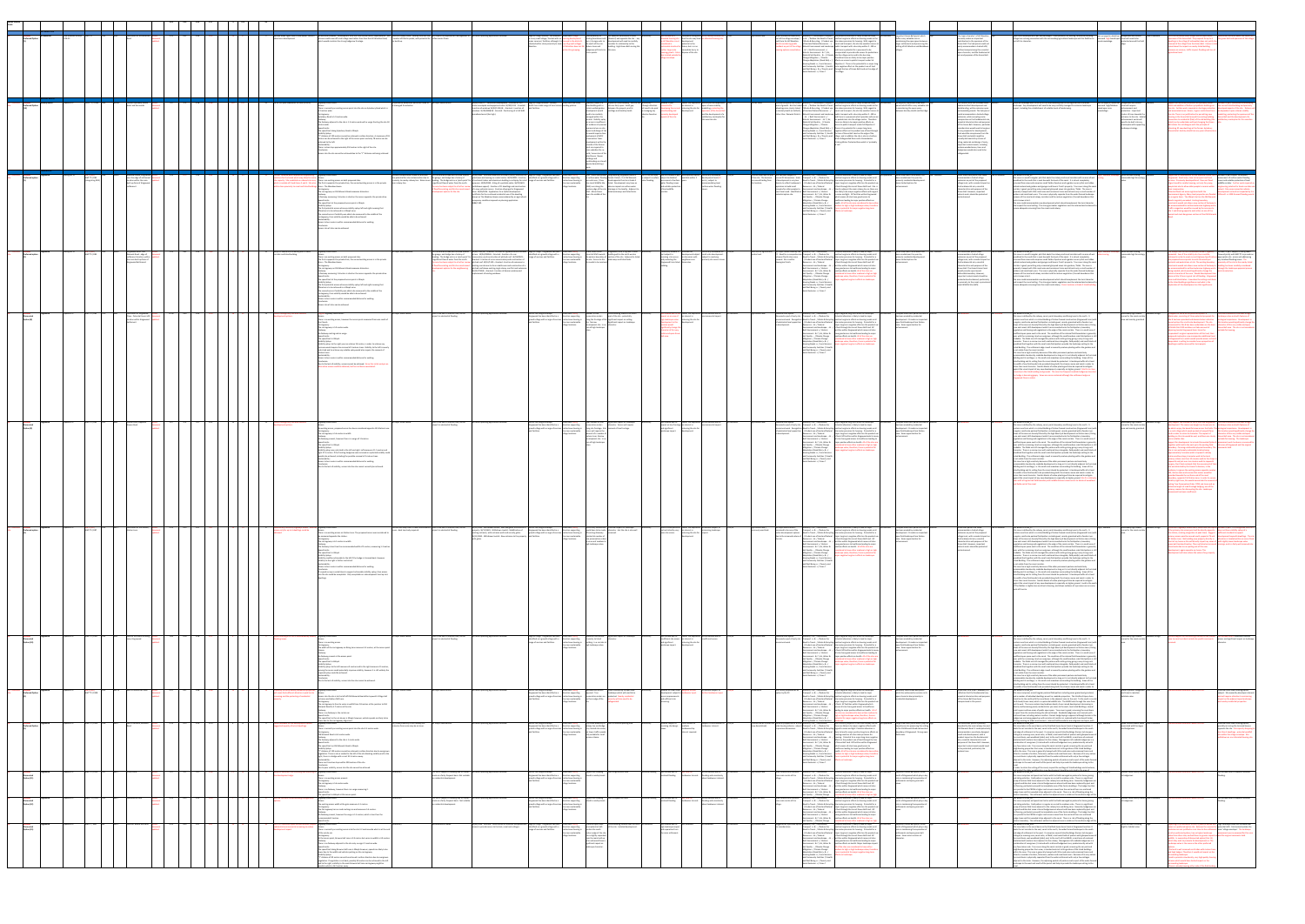| k Wootton & Guys HW1*O                                                                                                                                                                                                                                                                                                                                          | Land south of Hill Wootton SHLAA                                                                                 |                                                                                                       | Revised down figure due to land owner conce<br>about over development                                                                         | acccess could come off small village road rather than than the Hill Wootton Road, anumber of filled in ponds, with potential for surface water flows.<br>which would maintain the strong hedgerow frontage.                                                                                                                                                                                                                                                                                                                                                                                                                                                                                                                                                                                                                                                                                                                                                                                                                                                              | detailed feedback - development level less than formal access requirements. Site  Potential railway noise. Nearby area also has  Will require the appropriate management of  No recent planning applications detailed.<br>gas build-up.                                                                                                                                                                                                                                                                                                                                                                                                                                                                  |                                                                                                                                                                                                                                                                                                                                                                                                                                                                                                                                                                                                                                                                                                                                                                                                                                                                                                                                                                                                                                                                                                                                               | major services / facilities, although it is focused in the district's barn / storage units to development will need to carefully                                                                                                      | a very small village / hamlet with no housing development existing farmhouse and (Grade 2) and opposite the site - any<br>situated within close proximity to Leek top 10 growth villages - the south of the site. consider its relationship to this<br>Hill Wootton does not fall Mature trees and building. High Green Belt scoring this<br>vithin this grouping. hedgerow will limit site this area.                                                                                                                                                          |                                                                                                                                                                                                                                                           | dge of village location. Hill Wootton Green Belt. Village Close proximity to Hill Wootton Farmhouse is listed Satisfactory Not suitable as a Landowner recognises Not a suitable location for 2019+<br>ocated housing site that the site may have an allocated housing site.<br>as Hill Wootton is not development<br>considered a considered a potential in the<br>sustainable location for future, but is in no<br>further large scale immediate hurry to<br>housing growth. Site is dispose of the site.<br>Iso located outside the<br>village envelope. | Agricultural land                                                                                                         | Small field which could form Economy = / Sustainable Transport   The potential allocation is likely to lead to major   Not assessed   Important Green Belt parcel which<br>part of the village envelope / $+8$ - / Reduce the Need to Travel - positive long-term effects on housing needs as the<br>built form for Hill Wootton. / Waste & Recycling - / Prudent use site makes provision for housing. With regard to<br>Vorth considering public of land and Natural Resources -- / travel and transport, the site has excellent access to<br>feedback as part of the village Natural Environment and Landscape public transport with a bus stop within 0 - 400 m<br>ousing options consultation.   & ? / Built Environment + / and there is potential for a pavement to be<br>Social Exclusion + / Crime ? the village.                                                                                                                                                                                                                                                                                                                                                                         | Historic Environment - & ? / Air, incorporated to provide safe access for pedestrians<br>Water & Soil Quality - & -- / Climate into the village centre and to the bus stop.<br>Change Mitigation - / Climate Therefore there are likely to be major positive<br>Change Adaptation (Flood Risk) = $/$ effects on access to public transport under SA<br>Housing Needs ++ / Local Services   Objective 2. There is the potential for a major long-<br>and Community Facilities - / Health term negative effect on the prudent use of land<br>and Well Being + $\&$ =/ Poverty and through the loss of Green Belt Land on the edge of                                                                                                                                                                                                                                                                                                                                                                                                                      | fulfils a very valuable role in<br>maintaining the open space between<br>larger settlements and preserving the<br>setting of Hill Wootton and Blackdown                                                  | The 'open character' of Hill Wootton Higl<br>currently makes an important<br>contribution to the openness of the<br>Green Belt. The Sub-parcel could not<br>easily accommodate a limited infill,<br>without compromising this essential<br>open character, and the fundamental<br>aim and purposes of the Green Belt.                                                                                                                                                                                                                                                                                                                                                                                                    | n field landscape with well defined edges. Close proximity to existing farmhouse building. Not surveyed in detail but Hedgerows and mature Low to Medium<br>Village has a strong connection with the surrounding agricultural landscape and this field forms assessed High based upon trees will need to be<br>art of this character.<br>ea knowledege.                                                                                                                                                                                                                                                                                                                                                                                                                                                                                                                                                                                                                                                                                                                                                                                                                                                                                                                                                                                                                                                                                                                                                                                                                                                                                                                                                                                                                                                                                                                                                                                                                                                                                                                                                                                                                                                                                              | protected aorund the field                                                                                                                                                                                            | s an attractive small village, which helps create<br>nness of the Green Belt. The proposal for up to 5<br>green belt and openness of the village.<br>Ilings in the village (if achievable) does not justify t<br>oval of the village from the Green Belt. Concerns<br>sed about the impact on nearby listed building,<br>ressure on services, traffic impact, flooding and loss<br>cultural land.                                                                                                                                                                                                                                                                                                                                                                                                                                                                                                                                                                                                                                                                                                                                                                                                                                                                                                                                                                                                                                                                                                                                                                                                                                                                                                                              |
|-----------------------------------------------------------------------------------------------------------------------------------------------------------------------------------------------------------------------------------------------------------------------------------------------------------------------------------------------------------------|------------------------------------------------------------------------------------------------------------------|-------------------------------------------------------------------------------------------------------|-----------------------------------------------------------------------------------------------------------------------------------------------|--------------------------------------------------------------------------------------------------------------------------------------------------------------------------------------------------------------------------------------------------------------------------------------------------------------------------------------------------------------------------------------------------------------------------------------------------------------------------------------------------------------------------------------------------------------------------------------------------------------------------------------------------------------------------------------------------------------------------------------------------------------------------------------------------------------------------------------------------------------------------------------------------------------------------------------------------------------------------------------------------------------------------------------------------------------------------|----------------------------------------------------------------------------------------------------------------------------------------------------------------------------------------------------------------------------------------------------------------------------------------------------------------------------------------------------------------------------------------------------------------------------------------------------------------------------------------------------------------------------------------------------------------------------------------------------------------------------------------------------------------------------------------------------------|-----------------------------------------------------------------------------------------------------------------------------------------------------------------------------------------------------------------------------------------------------------------------------------------------------------------------------------------------------------------------------------------------------------------------------------------------------------------------------------------------------------------------------------------------------------------------------------------------------------------------------------------------------------------------------------------------------------------------------------------------------------------------------------------------------------------------------------------------------------------------------------------------------------------------------------------------------------------------------------------------------------------------------------------------------------------------------------------------------------------------------------------------|---------------------------------------------------------------------------------------------------------------------------------------------------------------------------------------------------------------------------------------|-----------------------------------------------------------------------------------------------------------------------------------------------------------------------------------------------------------------------------------------------------------------------------------------------------------------------------------------------------------------------------------------------------------------------------------------------------------------------------------------------------------------------------------------------------------------|-----------------------------------------------------------------------------------------------------------------------------------------------------------------------------------------------------------------------------------------------------------|-------------------------------------------------------------------------------------------------------------------------------------------------------------------------------------------------------------------------------------------------------------------------------------------------------------------------------------------------------------------------------------------------------------------------------------------------------------------------------------------------------------------------------------------------------------|---------------------------------------------------------------------------------------------------------------------------|----------------------------------------------------------------------------------------------------------------------------------------------------------------------------------------------------------------------------------------------------------------------------------------------------------------------------------------------------------------------------------------------------------------------------------------------------------------------------------------------------------------------------------------------------------------------------------------------------------------------------------------------------------------------------------------------------------------------------------------------------------------------------------------------------------------------------------------------------------------------------------------------------------------------------------------------------------------------------------------------------------------------------------------------------------------------------------------------------------------------------------------------------------------------------------------------------|---------------------------------------------------------------------------------------------------------------------------------------------------------------------------------------------------------------------------------------------------------------------------------------------------------------------------------------------------------------------------------------------------------------------------------------------------------------------------------------------------------------------------------------------------------------------------------------------------------------------------------------------------------------------------------------------------------------------------------------------------------------------------------------------------------------------------------------------------------------------------------------------------------------------------------------------------------------------------------------------------------------------------------------------------------|----------------------------------------------------------------------------------------------------------------------------------------------------------------------------------------------------------|--------------------------------------------------------------------------------------------------------------------------------------------------------------------------------------------------------------------------------------------------------------------------------------------------------------------------------------------------------------------------------------------------------------------------------------------------------------------------------------------------------------------------------------------------------------------------------------------------------------------------------------------------------------------------------------------------------------------------|------------------------------------------------------------------------------------------------------------------------------------------------------------------------------------------------------------------------------------------------------------------------------------------------------------------------------------------------------------------------------------------------------------------------------------------------------------------------------------------------------------------------------------------------------------------------------------------------------------------------------------------------------------------------------------------------------------------------------------------------------------------------------------------------------------------------------------------------------------------------------------------------------------------------------------------------------------------------------------------------------------------------------------------------------------------------------------------------------------------------------------------------------------------------------------------------------------------------------------------------------------------------------------------------------------------------------------------------------------------------------------------------------------------------------------------------------------------------------------------------------------------------------------------------------------------------------------------------------------------------------------------------------------------------------------------------------------------------------------------------------------------------------------------------------------------------------------------------------------------------------------------------------------------------------------------------------------------------------------------------------------------------------------------------------------------------------------------------------------------------------------------------------------------------------------------------------------------------------------------------------|-----------------------------------------------------------------------------------------------------------------------------------------------------------------------------------------------------------------------|--------------------------------------------------------------------------------------------------------------------------------------------------------------------------------------------------------------------------------------------------------------------------------------------------------------------------------------------------------------------------------------------------------------------------------------------------------------------------------------------------------------------------------------------------------------------------------------------------------------------------------------------------------------------------------------------------------------------------------------------------------------------------------------------------------------------------------------------------------------------------------------------------------------------------------------------------------------------------------------------------------------------------------------------------------------------------------------------------------------------------------------------------------------------------------------------------------------------------------------------------------------------------------------------------------------------------------------------------------------------------------------------------------------------------------------------------------------------------------------------------------------------------------------------------------------------------------------------------------------------------------------------------------------------------------------------------------------------------------|
| <b>HOCKLEY HEATH The Set of A</b><br>VHOSBC Hockley Heath Lapworth PC HOC1*O / R154 R104                                                                                                                                                                                                                                                                        | HOCK1 Former Aylesbury House<br><b>Hotel and Surrounds</b>                                                       |                                                                                                       | 20 16 on site plus subdivision of hotel (4 units) Highway Observation:                                                                        | There is currently an existing access point into the site on Aylesbury Road which is<br>3.4 metres wide.<br>Carriageway:<br>Aylesbury Road is 5.9 metres wide.<br>The footway adjacent to the site is 1.2 metres wide with a verge fronting the site 18<br>metres wide.<br>Sneed Limits:<br>The speed limit along Aylesbury Road is 40mph.<br>isibility Splays:<br>" distance of 120 metres cannot be achieved in either direction. A maximum of 93<br>metres can be achieved to the right of the access point and only 78 metres can be<br>achieved to the left.<br>ustainability:<br>There is a bus stop approximately 250 metres to the right of the site.<br>Access into the site cannot be achieved due to the "Y" distance not being achieved                                                                                                                                                                                                                                                                                                                      | Any potential demolition works will need to No major observations.<br>be managed for asbestos.                                                                                                                                                                                                                                                                                                                                                                                                                                                                                                                                                                                                           | W/00/1623/TC - Permitted Development - Erection of a 15 Edge of village location. Hockley Green Belt and listed Aylesbury House is Impact on listed building. Parts of the Satisfactory - Suitable in part, Owner has expresse<br>metre monopole and equipment cabin W/92/1324 - Granted - Heath has a wide range of local service building policies.<br>Insertion of windows W/92/1325/LB - Granted - Insertion of and facilities.<br>windows W/95/0888/LB - Granted - Positioning of a UHF 6dB<br>broadband aerial (3m high).                                                                                                                                                                                                                                                                                                                                                                                                                                                                                                                                                                                                               |                                                                                                                                                                                                                                       | need to be carefully<br>managed within this<br>context. Visibility splay<br>r access is insufficent,<br>ut evidence of previous<br>commercial use on site.<br>Layout and design of the<br>site would require close<br>nvolvement of WDC<br>Conservation Team.<br>evelopment within the<br>grounds of the former<br>hotel are required to<br>ross-subsidise the re-<br>build / conversion of the<br>listed house. Newer<br>buildings and<br>ardstanding on site will<br>equire demolishing /                                                                     | Development would curtilage and Hockley Heath. to managing any listed building and development.                                                                                                                                                           | listed building with a site are fairly open. Small gap although attention connected to an interest in upon scheme viability<br>historic walled garden. between the property and its will need to be paid developing the current releasing the site for modelling, protecting the<br>asbestos found on previosly developed<br>aspects of the site.                                                                                                                                                                                                           | Former hotel<br>enness of the Green Belt<br>and the development of a<br>satisfactory masterplan for<br>is sensitive site. | A preferred option for a small Economy = / Sustainable Transport   The potential allocation is likely to lead to major Not assessed Strategically important Green Belt   Hip<br>level of growth. But the linked $++$ & - / Reduce the Need to Travel - positive long-term effects on housing needs as the<br>advantages are clearly linked / Waste & Recycling - / Prudent use site makes provision for housing. With regard to<br>to Hockely Heath (in Solihull), of land and Natural Resources -- / travel and transport, the site has excellent access to<br>rather than Warwick District. Natural Environment and Landscape public transport with a bus stop within 0 - 400 m                                                                                                                                                                                                                                                                                                                                                                                                                                                                                                                  | - - & - / Built Environment + / and there is a pavement which provides safe access<br>Historic Environment - - & ? / Air, for pedestrians into the village centre. Therefore<br>Water & Soil Quality - / Climate there are likely to be major positive effects on<br>Change Mitigation - / Climate access to public transport under SA Objective 2<br>Change Adaptation (Flood Risk) = $/$ There is the potential for a major long-term<br>Housing Needs ++ / Local Services negative effect on the prudent use of land through<br>and Community Facilities ? / Health the loss of Green Belt Land on the edge of the<br>and Well Being $+ 8 =$ /Poverty and village and in addition the site is also in a Surface<br>Social Exclusion + / Crime ? Water Safeguarded Zone and a Groundwater<br>Drinking Water Protected Area which is 'probably                                                                                                                                                                                                         | parcel which fulfils a very valuable role<br>in maintaining the open space<br>between Hockley Heath and Dorridge.                                                                                        | e former hotel site includes some Medium<br>tantial built development and<br>hardstanding, within extensive open<br>and wooded grounds. The Sub-parcel<br>could accommodate a limited village<br>extension, while accepting some<br>compromise on the fundamental aim,<br>essential characteristics and purposes<br>of the Green Belt. However, particular<br>consideration would need to be given<br>o any proposals for development,<br>that would be conspicuous from the<br>Green Belt and which might be<br>visually detrimental by reason of<br>siting, materials and design. Clearly,<br>important natural assets, including<br>mature wooded areas, trees and<br>hedgerows would also need to be<br>safeguarded. | Sensitive landscape both in terms of the listed building and its curtilage but also the wider Not surveyed in detail but Hedgerows and mature Medium<br>landscape. Any development will need to be very carefully managed to minimise landscape assessed High/Medium trees will require<br>impact, including the establishment of suitable levels of landscaping.<br>based upon area<br>knowledege.                                                                                                                                                                                                                                                                                                                                                                                                                                                                                                                                                                                                                                                                                                                                                                                                                                                                                                                                                                                                                                                                                                                                                                                                                                                                                                                                                                                                                                                                                                                                                                                                                                                                                                                                                                                                                                                  | enhancement and<br>protection. Important<br>cluster of trees towards the<br>entrance to the site. Habitat<br>enhancement works will<br>need to be built into any<br>masterplan with supporting<br>landscape strategy. | ort for sensitive restoration of Aylesbury House ________________________________<br>and addition of further sympathetic buildings on<br>current listed building and previosly<br>site. Further works required on heritage protection developed aspects of the site. Delivery will<br>associated issues. Access / egress restrictions from be dependent upon scheme viability<br>e site. There is no justification for permitting new modelling, protecting the openness of the<br>using in the Green Belt around the existing building. Green Belt and the development of a<br>version to residential (flats) of the old building (the<br>factory masterplan for this sensitive<br>tel) can be undertaken without changing the Gree<br>elt status. Do not disagree with the principle of<br>ocating 20 new dwellings at the former Aylesbury<br>use Hotel. Hockley Heath has very poor infrastru                                                                                                                                                                                                                                                                                                                                                                                                                                                                                                                                                                                                                                                                                                                                                                                                                              |
|                                                                                                                                                                                                                                                                                                                                                                 | near the edge of settlement do<br>location within the main<br>built-up form of Kingswood<br>settlement           |                                                                                                       | her detailed work required on eng<br>tions for the brook which may allow for m<br>vithin close proximity to canal and listed buil             | Highway Observation:<br>ite capacity. Site modelled on reduced site area, There is an existing access on both proposed sites.<br>which is outside of Flood Zones 2 and 3. Site also The first is opposite the private drive, the second existing access is in the private from railway line.<br>dings. drive - The Meadow House.<br>e carriageway on Old Warwick Road measures 6.6metres.<br>A footway measuring 1.3 metres is sited on the access opposite the private drive.<br>The speed limit at the proposed access point is 30mph.<br>isibility Splays:<br>The first potential access achieves visibility splays left and right meaning that<br>70 metres is to be achieved in a 30 mph zone.<br>The second access if visibility was able to be measured to the middle of the<br>carriageway, then visibility would be able to be achieved.<br>ustainability:<br>Access to bus routes is within recommended distance for walking.<br>Access into all sites can be achieved.                                                                                        | ossible contamination linked to land uses. The Old Warwick Road and the area around W/90/0863 - Granted conversion of shop to office, erection of a Edge of village. Kingswood has been Green Belt. Policy SFRA - Areas Suscep<br>Also potential for site contamination due to the garage and bridge has a history of glasshouse and awning as a retail centre. W/90/0005 - Erection identified as a growth village with a direction supporting to surface water<br>proximity to nearby railway line. Noise issues flooding. The bridge acts as a 'pinch-point' for of sectional timber and aluminium building as a display for retail range of services and facilities.<br>opment options for the site. | a significant flow of water from the north. purposes. W/99/0390 - Siting of a portable cabin. W/02/1601<br>e area has been subject to a further review (withdrawn appeal) - Erection of 11 dwellings and construction<br>of a new vehicular access. Erection of garage for Kingswood<br>Farm. W/09/0226 - Application for a lawful development<br>certificate for the continued residential use of the dwelling<br>known as The Meadow House unencumbered by an agricultur<br>occupancy condition imposed on planning application                                                                                                                                                                                                                                                                                                                                                                                                                                                                                                                                                                                                             |                                                                                                                                                                                                                                       | the more sustainable Alne Local Wildlife Site listed. Development may have an<br>village locations. (LWS) runs along the adverse impact on surface water<br>down the middle of the                                                                                                                                                                                                                                                                                                                                                                              | limited new housing in less and more. / River Road opposite the site is Grade 2 water flooding. accessment of surface vears.<br>western edge of the site. drainage in the locality. Adjacent to<br>SFRA - Minor Rivers listed waterways and listed locks. | units), subject to<br>water flooding issues<br>and suitable protection<br>corridor.                                                                                                                                                                                                                                                                                                                                                                                                                                                                         | accommodating local<br>this location.<br>surface water flooding                                                           | vious retail use for part Site has been subject to Economy = & ? / Sustainable Potential allocation is likely to lead to major Not applicable Small Green Belt Parcel which has Low - Medium<br>of the site. The business several PC discussions. Scale Transport ++ & - - / Reduce the positive long-term effects on housing needs as all<br>has ceased trading from of development is very low Need to Travel - / Waste & Recycling sites make provision for housing. Potential for a<br>density to reflect landowner's  - / Prudent use of land and Natural   major long-term negative effect on the prudent use<br>aspiration to build small Resources - - & - / Natural of land through the loss of Green Belt land. Site is<br>complex for older peoples to Environment and Landscape - - & - / directly adjacent the main railway line so there are<br>meet local need. Identified as Built Environment + / Historic also likely to be major negative effects with regard<br>potential option site. <b>Environment - &amp; ?</b> / Air, Water & to noise and light. GP facilities within Kingswood<br>and Well Being ++ / Poverty and effects on landscape.<br>Social Exclusion + / Crime ? | Soil Quality - - / Climate Change which means all sites have good access to<br>Mitigation - / Climate Change healthcare leading to major positive effects on<br>Adaptation (Flood Risk) = & - / $\qquad$ health. All of the sites are considered to have e<br>Housing Needs ++ / Local Services medium to high or high landscape value; there<br>and Community Facilities ?/ Health    Ithere is potential for major negative long-term                                                                                                                                                                                                                                                                                                                                                                                                                                                                                                                                                                                                                 | been eroded over the years by<br>primarily residential development.<br>Some limited options for<br>enhancement.                                                                                          | Small Green Belt parcel that could Low to Medium<br>accommodate a limited village<br>extension as part of the proposed<br>village inset, with a modest impact on<br>the fundamental aim, essential<br>acteristics and purposes of th<br>Green Belt. However, important<br>natural assets should be protected<br>and enhanced                                                                                                                                                                                                                                                                                                                                                                                             | Lies within LCP KW 31.<br>his zone is a small triangular plot that abuts the railway and canal corridors with an area of wet scoring<br>voodland to the south that is sunk beneath the level of the canal. It is almost completely<br>screened from view and comprises small fields of pasture and a garden nursery that are hidden<br>behind mature back gardens and garages and Severn Trent's property. Tree cover along the canal<br>orridor is good, permitting only occasional glimpsed views into gardens / fields. The zone is<br>generally tranquil with little road noise and occasional trains and attracts only a small number of<br>walkers and canal boat users. The zone is physically separate from the wider farmed landscape<br>because of the canal and railway corridors and the mature vegetation / fenced boundaries that<br>estrict views into it.<br>The zone could accommodate new development which should complement the local character<br>nd respect the canal setting. The strong perimeter vegetation must be retained and enhanced<br>ensure adequate screening from the canals and railway.                                                                                                                                                                                                                                                                                                                                                                                                                                                                                                                                                                                                                                                                                                                                                                                                                                                                                                                                                                                                                                                                                                                         | Canal corridor scoring<br>reasonable high for ecology                                                                                                                                                                 | in Suitable in part subject to detailed<br>swood. Small area, close to transport and local accessment of surface water flooding<br>vices. Previously developed land. Does not flood. issues and suitable protection of local<br>gent need for smaller housing, not only for young wildlife corridor. Further work required on<br>eople but also to allow older people to remain within engineering solution for brook corridor and<br>ential flood risk areas registered with the<br>vironment Agency. Many local properties are flooded 100 and 1 in 1000 forecast flooding ev<br>a regular basis. The 30mph limit on the Old Warwick<br>oad is regularly exceeded. Existing boundary<br>onstraints would not allow a new section of footwa<br>accommodated for without extensive highway w<br>raffic congestion would be caused by the accesses<br>e 1 and 6 being opposite each other on one of the<br>usiest and most dangerous sections of the Old V                                                                                                                                                                                                                                                                                                                                                                                                                                                                                                                                                                                                                                                                                                                                                                      |
| NET LA REGISLAT HOWING THE MONUME OF THE REGISLAT OF THE REGISLARY ON THE REGISLARY ON THE REGISLARY ON THE REGISLARY ON THE REGISLARY ON THE REGISLARY ON THE PREQUIRES SUBStantial screening due to canal Highway Observatio<br>VHOSBC Kingswood Lapworth PC KW3*O/R84 R110 KW1 Land south of Kingswood SHLAA 10.06 0.64 0.43 0.54 16 22 16 13 Linear frontag | Warwick Road - edge of c<br>settlement location, within upo<br>the main built-up form of<br>Kingswood Settlement |                                                                                                       | corridor and listed building.                                                                                                                 | There is an existing access on both proposed sites.<br>The first is opposite the private drive, the second existing access is in the private<br>drive - The Meadow House.<br>Carriageway: the control of the control of the control of the control of the control of the control of the control of the control of the control of the control of the control of the control of the control of the control of<br>he carriageway on Old Warwick Road measures 6.6metres.<br>A footway measuring 1.3 metres is sited on the access opposite the private drive.<br>The speed limit at the proposed access point is 30mph.<br>ibility Splays:<br>The first potential access achieves visibility splays left and right meaning that<br>70 metres is to be achieved in a 30 mph zone.<br>he second access if visibility was able to be measured to the middle of the<br>carriageway, then visibility would be able to be achieved.<br>ustainability:<br>Access to bus routes is within recommended distance for walking.<br>onclusion:<br>Access into all sites can be achieved. | No major issues detailed.<br>e area has been subject to a further re<br>flood forecasting and this has consti                                                                                                                                                                                                                                                                                                                                                                                                                                                                                                                                                                                            | The Old Warwick Road and the area around W/92/1342/LB - Granted - Erection of a gabled dormer window Edge of village. Kingswood has been Green Belt. Policy Grand Union Canal Kingswood Farm is a grade 2 listed Satis<br>the garage and bridge has a history of at rear. W/04/0030LB - Granted - Erection of a rear  identified as a growth village with a  direction supporting  Potential SINC towards  building within the north westen<br>flooding. The bridge acts as a 'pinch-point' for conservatory and construction of pitched roof. W/04/0029 - range of services and facilities.   limited new housing in the eastern boundary of section of the site. Adjacent t<br>a significant flow of water from the north. Granted - Erection of a rear conservatory and construction of<br>view pitched roof. W/12/1100 - Granted - Erection of extension to<br>ed existing rear dormer to form a bathroom and construction of a<br>velopment options for the neighbouring pitched roof above existing single storey rear flat roof extension<br>W/12/0752LB - Granted - Erection of dormer window and<br>replacement of existing windows. |                                                                                                                                                                                                                                       | the more sustainable the site. Access to the waterways and listed locks.<br>village locations. site needs to be resolved.                                                                                                                                                                                                                                                                                                                                                                                                                                       | in the village envelope.<br>Within the village envelope. The Green Belt. Policy Number of tree Listed building towards the south Satisfactory                                                                                                             | Potentially suitable in Available for Potentially achievable for 2014/19<br>part subject to development subject small scale development -<br>resolving site access to discussion with subject to resolving<br>and protecting the neighbour over primarily site access issues.<br>Kingswood Farm listed timescales.<br>building.                                                                                                                                                                                                                             | garden land.                                                                                                              | Small loss of agricultural / No major issues raised by the Economy = & ? / Sustainable Potential allocation is likely to lead to major<br>PC. Need for a comprehensive Transport $+ +$ & $-$ / Reduce the positive long-term effects on housing needs as all<br>scheme if both sites come Need to Travel - / Waste & Recycling sites make provision for housing. Potential for a<br>forward. Site is within - - / Prudent use of land and Natural najor long-term negative effect on the prudent use<br>Rowington Parish.<br>Housing Needs ++ / Local Services<br>and Community Facilities ?/ Health<br>and Well Being ++ / Poverty and<br>Social Exclusion + / Crime ?                                                                                                                                                                                                                                                                                                                                                                                                                                                                                                                            | Resources - - & - / Natural of land through the loss of Green Belt land. GP<br>Environment and Landscape - - & - / facilities within Kingswood which means all sites<br>Built Environment + / Historic have good access to healthcare leading to major<br>Environment - & ? / Air, Water & positive effects on health. All of the sites are<br>Soil Quality - - / Climate Change considered to have either medium to high or hig<br>Mitigation - / Climate Change   landscape value; therefore, there is potential fi<br>Adaptation (Flood Risk) = $&8 - /$ major negative long-term effects on landscape                                                                                                                                                                                                                                                                                                                                                                                                                                               | Not assessed Small Green Belt Parcel which has Low - Medium<br>been eroded over the years by<br>primarily residential development<br>Some limited options for<br>enhancement.                            | The Green Belt parcel could<br>accommodate a limited village<br>extension as part of the proposed<br>village inset, with a modest impact on<br>the fundamental aim, essential<br>characteristics and purposes of the<br>Green Belt. The Grand Union Canal<br>would provide a permanent<br>defensible boundary. However,<br>important natural assets should be<br>protected and enhanced, particularly<br>in proximity to the canal; a provisional<br>Local Wildlife Site (LWS).                                                                                                                                                                                                                                          | Lies within LCP KW_31.<br>This zone is a small triangular plot that abuts the railway and canal corridors with an area of wet value scoring.<br>woodland to the south that is sunk beneath the level of the canal. It is almost completely<br>screened from view and comprises small fields of pasture and a garden nursery that are hidden<br>behind mature back gardens and garages and Severn Trent's property. Tree cover along the canal<br>corridor is good, permitting only occasional glimpsed views into gardens / fields. The zone is<br>generally tranquil with little road noise and occasional trains and attracts only a small number of<br>walkers and canal boat users. The zone is physically separate from the wider farmed landscape<br>because of the canal and railway corridors and the mature vegetation / fenced boundaries that<br>estrict views into it.<br>The zone could accommodate new development which should complement the local character<br>nd respect the canal setting. The strong perimeter vegetation must be retained and enhanced to<br>ensure adequate screening from the canals and railway. Parcel contains a Grade 2 listed building                                                                                                                                                                                                                                                                                                                                                                                                                                                                                                                                                                                                                                                                                                                                                                                                                                                                                                                                                                                                                                                                   | Canal corridor scoring<br>reasonable high for ecology                                                                                                                                                                 | Suitable in part, subject to being taken<br>xceeded. Even if the visibility site lines could be forward jointly with KW1*O to provide an<br>hieved in order to meet current Highway Specifications   appropriate site access and addressing<br>e proposed access points to each site would put any localised flooding issues. The<br>orist and pedestrians at risk. The existing boundary proximity of the site to the nearby listed<br>nstraints would not allow a new section of footway to building has been carefully considered<br>accommodated for without extensive highway works through the landscape appraisal process<br>being needed, which would significantly change the and site selection.<br>historic character of the area. Should development ta<br>ice on Site 2 there is great risk of flooding. Kingswor<br>arm and listed status - how does the setting contrib<br>the listed buildings significance and what is the<br>implication of the development on that significance.                                                                                                                                                                                                                                                                                                                                                                                                                                                                                                                                                                                                                                                                                                                            |
|                                                                                                                                                                                                                                                                                                                                                                 | Land south of Kingswood SHLA/<br>Close - Potential linear infill document<br>location within Kingswood update    |                                                                                                       | 13 Linear frontage only site area restricts<br>development options.                                                                           | inal Highway Observation:<br>There is no existing access, however the access point measured from was south of<br>Carriageway:<br>The carriageway is 5.9 metres wide.<br>No footway existing and no verge.<br>oeed Limits:<br>The speed limit is 30mph.<br>isibility Splays:<br>Visibility splays to the right you can achieve 19 metres, in order to achieve any<br>increase would require the removal of 3 mature trees. Visibility to the left is severly<br>restricted and to achieve any suitable splay would also require the removal of<br>Access to bus routes is within recommended distance for walking.<br>Due to the lack of visibility, access cannot be achieved. Since this initial analysis a<br>ernative access could be obtained, but has not been ewvaluated.                                                                                                                                                                                                                                                                                          | No major issues raised.<br>subject to substantial flooding.                                                                                                                                                                                                                                                                                                                                                                                                                                                                                                                                                                                                                                              | and to the east of Station Lane, can be No recent planning applications detailed.                                                                                                                                                                                                                                                                                                                                                                                                                                                                                                                                                                                                                                                                                                                                                                                                                                                                                                                                                                                                                                                             | Kingswood has been identified as a direction supporting preservation orders east of the site - potentially<br>growth village with a range of services limited new housing in along the frontage of the significant impact on setting. | the more sustainable site. Narrow Significant impact on landscape<br>village locations. development site. In an character.<br>area of high landscape                                                                                                                                                                                                                                                                                                                                                                                                            |                                                                                                                                                                                                                                                           | of suitable due to the Owner has expressed Not achievable due to Not assessed.<br>impact on an area of an interest in environmental impact.<br>high landscape value. releasing the site for<br>Development in this development.<br>location would<br>significantly change the<br>character of this very<br>visible and open Green<br>Belt area.                                                                                                                                                                                                             | Agricultural land.                                                                                                        | Reduced scale option   Economy = & ? / Sustainable Major negative long-term effect on landscape. Not assessed<br>discussed as part of early site Transport ++ $\& -/$ Reduce the Potential allocation is likely to lead to major<br>assessment work. Recognition Need to Travel - / Waste & Recycling positive long-term effects on housing needs as all<br>of substantial local opposition -/ Prudent use of land and Natural sites make provision for housing. Potential for a<br>to development.<br>and Community Facilities ?/ Health<br>and Well Being ++ / Poverty and<br>Social Exclusion + / Crime ?                                                                                                                                                                                                                                                                                                                                                                                                                                                                                                                                                                                       | Resources - - & - / Natural major long-term negative effect on the prudent use<br>Environment and Landscape - - & - / of land through the loss of Green Belt land. GP<br>Built Environment + / Historic facilities within Kingswood which means all sites<br>Environment - & ? / Air, Water & have good access to healthcare leading to major<br>Soil Quality - - / Climate Change positive effects on health. All of the sites are<br>Mitigation - / Climate Change considered to have either medium to high or high<br>Adaptation (Flood Risk) = & - / $\vert$ andscape value; therefore, there is potential f<br>Housing Needs ++ / Local Services major negative long-term effects on landscape                                                                                                                                                                                                                                                                                                                                                     | Complex Green Belt parcel area which Mediun<br>has been eroded by residential<br>development. Provides an important<br>open field landscape from Station<br>Lane. Some opportunities for<br>enhancement. |                                                                                                                                                                                                                                                                                                                                                                                                                                                                                                                                                                                                                                                                                                                          | Lies within LCP KW 17.<br>This zone is defined by the railway, canal, parish boundary and Rising Lane to the north. It<br>contains one farm which is a Listed Building of timber framed construction (Kingswood Farm) with<br>a regular small scale pastoral field pattern including wet, marshy grassland with a feeder river.<br>Views of the zone are heavily filtered by the high density of development on Station Lane / Rising<br>Lane and recent infill development which has encroached onto the field pattern, boundary<br>vegetation and fencing and vegetation to the edge of the canal corridor. There is a small area of<br>unofficial open space next to the canal. The condition of the internal field boundaries is generally<br>poor with the remaining structure outgrown, although the small/medium scale field pattern is still<br>readable. The fields are still managed for pasture with cattle grazing giving a very strong rural<br>character. There is a narrow river with scattered trees alongside, field pond(s) and small blocks of<br>woodland that together with the small scale field pattern provide the landscape setting to the<br>Listed Building. The settlement edge is well screened by mature planting within the gardens and<br>is not visible from the canal corridor.<br>This zone has a high sensitivity because of the older permanent pasture and could only<br>ccommodate low density roadside development as long as it is not directly adjacent to the Listed<br>Building and its curtilage, i.e. the small scale meadows surrounding the building. Views of the<br>listed building and its setting from the canal should be protected. A landscape buffer of at least<br>the width of one field needs to be provided along both the stream course and canal in order to<br>retain their rural character. Smaller blocks of native planting will also be required to mitigate<br>against the visual impact of any new development, especially on higher ground. Site 8 is in o<br>roximity to the listed building and grounds. The zone has frequent roadside hedgerow tree<br>he hedge is becoming gappy. Views are more contained although the settlement edge on<br>Kingswood Close is visible. | scores for the canal corridor<br>area and marshy grassland.                                                                                                                                                           | s site is located in a corridor of high<br>Reasonably high habitat Medium to High In support of Site 8 as the preferred option. A<br>Masterplan, consisting of three potential proposals for landscape value and with features of<br>Site 8 has been provided and demonstrates indicative ecological importance. Development in<br>yout options for small scale development. The site this location would significantly change the<br>ssessment for Site 8 has been undertaken on the basis character of this very visible and open<br>Green Belt area. The site is not considered<br>SHLAA Site R110 and does not take account of<br>adjoining land at Kingswood Farm. Since the<br>table for housing.<br>espondent's original representation of this land, thei<br>proposed masterplan now incorporates additional lar<br>t Kingswood Farm which would provide access to<br>spondent is willing to consider how a proportion<br>dwellings could be reserved for local people.                                                                                                                                                                                                                                                                                                                                                                                                                                                                                                                                                                                                                                                                                                                                                |
| VHOSBC Kingswood Lapworth PC KW4*0/R85 R111 KW1 Station Lane, Opposite SHLAA 6.5 0.6 0.4 0.51 15 20 1 12 Line:                                                                                                                                                                                                                                                  | Gowen Bank                                                                                                       |                                                                                                       | development options.                                                                                                                          | <b>Highway Observation:</b><br>No existing access, proposed access has been considered opposite 155 Station Lane<br>The carriageway is 5.6 metres in width.<br>No footway present, however there is a verge of 1.5metres.<br>The speed limit is 30mph<br>Visibility splays are restricted to the left and right. Left measures 11.5 metres and<br>right 27.5 metres. If the fronting hedgerow was removed or replanted visibility could<br>possibly be achieved; including the possible removal of 3 mature trees.<br>Access to bus routes is within recommended distance for walking.<br>ue to the lack of visibility, access into the site cannot currently be achieved.                                                                                                                                                                                                                                                                                                                                                                                               | lo major issues raised.<br>bject to substantial flooding.                                                                                                                                                                                                                                                                                                                                                                                                                                                                                                                                                                                                                                                | Land to the east of Station Lane, can be No recent planning applications detailed.                                                                                                                                                                                                                                                                                                                                                                                                                                                                                                                                                                                                                                                                                                                                                                                                                                                                                                                                                                                                                                                            |                                                                                                                                                                                                                                       | within the village envelope.<br>Within the village envelope. The Green Belt. Policy Small number of tree Significant impact on landscape Satis<br>Kingswood has been identified as a direction supporting preservation orders character. Access will require<br>growth village with a range of services limited new housing in along site frontage. Site removal of tree frontage.<br>the more sustainable access will require the<br>village locations.<br>removal of a number of<br>mature trees. Narrow<br>development site. In an<br>area of high landscape |                                                                                                                                                                                                                                                           | impact on tree frontage an interest in environmental impact.<br>and significant releasing the site for<br>landscape impact. development.                                                                                                                                                                                                                                                                                                                                                                                                                    | Not suitable due to Owner has expressed Not achievable due to Not assessed. Agricultural land.                            | Reduced scale option Economy = & ? / Sustainable Major negative long-term effect on landscape.<br>discussed as part of early site Transport ++ & - - / Reduce the Potential allocation is likely to lead to major<br>assessment work. Recognition Need to Travel - / Waste & Recycling positive long-term effects on housing needs as al<br>of substantial local opposition - / Prudent use of land and Natural sites make provision for housing. Potential for a<br>o development.<br>Soil Quality - - / Climate Change  <br>Adaptation (Flood Risk) = & - /<br>Housing Needs ++ / Local Services<br>and Community Facilities ?/ Health<br>and Well Being ++ / Poverty and<br>Social Exclusion + / Crime ?                                                                                                                                                                                                                                                                                                                                                                                                                                                                                        | Resources - - & - / Natural major long-term negative effect on the prudent use<br>Environment and Landscape - - & - / of land. GP facilities within Kingswood which means<br>Built Environment + / Historic all sites have good access to healthcare leading to<br>Environment - & ? / Air, Water & major positive effects on health. All of the sites<br>considered to have either medium to high or h<br>Mitigation - / Climate Change   landscape value; therefore, there is potential fi<br>ajor negative long-term effects on landscape                                                                                                                                                                                                                                                                                                                                                                                                                                                                                                            | Complex Green Belt parcel area which Mediu<br>has been eroded by residential<br>development. Provides an important<br>open field landscape from Station<br>Lane. Some opportunities for<br>enhancement.  | $rac{1}{2}$ accord                                                                                                                                                                                                                                                                                                                                                                                                                                                                                                                                                                                                                                                                                                       | Lies within LCP KW 17.<br>his zone is defined by the railway, canal, parish boundary and Rising Lane to the north. It<br>ontains one farm which is a Listed Building of timber framed construction (Kingswood Farm) wit<br>a regular small scale pastoral field pattern including wet, marshy grassland with a feeder river.<br>Views of the zone are heavily filtered by the high density of development on Station Lane / Rising  <br>Lane and recent infill development which has encroached onto the field pattern, boundary<br>egetation and fencing and vegetation to the edge of the canal corridor. There is a small area of<br>inofficial open space next to the canal. The condition of the internal field boundaries is generally<br>poor with the remaining structure outgrown, although the small/medium scale field pattern is still<br>readable. The fields are still managed for pasture with cattle grazing giving a very strong rural<br>character. There is a narrow river with scattered trees alongside, field pond(s) and small blocks of<br>voodland that together with the small scale field pattern provide the landscape setting to the<br>Listed Building. The settlement edge is well screened by mature planting within the gardens and<br>s not visible from the canal corridor.<br>This zone has a high sensitivity because of the older permanent pasture and could only<br>accommodate low density roadside development as long as it is not directly adjacent to the Listed<br>Building and its curtilage, i.e. the small scale meadows surrounding the building. Views of the<br>sted building and its setting from the canal should be protected. A landscape buffer of at least<br>the width of one field needs to be provided along both the stream course and canal in order to<br>retain their rural character. Smaller blocks of native planting will also be required to mitigate<br>against the visual impact of any new development, especially on higher ground. Site 9 is rela<br>pen with a fragmented field boundary with middle distance views across to blocks of w<br>nd fields east of the canal.                                                                                                | Reasonably high habitat Medium to High<br>cores for the canal corridor<br>area and marshy grassland.                                                                                                                  | evelopment. The reason we bought our house was to landscape value and with features of<br>e able to enjoy the beautiful views across the fields. This ecological importance. Development in<br>rural village which needs pockets of unspoilt farm th<br>this location would significantly change the<br>In order to retain its character. The impact of character of this very visible and open<br>uilding on this site would be vast, and there are clearly Green Belt area. The site is not considered<br>itable for housing. The landscape<br>e suitable sites.<br>pport for development to include Discounted Option 9 assessment work has been re-assessed for<br>1   gether with land to the east up to the existing field this area of Kingswood and the original<br>boundary - forming a defensible physical boundary. The comments hold.<br>e is in an extremely sustainable location being<br>proximately 2 minutes walk to Lapworth railway<br>station and bus stops, 6 minutes walk to the local<br>rimary school, less than 10 minutes walk to the shop<br>apworth and just over ten minutes walk to Lapworth<br>surgery. Our Client contends that the assessment o<br>te was distorted by the Council's decision, in the<br>vidence, to ignore the existing access opposite nun<br>145, Station Lane and assume that access would be<br>provided towards the northern end of the road<br>boundary, opposite 155 Station Lane. In order to secu<br>isibility sight lines, this would necessitate the remo<br>exiting Tree Preservation Order (TPO) oak trees and a<br>xtensive length of road frontage hedging, one of t<br>rimary reasons for discounting the site. Landscape<br>sessment has been insufficient. |
| es-Allocated VHOSBC Kingswood Lapworth PC KW3(DS7) R113 KW1 Land south of the Stables, SHLAA 0.55 0.55 0.37 0.47 14 19 14 19 6 Substantially limited by highways access. Informal Highway Observation:                                                                                                                                                          | <b>Station Lane</b>                                                                                              |                                                                                                       | access only for up to 6 dwellings could be                                                                                                    | There is no existing access on Station Lane. The proposed access was considered to<br>asured opposite the station.<br>The carriageway is 6.1 metres in width<br>The footway is less than the recommended width of 2 metres, measuring 1.3 metre:<br>The speed limit is 30mph<br>Visibility Splays:<br>Visibility could be achievable to the left if the hedge is trimmed back. However<br>visibility to the right is further restricted.<br>Access to bus routes is within recommended distance for walking.<br>If a speed survey is undertaken to support achievable visibility splays, then access<br>into the site could be acceptable. Only acceptable on a development level up to 6                                                                                                                                                                                                                                                                                                                                                                                | Previous use may result in land contamination Land to the east of Station Lane, can be W/11/0545 - Withdrawn Invalid - Wall and gates to entrance of Within the village envelope. Green Belt. Policy Access very limited and P<br>issues - desk top study required.<br>subject to substantial flooding.                                                                                                                                                                                                                                                                                                                                                                                                  | property. W/11/1481 - Withdrawn Invalid - Modification of Kingswood has been identified as a direction supporting would have to be made character - but the site is also well<br>existing entrance, with entrance walls and security gates. Further and prowth village with a range of services limited new housing in off existing driveway. Screened.<br>W/11/0852 - Withdrawn Invalid - New entrance to the property and facilities. The more sustainable Substantial number of                                                                                                                                                                                                                                                                                                                                                                                                                                                                                                                                                                                                                                                            |                                                                                                                                                                                                                                       | preservation orde<br>village locations.<br>an area of medium to<br>high landscape value.                                                                                                                                                                                                                                                                                                                                                                                                                                                                        |                                                                                                                                                                                                                                                           | but restricted by very an interest in minimising landscape<br>poor site access. The releasing the site for impact.                                                                                                                                                                                                                                                                                                                                                                                                                                          |                                                                                                                           | Agricultural land / No major observations Economy = & ? / Sustainable Potential allocation is likely to lead to major Not assessed Complex Green Belt parcel area which Mediun<br>previously used land. perceived to be one of the Transport ++ & - / Reduce the positive long-term effects on housing needs as all<br>better development options Need to Travel - / Waste & Recycling sites make provision for housing. Potential for a<br>due to the screened nature of  - / Prudent use of land and Natural   major long-term negative effect on the prudent use<br>Resources - -& - / Natural<br>Soil Quality - - / Climate Change<br>Mitigation - / Climate Change<br>Adaptation (Flood Risk) = & - /<br>Housing Needs ++ / Local Services<br>and Community Facilities ?/ Health<br>and Well Being ++ / Poverty and<br>Social Exclusion + / Crime ?                                                                                                                                                                                                                                                                                                                                           | of land through the loss of Green Belt land. GP<br>invironment and Landscape - - & - / facilities within Kingswood which means all sites<br>Built Environment + / Historic have good access to healthcare leading to major<br>Invironment - & ? / Air, Water & positive effects on health. All of the sites are<br>nsidered to have either medium to high or hig<br>landscape value; therefore, there is potential fo<br>or negative long-term effects on landscape                                                                                                                                                                                                                                                                                                                                                                                                                                                                                                                                                                                     | has been eroded by residential<br>development. Provides an important<br>open field landscape from Station<br>Lane. Some opportunities for<br>enhancement.                                                | Green Belt parcel that could Low to Medium<br>accommodate a limited village<br>extension as part of the proposed<br>village inset, with a modest impact on<br>the fundamental aim, essential<br>characteristics and purposes of the<br>Green Belt. However, important<br>natural assets should be protected<br>and enhanced.                                                                                                                                                                                                                                                                                                                                                                                             | High / Medium<br>Lies within LCP KW 17.<br>This zone is defined by the railway, canal, parish boundary and Rising Lane to the north. It<br>contains one farm which is a Listed Building of timber framed construction (Kingswood Farm) with<br>a regular small scale pastoral field pattern including wet, marshy grassland with a feeder river.<br>liews of the zone are heavily filtered by the high density of development on Station Lane / Rising<br>ne and recent infill development which has encroached onto the field pattern, boundary<br>vegetation and fencing and vegetation to the edge of the canal corridor. There is a small area of<br>unofficial open space next to the canal. The condition of the internal field boundaries is generally<br>poor with the remaining structure outgrown, although the small/medium scale field pattern is still<br>readable. The fields are still managed for pasture with cattle grazing giving a very strong rural<br>character. There is a narrow river with scattered trees alongside, field pond(s) and small blocks c<br>woodland that together with the small scale field pattern provide the landscape setting to the<br>isted Building. The settlement edge is well screened by mature planting within the gardens and<br>s not visible from the canal corridor.<br>This zone has a high sensitivity because of the older permanent pasture and could only<br>ccommodate low density roadside development as long as it is not directly adjacent to the Listed<br>Building and its curtilage, i.e. the small scale meadows surrounding the building. Views of the<br>listed building and its setting from the canal should be protected. A landscape buffer of at least<br>the width of one field needs to be provided along both the stream course and canal in order to<br>retain their rural character. Smaller blocks of native planting will also be required to mitigate<br>against the visual impact of any new development, especially on higher ground. Land to the south<br>of The Stables is slightly less sensitive to housing, and shows evidence of a previous use on some<br>arts of the site.                                                                           | Reasonably high habitat Medium to High<br>scores for the canal corridor                                                                                                                                               | if the primary site access point will be directly opposite does not have visibility splays of a<br>ne station, creating congestion at peak times. Suggest sufficient standard to support<br>ary access point be moved south, opposite 79 and development beyond 6 dwellings. T<br>Itation Lane. Not building new property directly in allocation is located within an area of land<br>of my home as this will directly impact my views of with slightly lower landscape value<br>In belt land and treeline. There will also be increased scorings, and is a fairly well screened site.<br>e levels due to cars pulling out of this new<br>velopment, again opposite my home. This<br>elopment will also reduce the value of my proper                                                                                                                                                                                                                                                                                                                                                                                                                                                                                                                                                                                                                                                                                                                                                                                                                                                                                                                                                                                          |
| <b>NHOSRC Kingswood Lanworth PC KW6*0/R107 R114 KW1</b> Land to the South of Rising SHLAA 1.87 0.18 0.18 0.18 0.17 5 7 5 Depth and length of the South of Rising SHLAA<br>Option (10)                                                                                                                                                                           | Lane, Kingswood                                                                                                  |                                                                                                       | flooding issues.                                                                                                                              | Highway Observation:<br>There is no existing access<br>The width of the carriageway on Rising Lane measure 5.2 metres, at the access point<br>No footway present at the access point.<br>The speed limit is 60mph<br>isibility Splays:<br>Visibility splays to the left measures 9 metres and to the right measures 15 metres,<br>moving the access could potentially improve visibility, however it is still unlikely the<br>required splays could be achieved.<br>Sustainability:<br>Conclusion:<br>Due to the lack of visibility, access into the site cannot be achieved.                                                                                                                                                                                                                                                                                                                                                                                                                                                                                            | lo major issues raised.<br>bject to substantial flooding.                                                                                                                                                                                                                                                                                                                                                                                                                                                                                                                                                                                                                                                | Land to the east of Station Lane, can be No recent planning applications detailed.                                                                                                                                                                                                                                                                                                                                                                                                                                                                                                                                                                                                                                                                                                                                                                                                                                                                                                                                                                                                                                                            |                                                                                                                                                                                                                                       | identified as a growth village with a direction supporting Proximity to listed character.<br>imited new housing in building. In a corridor of<br>the more sustainable high landscape value.<br>illage locations.                                                                                                                                                                                                                                                                                                                                                |                                                                                                                                                                                                                                                           | insufficient site access an interest in insufficient access.<br>and significant releasing the site for<br>landscape impact. development.                                                                                                                                                                                                                                                                                                                                                                                                                    |                                                                                                                           | Edge of village. Kingswood has been Green Belt. Policy Insufficent site access. Significant impact on landscape Satisfactory Not suitable due to Owner has expressed Not achievable due to 2014/19 Agricultural land Reduced s<br>discussed as part of early site $\overline{ }$ Transport ++ & - - / Reduce the Potential allocation is likely to lead to major<br>assessment work.<br>Soil Quality - - / Climate Change<br>Adaptation (Flood Risk) = & - /<br>Housing Needs ++ / Local Services<br>and Community Facilities ?/ Health<br>and Well Being ++ / Poverty and<br>Social Exclusion + / Crime ?                                                                                                                                                                                                                                                                                                                                                                                                                                                                                                                                                                                         | Need to Travel - / Waste & Recycling positive long-term effects on housing needs as al<br>Prudent use of land and Natural sites make provision for housing. Potential for a<br>Resources - - & - / Natural major long-term negative effect on the prudent use<br>ivironment and Landscape - - & - / of land. GP facilities within Kingswood which means<br>Built Environment + / Historic all sites have good access to healthcare leading to<br>Invironment - & ? / Air, Water & major positive effects on health. All of the sites a<br>nsidered to have either medium to high or hig<br>Mitigation - / Climate Change   landscape value; therefore, there is potential fi<br>jor negative long-term effects on landscape                                                                                                                                                                                                                                                                                                                             | Complex Green Belt parcel area which Medium<br>has been eroded by residential<br>development. Provides an important<br>open field landscape from Station<br>Lane. Some opportunities for<br>enhancement. | $Mot$ accorded $Mod$                                                                                                                                                                                                                                                                                                                                                                                                                                                                                                                                                                                                                                                                                                     | Lies within LCP KW 17.<br>his zone is defined by the railway, canal, parish boundary and Rising Lane to the north. It<br>contains one farm which is a Listed Building of timber framed construction (Kingswood Farm) with<br>a regular small scale pastoral field pattern including wet, marshy grassland with a feeder river.<br>Views of the zone are heavily filtered by the high density of development on Station Lane / Rising  <br>Lane and recent infill development which has encroached onto the field pattern, boundary<br>vegetation and fencing and vegetation to the edge of the canal corridor. There is a small area of<br>unofficial open space next to the canal. The condition of the internal field boundaries is generally<br>poor with the remaining structure outgrown, although the small/medium scale field pattern is still<br>readable. The fields are still managed for pasture with cattle grazing giving a very strong rural<br>character. There is a narrow river with scattered trees alongside, field pond(s) and small blocks of<br>woodland that together with the small scale field pattern provide the landscape setting to the<br>Listed Building. The settlement edge is well screened by mature planting within the gardens and<br>s not visible from the canal corridor.<br>This zone has a high sensitivity because of the older permanent pasture and could only<br>ccommodate low density roadside development as long as it is not directly adjacent to the Listed<br>Building and its curtilage, i.e. the small scale meadows surrounding the building. Views of the<br>listed building and its setting from the canal should be protected. A landscape buffer of at least                                                                                                                                                                                                                                                                                                                                                                                                                                                                                                                             | Reasonably high habitat Medium to High Gen<br>cores for the canal corridor                                                                                                                                            | on Not suitable due to insufficent vehicle<br>neral support for discounting sites within the Statio<br>Lane to canal corridor. Limited site specific comments access and significant impact on landscape                                                                                                                                                                                                                                                                                                                                                                                                                                                                                                                                                                                                                                                                                                                                                                                                                                                                                                                                                                                                                                                                                                                                                                                                                                                                                                                                                                                                                                                                                                                       |
|                                                                                                                                                                                                                                                                                                                                                                 |                                                                                                                  |                                                                                                       | ximity of site to nearby residential prope<br>will mean that sufficent attention is paid to si<br>screening and the protecting of residential | Highway Observation:<br>Access:<br>Access into the site is to the left off Old Warwick Road after Lapworth Village Hall<br>entrance and before Mill Lane.<br>he carriageway to the site varies in width from 2.8 metres at the junction to Old<br>Warwick Road to 4.7 metres at the site.                                                                                                                                                                                                                                                                                                                                                                                                                                                                                                                                                                                                                                                                                                                                                                                | lo major issued raised.<br>No major observations.                                                                                                                                                                                                                                                                                                                                                                                                                                                                                                                                                                                                                                                        | No recent planning applications detailed.                                                                                                                                                                                                                                                                                                                                                                                                                                                                                                                                                                                                                                                                                                                                                                                                                                                                                                                                                                                                                                                                                                     | Within the village envelope.<br>Kingswood has been identified as a direction supporting required. Tree and landscape which will need to be                                                                                            | growth village with a range of services limited new housing in preservation orders on protected. Nearby residential<br>the more sustainable northern edge of the amenity will also need to be<br>village locations.                                                                                                                                                                                                                                                                                                                                             | Green Belt. Policy Improved site access Close relationship to open field Satisfactory                                                                                                                                                                     | Suitable for small scale Requires further Achievable subject to 2<br>development subject to landowner input. further landowner input.<br>access improvements<br>and sufficient site<br>screening.                                                                                                                                                                                                                                                                                                                                                           |                                                                                                                           | Site initially proposed as an Economy = $\& ?$ / Sustainable Major negative long-term effect on landscape.<br>option by the PC.                                                                                                                                                                                                                                                                                                                                                                                                                                                                                                                                                                                                                                                                                                                                                                                                                                                                                                                                                                                                                                                                    | Transport $++$ & $--/$ Reduce the Potential allocation is likely to lead to major<br>Need to Travel - / Waste & Recycling positive long-term effects on housing needs as all<br>/ Prudent use of land and Natural sites make provision for housing. Potential for a<br>Resources - -& - / Natural major long-term negative effect on the prudent use<br>Invironment and Landscape - - & - / of land. GP facilities within Kingswood which<br>Built Environment + / Historic means all sites have good access to healthcare<br>Invironment - & ? / Air, Water & leading to major positive effects on health. All                                                                                                                                                                                                                                                                                                                                                                                                                                         | Relatively small Green Belt parcel Low to Medium<br>which has witnessed an erosion in its<br>open character due primarily to<br>residential development.                                                 | Green Belt OVA (Low - Medium) is a Low to Medium<br>reflection that the fundamental aim,<br>ssential characteristics and purposes<br>of the Green Belt have been<br>compromised in this parcel.                                                                                                                                                                                                                                                                                                                                                                                                                                                                                                                          | the width of one field needs to be provided along both the stream course and canal in order to<br>ies within LCP KW 20.<br>This zone comprises a small regular pastoral field pattern including some grazed wet grassland,<br>d a number of individual dwellings as well as roadside properties. The Stratford-Upon-Avon<br>Canal lies to the north with the canal basin in the adjacent zone to the east. To the south is an old<br>arth bank (Green Lane) which is a potential wildlife site. The B4439 cuts through the zone from<br>ast to west. The zone contains low/medium density linear mixed development decreasing in<br>density and becoming purely residential as you move to the west, two Listed Buildings, several<br>small copses and two areas of public open space. Tree cover is good, screening the canal basin                                                                                                                                                                                                                                                                                                                                                                                                                                                                                                                                                                                                                                                                                                                                                                                                                                                                                                                                                                                                                                                                                                                                                                                                                                                                                                                                                                                                                 | Need to protect hedgerows Low to medium<br>and trees to maintain<br>habitate value.                                                                                                                                   | ited detailed comments about this site.<br>Potential small scale housing option<br>subject. Site owned by developer interests<br>d will require attention to minimising<br>pact on the adjacent open landscape<br>nearby residential properties.                                                                                                                                                                                                                                                                                                                                                                                                                                                                                                                                                                                                                                                                                                                                                                                                                                                                                                                                                                                                                                                                                                                                                                                                                                                                                                                                                                                                                                                                               |
|                                                                                                                                                                                                                                                                                                                                                                 |                                                                                                                  | Lapworth PC KW8 <sup>+</sup> 0/R109 R116 KW4 East of Lensana, Warwick SHLAA 0.15 0.15 0.15 0.14 4 6 1 | Latest feedback on site development option<br>suggested capacity of only 4 dwellings.                                                         | There is no footway in the cul-de-sac.<br>The speed limit in the cul-de-sac is 30mph however; vehicle speeds are likely to be<br>ower due to the carriageway alignment.<br>Highway Observation:<br>here is currently an existing access point into the site 3.3 metres wide.<br>Carriageway:<br>Old Warwick Road is 6.4 metres wide.<br>The footway adjacent to the site is 1 metre wide.<br>need Limits:<br>The speed limit on Old Warwick Road is 40mph.<br>Visibility Splays:<br>"Y" distance of 120 metres cannot be achieved in either direction due to overgrown<br>vegetation. There is also a viaduct to the left of the site blocking visibility and to the<br>right, there is a bridge with a crest 91.3 metres away.<br>Sustainability:<br>There are three bus stops within 200 metres of the site.<br>Conclusion:<br>Due to poor visibility, access into the site cannot be achieved.                                                                                                                                                                        | close proximity to the railway line - No major observations.<br>protecion from noise may be an issue.                                                                                                                                                                                                                                                                                                                                                                                                                                                                                                                                                                                                    | No recent planning applications detailed.                                                                                                                                                                                                                                                                                                                                                                                                                                                                                                                                                                                                                                                                                                                                                                                                                                                                                                                                                                                                                                                                                                     | Kingswood has been identified as a direction supporting railway line and bridge.<br>growth village with a range of services limited new housing in Very limited site access,<br>nd facilities.                                        | the more sustainable but lower traffic speeds.<br>village locations.<br>Only suitable for small<br>terrace scheme.                                                                                                                                                                                                                                                                                                                                                                                                                                              |                                                                                                                                                                                                                                                           | Within the village envelope. Green Belt. Policy Very close proximity to Loss of informal parking area. Satisfactory Suitable subject to Confirmation of Subject to confirmation of 201<br>resolving site design multiple and landowner interest.<br>landownership<br>interest required.                                                                                                                                                                                                                                                                     |                                                                                                                           | <u> Dusing Needs ++ / Local Services Lar</u><br>ous use as a Scout Hut Generally supportive of a small Economy = & ? / Sustainable Site is directly adjacent to the main railway line so Not applicable Large Green Belt parcel which plays an<br>(now demolished). scale housing scheme - subject Transport $**$ & - / Reduce the there are likely to be major negative effects with<br>o previous discussions. Need to Travel - / Waste & Recycling regard to noise and light. Potential allocation is<br>and Well Being ++ / Poverty and effects on landscape.<br>Social Exclusion + / Crime ?                                                                                                                                                                                                                                                                                                                                                                                                                                                                                                                                                                                                  | Soil Quality - - / Climate Change the sites are considered to have either medium<br>Mitigation - / Climate Change high or high landscape value; therefore, there is<br>Adaptation (Flood Risk) = $& 8 - /$ potential for major negative long-term effects<br>- / Prudent use of land and Natural likely to lead to major positive long-term effects on<br>Resources - - & - / Natural housing needs as all sites make provision for<br>Environment and Landscape - - & - / housing. Potential for a major long-term negative<br>Built Environment + / Historic effect on the prudent use of land through the loss<br>Environment - & ? / Air, Water & of Green Belt land. GP facilities within Kingswood<br>Soil Quality - - / Climate Change which means all sites have good access to<br>Mitigation - / Climate Change   healthcare leading to major positive effects on<br>Housing Needs ++ / Local Services medium to high or high landscape value; therefore<br>and Community Facilities ?/ Health there is potential for major negative long-term | importance role preserving the setting<br>to the Old Warwick Road and western<br>boundary of Kingswood. Strong open<br>field views.                                                                      | Green Belt parcel is partially<br>bounded by the main railway line and<br>Old Warwick Road. It could potentially<br>accommodate a sensitively designed<br>small scale development, with a<br>modest impact on the fundamental<br>aim, essential characteristics and<br>purposes of the Green Belt. However,<br>important natural assets would need<br>to be protected, particularly the<br>mature trees.                                                                                                                                                                                                                                                                                                                 | ar park from the road and along the old earth bank. Roadside hedgerows are trimmed, with<br>scattered trees including mature conifers. Recent hedge laying is apparent although breaks in the<br>hedgerows are being gapped up with varieties of conifers or replaced with close board timber<br>cing creating an urban environment. Internal field boundaries are outgrown and open, with<br>ies within LCP KW_31b.<br>This zone takes in the canal basin on the Stratford-Upon-Avon Canal at Kingswood Junction. It<br>abuts the rail corridor to the east, canal to the north, the wider farmed landscape to the south<br>and edge of settlement to the west. It comprises several listed buildings (former lock keepers<br>cottages) a mooring area, canal locks, a PRoW, small scale fields of pasture with glimpsed views of<br>the canal basin, wet woodland (alder) and, to the north of the B4439, a small area of enclosed<br>wasteland with mature trees adjacent to the railway. Management of roadside hedgerows is a<br>combination of overgrown / trimmed with scattered hedgerow trees, predominantly ash with<br>very few mature oak. Tree cover along the canal corridor is good, screening the car park and<br>eighbouring properties from view, in marked contrast to the gardens of the listed buildings<br>within the zone. The zone is generally tranquil with little road noise and occasional trains and<br>ttracts a number of visitors, fishermen, walkers and canal boat users. Because of its very nature<br>the canal basin is physically separated from the wider settlement with only a few cottages<br>adjacent to the locks. However, the adjoining pockets of pasture read as part of the wider farmed<br>landscape to the west and south of the parcel and help to provide the landscape setting to the<br>In order to retain the setting of the canal, respect the curtilage of listed buildings and structures                                                                                                                                                                                                                                                                                                 | Some limited habitat value Low to medium<br>associated with frontages<br>and hedgerows.                                                                                                                               | otential small scale housing option,<br>ted detailed comments about this site.<br>possibly mirroring the terraced houses<br>opposite the site. Site capacity dropping to<br>ess than 5 dwellings - potential windfall<br>site within the village envelope. Site<br>withdrawn as a an allocated housing site.                                                                                                                                                                                                                                                                                                                                                                                                                                                                                                                                                                                                                                                                                                                                                                                                                                                                                                                                                                                                                                                                                                                                                                                                                                                                                                                                                                                                                   |
| Lapworth PC                                                                                                                                                                                                                                                                                                                                                     | KW9*O/R110 R117 KW2 Priory Farm                                                                                  |                                                                                                       | Requires sufficient site screenin<br>the development edge.                                                                                    | Highway Observation:<br>There is no existing access present.<br>Carriageway:<br>The carriageway is 5.6 metres wide.<br>There is no footway, however there is a verge measuring 2.<br>Sneed Limits:                                                                                                                                                                                                                                                                                                                                                                                                                                                                                                                                                                                                                                                                                                                                                                                                                                                                       | prook on a fairly frequent basis. Not suitable<br>r residential development.                                                                                                                                                                                                                                                                                                                                                                                                                                                                                                                                                                                                                             | site is subject to flooding due to a small No recent planning applications detailed.                                                                                                                                                                                                                                                                                                                                                                                                                                                                                                                                                                                                                                                                                                                                                                                                                                                                                                                                                                                                                                                          | lithin the village envelope.<br>Kingswood has been identified as a direction supporting linked to nearby brook.<br>growth village with a range of services limited new housing in                                                     | Green Belt. Policy Regular site flooding Loss of agricultural land.<br>the more sustainable<br>village locations.                                                                                                                                                                                                                                                                                                                                                                                                                                               |                                                                                                                                                                                                                                                           | Localised flooding Not suitable due to Not clear on Not achievable due to Not assessed.<br>localised flooding.   landowner interest.   flooding and uncertainty                                                                                                                                                                                                                                                                                                                                                                                             | Agricultural land<br>out landowner interest.                                                                              | Sites located some distance Economy = & ? / Sustainable Potential allocation is likely to lead to major Not assessed<br>from main centre of the Transport ++ & - - / Reduce the positive long-term effects on housing needs as all                                                                                                                                                                                                                                                                                                                                                                                                                                                                                                                                                                                                                                                                                                                                                                                                                                                                                                                                                                 | Need to Travel - / Waste & Recycling sites make provision for housing. Potential for a<br>/ Prudent use of land and Natural   major long-term negative effect on the prudent use<br>Resources - - & - / Natural of land through the loss of Green Belt land. GP<br>Environment and Landscape - - & - / facilities within Kingswood which means all sites<br>Built Environment + / Historic have good access to healthcare leading to major<br>Environment - & ? / Air, Water & positive effects on health. All of the sites are                                                                                                                                                                                                                                                                                                                                                                                                                                                                                                                         | Important Green Belt parcel to the<br>north of Kingswood which plays a key<br>role in maintaining the separation of<br>settlements and open green belt                                                   | assessed                                                                                                                                                                                                                                                                                                                                                                                                                                                                                                                                                                                                                                                                                                                 | Lies within LCP KW_16.<br>gh / medium<br>This zone comprises an Equestrian Centre with the fields managed as pasture for horse grazing<br>and riding activities. Field pattern is regular on a small to medium scale. There is a significant<br>group of mature field trees adjacent to the railway line and Rising Lane. Generally hedgerows are<br>in good condition but some internal hedgerows are absent and have been replaced by post and<br>rail fencing, particularly around the immediate area of the Centre buildings. The hedge line that<br>runs parallel to the PROW is higher and screens views from the east and there are scattered<br>hedge trees and thin wooded strips adjacent to the canal. There is a risk of flooding along the                                                                                                                                                                                                                                                                                                                                                                                                                                                                                                                                                                                                                                                                                                                                                                                                                                                                                                                                                                                                                                                                                                                                                                                                                                                                                                                                                                                                                                                                                              | to hedgerows.                                                                                                                                                                                                         | Habitat value mainly related Low to medium Limited detailed comments about this site.<br>Not suitable due to frequent localised                                                                                                                                                                                                                                                                                                                                                                                                                                                                                                                                                                                                                                                                                                                                                                                                                                                                                                                                                                                                                                                                                                                                                                                                                                                                                                                                                                                                                                                                                                                                                                                                |
| $I$ apworth $B$ $C$                                                                                                                                                                                                                                                                                                                                             |                                                                                                                  | VW1050/0111 D105 VW2 Swallowfield Stud                                                                |                                                                                                                                               | he speed limit is 60mph at this access point.<br>Highway Observation:<br>The existing access width at the gate measures 5.1 metres.<br>Carriageway:<br>he Carriageway has no road markings on and measures 5.4 metres.<br>No footway present, however the verge is 1.5 metres, which is less than the<br>ecommended 2 metres.                                                                                                                                                                                                                                                                                                                                                                                                                                                                                                                                                                                                                                                                                                                                            | rook on a fairly frequent basis. Not suitable<br>r residential development.                                                                                                                                                                                                                                                                                                                                                                                                                                                                                                                                                                                                                              | nis site is subject to flooding due to a small No recent planning applications detailed.                                                                                                                                                                                                                                                                                                                                                                                                                                                                                                                                                                                                                                                                                                                                                                                                                                                                                                                                                                                                                                                      | ithin the village envelope.<br>Kingswood has been identified as a direction supporting linked to nearby brook.<br>growth village with a range of services limited new housing in                                                      | the more sustainable<br>village locations.                                                                                                                                                                                                                                                                                                                                                                                                                                                                                                                      |                                                                                                                                                                                                                                                           | Green Belt. Policy Regular site flooding Loss of equestrian land. Localised flooding Not suitable due to Not dear on Not achievable due to Not assessed.<br>localised flooding.   landowner interest.   flooding and uncertainty                                                                                                                                                                                                                                                                                                                            | bout landowner interest.                                                                                                  | Soil Quality - - / Climate Change<br>es located some dist<br>from main centre of the                                                                                                                                                                                                                                                                                                                                                                                                                                                                                                                                                                                                                                                                                                                                                                                                                                                                                                                                                                                                                                                                                                               | onsidered to have either medium to high or hig<br>Economy = & ? / Sustainable Potential allocation is likely to lead to major<br>Transport $\leftrightarrow$ 8 - - / Reduce the positive long-term effects on housing needs as all<br>Need to Travel - / Waste & Recycling sites make provision for housing. Potential for a<br>- / Prudent use of land and Natural   major long-term negative effect on the prudent use<br>Resources - -& - / Natural of land through the loss of Green Belt land. GP<br>Invironment and Landscape - - & - / facilities within Kingswood which means all sites<br>Built Environment + / Historic have good access to healthcare leading to major<br>Environment - & ? / Air, Water & positive effects on health. All of the sites are                                                                                                                                                                                                                                                                                  | ortant Green Belt parcel to the<br>h of Kingswood which plays a key<br>role in maintaining the separation of<br>settlements and open green belt                                                          |                                                                                                                                                                                                                                                                                                                                                                                                                                                                                                                                                                                                                                                                                                                          | eastern boundary. The settlement within the adjacent zone is visible on the southern edge of this<br>ies within LCP KW 16.<br>This zone comprises an Equestrian Centre with the fields managed as pasture for horse grazing<br>and riding activities. Field pattern is regular on a small to medium scale. There is a significant<br>group of mature field trees adjacent to the railway line and Rising Lane. Generally hedgerows are<br>in good condition but some internal hedgerows are absent and have been replaced by post and<br>rail fencing, particularly around the immediate area of the Centre buildings. The hedge line that<br>runs parallel to the PROW is higher and screens views from the east and there are scattered<br>hedge trees and thin wooded strips adjacent to the canal. There is a risk of flooding along the                                                                                                                                                                                                                                                                                                                                                                                                                                                                                                                                                                                                                                                                                                                                                                                                                                                                                                                                                                                                                                                                                                                                                                                                                                                                                                                                                                                                         | Habitat value mainly related Low to medium<br>to hedgerows.                                                                                                                                                           | ed detailed comments about this site.<br>t suitable due to frequent localised                                                                                                                                                                                                                                                                                                                                                                                                                                                                                                                                                                                                                                                                                                                                                                                                                                                                                                                                                                                                                                                                                                                                                                                                                                                                                                                                                                                                                                                                                                                                                                                                                                                  |
| VHOSBC Kingswood Lapworth PC KW11*/R86 R86 KW3 Land Off Brome Hall Lane SHLAA 0.55 0.55 0.37 0.47 14 19 19 10 S                                                                                                                                                                                                                                                 |                                                                                                                  |                                                                                                       | sensitive open location and<br>antial environmental screening<br>development impact.                                                          | ighway Observation<br>There is currently an existing access into the site 3.2 metres wide which is at the end<br>of the cul-de-sac.<br>At the access point, Browne Hall Lane is 3.9 metres but varies in width to 4.9 metres.<br>There is no footway adjacent to the site only a verge 2.5 metres wide.<br>The speed limit along Browne Hall Lane is 40mph however; speeds are likely to be<br>lower due to the width and vehicles parking on the carriageway.<br>isibility Splays:<br>"Y" distance of 90 metres cannot be achieved in either direction due to overgrown<br>vegetation. If vegetation is cut back, possibly 50 metres can be achieved to the left<br>and to the right, visibility to the main Browne Hall Lane carriageway might be<br>ssible which is 46.2 metres away.                                                                                                                                                                                                                                                                                 | discussed in detail.                                                                                                                                                                                                                                                                                                                                                                                                                                                                                                                                                                                                                                                                                     | N/95/0316 Granted Construction of vehicular and pedestrian Edge of village. Kingswood has been Green Belt. Policy Stratford Upon Avon Listed building located near the north Not assessed. Not assessed. Not assessed. Not ass<br>access to provide access to the lock, canal and cottages.                                                                                                                                                                                                                                                                                                                                                                                                                                                                                                                                                                                                                                                                                                                                                                                                                                                   | identified as a growth village with a direction supporting canal potential LWS of the site. Isolated development.<br>inge of services and facilities.                                                                                 | limited new housing in borders the south<br>the more sustainable eastern edge of the site.<br>illage locations.<br>Site is slightly separated<br>from the main built up<br>rm and would have a<br>significant impact on<br>landscape character.                                                                                                                                                                                                                                                                                                                 |                                                                                                                                                                                                                                                           | high landscape impact<br>and separation from<br>the main settlement.                                                                                                                                                                                                                                                                                                                                                                                                                                                                                        |                                                                                                                           | il Quality - - /Climate Change<br>iuggested as a possible option Economy = & ? / Sustainable Potential allocation is likely to lead to major<br>for consideration.<br>Adaptation (Flood Risk) = & -/<br>Housing Needs ++ / Local Services<br>and Community Facilities ?/ Health<br>and Well Being ++ / Poverty and<br>Social Exclusion + / Crime ?                                                                                                                                                                                                                                                                                                                                                                                                                                                                                                                                                                                                                                                                                                                                                                                                                                                 | nsidered to have either medium to high or<br>Transport $\leftrightarrow$ 8 - - / Reduce the positive long-term effects on housing needs as all<br>Need to Travel - / Waste & Recycling sites make provision for housing. Potential for a<br>- / Prudent use of land and Natural   major long-term negative effect on the prudent use<br>Resources - - & - / Natural of land through the loss of Green Belt land. GP<br>invironment and Landscape - - & - / facilities within Kingswood which means all sites<br>Built Environment + / Historic have good access to healthcare leading to major<br>Environment - & ? / Air, Water & positive effects on health. Major landscape impact.<br>Soil Quality - - / Climate Change   All of the sites are considered to have either<br>Mitigation - / Climate Change   medium to high or high landscape value; therefore<br>here is potential for major negative long-term<br>fects on landscape.                                                                                                              | ant Green Belt parcel to th<br>north of Kingswood which plays a key<br>role in maintaining the separation of<br>settlements and open green belt<br>views. Some minor erosion of<br>character.            |                                                                                                                                                                                                                                                                                                                                                                                                                                                                                                                                                                                                                                                                                                                          | astern boundary. The settlement within the adjacent zone is visible on the southern edge of thi<br>ies within LCP KW 31b.<br>his zone takes in the canal basin on the Stratford-Upon-Avon Canal at Kingswood Junction. It<br>abuts the rail corridor to the east, canal to the north, the wider farmed landscape to the south<br>and edge of settlement to the west. It comprises several listed buildings (former lock keepers<br>cottages) a mooring area, canal locks, a PRoW, small scale fields of pasture with glimpsed views of<br>the canal basin, wet woodland (alder) and, to the north of the B4439, a small area of enclosed<br>wasteland with mature trees adjacent to the railway. Management of roadside hedgerows is a<br>combination of overgrown / trimmed with scattered hedgerow trees, predominantly ash with<br>very few mature oak. Tree cover along the canal corridor is good, screening the car park and<br>neighbouring properties from view, in marked contrast to the gardens of the listed buildings<br>within the zone. The zone is generally tranquil with little road noise and occasional trains and<br>attracts a number of visitors, fishermen, walkers and canal boat users. Because of its very nature<br>the canal basin is physically separated from the wider settlement with only a few cottages<br>adjacent to the locks. However, the adjoining pockets of pasture read as part of the wider farmed<br>landscape to the west and south of the parcel and help to provide the landscape setting to the                                                                                                                                                                                                                                                                                                                                                                                                                                                                                                                                                                                                                                                                                                    | anal corridor is scoring<br>high for habitat value.                                                                                                                                                                   | High landscape value site situated near<br>e) as a preferred option site. Believes the reasons for potential LWS. Site located outside the<br>clusion are not justified as is as close to the settlement main 'village envelope'. The landscape<br>s other preferred options, has no higher landscape assessment was re-assessed for this area<br>lue than other sites, and will have no greater impact on and the original comments hold.<br>rildlife. In ownership of discounted option (Site 13),<br>ich they wish to promote for development as: The<br>indscape value is the same as the other preferred<br>ons. The contract of the contract of the contract of the contract of the contract of the contract of the contract of the contract of the contract of the contract of the contract of the contract of the contract of the contr<br>The land is well screened on all sides with mature tree<br>nd high hedges. Therefore it would not impact on the<br>ounding landscape.<br>aek to provide a low density, very high quality housir<br>cheme which would have limited impact on the<br>ounding landscape.                                                                                                                                                                                                                                                                                                                                                                                                                                                                                                                                                                                                       |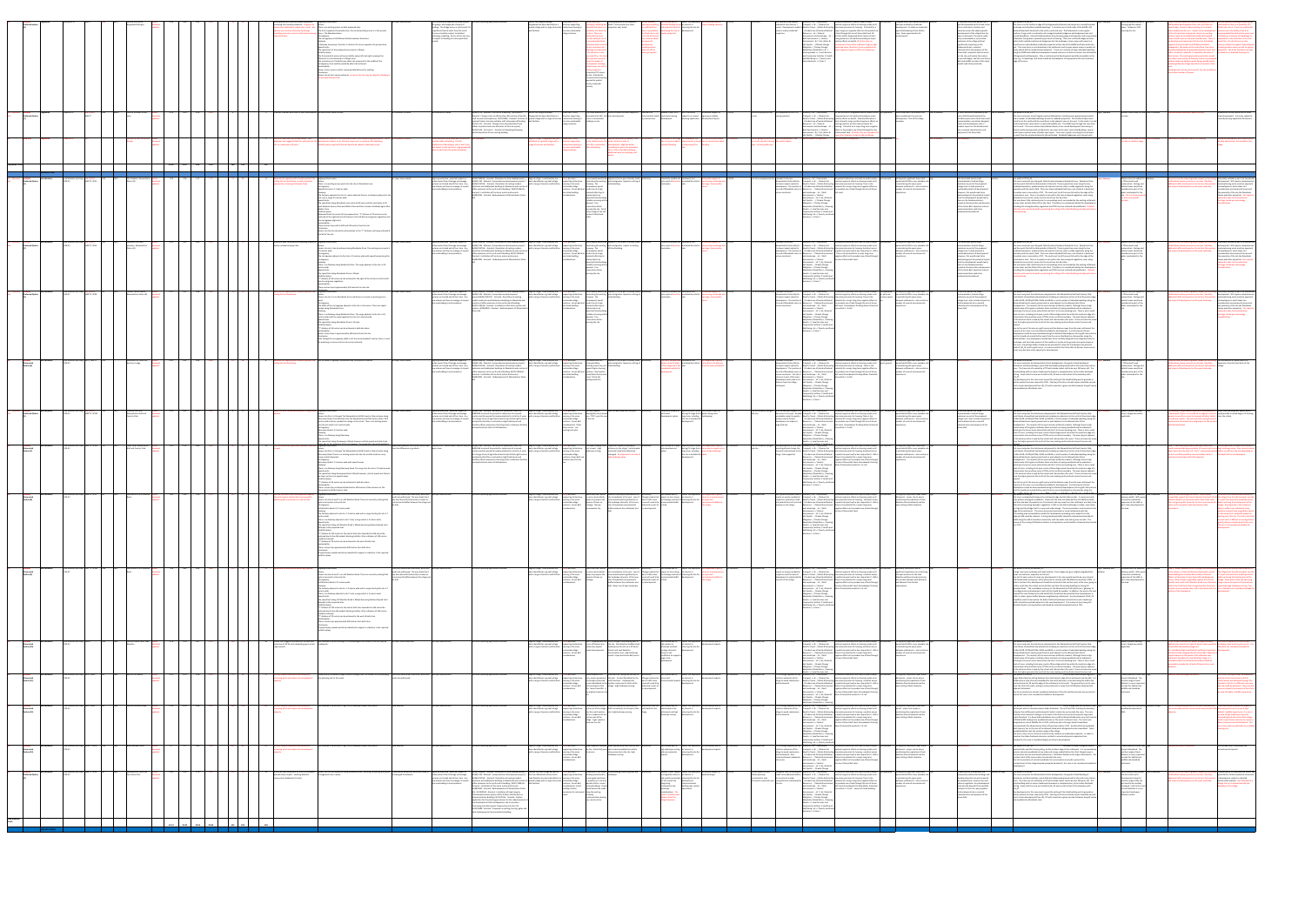|                                                                             |                                                                                  | Kingswood Cottages                    |                                                                                                                                                                                                                                                                                                                     | velopment will need to provide substantial Highway Observatio<br>screening from nearby properties. Original site Access:<br>ayout plans indicated a capacity for 5 units. Site There is an existing access on both proposed sites.<br>The first is opposite the private drive, the second existing access is in the private<br>options are currently limited by hydrology<br>modelling outcomes, which could reduce housing drive - The Meadow House.<br>capacity further.<br>Carriageway:<br>The carriageway on Old Warwick Road measures 6.6metres.<br>A footway measuring 1.3metres is sited on the access opposite the private drive.<br>e speed limit at the proposed access point is 30mph.<br>ibility Splays:<br>The first potential access achieves visibility splays left and right meaning that<br>Ometres is to be achieved in a 30mph zone.<br>he second access if visibility was able to be measured to the middle of the<br>carriageway, then visibility would be able to be achieved.<br>ccess to bus routes is within recommended distance for walking.<br>Access into all sites can be achieved. Access to this site may be subject to flooding<br>tain peak flow periods.                                                      | The Old Warwick Road and the area around No recent planning applications detaile<br>the garage and bridge has a history of<br>flooding. The bridge acts as a 'pinch-point' for<br>a significant flow of water from the north.<br>The area should be subject to detailed<br>hydrology modelling. Access to this site may<br>be subject to flooding at certain peak flow                                                                                                                                                                                                                                                                                                                                                                                                                                                                                                                                                                                                                                                                                                                                                                                                                                                                                                                                                           | Consider the shape of the state of the single state of the state of the state of the constants of the single state of the single state of the single state of the single state of the single state of the single state of the<br>growth village with a range of services limited new housing in indicated that there is a properties near brook.<br>the more sustainable possibility of a flood risk<br>to site 6. There are<br>village locations.<br>tantial concerns<br>the ability of site 6<br>commodate flood<br>iation works and:<br>er a minimum of 5<br>lings as required fo<br>te allocation in the<br>w Local Plan. On site<br>re are also concerns<br>out the impact of<br>lopment including<br>ice water run-off o<br>rby properties.<br>emporary TPO covers<br>the site. Substantial<br>vironmental screening<br>equired to protect<br>nearby residential                                                                                                                                                                                                                                                                  | frology modelling localised flooding issues an interest in<br>jor flooding concerns.<br>has indicated that and potential impact of releasing the site for<br>there is a possibility developing the site on development.<br>of a flood risk to site nearby properties.<br>On site 6 there are<br>o concerns about<br>the impact of<br>levelopment<br>including surface<br>water run-off on<br>nearby properties.            | e clearance had caused [Economy = & ? / Sustainable   Potential allocation is likely to lead to major Not assessed Complex Green Belt parcel area which Medi<br>substantial local interest / Transport ++ $\& -$ / Reduce the positive long-term effects on housing needs as all<br>unrest. Development needs to Need to Travel - / Waste & Recycling sites make provision for housing. Potential for a<br>protect nearby residential   / Prudent use of land and Natural   major long-term negative effect on the prudent use<br>Resources - -& - / Natural of land through the loss of Green Belt land. GP<br>properties.<br>Environment and Landscape - - & - / facilities within Kingswood which means all sites<br>Built Environment + / Historic have good access to healthcare leading to major<br>Environment - & ? / Air, Water & positive effects on health. All of the sites are<br>nsidered to have either medium to high or high<br>Soil Quality - - / Climate Change<br>Mitigation - / Climate Change<br>andscape value; therefore, there is potential f<br>ajor negative long-term effects on landscape<br>Adaptation (Flood Risk) = & - /<br>Housing Needs ++ / Local Services<br>and Community Facilities ?/ Health<br>and Well Being ++ / Poverty and<br>Social Exclusion + / Crime ? | has been eroded by residential<br>development. Provides an important<br>open field landscape from Station<br>Lane. Some opportunities for<br>enhancement.                                                                                                                       | A sensitive Green Belt parcel that is<br>artially bounded by the Grand Union<br>Canal, and helps to contain and<br>naturally screen the adjoining built<br>development of the village from the<br>open countryside. The parcel could<br>only accommodate a very limited<br>extension to the village without<br>significantly impacting on the<br>fundamental aim, essential<br>characteristics and purposes of the<br>Green Belt. Important natural assets<br>on the site, particularly the mature<br>trees and hedges, and the rural Green<br>Belt and wildlife corridor of the canal,<br>would need to be protected. | his zone is on the southern edge of the Kingswood settlement and comprises a mixed farmland<br>landscape and individual roadside dwellings. It stretches across both sides of the B4439, Old<br>Warwick Road with farmland to the north, south and east. The field pattern is sub-regular<br>medium / large, with a combination of managed roadside hedgerow and hedgerow trees and<br>fenced boundaries. Internal field boundaries have become gappy and outgrown and are generally<br>edundant, having been replaced by post and rail fencing. There are scattered hedgerow trees<br>within both roadside and internal hedgerows but the landscape is more open with views to a<br>reed horizon and individual residential properties either side of the B4439 and from within the<br>init. This zone forms a rural backdrop to the settlement and its open nature means it would not<br>easily absorb further residential development. There are a number of large individual dwellings<br>long the B4439 and additional development would only serve to further connect the settlements<br>of Kingswood and Rowington. Only a small amount of development would be acceptable in this<br>zone, e.g. 2-3 dwellings, and these should be sited adjacent to Kingswood at the north-western<br>edge of the zone.                                                                                                                                                                                                                                                                                                                                                                                                                                                                                                                                                                                                                                                                     | anal and brook corridor is<br>scoring high for habitat<br>value. Temporary TPO<br>covering the site.                                                                                                                                                                        | Warwick Road opposite Sites 1 & 2 just after the<br>anal bridge. Concerns about parking in an already flood risk to site 6. There are substantial<br>ercrowded area for cars. I object to the developmen<br>this this land due to being too close to an existing<br>imary route on to old Warwick Road which would<br>use a bottle neck in that area at peak times. There is required for a site allocation in the new<br>o development requirement for the site. Site floods Local Plan. On site 6 there are also<br>egularly (Culvert under the Old Warwick Road is<br>inadequate). The homes at the end of Yew Tree Close<br>rould be blighted by on-going development issues an<br>uffer a dramatic reduction in saleability and value of<br>their homes. The existing boundary constraints wou<br>ot allow a new section of footway to be accomn<br>vithout extensive highway works being needed, wh<br>would significantly change the historic character of tl<br>Flooding issues can be overcome for this site and de<br>minimum number of houses. | dicated that there is a possibility of a<br>concerns over the ability of site 6 to<br>ommodate flood alleviation works and<br>still deliver a minimum of 5 dwellings as<br>rns about the impact of development<br>cluding surface water run-off on nearby<br>properties. Site 6 has therefore not been<br>included as an allocated housing site.                                                                                                                                          |
|-----------------------------------------------------------------------------|----------------------------------------------------------------------------------|---------------------------------------|---------------------------------------------------------------------------------------------------------------------------------------------------------------------------------------------------------------------------------------------------------------------------------------------------------------------|--------------------------------------------------------------------------------------------------------------------------------------------------------------------------------------------------------------------------------------------------------------------------------------------------------------------------------------------------------------------------------------------------------------------------------------------------------------------------------------------------------------------------------------------------------------------------------------------------------------------------------------------------------------------------------------------------------------------------------------------------------------------------------------------------------------------------------------------------------------------------------------------------------------------------------------------------------------------------------------------------------------------------------------------------------------------------------------------------------------------------------------------------------------------------------------------------------------------------------------------------|----------------------------------------------------------------------------------------------------------------------------------------------------------------------------------------------------------------------------------------------------------------------------------------------------------------------------------------------------------------------------------------------------------------------------------------------------------------------------------------------------------------------------------------------------------------------------------------------------------------------------------------------------------------------------------------------------------------------------------------------------------------------------------------------------------------------------------------------------------------------------------------------------------------------------------------------------------------------------------------------------------------------------------------------------------------------------------------------------------------------------------------------------------------------------------------------------------------------------------------------------------------------------------------------------------------------------------|-----------------------------------------------------------------------------------------------------------------------------------------------------------------------------------------------------------------------------------------------------------------------------------------------------------------------------------------------------------------------------------------------------------------------------------------------------------------------------------------------------------------------------------------------------------------------------------------------------------------------------------------------------------------------------------------------------------------------------------------------------------------------------------------------------------------------------------------------------------------------------------------------------------------------------------------------------------------------------------------------------------------------------------------------------------------------------------------------------------------------------------------|----------------------------------------------------------------------------------------------------------------------------------------------------------------------------------------------------------------------------------------------------------------------------------------------------------------------------------------------------------------------------------------------------------------------------|---------------------------------------------------------------------------------------------------------------------------------------------------------------------------------------------------------------------------------------------------------------------------------------------------------------------------------------------------------------------------------------------------------------------------------------------------------------------------------------------------------------------------------------------------------------------------------------------------------------------------------------------------------------------------------------------------------------------------------------------------------------------------------------------------------------------------------------------------------------------------------------------------------------------------------------------------------------------------------------------------------------------------------------------------------------------------------------------------------------------------------------------------------------------------------------------------------------------------------------------------------------------------------------------------------|---------------------------------------------------------------------------------------------------------------------------------------------------------------------------------------------------------------------------------------------------------------------------------|------------------------------------------------------------------------------------------------------------------------------------------------------------------------------------------------------------------------------------------------------------------------------------------------------------------------------------------------------------------------------------------------------------------------------------------------------------------------------------------------------------------------------------------------------------------------------------------------------------------------|--------------------------------------------------------------------------------------------------------------------------------------------------------------------------------------------------------------------------------------------------------------------------------------------------------------------------------------------------------------------------------------------------------------------------------------------------------------------------------------------------------------------------------------------------------------------------------------------------------------------------------------------------------------------------------------------------------------------------------------------------------------------------------------------------------------------------------------------------------------------------------------------------------------------------------------------------------------------------------------------------------------------------------------------------------------------------------------------------------------------------------------------------------------------------------------------------------------------------------------------------------------------------------------------------------------------------------------------------------------------------------------------------------------------------------------------------------------------------------------------------------------------------------------------------------------------------------------------------------------------------------------------------------------------------------------------------------------------------------------------------------------------------------------------------------------------------------------------------------------------------------------------------------------------------------------------------------------------------------------|-----------------------------------------------------------------------------------------------------------------------------------------------------------------------------------------------------------------------------------------------------------------------------|-----------------------------------------------------------------------------------------------------------------------------------------------------------------------------------------------------------------------------------------------------------------------------------------------------------------------------------------------------------------------------------------------------------------------------------------------------------------------------------------------------------------------------------------------------------------------------------------------------------------------------------------------------------------------------------------------------------------------------------------------------------------------------------------------------------------------------------------------------------------------------------------------------------------------------------------------------------------------------------------------------------------------------------------------------------|-------------------------------------------------------------------------------------------------------------------------------------------------------------------------------------------------------------------------------------------------------------------------------------------------------------------------------------------------------------------------------------------------------------------------------------------------------------------------------------------|
|                                                                             | No New Site Kingswood Lapworth PC n/a natural Land at the rear of the O          |                                       |                                                                                                                                                                                                                                                                                                                     | on the material operation of the control of the set of the control of the set of the set of Mill SHLAA 0.19 0.19 0.19 0.18 5 7 5 Previous schemes were seen as over-development. No observation made to date.<br>ot discussed in detail.<br>Limited site access off the Old Warwick Road. Sub-standard highways width. Limits Not discussed in detail.<br>on its own has very limited access. WCC<br>Highways has suggested that this will constrain the development options to an informal access up to a maximum of 6 dwellings.<br>Visibility splays may be OK but will need to be subject to detailed review.<br>ite to a maximum of 6 units.                                                                                                                                                                                                                                                                                                                                                                                                                                                                                                                                                                                                | Not discussed in detail.<br>external timber staircase and door with side panels off landing. and facilities.<br>W/11/1111 - Granted - Change of use of ground floor from<br>offices to pilates studio (no alteration to internal layout).<br>W/12/1018 - On System - Erection of 8 dwellings following<br>partial demolition of one existing building.<br>concerns that a major part of this site Not reviewed.<br>ild be liable to flooding. The full<br>plications of developing sites 1 and 2 may<br>so impact on this site has it is geographica<br>ower in parts than the preferred options.                                                                                                                                                                                                                                                                                                                                                                                                                                                                                                                                                                                                                                                                                                                                | W/99/0778 - Refused - Erection of a dwelling. W/00/0401 Within the village envelope. Green Belt. Policy Very close proximity to Recent scheme has been subject to Potential site Suitable in part for a Site is currently Achi<br>Granted - Change of use to offices (Class B1) and use of land for Kingswood has been identified as a direction supporting canal potential LWS. Site over-development.<br>staff car park (retrospective). W/07/0268 - Granted - Erection of growth village with a range of services limited new housing in access is constrained.<br>the more sustainable Buildings on site.<br>village locations.<br>f village. Kingswood has been Green Belt. Policy The site is tightly bound<br>be impacted by flooding. Poor Not assessed.<br>ntified as a growth village with a direction supporting by the railway line to the access limits the scale of<br>nge of services and facilities. Ilimited new housing in west. Site is potentially development. Might be better<br>the more sustainable liable to flooding. Considered as part of an expanded<br>, if this is feasible following<br>lage locations. | contamination linked small scale housing subject to a revised agreeing a suitable<br>to previous uses. development. planning application. development layout.<br>due to concerns about expresssed an interest due to conconcerns about<br>potential flooding. in disposing of the flooding.                                                                                                                                | Economy = & ? / Sustainable GP facilities within Kingswood which means all sites Not applicable Small Green Belt Parcel which has Low to Medium<br>Current employment use Site proposed by the PC as<br>Transport $++$ & $--/$ Reduce the have good access to healthcare leading to major<br>having potential.<br>Need to Travel - / Waste & Recycling positive effects on health. Potential allocation is<br>Prudent use of land and Natural likely to lead to major positive long-term effects on<br>Resources - - & - / Natural housing needs as all sites make provision for<br>ivironment and Landscape - - & - / housing. Potential for a major long-term negative<br>Built Environment + $/$ Historic effect on the prudent use of land through the loss<br>Environment - & ? / Air, Water & of Green Belt land. All of the sites are considered<br>ioil Quality - - /Climate Change<br>ave either medium to high or high landscape<br>Not included in SA appraisal<br>Not included in SA appraisal<br>eviously used for training discussed in detail.<br>ogs. Current garden use.                                                                                                                                                                                                               | been eroded over the years by<br>development. Part of the village<br>envelope.                                                                                                                                                                                                  | A small sub-parcel bounded by Mill Low to Medium<br>Lane, Old Warwick Road and the<br>Stratford-upon-Avon Canal that could<br>accommodate a sensitively designed<br>canal-side development, with a<br>modest impact on the fundamental<br>aim, essential characteristics and<br>purposes of the Green Belt.                                                                                                                                                                                                                                                                                                            | Lies within LCP KW 20.<br>This zone comprises a small regular pastoral field pattern including some grazed wet grassland,<br>and a number of individual dwellings as well as roadside properties. The Stratford-Upon-Avon<br>Canal lies to the north with the canal basin in the adjacent zone to the east. To the south is an old<br>earth bank (Green Lane) which is a potential wildlife site. The B4439 cuts through the zone from<br>east to west. The zone contains low/medium density linear mixed development decreasing in<br>ensity and becoming purely residential as you move to the west, two Listed Buildings, several<br>small copses and two areas of public open space. Tree cover is good, screening the canal basin<br>ar park from the road and along the old earth bank. Roadside hedgerows are trimmed, with                                                                                                                                                                                                                                                                                                                                                                                                                                                                                                                                                                                                                                                                                                                                                                                                                                                                                                                                                                                                                                                                                                                                                   | High / Medium<br>Habitat value linked to canal Low to medium<br>Limited detailed comments about this site.<br>Habitat value linked to canal Low to medium<br>orridor at southern edge.                                                                                      | abmitted as a possible location for housing.                                                                                                                                                                                                                                                                                                                                                                                                                                                                                                                                                                                                                                                                                                                                                                                                                                                                                                                                                                                                              | Brownfield site with potential for small<br>scale development. Currently subject to<br>revised planning application discussions.<br>fully determined. Not suitable at this                                                                                                                                                                                                                                                                                                                |
|                                                                             |                                                                                  |                                       | $\frac{1}{25.09}$ 6.09 5.33 5.34 160 214 150 214                                                                                                                                                                                                                                                                    |                                                                                                                                                                                                                                                                                                                                                                                                                                                                                                                                                                                                                                                                                                                                                                                                                                                                                                                                                                                                                                                                                                                                                                                                                                                  |                                                                                                                                                                                                                                                                                                                                                                                                                                                                                                                                                                                                                                                                                                                                                                                                                                                                                                                                                                                                                                                                                                                                                                                                                                                                                                                                  | ional work on hydrology and                                                                                                                                                                                                                                                                                                                                                                                                                                                                                                                                                                                                                                                                                                                                                                                                                                                                                                                                                                                                                                                                                                             |                                                                                                                                                                                                                                                                                                                                                                                                                            |                                                                                                                                                                                                                                                                                                                                                                                                                                                                                                                                                                                                                                                                                                                                                                                                                                                                                                                                                                                                                                                                                                                                                                                                                                                                                                         |                                                                                                                                                                                                                                                                                 |                                                                                                                                                                                                                                                                                                                                                                                                                                                                                                                                                                                                                        |                                                                                                                                                                                                                                                                                                                                                                                                                                                                                                                                                                                                                                                                                                                                                                                                                                                                                                                                                                                                                                                                                                                                                                                                                                                                                                                                                                                                                                                                                                                                                                                                                                                                                                                                                                                                                                                                                                                                                                                      |                                                                                                                                                                                                                                                                             |                                                                                                                                                                                                                                                                                                                                                                                                                                                                                                                                                                                                                                                                                                                                                                                                                                                                                                                                                                                                                                                           |                                                                                                                                                                                                                                                                                                                                                                                                                                                                                           |
| <b>VHOSBC</b> Leek Wootton                                                  | Leek Wootton and Guys LW 1 (DS7) R120                                            | The Paddock, Warwickshire SHL         |                                                                                                                                                                                                                                                                                                                     | <b>Highway Observation:</b><br>o major issues raised<br>uced site capacity with a need to pr<br>ing of the listed house, as well as provide<br>There is no existing access point into the site on Woodcote Lane.<br>propriate screening to Broome Close.<br>odcote Lane is 4.7 metres wide.<br>The footway opposite the site is 1 metre wide but there is no footway adjacent to the<br>ite, only a verge 3.5 metres wide.<br>e speed limit along Woodcote Lane starts at 60 mph, and then decreases to 30<br>nph between Quarry Close and Waller Close and then increase to 60mph again after<br>sibility Splays:<br>Measured from the centre of the proposed site, "Y" distance of 70 metres can be<br>achieved to the right but only 50 metres to the left due to overgrown vegetation and<br>e carriageway alignment.<br>There are bus stops within 400 and 550 metres from the site.<br>Access into the site cannot be achieved due to the "Y" distance not being achieved to<br>the left of the site.                                                                                                                                                                                                                                      | systems are limited and of their time. Any W/06/1057/LB - Granted - Demolition of existing modern with a range of services and facilities. housing in the more driveway. The listed building.<br>cheme will have to manage its impact extension and stables/out buildings to Woodcote and erection of<br>office extension to the north end of building / W/07/1294/LB -<br>and avoid adding to local problems.<br>Granted - Installation of fire alarm system and sensors.<br>W/08/0935 - Granted - Redevelopment of Warwickshire Police                                                                                                                                                                                                                                                                                                                                                                                                                                                                                                                                                                                                                                                                                                                                                                                         | Higher ground area - potential impact on W/04/1806/LB - Granted - Alterations to form disabled access / Edge of village. Leek Wootton has Policy direction Access would need to be Adjacent / forms part of locally listed Sat<br>surface water flow. Drainage and sewage W/06/1104 - Refused - (comprehensive development project) / been identified as a growth village supporting limited new made along the existing park and garden. Impact on setting of<br>sustainable village development would<br>locations. Green Belt and need to be of a high<br>also listed building<br>standard reflecting its<br>considerations.<br>relationship to an<br>nportant listed building<br>Suitable screening will be<br>required. Tree<br>reservation Order<br>overing the site. North<br>eastern edge of the site<br>borders Cattle Brook                                                                                                                                                                                                                                                                                                   | Potentially suitable site Landowner has Achievable subject to 2014/19<br>but as part of sensitive marketed the site for overcoming landscape and<br>masterplan.<br>heritage / conservation                                                                                                                                                                                                                                 | Part of an employment site. Consider the former Feconomy = & ? / Sustainable All potential allocations are likely to lead to major Not assessed Strategically significant Green Belt H<br>Warwickshire Police HQ site Transport ++ & - - / Reduce the positive long-term effects on housing needs as all<br>the lower impact option for Need to Travel - / Waste & Recycling sites make provision for housing. There is the<br>development. The junction at -/ Prudent use of land and Natural potential for a major long-term negative effect on<br>the end of Woodcote Lane is a Resources --/ Natural Environment the prudent use of land through the loss of Green<br>and Landscape - - & - / Built Belt Land.<br>serious constraint.<br>:nvironment + / Historic<br>Invironment - - & ? / Air, Water &<br>Soil Quality - - / Climate Change<br>Mitigation - / Climate Change<br>Adaptation (Flood Risk) = / Housing<br>Needs ++ / Local Services and<br>Community Facilities ?/ Health an<br>Well Being + $& = /$ Poverty and So<br>Exclusion + / Crime ?                                                                                                                                                                                                                                          | <b>STATE OF STATE OF STATE OF STATE OF STATE OF STATE OF STATE OF STATE OF STATE OF STATE OF STATE OF STATE OF S</b><br>parcel which fulfils a very valuable role<br>in maintaining the open space<br>between settlements - also contains a<br>number of areas of environmental | The Green Belt parcel could Medium<br>accommodate a limited village<br>extension as part of the proposed<br>village inset, to help promote a<br>sustainable pattern of development.<br>However, this would need to be<br>balanced against the potential impact<br>that the development would clearly<br>have on the fundamental aim,<br>essential characteristics and purposes<br>of the Green Belt. Important natural<br>assets would also need to be<br>protected and enhanced.                                                                                                                                      | ies within LCP LW 05.<br>This zone comprises one triangular field of pasture between Woodcote Lane, Woodcote Drive<br>and the sports field of the Warwickshire Police HQ. There is good tree cover along the two<br>roadside boundaries, predominantly oak and ash, but only scant scrubby vegetation along the<br>boundary with the sports field. There are a few individual field trees, one of which is dead and<br>he whole zone is covered by a TPO. The south-east tip of the zone falls within the edge of the<br>conservation area. There is no public access within the zone and good vegetation cover along<br>Woodcote Lane restricts views into the zone from this direction.<br>The zone bears little relationship to its surroundings and is surrounded by the existing settlement<br>on two sides, and the Police HQ on the third. Therefore it is considered suitable for development<br>providing the strong boundary vegetation and TPO trees are retained and unaffected. Detailed<br>attention also need to be paid to protecting the setting of the listed building and adjacent histori<br>ark landscape.                                                                                                                                                                                                                                                                                                                                                                                                                                                                                                                                                                                                                                                                                                                                                                                                                                                      | Mature trees are subject to Medium<br>High / Medium<br>a TPO and will need<br>preservation. Ecology and<br>habitat issues need to be<br>considered as part of the<br>wider masterplan for the<br>site. Site has close proxin<br>to The Lunch habitat<br>corridor. The corr  | cerns over the scale of growth; impact on the<br>Voodcote House; pressure on services / facilities<br>addtional traffic and impact on the Anchor Pub junction masterplanning and a sensitive approach<br>and impact of development on the open landscape.                                                                                                                                                                                                                                                                                                                                                                                                                                                                                                                                                                                                                                                                                                                                                                                                 | Potentially suitable as part of a low-density<br>development. Will require comprehensive<br>to development, which takes into<br>consideration environmental issues and<br>the proximity of the site the Woodcote<br>House and other properties. Site capacity<br>reduced to take into consideration<br>heritage, landscape and ecology<br>onsiderations.                                                                                                                                  |
| <b>EXC.</b> Leek Wootton                                                    | LW2*O / R96                                                                      | entrance, Warwickshire<br>Police HQ   | LW4 Land north of main SHLAA 0.32 0.32 0.32 0.30 0.30 9 12                                                                                                                                                                                                                                                          | Attention nees to be paid to minimising impact on Highway Observation:<br>major issues raised<br>nearby residential properties.<br>ccess into site 2 can be achieved along Woodcote Drive. The existing access point is<br>e carriageway adjacent to the site is 4.5 metres wide with speed humps along the<br>There is no footway along Woodcote Drive. The verge adjacent to the site is 2.8<br>e speed limit along Woodcote Drive is 10mph.<br>ibility Splays:<br>'Y" distance of 43 metres can be achieved to the right of the site but not to the left<br>ue to overgrown vegetation.<br>ustainability:<br>There are bus stops approximately 350 metres from the site.                                                                                                                                                                                                                                                                                                                                                                                                                                                                                                                                                                      | systems are limited and of their time. Any W/06/1057/LB - Granted - Demolition of existing modern with a range of services and facilities. Nousing in the more driveway. The of listed building.<br>new scheme will have to manage its impact extension and stables/out buildings to Woodcote and erection of<br>office extension to the north end of building. W/07/1294/LB -<br>and avoid adding to local problems.<br>Granted - Installation of fire alarm system and sensors.<br>W/08/0905 - Granted - Redevelopment of Warwickshire Police                                                                                                                                                                                                                                                                                                                                                                                                                                                                                                                                                                                                                                                                                                                                                                                  | ilgher ground area - potential impact on W/04/1806/LB - Granted - Alterations to form disabled access Edge of village. Leek Wootton has Policy direction Access would need to be Adjacent / forms part of locally listed Satis<br>surface water flow. Drainage and sewage W/06/1104 - Refused - (comprehensive development project). been identified as a growth village supporting limited new made along the existing park and garden. Impact on setting<br>sustainable village development would<br>locations. Green Belt and need to be of a high<br>also listed building standard reflecting its<br>considerations.<br>relationship to an<br>mportant listed building.<br>Suitable screening will be<br>required. Tree<br>Preservation Order<br>covering the site.                                                                                                                                                                                                                                                                                                                                                                 | Potentially suitable site Landowner has Achievable subject to<br>2014/19<br>but as part of sensitive marketed the site for overcoming landscape and<br>masterplan.<br>eritage / conservation                                                                                                                                                                                                                               | art of an employment site. Consider the former Economy = & ? / Sustainable All potential allocations are likely to lead to major Not ass<br>Warwickshire Police HQ site Transport ++ & - - / Reduce the positive long-term effects on housing needs as all<br>the lower impact option for Need to Travel - / Waste & Recycling sites make provision for housing. Excellent access<br>development. The junction at -/ Prudent use of land and Natural to public transport with a bus stop within 0 - 400 m<br>the end of Woodcote Lane is a Resources - - / Natural Environment . There is the potential for a major long-term<br>serious constraint. and Landscape - - & - / Built energative effect on the prudent use of land through<br>Environment + / Historic<br>the loss of Green Belt Land<br>Environment - - & ? / Air, Water &<br>Soil Quality - - Climate Change<br>Mitigation - / Climate Change<br>Adaptation (Flood Risk) = / Housing<br>Needs ++ / Local Services and<br>Community Facilities ?/ Health an<br>Well Being + $& = /$ Poverty and Soci<br>Exclusion + / Crime ?                                                                                                                                                                                                             | trategically significant Green Belt<br>parcel which fulfils a very valuable role<br>in maintaining the open space<br>between settlements - also contains a<br>number of areas of environmental<br>importance.                                                                   | Green Belt parcel could<br>accommodate a limited village<br>extension as part of the proposed<br>village inset, to help promote a<br>sustainable pattern of development.<br>However, this would need to be<br>balanced against the potential impact<br>that the development would clearly<br>have on the fundamental aim,<br>essential characteristics and purposes<br>of the Green Belt. Important natural<br>assets would also need to be<br>protected and enhanced.                                                                                                                                                 | within LCP LW 05.<br>his zone comprises one triangular field of pasture between Woodcote Lane, Woodcote Drive<br>and the sports field of the Warwickshire Police HQ. There is good tree cover along the two<br>roadside boundaries, predominantly oak and ash, but only scant scrubby vegetation along the<br>boundary with the sports field. There are a few individual field trees, one of which is dead and<br>the whole zone is covered by a TPO. The south-east tip of the zone falls within the edge of the<br>conservation area. There is no public access within the zone and good vegetation cover along<br>Woodcote Lane restricts views into the zone from this direction.<br>he zone bears little relationship to its surroundings and is surrounded by the existing settlement<br>on two sides, and the Police HQ on the third. Therefore it is considered suitable for development<br>providing the strong boundary vegetation and TPO trees are retained and unaffected. Detailed<br>attention also need to be paid to protecting the setting of the listed building and adjacent histo<br>irk landscape.                                                                                                                                                                                                                                                                                                                                                                                                                                                                                                                                                                                                                                                                                                                                                                                                                                                             | Mature trees are subject to Mediu<br>a TPO and will need<br>preservation. Ecology and<br>habitat issues need to be<br>considered as part of the<br>wider masterplan for the                                                                                                 | erns over the scale of growth; impact on the<br>Woodcote House; pressure on services / facilities; development. Will require comprehensive<br>dtional traffic and impact on the Anchor Pub june<br>nd impact of development on the open landscape.                                                                                                                                                                                                                                                                                                                                                                                                                                                                                                                                                                                                                                                                                                                                                                                                        | Potentially suitable as part of a low-density<br>masterplanning and a sensitive approach<br>to development, which takes into<br>nsideration environmental issues and<br>the proximity of the site the Woodcote<br>House and other properties. Site capacity<br>educed to take into consideration<br>heritage, landscape and ecology<br>siderations.                                                                                                                                       |
| <b>DESENY SERVIS CONTROL</b><br>CONTROL TO Leek Wootton<br>Preferred Option | Leek Wootton and Guys LW 3 (DS7) R92<br>LW3*O / R98<br>Cliffe PC                 | Warwickshire Police HQ                | SHLAA 0.57 0.57 0.38 0.48 15 19 5 Reduced site c                                                                                                                                                                                                                                                                    | Conclusion:<br>Highway Observation:<br>No major issues raised<br>Reduced site capacity with a need to pr<br>setting of the listed house.<br>ccess into site 3 is on Woodcote Drive and there is currently no existing access<br>The width of the carriageway adjacent to the site is 4.6 metres. There are speed<br>nps along Woodcote Drive.<br>nere is no footway along Woodcote Drive. The verge adjacent to the site is 8.1<br>etres wide and the verge opposite the site is 6.5 metres wide.<br>e speed limit along Woodcote Drive is 10 mph.<br>ibility Splays:<br>'Y" distance of 43 metres can be achieved in both directions.<br>ccess to bus stops is approximately 600 metres from the site.<br>iven though the carriageway width is not the recommended 5 metres, there is room<br>r widening so access into the site can be achieved.                                                                                                                                                                                                                                                                                                                                                                                               | systems are limited and of their time. Any project). W/06/1057/LB - Granted - Demolition of existing with a range of services and facilities. housing in the more driveway. The listed building.<br>new scheme will have to manage its impact modern extension and stables/out buildings to Woodcote and<br>erection of office extension to the north end of building.<br>and avoid adding to local problems.<br>W/07/1294/LB - Granted - Installation of fire alarm system and<br>sensors. W/08/0905 - Granted - Redevelopment of Warwickshire                                                                                                                                                                                                                                                                                                                                                                                                                                                                                                                                                                                                                                                                                                                                                                                  | Higher ground area - potential impact on W/04/1806/LB - Granted - Alterations to form disabled access Edge of village. Leek Wootton has Policy direction Access would need to be Adjacent / forms part of locally listed Satis<br>surface water flow. Drainage and sewage W/06/1104 - Refused - (comprehensive development been identified as a growth village supporting limited new made along the existing park and garden. Impact on setting of<br>sustainable village development would<br>locations. Green Belt and need to be of a high<br>also listed building standard reflecting its<br>considerations.<br>relationship to an<br>important listed building.<br>Suitable screening will be<br>required. Tree<br>Preservation Order<br>overing the site.                                                                                                                                                                                                                                                                                                                                                                        | Potentially suitable site Landowner has Achievable subject to 2014/19<br>but as part of sensitive marketed the site for overcoming landscape and<br>eritage / conservation<br>masterplan.                                                                                                                                                                                                                                  | Part of an employment site. Consider the former Economy = & ? / Sustainable All potential allocations are likely to lead to major Not applicable Strategically significant Green Belt<br>Warwickshire Police HQ site Transport ++ & -- / Reduce the positive long-term effects on housing needs as all car park and parcel which fulfils a very valuable role<br>the lower impact option for Need to Travel - / Waste & Recycling sites make provision for housing. There is the previous sports in maintaining the open space<br>development. The junction at -/ Prudent use of land and Natural potential for a major long-term negative effect on use.<br>the end of Woodcote Lane is a Resources -- / Natural Environment the prudent use of land through the loss of Green<br>and Landscape - - & - / Built Belt Land. Groundwater Drinking Water Protected<br>serious constraint.<br>Invironment + / Historic<br>Area which is 'at risk'.<br>Environment - - & ? / Air, Water &<br>Soil Quality - - Climate Change<br>Mitigation - / Climate Change<br>Adaptation (Flood Risk) = / Housing<br>Needs ++ / Local Services and<br>Community Facilities ?/ Health an<br>Well Being + $&=$ / Poverty and So<br>Exclusion + / Crime ?                                                                   | between settlements - also contains a<br>number of areas of environmental<br>importance.                                                                                                                                                                                        | Green Belt parcel that could Low to Medium<br>accommodate a limited village<br>extension as part of the proposed<br>village inset, with a modest impact on<br>the fundamental aim, essential<br>characteristics and purposes of the<br>Green Belt.                                                                                                                                                                                                                                                                                                                                                                     | Lies within LCP LW 07.<br>This zone comprises the club house and grounds to the Warwickshire Golf and Country Club,<br>small blocks of woodland and plantations including an arboretum to the north of Gaveston Lodge,<br>ProWs W178, W179a/W179d, W223 and W226, a small number of individual dwellings along the<br>Warwick Road and a sports ground and car park adjacent to the Warwickshire Police<br>Headquarters . The majority of the zone has been artificially created. Although there is high<br>maintenance of the greens and lakes there are blocks of young woodland and an arboretum<br>which give the zone a more natural feel and link it to the surrounding area. There is also a small<br>block of trees, including Scots pine, south of Stone Edge which lies within the southern edge of a<br>Conservation Area and two areas of TPOs on the northern boundary. The area of grass adjacent<br>to the entrance drive is used by the school and club members for sport. There are extensive views<br>from the higher ground in the north of the zone, looking south and east across the zone and<br>Due to the use of this area as a golf course and the distance away from the main settlement the<br>majority of this zone is not considered suitable for development. A small amount of linear<br>development could be accommodated along the Warwick Road adjacent to the golf club entrance<br>but this should not extend further west than the current building line of properties along the<br>Warwick Road. Any development would have to be carefully designed to be integrated into the<br>landscape, and must take account of the landform / skyline as the ground rises quite steeply in<br>this area. A landscape buffer should also be provided to retain the link between the pastoral<br>fields of LW 01 and the golf course. A small area within the Police HQ site (former tennis courts<br>area), may also have some capacity for development. | Mature trees are subject to Medium<br>a TPO and will need<br>preservation. Ecology and<br>habitat issues need to be<br>considered as part of the<br>wider masterplan for the                                                                                                | erns over the scale of growth; impact on the s<br>Woodcote House; pressure on services / facilities;<br>addtional traffic and impact on the Anchor Pub jur<br>and impact of development on the open landscape.                                                                                                                                                                                                                                                                                                                                                                                                                                                                                                                                                                                                                                                                                                                                                                                                                                            | Potentially suitable as part of a low-density<br>development. Will require comprehensive<br>masterplanning and a sensitive approach<br>to development, which takes into<br>onsideration environmental issues and<br>the proximity of the site the Woodcote<br>House and other properties. Site capacity<br>reduced to take into consideration<br>ritage, landscape and ecology                                                                                                            |
|                                                                             |                                                                                  |                                       |                                                                                                                                                                                                                                                                                                                     | etting of the listed house.                                                                                                                                                                                                                                                                                                                                                                                                                                                                                                                                                                                                                                                                                                                                                                                                                                                                                                                                                                                                                                                                                                                                                                                                                      | systems are limited and of their time. Any W/06/1057/LB - Granted - Demolition of existing modern with a range of services and facilities. housing in the more Exisiting access may not listed building.<br>new scheme will have to manage its impact extension and stables/out buildings to Woodcote and erection of<br>and avoid adding to local problems. office extension to the north end of building. W/07/1294/LB -<br>Granted - Installation of fire alarm system and sensors.<br>W/08/0905 - Granted - Redevelopment of Warwickshire Police                                                                                                                                                                                                                                                                                                                                                                                                                                                                                                                                                                                                                                                                                                                                                                             | surface water flow. Drainage and sewage W/06/1104 - Refused - (comprehensive development project). been identified as a growth village supporting limited new existing building. park and garden. Impact on setting of<br>sustainable village support higher housing<br>locations. Green Belt and numbers. Gas Pipeline<br>also listed building Consultation Zone (outer<br>considerations.<br>Zone). Police HQ<br>Sportsground Use                                                                                                                                                                                                                                                                                                                                                                                                                                                                                                                                                                                                                                                                                                     | distance from the dge marketed the site for terms due to its distance<br>m the main settlement<br>of the village and is not sale.<br>nsidered suitable f<br>development.                                                                                                                                                                                                                                                   | Warwickshire Police HQ site Transport ++ & -- / Reduce the positive long-term effects on housing needs as all sports ground parcel which fulfils a very valuable role<br>the lower impact option for Need to Travel - / Waste & Recycling sites make provision for housing. There is the<br>development. The junction at  -/ Prudent use of land and Natural   potential for a major long-term negative effect on<br>the end of Woodcote Lane is a Resources -- / Natural Environment the prudent use of land through the loss of Green<br>serious constraint. This site is and Landscape - - & - / Built Belt Land. Groundwater Drinking Water Protected<br>not seen as part of the main Environment + / Historic Area which is 'at risk'.<br>development area, due to its Environment - - & ? / Air, Water &<br>distance from the village Soil Quality - - Climate Change<br>Mitigation - / Climate Change<br>settlement.<br>Adaptation (Flood Risk) = / Housin<br>Veeds ++ / Local Services and<br>Community Facilities ?/ Health an<br>Well Being + $& = /$ Poverty and So<br>Exclusion + / Crime ?                                                                                                                                                                                                 | maintaining the open space<br>between settlements - also contains a<br>number of areas of environmental<br>importance.                                                                                                                                                          |                                                                                                                                                                                                                                                                                                                                                                                                                                                                                                                                                                                                                        | his zone comprises the Warwickshire Police Headquarters: the grade II listed building of<br>Woodcote, ancillary buildings, sports field and landscaped grounds with a lake and many mature<br>rees. The trees are all covered by a TPO and include cedars said to be over 300 years old. The<br>listed building with its mature landscape framework is complementary to the Arden Parklands<br>setting. Views into the zone are limited to LW_05 and a small section of the boundary with<br>Any development in this zone must respect the setting of the listed building and its grounds as<br>well as protect the trees covered by TPOs. Planting in the form of small copses should be carried<br>out to screen development from LW_07 and to maintain a green corridor between the golf course<br>ind woodland on Woodcote Lane.                                                                                                                                                                                                                                                                                                                                                                                                                                                                                                                                                                                                                                                                                                                                                                                                                                                                                                                                                                                                                                                                                                                                                 | a TPO and will need<br>preservation. Ecology and<br>habitat issues need to be<br>considered as part of the<br>wider masterplan for the                                                                                                                                      | Mature trees are subject to Medium Concerns over the scale of growth; impact of<br>f Woodcote House; pressure on services / facilities; seperation from the built form of the<br>addtional traffic and impact on the Anchor Pub junction village.<br>nd impact of development on the open landscape.                                                                                                                                                                                                                                                                                                                                                                                                                                                                                                                                                                                                                                                                                                                                                      |                                                                                                                                                                                                                                                                                                                                                                                                                                                                                           |
|                                                                             | d VHOSBC Leek Wootton Leek Wootton and Guys LW 4 (DS7) R125 LW 4<br>LW4*O / R102 | Warwickshire Golf and<br>Country Club | SHLAA 0.32 0.32 0.32 0.30 9 12 5 Small site with limite                                                                                                                                                                                                                                                             | Highway Observation:<br>o major issues raised<br>Small site with limited development cont<br>Access into Site 4 is through The Warwickshire Golf & Country Club entrance along<br>eansway Road. The bellmouth into The Warwickshire Golf & Country Club is 24.6<br>metres wide and has a pedestrian refuge in the centre. There is an existing access<br>nto the site which is 6.5 metres wide.<br>Deansway Road is 5.4 metres wide.<br>There is no footway along Deansway.<br>eed Limits:<br>The speed limit along Deansway is 30mph however vehicle speeds are likely to be                                                                                                                                                                                                                                                                                                                                                                                                                                                                                                                                                                                                                                                                    | surface water flow. Drainage and sewage W900436 to extend the period for submission of reserved been identified as a growth village supporting limited new investigation for previous<br>systems are limited and of their time. Any matters and the period for implementation for a further 2 years with a range of services and facilities. housing in the more uses. TPO's near the rear<br>new scheme will have to manage its impact for change of use of agricultural land to two 18 hole golf courses<br>and practice facilities; construction of golf club house and<br>and avoid adding to local problems.<br>ancillary offices; expansion of existing hotel, conference facilities<br>and sports/leisure club to 150 bedrooms.                                                                                                                                                                                                                                                                                                                                                                                                                                                                                                                                                                                           | Higher ground area - potential impact on W/96/1464 - Granted - Variations of conditions 2 and 3 of Edge of village. Leek Wootton has Policy direction Site may require Loss of a well used local car park. Satisfactory Potent<br>sustainable village of the site.<br>locations. Green Belt<br>considerations. Other<br>status issues - see<br>existing local plan.                                                                                                                                                                                                                                                                                                                                                                                                                                                                                                                                                                                                                                                                                                                                                                     | small scale during PO stage that a quality design and<br>development option. large area, including landscaping.<br>this site is available for                                                                                                                                                                                                                                                                              | Part of the sports and golf The site has been subject to PC Economy = & ? / Sustainable All potential allocations are likely to lead to major N/A - car park use Strategically significant Green Belt<br>discussion in the past. Broadly Transport ++ $\& -/$ Reduce the positive long-term effects on housing needs as all<br>acceptable subject to quality Need to Travel - / Waste & Recycling sites make provision for housing. There is the<br>scheme and no further   / Prudent use of land and Natural   potential for a major long-term negative effect on<br>development on adjacent Resources -- / Natural Environment the prudent use of land through the loss of Green<br>large field site.<br>and Landscape - - & - / Built Belt Land. Groundwater Drinking Water Protected<br>:nvironment + / Historic<br>Area which is 'at risk'.<br>nvironment - - & ? / Air, Water &<br>Soil Quality - - Climate Change<br>Mitigation - / Climate Change<br>Adaptation (Flood Risk) = / Housing<br>Needs ++ / Local Services and                                                                                                                                                                                                                                                                       | parcel which fulfils a very valuable role<br>in maintaining the open space<br>between settlements - also contains a<br>number of areas of environmental                                                                                                                         | Green Belt parcel that could Low to Medium<br>accommodate a limited village<br>extension as part of the proposed<br>village inset, with a modest impact on<br>the fundamental aim, essential<br>characteristics and purposes of the<br>Green Belt.                                                                                                                                                                                                                                                                                                                                                                     | Lies within LCP LW 07.<br>This zone comprises the club house and grounds to the Warwickshire Golf and Country Club,<br>mall blocks of woodland and plantations including an arboretum to the north of Gaveston Lodge,<br>ProWs W178, W179a/W179d, W223 and W226, a small number of individual dwellings along the<br>Warwick Road and a sports ground and car park adjacent to the Warwickshire Police<br>Headquarters. The majority of the zone has been artificially created. Although there is high<br>naintenance of the greens and lakes there are blocks of young woodland and an arboretum<br>which give the zone a more natural feel and link it to the surrounding area. There is also a small<br>block of trees, including Scots pine, south of Stone Edge which lies within the southern edge of a<br>Conservation Area and two areas of TPOs on the northern boundary. The area of grass adjacent<br>o the entrance drive is used by the school and club members for sport. There are extensive views<br>from the higher ground in the north of the zone, looking south and east across the zone and                                                                                                                                                                                                                                                                                                                                                                                                                                                                                                                                                                                                                                                                                                                                                                                                                                                                     | Need to protect existing<br>trees / hedgerows where                                                                                                                                                                                                                         | In parking is a big problem especially if proposed site 5 Small scale development option which<br>is developed. (There is an unofficial arrangement for<br>arents to use this car park to transport children 'safely' near the school.<br>o and from school). The extra vehicles coming from<br>nstruction site would have a big impact on the ji<br>th Warwick Road.                                                                                                                                                                                                                                                                                                                                                                                                                                                                                                                                                                                                                                                                                     | he could provide a limited degree of housing                                                                                                                                                                                                                                                                                                                                                                                                                                              |
| <b>Example 19 YHOSBC</b> Leek Wootton                                       | Leek Wootton and Guys LWS*O / R101 R127 LW 4 Open Field. Warwickshire            | Golf and Country Club                 | $\frac{1}{2}$ $\frac{1}{2}$ $\frac{1}{2}$ $\frac{1}{2}$ $\frac{1}{2}$ $\frac{1}{2}$ $\frac{1}{2}$ $\frac{1}{2}$ $\frac{1}{2}$ $\frac{1}{2}$ $\frac{1}{2}$ $\frac{1}{2}$ $\frac{1}{2}$ $\frac{1}{2}$ $\frac{1}{2}$ $\frac{1}{2}$ $\frac{1}{2}$ $\frac{1}{2}$ $\frac{1}{2}$ $\frac{1}{2}$ $\frac{1}{2}$ $\frac{1}{2}$ | ower due to the alignment of the carriagoway. The cr<br>Highway Observation:<br>iven the differences in gradient.<br>Access into Site 5 is through The Warwickshire Golf & Country Club entrance along<br>Deansway Road. There is no existing access into the site and the land has a very<br>teep vertical alignment.<br>Carriageway:<br>Deansway Road is 7.3 metres wide with speed humps.<br>There is no footway along Deansway Road. The verge into the site is 2.9 metres wide.<br>e speed limit along Deansway Road is 30mph however, vehicle speeds are likely to<br>be lower as there are speed humps.<br>ibility Splays:<br>" distance of 43 metres can be achieved in both directions.<br>There is a bus stop on Warwick Road within 500 metres of the entrance to The<br>Warwickshire Golf & Country Club.                                                                                                                                                                                                                                                                                                                                                                                                                            | major issue.<br>for change of use of agricultural land to two 18 hole golf courses<br>and practice facilities; construction of golf club house and<br>ancillary offices; expansion of existing hotel, conference facilities<br>and sports/leisure club to 150 bedrooms.                                                                                                                                                                                                                                                                                                                                                                                                                                                                                                                                                                                                                                                                                                                                                                                                                                                                                                                                                                                                                                                          | tioned whether the site was deliverable Elevated site - surface water flow-off may be a W/96/1464 - Granted - Variations of conditions 2 and 3 of Edge of village. Leek Wootton has Policy direction Site slopes steeply from<br>W900436 to extend the period for submission of reserved been identified as a growth village supporting limited new east to west. High entrance to the village. Surface water<br>matters and the period for implementation for a further 2 years with a range of services and facilities. housing in the more landscape scoring. issues will need to be effectively<br>sustainable village<br>managed. Development in an area<br>locations. Green Belt and<br>h landscape value.<br><b>Outdoor Sport Facility</b>                                                                                                                                                                                                                                                                                                                                                                                       | Not suitable as a large Representation made Not supported in policy Not assessed.<br>scale development during PO stage that a terms due to impact on an<br>option.<br>large area, including area of high landscape<br>this site is available for value.                                                                                                                                                                    | Part of the sports and golf<br>Part of the sports and golf Any development in this area Economy = & ? / Sustainable All potential allocations are likely to lead to major Golf club<br>would significant change the $\overline{1}$ Transport ++ & - - / Reduce the positive long-term effects on housing needs as all<br>club site.<br>character and entrance to the Need to Travel - / Waste & Recycling sites make provision for housing. Excellent access<br>village. Not supported. 400 m.<br>Resources - - / Natural Environment There is the potential for a major long-term<br>and Landscape - - & - / Built negative effect on the prudent use of land through<br>Environment + / Historic the loss of Green Belt Land. Groundwater Drinking<br>Invironment - - & ? / Air, Water & Water Protected Area which is 'at risk'.<br>Soil Quality - - Climate Change<br>Mitigation - / Climate Change<br>Adaptation (Flood Risk) = / Housing<br>Needs ++ / Local Services and<br>Community Facilities ?/ Health an<br>Well Being + $& 4$ = / Poverty and Soci<br>Exclusion + / Crime ?                                                                                                                                                                                                                | <b>Strategically significant Green Belt</b><br>parcel which fulfils a very valuable role<br>maintaining the open space<br>between settlements - also contains a<br>number of areas of environmental<br>nportance.                                                               |                                                                                                                                                                                                                                                                                                                                                                                                                                                                                                                                                                                                                        | ies within LCP LW-07.<br>This zone comprises the club house and grounds to the Warwickshire Golf and Country Club,<br>small blocks of woodland and plantations including an arboretum to the north of Gaveston Lodge,<br>ProWs W178, W179a/W179d, W223 and W226, a small number of individual dwellings along the<br>Warwick Road and a sports ground and car park adjacent to the Warwickshire Police<br>Headquarters. The majority of the zone has been artificially created. Although there is high<br>maintenance of the greens and lakes there are blocks of young woodland and an arboretum<br>which give the zone a more natural feel and link it to the surrounding area. There is also a small<br>block of trees, including Scots pine, south of Stone Edge which lies within the southern edge of a<br>Conservation Area and two areas of TPOs on the northern boundary. The area of grass adjacent<br>to the entrance drive is used by the school and club members for sport. There are extensive views<br>from the higher ground in the north of the zone, looking south and east across the zone and<br>Due to the use of this area as a golf course and the distance away from the main settlement the<br>majority of this zone is not considered suitable for development. A small amount of linear<br>development could be accommodated along the Warwick Road adjacent to the golf club entrance<br>but this should not extend further west than the current building line of properties along the                                                                                                                                                                                                                                                                                                                                                                                                                                                                  | No major issues identified. Lo                                                                                                                                                                                                                                              | Id accommodate approximately 12 houses and is on a<br>wer plain than the main hill. Site 7 - discounted options water run-off from the site depending on<br>the Local Plan would be more accessible and less<br>ntroversial and met with little objection.                                                                                                                                                                                                                                                                                                                                                                                                                                                                                                                                                                                                                                                                                                                                                                                                | a high landscape value. Also concerns about<br>the depth of the site developed.                                                                                                                                                                                                                                                                                                                                                                                                           |
| No <b>VHOSBC</b> Leek Wootton                                               |                                                                                  |                                       | Leek Wootton and Guys LW6*O/R54 R54 LW2 Land North of Hill Wootton SHLAA 1.85 1.85 1.24 1.57 47 63 20 Narrow site which limits development ca                                                                                                                                                                       | Highway Observation:<br>entially substantial road noise, which will No major observations.<br>Site also requires substantial environmentlal<br>eed to be addressed. The area looks like it<br>Access:<br>uffering due to proximity to road corridor.<br>Access into sites 6 and 7 is on Hill Wootton Road. There are currently existing field may have been left historically to create an<br>te access points into each site.<br>vironmental buffer between the village and<br>Hill Wootton Road is 4.7 metres wide.<br>The footway adjacent to site 6 is 1.2 metres wide with a verge fronting the site 1.7<br>nere is no footway adjacent to site 7 only a verge which is 3 metres wide.<br>ne speed limit along Hill Wootton Road is 30mph becoming National Speed Limit<br>Omph) at the proposed sites.<br>ibility Splays:<br>'Y" distance of 215 metres to the east of both sites towards the A46 cannot be<br>eved due to the A46 viaduct blocking visibility. Only a distance of 150 metres<br>uld be achieved.<br>distance of 70 metres can be achieved to the west of both sites.<br>There is a bus stop approximately 400 metres from both sites.<br>A speed survey would need to be submitted to support a reduction in the required | lo recent planning applications detailed.                                                                                                                                                                                                                                                                                                                                                                                                                                                                                                                                                                                                                                                                                                                                                                                                                                                                                                                                                                                                                                                                                                                                                                                                                                                                                        | ge of village. Leek Wootton has <b>Policy direction</b> Nosie from A46. Works Wootton Spinneys pLWS bounds the Satisfactory - Not suitable due to Owner has expressed Not supported in policy Not assessed.<br>been identified as a growth village supporting limited new on access and visibility site immediately to the east. Loss of although substantial impact on trees along an interest in terms as it would remove<br>ith a range of services and facilities. housing in the more splays may require the trees would impact significantly on road / traffic noise the frontage and loss of releasing the site for an important<br>sustainable village removal of trees on the landscape character of the area. issues will need to be environmental buffer development.<br>locations. Green Belt frontage. Narrow Loss of important environmental addressed as part of to A46.<br>considerations. development site. buffer between the settlement and any development.                                                                                                                                                         | nvironmental buffer to<br>e village.                                                                                                                                                                                                                                                                                                                                                                                       | Not a preferred option due to Economy = $\& ?$ / Sustainable All potential allocations are likely to lead to major Not asse<br>Agricultural use.<br>impact on nearby residential Transport ++ $\& -/$ Reduce the positive long-term effects on housing needs as all<br>properties, proximity to A46 Need to Travel - / Waste & Recycling sites make provision for housing. excellent access<br>and potential loss of tree lined - / Prudent use of land and Natural to public transport with a bus stop within 0 - 400 m.<br>gateway to the village. Resources - - / Natural Environment   There is the potential for a major long-term<br>and Landscape $-8$ - / Built negative effect on the prudent use of land through<br>Environment + / Historic<br>the loss of Green Belt Land.<br>Environment - - & ? / Air, Water &<br>Soil Quality - - Climate Change<br>Mitigation - / Climate Change<br>Adaptation (Flood Risk) = / Housing<br>Needs ++ / Local Services and<br>Community Facilities ?/ Health an<br>Well Being + $& 8 = /$ Poverty and Soci<br>Exclusion + / Crime ?                                                                                                                                                                                                                       | ssed. Strategically important linear Green<br>Belt parcel - major role to play in<br>maintaining the separation of Leek<br>Wootton from Kenilworth and the<br>open setting of both locations.                                                                                   |                                                                                                                                                                                                                                                                                                                                                                                                                                                                                                                                                                                                                        | Lies within LCP LW 03.<br>This zone is sandwiched between the settlement edge and the A46 corridor. It comprises small<br>scale pasture managed as paddocks. Views into the zone are obtained from Hill Wootton Road<br>and from the back of properties on The Hamlet, but any views from the settlement are likely to be<br>filtered by intervening boundary vegetation. Traffic on the A46 road bridge is visible, noise levels<br>are high and the bridge itself is a very hard urban design. The zone provides a rural context to the<br>edge of the settlement. The zone has minimal functional or visual relationship with the<br>surrounding area and would be suitable for development providing noise impact from the<br>adjacent A46 could be reduced. A strong landscape buffer should be retained and extended in<br>width along the A46 to maintain connectivity with the wider area and a green corridor. The<br>avenue of trees along Hill Wootton Road is a strong feature and should be retained and protect                                                                                                                                                                                                                                                                                                                                                                                                                                                                                                                                                                                                                                                                                                                                                                                                                                                                                                                                                        | Situated next to a Wootton Low to Medium<br>Spinneys pLWS. Will require<br>a retention and ideally<br>expansion of this LWS as<br>part of any development in                                                                                                                | se off A46 and dangerous access. Bloor Homes<br>bectfully request the Council identify land north o<br>ootton Road as an allocation within their Draft Local<br>an recognising that the land is of lesser environmer<br>value, and is consistent with the policies of the<br>amework.                                                                                                                                                                                                                                                                                                                                                                                                                                                                                                                                                                                                                                                                                                                                                                     | e village from the A46 transport corridor.<br>art of an attractive landscape break<br>ore entering the build up area of the<br>village. Development in this location is<br>y to suffer from substantial noise<br>llution and will have a significant impact<br>he amenity of residential properties<br>cking onto this site. The site is also fairly<br>rrow and it is difficult to envisage how a<br>ality scheme could be built in this area.<br>he site is not considered suitable for |
|                                                                             |                                                                                  |                                       | vo <b>UVHOSBC Leek Wootton Leek Wootton</b> and Guvs LIW7*0 / R140 R118 LIW1 Liand South of Hill Wootton SHLAA 7.56 0.81 0.54 0.69 21 28 1 28                                                                                                                                                                       | tentially substantial road noise, which will No major observations.<br>Highway Observation:<br>eed to be addressed. The area looks like it<br>Access into sites 6 and 7 is on Hill Wootton Road. There are currently existing field may have been left historically to create an<br>ate access points into each site.<br>nvironmental buffer between the village and<br>Hill Wootton Road is 4.7 metres wide.<br>The footway adjacent to site 6 is 1.2 metres wide with a verge fronting the site 1.7<br>There is no footway adjacent to site 7 only a verge which is 3 metres wide.<br>The speed limit along Hill Wootton Road is 30mph becoming National Speed Limit<br>0mph) at the proposed sites.<br>'Y" distance of 215 metres to the east of both sites towards the A46 cannot be<br>achieved due to the A46 viaduct blocking visibility. Only a distance of 150 metres<br>" distance of 70 metres can be achieved to the west of both sites.<br>ere is a bus stop approximately 400 metres from both sites.<br>A speed survey would need to be submitted to support a reduction in the required                                                                                                                                          | No recent planning applications detailed.                                                                                                                                                                                                                                                                                                                                                                                                                                                                                                                                                                                                                                                                                                                                                                                                                                                                                                                                                                                                                                                                                                                                                                                                                                                                                        | been identified as a growth village supporting limited new on access and visibility site immediately to the east. Loss of although substantial impact on trees along an interest in terms as it would remove<br>ith a range of services and facilities.   housing in the more   splays may require the   trees would impact significantly on   road / traffic noise   the frontage and loss of releasing the site for   an important<br>sustainable village removal of trees on the landscape character of the area. Issues will need to be environmental buffer development.<br>locations. Green Belt frontage.<br>Loss of important environmental addressed as part of to A46.<br>buffer between the settlement and any development.<br>onsiderations.<br>446. Major loss of open landscape.                                                                                                                                                                                                                                                                                                                                          | nvironmental buffer to                                                                                                                                                                                                                                                                                                                                                                                                     | ge of village. Leek Wootton has Policy direction Nosie from A46. Works Wootton Spinneys pLWS bounds the Satisfactory Not suitable due to Were has expressed Not supported in policy Not assessed. All poter deal only and part<br>impact on nearby residential Transport ++ & - - / Reduce the positive long-term effects on housing needs as all<br>properties and the scale of Need to Travel - / Waste & Recycling sites make provision for housing. excellent access<br>development is substantial for -/ Prudent use of land and Natural to public transport with a bus stop within 0 - 400 m.<br>this part of the village. Resources - - / Natural Environment There is the potential for a major long-term<br>and Landscape $-8$ - / Built negative effect on the prudent use of land through<br>Environment + / Historic the loss of Green Belt Land. Groundwater Drinking<br>Environment - - & ? / Air, Water & Water Protected Area which is 'at risk'.<br>Soil Quality - - Climate Change<br>Mitigation - / Climate Change<br>Adaptation (Flood Risk) = / Housing<br>Needs ++ / Local Services and<br>Community Facilities ?/ Health an<br>Well Being + $& = /$ Poverty and Soci<br>Exclusion + / Crime ?                                                                                    | significant importance to maintaining<br>the open entrance to the Leek<br>Wootton settlement and protecting<br>the corridor between Leek Wootton<br>and Warwick from further<br>urbanisation.                                                                                   |                                                                                                                                                                                                                                                                                                                                                                                                                                                                                                                                                                                                                        | Lies within LCPs LW 02 and LW 10.<br>A large scale open landscape with high visibility. Poor hedgerows give a slightly degraded feel. Medium<br>liews are extensive, especially to the east.<br>Due to this open nature of views any development in this zone would need to be very minimal<br>and should avoid 'joining up', either physically or visually, with Old Milverton and Guy's Cliffe. In<br>order to achieve this, development should be restricted to the northern part of the zone, going no<br>further south than the school and no further east than the existing building line along Hill<br>Wootton Road. The roundabout entrance to The Warwickshire Golf Club forms a 'gateway' to<br>the village and any development south of this should be avoided. In addition, the area to the east<br>beyond this zone, between the A46 and B4115, should also be protected from development in<br>order to retain a green buffer between neighbouring settlements. Any development of LW_10<br>should be used to help restore the Arden Parkland landscape characteristics and a landscape<br>buffer should be provided adjacent to the new development. The avenue of trees along Hill<br>Wootton Road is a strong feature and should be retained and protected by a TPO.                                                                                                                                                                                                                                                                                                                                                                                                                                                                                                                                                                                                                                                                                                | Situated next to a Wootton Low to medium<br>High / Medium and<br>Spinneys pLWS. Will require<br>a retention and ideally<br>expansion of this LWS as<br>part of any development in<br>this area.                                                                             | o the school, or from Hill Wootton Road which would the village from the A46 transport corridor.<br>ow building of a considerable number of houses<br>ject to 9 because of noise from A46 and dangerous<br>ccess. Bloor Homes respectfully request the Council village. Some parts of the site have long-<br>entify land south of Hill Wootton Road as an allocation range views and aspects of the land have<br>within their Draft Local Plan recognising that the land is reasonably high landscape scoring. This<br>lesser environmental value, and is consistent with the site is therefore not considered suitable for<br>olicies of the Framework.                                                                                                                                                                                                                                                                                                                                                                                                  | part of an attractive landscape break<br>ore entering the build up area of the<br>evelopment.                                                                                                                                                                                                                                                                                                                                                                                             |
|                                                                             |                                                                                  |                                       |                                                                                                                                                                                                                                                                                                                     | Note the sea of the sea of the sea of the sea of the sea of the sea of the sea of the sea of the sea of the sea of the sea of the sea of the sea of the sea of the sea of the sea of the sea of the sea of the sea of the sea<br>maximum of 30-35 units depending upon access inadequate.                                                                                                                                                                                                                                                                                                                                                                                                                                                                                                                                                                                                                                                                                                                                                                                                                                                                                                                                                        | No major observations.<br>No recent planning applications detailed.                                                                                                                                                                                                                                                                                                                                                                                                                                                                                                                                                                                                                                                                                                                                                                                                                                                                                                                                                                                                                                                                                                                                                                                                                                                              | Edge of village. Leek Wootton has Policy direction Poor / inappropriate site Holly Cottage listed building next to Satisfactory<br>een identified as a growth village supporting limited new access off Home Farm - the site. Also Wootton Paddox listed<br>ith a range of services and facilities. housing in the more vould only support building near the site as is All Saints<br>sustainable village modest development. Church and Leek Wootton<br>locations. Green Belt<br>Conservation area. High landscape<br>impact. Important Green Belt parcel.<br>onsiderations.                                                                                                                                                                                                                                                                                                                                                                                                                                                                                                                                                           | Not suitable due to Owner has expressed Not achievable due to Not assessed. Agricultural use. Not discussed formally.<br>high impact on an interest in development impacts.<br>landscape and built releasing the site for<br>heritage character. development.<br>Access is also<br>insufficient to support a<br>larger scale                                                                                               | Economy = $\&$ ? / Sustainable All potential allocations are likely to lead to major Not assessed Strategically significant Green Belt<br>Transport $++$ & $-/-$ Reduce the positive long-term effects on housing needs as all<br>Need to Travel - / Waste & Recycling sites make provision for housing. excellent access<br>Prudent use of land and Natural to public transport with a bus stop within 0 - 400 m.<br>Resources - - / Natural Environment There is the potential for a major long-term<br>and Landscape $-8$ - / Built negative effect on the prudent use of land through<br>nvironment + / Historic<br>the loss of Green Belt Land.<br>Environment - - & ? / Air, Water &<br>Soil Quality - - Climate Change<br>Mitigation - / Climate Change<br>Adaptation (Flood Risk) = / Housin<br>eeds ++ / Local Services and                                                                                                                                                                                                                                                                                                                                                                                                                                                                    | parcel which fulfils a very valuable role<br>in maintaining the open space<br>between settlements - also contains a<br>number of areas of environmental<br>importance.                                                                                                          |                                                                                                                                                                                                                                                                                                                                                                                                                                                                                                                                                                                                                        | Lies within LCP LW 07.<br>This zone comprises the club house and grounds to the Warwickshire Golf and Country Club,<br>small blocks of woodland and plantations including an arboretum to the north of Gaveston Lodge,<br>ProWs W178, W179a/W179d, W223 and W226, a small number of individual dwellings along the<br>Warwick Road and a sports ground and car park adjacent to the Warwickshire Police<br>Headquarters. The majority of the zone has been artificially created. Although there is high<br>maintenance of the greens and lakes there are blocks of young woodland and an arboretum<br>which give the zone a more natural feel and link it to the surrounding area. There is also a small<br>block of trees, including Scots pine, south of Stone Edge which lies within the southern edge of a<br>Conservation Area and two areas of TPOs on the northern boundary. The area of grass adjacent<br>to the entrance drive is used by the school and club members for sport. There are extensive views<br>om the higher ground in the north of the zone, looking south and east across the zone and                                                                                                                                                                                                                                                                                                                                                                                                                                                                                                                                                                                                                                                                                                                                                                                                                                                                     | Need to protect existing<br>trees / hedgerows where                                                                                                                                                                                                                         | 10 has to be built on, access through the small<br>adlock onto Home Farm (part of which I own) would be landscape value and has poor access. It is<br>idesirable and possibly dangerous.<br>s considered that Leek Wootton settlement bou<br>ould inset the village within the Green Belt. Obje<br>sed however to the extent of the indicative new<br>ttlement boundary for Leek Wootton village. It is<br>onsidered that the settlement boundary should b<br>nended to include Site 10 land off Home Farm, Lee<br>Wootton.                                                                                                                                                                                                                                                                                                                                                                                                                                                                                                                               | erefore not considered suitable for                                                                                                                                                                                                                                                                                                                                                                                                                                                       |
|                                                                             |                                                                                  |                                       |                                                                                                                                                                                                                                                                                                                     | screening which will reduce site development the adjoining site to the south.<br>ed to be addressed.                                                                                                                                                                                                                                                                                                                                                                                                                                                                                                                                                                                                                                                                                                                                                                                                                                                                                                                                                                                                                                                                                                                                             | No recent planning applications detailed.                                                                                                                                                                                                                                                                                                                                                                                                                                                                                                                                                                                                                                                                                                                                                                                                                                                                                                                                                                                                                                                                                                                                                                                                                                                                                        | -<br>Edge of village. Leek Wootton has Policy direction Would require third Potential SINC along A46 corridor to Satisfactory - Not suitable due to Owner has expressed Not achievable due to Not assessed.<br>een identified as a growth village supporting limited new party access agreement. the east. Ancient Woodland to the although substantial access and an interest in development impacts.<br>with a range of services and facilities. housing in the more Site borders protected north and east. Inappropriate road / traffic noise environmental impacts. releasing the site for<br>sustainable village Ancient Woodland to the northern extension to limits of the issues will need to be<br>locations. Green Belt north and west of the village. High landscape scoring. addressed as part of<br>considerations.<br>site. Noise from A46. A<br>s pipeline traverses t                                                                                                                                                                                                                                                   | development.<br>any development.                                                                                                                                                                                                                                                                                                                                                                                           | PC is strongly opposed to any Economy = $& ?$ / Sustainable<br>northern extension of the Transport ++ $\& -/$ Reduce the positive long-term effects on housing needs as all<br>village to avoid coalescence Need to Travel - / Waste & Recycling sites make provision for housing. excellent access<br>- / Prudent use of land and Natural to public transport with a bus stop within 0 - 400 m.<br>with Kenilworth.<br>Resources - - / Natural Environment There is the potential for a major long-term<br>and Landscape - - & - / Built negative effect on the prudent use of land through<br>the loss of Green Belt Land. Groundwater Drinking<br>:nvironment + / Historic<br>Environment - - & ? / Air, Water & Water Protected Area which is 'at risk'<br>Soil Quality - - Climate Change<br>Mitigation - / Climate Change                                                                                                                                                                                                                                                                                                                                                                                                                                                                         | tential allocations are likely to lead to major Not assessed Strategically important linear Green<br>Belt parcel - major role to play in<br>maintaining the separation of Leek<br>Wootton from Kenilworth and the<br>open setting of both locations.                            |                                                                                                                                                                                                                                                                                                                                                                                                                                                                                                                                                                                                                        | This is a small zone comprising just a<br>within LCP LW-09<br>single field of pasture sitting between the north-eastern edge of the settlement and the A46. It is<br>bordered by a strip of ancient woodland to the north and west, a tree belt along the A46 to the<br>east and zone LW_03 and the edge of the settlement to the south. The ground rises in this zone<br>from LW_03 to the south, making it more prominent in views from Hill Wootton Road and the<br>adiacent settlement.<br>ue to its proximity to ancient woodland, detachment from the settlement and more prominent<br>skyline this zone is not considered suitable for development.                                                                                                                                                                                                                                                                                                                                                                                                                                                                                                                                                                                                                                                                                                                                                                                                                                                                                                                                                                                                                                                                                                                                                                                                                                                                                                                           | lose proximity to SINC and High<br>Ancient Woodland. The<br>northern edge of Leek<br>Wooton is a very important<br>corridor for habitat and<br>wildlife and should be                                                                                                       | Noise off A46 and dangerous access.                                                                                                                                                                                                                                                                                                                                                                                                                                                                                                                                                                                                                                                                                                                                                                                                                                                                                                                                                                                                                       | site is no longer under consideration<br>d has similar constraints to Site 8.<br>Unless access was obtained through The<br>Hamlett or Site 8, it is difficult to see how<br>he site could be delivered. There are also<br>ncerns about the proximity of the site to<br>n area of habitat / wildlife importance.                                                                                                                                                                           |
| <b>Discounted</b>                                                           | Cliffe PC                                                                        |                                       | <b>Examples the COVID-SEC</b><br>1999 THOSBC Leek Wootton Leek Wootton and Guys R100 /' LW13* R124 LW2 Black Spinney Fields SHLAA 2.7 2.7 1.81 2.03 61 81 81 60 Site will require substantial environm                                                                                                              | No WHOSBC Leek Wootton Leek Wootton and Guys R62 / LW12* R62 LW3 Land off Warwick Road SHLAA 4.59 4.59 3.08 3.44 103 138 1 103 Site will require substantial environmental Not assessed in detail due to high initial landscap<br>eening which will reduce site development                                                                                                                                                                                                                                                                                                                                                                                                                                                                                                                                                                                                                                                                                                                                                                                                                                                                                                                                                                      | No major observations.<br>o recent planning applications detailed.                                                                                                                                                                                                                                                                                                                                                                                                                                                                                                                                                                                                                                                                                                                                                                                                                                                                                                                                                                                                                                                                                                                                                                                                                                                               | been identified as a growth village supporting limited new to the rest of the village - SINC immediately to the west of the well related to the relationship to the an interest in development impacts.<br>with a range of services and facilities. housing in the more only the south eastern site. High landscape scoring.<br>sustainable village corner is adjacent to the<br>locations. Green Belt built up area of the<br>considerations. village. A gas pipeline<br>traverses the site.                                                                                                                                                                                                                                                                                                                                                                                                                                                                                                                                                                                                                                           | settlement and high releasing the site for<br>landscape scoring. development.                                                                                                                                                                                                                                                                                                                                              | Company and a set of village. Leek Wootton has Policy direction Relationship of the site Protected woodland and potential Satisfactory, but not Mot suitable due to Owner has expressed Not achievable due to Agricultural use<br>northern extension of the Transport ++ & - - / Reduce the positive long-term effects on housing needs as all and parcel – major role to play in<br>village to avoid coalescence Need to Travel - / Waste & Recycling sites make provision for housing. excellent access<br>- / Prudent use of land and Natural to public transport with a bus stop within 0 - 400 m.<br>with Kenilworth.<br>Resources - - / Natural Environment   There is the potential for a major long-term<br>and Landscape $-8$ - / Built negative effect on the prudent use of land through<br>the loss of Green Belt Land. Groundwater Drinking<br>Invironment + / Historic<br>Environment - - & ? / Air, Water & Water Protected Area which is 'at risk'<br>Soil Quality - - Climate Change<br>Mitigation - / Climate Change<br>Adaptation (Flood Risk) = / Housing<br>Needs ++ / Local Services and<br>Community Facilities ?/ Health and<br>Well Being + $& = /$ Poverty and Soci                                                                                                           | maintaining the separation of Leek<br>Wootton from Kenilworth and the<br>pen setting of both locations.                                                                                                                                                                         |                                                                                                                                                                                                                                                                                                                                                                                                                                                                                                                                                                                                                        | Lies within LCP LW 08<br>This is a large zone to the north of the High<br>settlement which is characterised as Arden Parklands. The old 'Park Pale' marking the boundary<br>between the old Warwick and Kenilworth Castles' estates lies just outside the zone. The zone<br>stretches from Goodrest Cottages in the west to the A46 in the east and comprises large scale<br>arable farmland. It is dissected by Woodcote Lane and the Warwick Road and a very short section<br>of PRoW W222 leading from woodland known as The Lunch to Rouncil Lane. The Lunch was<br>designated as a Local Wildlife Site in 2012, and forms part of a larger block of woodland<br>associated with the Warwickshire Police HQ and covered by a TPO. Another block of woodland,<br>Black Spinney, lies to the east of the Warwick Road and is designated ancient woodland. These<br>voodland blocks mark the northern edge of the village.<br>The zone is very rural in character and currently contains no residential properties. In order to<br>maintain the Arden Parklands character and both a visual and physical separation from<br>Kenilworth, this zone is considered highly sensitive to development.                                                                                                                                                                                                                                                                                                                                                                                                                                                                                                                                                                                                                                                                                                                                                                                    |                                                                                                                                                                                                                                                                             | Close proximity to protected Medium to High Site 12 - discounted options on the Local Plan would be<br>woodland and potential and solution of the second more accessible and less controversial and met with little d                                                                                                                                                                                                                                                                                                                                                                                                                                                                                                                                                                                                                                                                                                                                                                                                                                     | habitat / wildlife importance. It is also in<br>area of high landscape value and<br>uated towards the north of the village<br>ich is particularly sensitive to cond<br>out coalescence with Kenilworth. This<br>e is not under consideration as a suitable<br>ousing site.                                                                                                                                                                                                                |
|                                                                             |                                                                                  |                                       |                                                                                                                                                                                                                                                                                                                     | t assessed in detail due to high initial landscape impact assessment.<br>screening which will reduce site development                                                                                                                                                                                                                                                                                                                                                                                                                                                                                                                                                                                                                                                                                                                                                                                                                                                                                                                                                                                                                                                                                                                            | No major observations<br>o recent planning applications detailed.                                                                                                                                                                                                                                                                                                                                                                                                                                                                                                                                                                                                                                                                                                                                                                                                                                                                                                                                                                                                                                                                                                                                                                                                                                                                | e of village. Leek Wootton has Policy direction Agas pipeline traverses Black Spinney pLWS and ancient and Satisfactory<br>en identified as a growth village supporting limited new the site. Potentially poor semi-natural woodland are within<br>ith a range of services and facilities. housing in the more site access.<br>close proximity to the site. High<br>sustainable village<br>landscape scoring.<br>locations. Green Belt<br>considerations.                                                                                                                                                                                                                                                                                                                                                                                                                                                                                                                                                                                                                                                                               | Not suitable due to Owner has expressed Not achievable due to Not assessed. Agricultural use.<br>high landscape scoring an interest in development impacts.<br>and environmental releasing the site for<br>impacts.<br>development.                                                                                                                                                                                        | $\frac{1}{2}$ Economy = & ? / Sustainable All potential allocations are likely to lead to major Not assessed Strategically important linear Green<br>is strongly opposed to<br>northern extension of the Transport ++ $\& -$ / Reduce the positive long-term effects on housing needs as all<br>village to avoid coalescence Need to Travel - / Waste & Recycling sites make provision for housing. excellent access<br>with Kenilworth. Also - / Prudent use of land and Natural to public transport with a bus stop within 0 - 400 m.<br>concerned about inadequate Resources - - / Natural Environment There is the potential for a major long-term<br>and Landscape - - & - / Built negative effect on the prudent use of land through<br>site access.<br>Environment + / Historic the loss of Green Belt Land.<br>Environment - - & ? / Air, Water &<br>ioil Quality - - Climate Change                                                                                                                                                                                                                                                                                                                                                                                                            | Belt parcel - major role to play in<br>maintaining the separation of Leek<br>Wootton from Kenilworth and the<br>open setting of both locations.                                                                                                                                 |                                                                                                                                                                                                                                                                                                                                                                                                                                                                                                                                                                                                                        | Lies within LCP LW 04.<br>This zone is a small triangular area of<br>pasture fields, used for horse grazing, on the northern edge of the settlement. It is surrounded by<br>spinnies (ancient woodland) on two sides and a large arable field on the third, though views in<br>this direction are also contained by Bullimore / Thickthorn Woods on the edge of Kenilworth. The<br>northern limit of the conservation area borders the zone.<br>Due to the proximity of ancient woodland, the conservation area and to prevent the<br>encroachment of the village boundary towards Kenilworth, this zone is not considered suitable for                                                                                                                                                                                                                                                                                                                                                                                                                                                                                                                                                                                                                                                                                                                                                                                                                                                                                                                                                                                                                                                                                                                                                                                                                                                                                                                                              | Close proximity to SINC and High<br>Ancient Woodland. The<br>northern edge of Leek<br>Wooton is a very important<br>corridor for habitat and<br>wildlife and should be<br>enhanced.                                                                                         | nited site specific comments.                                                                                                                                                                                                                                                                                                                                                                                                                                                                                                                                                                                                                                                                                                                                                                                                                                                                                                                                                                                                                             | Not suitable due to landscape and<br>vironmental impacts.                                                                                                                                                                                                                                                                                                                                                                                                                                 |
| <b>VHOSBC</b> Leek Wootton<br>Leek Wootton                                  | Leek Wootton and Guys LW8*O / R99 TBC LW4 Warwickshire Police HO-                | Care Home Site                        |                                                                                                                                                                                                                                                                                                                     | 2.63 2.63 1.76 1.97 59 79 10 8 units at main house plus 12 units in surrounds Access into the site would be along Woodcote Drive. Existing car parking and access Amy potential demolition works will need to Higher ground ar<br>possibly lower impact - awaiting detailed arrangements are in place.<br>be managed for asbestos.<br>conservation feedback (10 units)                                                                                                                                                                                                                                                                                                                                                                                                                                                                                                                                                                                                                                                                                                                                                                                                                                                                           | surface water flow. Drainage and sewage W/06/1104 - Refused - (comprehensive development project) / the main Woodcote House estate. supporting limited new building would need to landscape.<br>systems are limited and of their time. Any W/06/1057/LB - Granted - Demolition of existing modern Leek Wootton has been identified as a housing in the more be managed sensitively<br>new scheme will have to manage its impact extension and stables/out buildings to Woodcote and erection of growth village with a range of services sustainable village as would any re-use and<br>office extension to the north end of building / W/07/1294/LB - and facilities.<br>and avoid adding to local problems.<br>Granted - Installation of fire alarm system and sensors.<br>W/08/0935 - Granted - Redevelopment of Warwickshire Police<br>HQ. W/10/0550 - Granted - Installation of High Integrity<br>elecommunications System (HITS) (120cm satellite dish on<br>Communications Building). W/11/1166 - Granted - Outline<br>application for the planning permission for the redevelopment of<br>the Warwickshire Police Headquarters site to provide a<br>Continuing Care Retirement Community (Use Class C2).<br>W/12/0688 - Granted - Proposed car parking, fencing, gates and<br>hard landscaping to Communications Building | locations. Green Belt rebuild of other areas /<br>considerations. Listed existing buildings. Access<br>building. Outline would need to be made<br>permission for retirement along the existing<br>driveway.<br><b>Communications builing</b><br>may remain active.                                                                                                                                                                                                                                                                                                                                                                                                                                                                                                                                                                                                                                                                                                                                                                                                                                                                      | Suitable in part subject Owner has expressed Achievable subject to 2014/19<br>to integration within a an interest in detailed design.<br>high quality masterplan releasing the site fo<br>for the overall site development.<br>integrating<br>Communications<br>conservation and building may remain<br>landscape<br>operational.<br>considerations. The<br>house is located som<br>distance from the<br>village boundary. | Former police HQ site. $\overline{R}$ Recognise that the builing use Economy = & ? / Sustainable<br>potential allocations are likely to lead to major Not applicable<br>Outline planning needs to be addressed within Transport ++ & - - / Reduce the positive long-term effects on housing needs as all<br>permission for care the context of a wider Need to Travel - / Waste & Recycling sites make provision for housing. There is the<br>retirement community use. comprehensive masterplan for - / Prudent use of land and Natural potential for a major long-term negative effect on<br>Resources - - / Natural Environment the prudent use of land through the loss of Green<br>the site.<br>and Landscape - - & - / Built Belt Land. Groundwater Drinking Water Protected<br>Area which is 'at risk'. Impact on listed building.<br>Environment + / Historic<br>Environment - - & ? / Air, Water &<br>Soil Quality - - Climate Change<br>Mitigation - / Climate Change<br>Adaptation (Flood Risk) = / Housing<br>Needs ++ / Local Services and<br>Community Facilities ?/ Health and<br>Well Being + $& = /$ Poverty and Soci<br>Exclusion + / Crime ?                                                                                                                                         | Strategically significant Green Belt<br>parcel which fulfils a very valuable role<br>maintaining the open space<br>between settlements - also contains a<br>number of areas of environmental<br>importance.                                                                     | redominantly a brownfield site Medium to High<br>occupied by substantial buildings and<br>hardstanding that are well screened<br>by wooded areas, mature trees and<br>natural vegetation. Any development<br>that extends beyond the brownfield<br>footprint of the site, may prejudice<br>the fundamental aim, essential<br>characteristics and purposes of the<br>Green Belt.                                                                                                                                                                                                                                        | es within LCP LW-06.<br>This zone comprises the Warwickshire Police Headquarters: the grade II listed building of<br>Woodcote, ancillary buildings, sports field and landscaped grounds with a lake and many mature<br>trees. The trees are all covered by a TPO and include cedars said to be over 300 years old. The<br>listed building with its mature landscape framework is complementary to the Arden Parklands<br>setting. Views into the zone are limited to LW_05 and a small section of the boundary with<br>iy development in this zone must respect the setting of the listed building and its grounds as<br>vell as protect the trees covered by TPOs. Planting in the form of small copses should be carried<br>out to screen development from LW_07 and to maintain a green corridor between the golf course<br>ind woodland on Woodcote Lane.                                                                                                                                                                                                                                                                                                                                                                                                                                                                                                                                                                                                                                                                                                                                                                                                                                                                                                                                                                                                                                                                                                                        | Cattle Brook pLWS borders Low to Medium<br>h / Medium<br>the site to the north.<br>Development along the<br>northern edge of the site<br>will need to be carefully<br>managed. Land to the north<br>of Leek Wootton is a very<br>important landscape /<br>habitat corridor. | ns over the scale of growth; impact on the s<br>Voodcote House; pressure on services / facilities;<br>dtional traffic and impact on the Anchor Pub june<br>nd impact of development on the open landscape.                                                                                                                                                                                                                                                                                                                                                                                                                                                                                                                                                                                                                                                                                                                                                                                                                                                | Predominantly a brownfield site which has<br>potential for limited residential conversion<br>/ development subject to detailed<br>conservation matters. Not allocated as a<br>illage site as it is located outside the<br>oundary of the village.                                                                                                                                                                                                                                         |